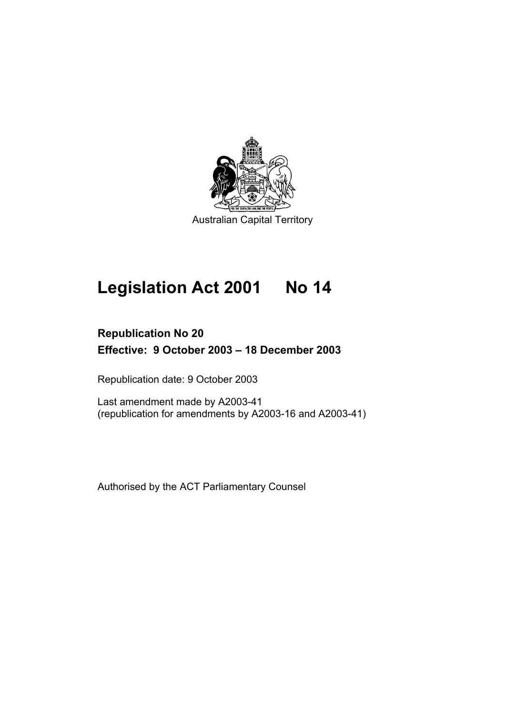

# **Legislation Act 2001 No 14**

# **Republication No 20 Effective: 9 October 2003 – 18 December 2003**

Republication date: 9 October 2003

Last amendment made by A2003-41 (republication for amendments by A2003-16 and A2003-41)

Authorised by the ACT Parliamentary Counsel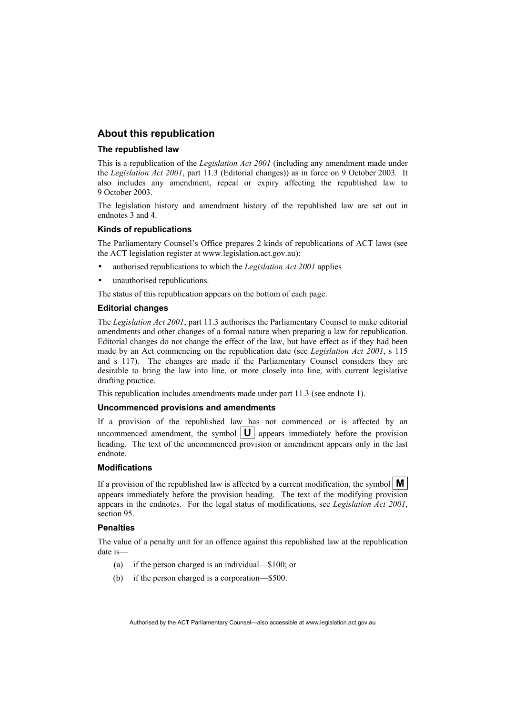## **About this republication**

#### **The republished law**

This is a republication of the *Legislation Act 2001* (including any amendment made under the *Legislation Act 2001*, part 11.3 (Editorial changes)) as in force on 9 October 2003*.* It also includes any amendment, repeal or expiry affecting the republished law to 9 October 2003.

The legislation history and amendment history of the republished law are set out in endnotes 3 and 4.

#### **Kinds of republications**

The Parliamentary Counsel's Office prepares 2 kinds of republications of ACT laws (see the ACT legislation register at www.legislation.act.gov.au):

- authorised republications to which the *Legislation Act 2001* applies
- unauthorised republications.

The status of this republication appears on the bottom of each page.

#### **Editorial changes**

The *Legislation Act 2001*, part 11.3 authorises the Parliamentary Counsel to make editorial amendments and other changes of a formal nature when preparing a law for republication. Editorial changes do not change the effect of the law, but have effect as if they had been made by an Act commencing on the republication date (see *Legislation Act 2001*, s 115 and s 117). The changes are made if the Parliamentary Counsel considers they are desirable to bring the law into line, or more closely into line, with current legislative drafting practice.

This republication includes amendments made under part 11.3 (see endnote 1).

#### **Uncommenced provisions and amendments**

If a provision of the republished law has not commenced or is affected by an uncommenced amendment, the symbol  $\|\mathbf{U}\|$  appears immediately before the provision heading. The text of the uncommenced provision or amendment appears only in the last endnote.

#### **Modifications**

If a provision of the republished law is affected by a current modification, the symbol  $\mathbf{M}$ appears immediately before the provision heading. The text of the modifying provision appears in the endnotes. For the legal status of modifications, see *Legislation Act 2001*, section 95.

#### **Penalties**

The value of a penalty unit for an offence against this republished law at the republication date is—

- (a) if the person charged is an individual—\$100; or
- (b) if the person charged is a corporation—\$500.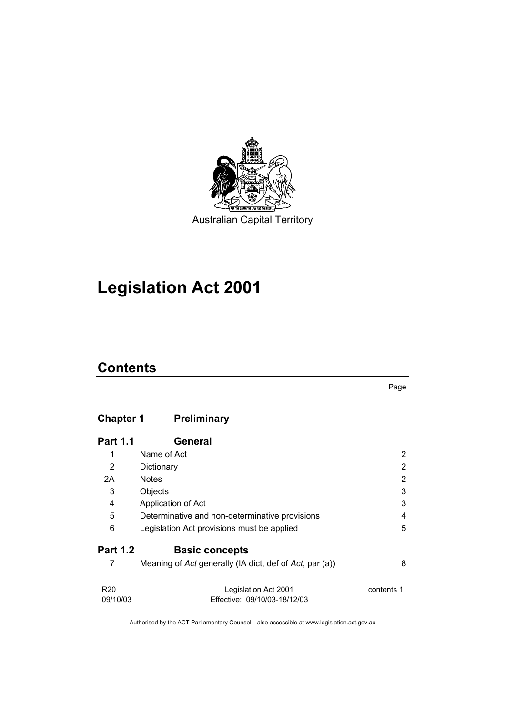

# **Legislation Act 2001**

# **Contents**

Page

# **Chapter 1 Preliminary**

| <b>Part 1.1</b> | General                                                 |            |
|-----------------|---------------------------------------------------------|------------|
| 1               | Name of Act                                             | 2          |
| 2               | Dictionary                                              | 2          |
| 2A              | <b>Notes</b>                                            | 2          |
| 3               | Objects                                                 | 3          |
| 4               | Application of Act                                      | 3          |
| 5               | Determinative and non-determinative provisions          | 4          |
| 6               | Legislation Act provisions must be applied              | 5          |
| <b>Part 1.2</b> | <b>Basic concepts</b>                                   |            |
|                 | Meaning of Act generally (IA dict, def of Act, par (a)) | 8          |
| R <sub>20</sub> | Legislation Act 2001                                    | contents 1 |
| 09/10/03        | Effective: 09/10/03-18/12/03                            |            |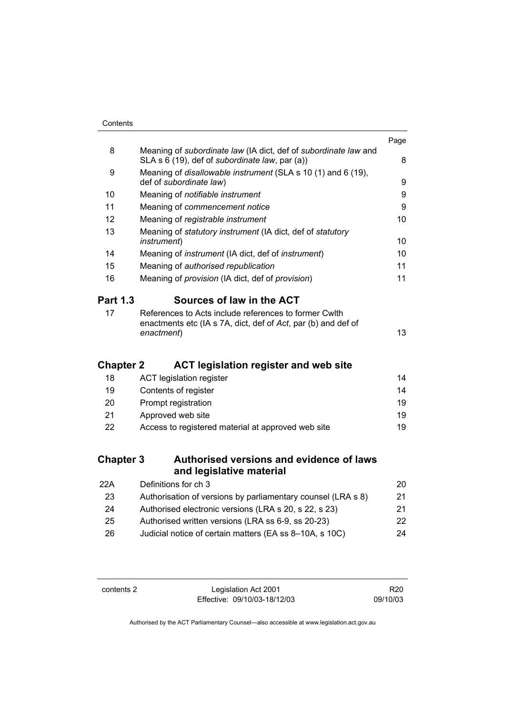|                  |                                                                                                                                      | Page |
|------------------|--------------------------------------------------------------------------------------------------------------------------------------|------|
| 8                | Meaning of subordinate law (IA dict, def of subordinate law and<br>SLA s 6 (19), def of <i>subordinate law</i> , par (a))            | 8    |
| 9                | Meaning of <i>disallowable instrument</i> (SLA s 10 (1) and 6 (19),<br>def of subordinate law)                                       | 9    |
| 10               | Meaning of notifiable instrument                                                                                                     | 9    |
| 11               | Meaning of commencement notice                                                                                                       | 9    |
| 12               | Meaning of registrable instrument                                                                                                    | 10   |
| 13               | Meaning of statutory instrument (IA dict, def of statutory<br><i>instrument</i> )                                                    | 10   |
| 14               | Meaning of <i>instrument</i> (IA dict, def of <i>instrument</i> )                                                                    | 10   |
| 15               | Meaning of authorised republication                                                                                                  | 11   |
| 16               | Meaning of provision (IA dict, def of provision)                                                                                     | 11   |
| <b>Part 1.3</b>  | Sources of law in the ACT                                                                                                            |      |
| 17               | References to Acts include references to former Cwlth<br>enactments etc (IA s 7A, dict, def of Act, par (b) and def of<br>enactment) | 13   |
| <b>Chapter 2</b> | <b>ACT legislation register and web site</b>                                                                                         |      |
| 18               | <b>ACT legislation register</b>                                                                                                      | 14   |
| 19               | Contents of register                                                                                                                 | 14   |
| 20               | Prompt registration                                                                                                                  | 19   |
| 21               | Approved web site                                                                                                                    | 19   |
| 22               | Access to registered material at approved web site                                                                                   | 19   |
| <b>Chapter 3</b> | Authorised versions and evidence of laws<br>and legislative material                                                                 |      |
| 22A              | Definitions for ch 3                                                                                                                 | 20   |
| 23               | Authorisation of versions by parliamentary counsel (LRA s 8)                                                                         | 21   |
| 24               | Authorised electronic versions (LRA s 20, s 22, s 23)                                                                                | 21   |
| 25               | Authorised written versions (LRA ss 6-9, ss 20-23)                                                                                   | 22   |

26 Judicial notice of certain matters (EA ss 8–10A, s 10C) 24

| contents 2 |  |
|------------|--|
|------------|--|

Legislation Act 2001 Effective: 09/10/03-18/12/03

R20 09/10/03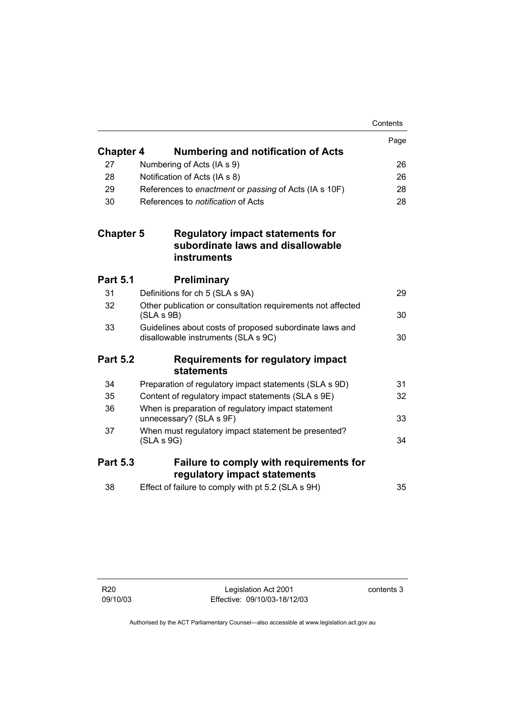|                  |                                                                                                    | Contents |
|------------------|----------------------------------------------------------------------------------------------------|----------|
|                  |                                                                                                    | Page     |
| <b>Chapter 4</b> | <b>Numbering and notification of Acts</b>                                                          |          |
| 27               | Numbering of Acts (IA s 9)                                                                         | 26       |
| 28               | Notification of Acts (IA s 8)                                                                      | 26       |
| 29               | References to enactment or passing of Acts (IA s 10F)                                              | 28       |
| 30               | References to <i>notification</i> of Acts                                                          | 28       |
| <b>Chapter 5</b> | <b>Regulatory impact statements for</b><br>subordinate laws and disallowable<br><b>instruments</b> |          |
| <b>Part 5.1</b>  | <b>Preliminary</b>                                                                                 |          |
| 31               | Definitions for ch 5 (SLA s 9A)                                                                    | 29       |
| 32               | Other publication or consultation requirements not affected<br>(SLA S 9B)                          | 30       |
| 33               | Guidelines about costs of proposed subordinate laws and<br>disallowable instruments (SLA s 9C)     | 30       |
| <b>Part 5.2</b>  | <b>Requirements for regulatory impact</b><br>statements                                            |          |
| 34               | Preparation of regulatory impact statements (SLA s 9D)                                             | 31       |
| 35               | Content of regulatory impact statements (SLA s 9E)                                                 | 32       |
| 36               | When is preparation of regulatory impact statement<br>unnecessary? (SLA s 9F)                      | 33       |
| 37               | When must regulatory impact statement be presented?<br>(SLA S 9G)                                  | 34       |
| <b>Part 5.3</b>  | Failure to comply with requirements for<br>regulatory impact statements                            |          |
| 38               | Effect of failure to comply with pt 5.2 (SLA s 9H)                                                 | 35       |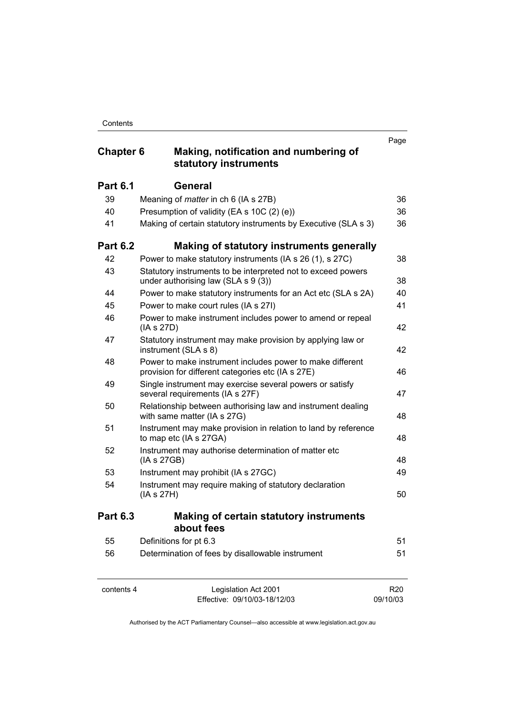# **Chapter 6 Making, notification and numbering of statutory instruments**

|                 | statutory mstruments                                                                                           |    |
|-----------------|----------------------------------------------------------------------------------------------------------------|----|
| <b>Part 6.1</b> | <b>General</b>                                                                                                 |    |
| 39              | Meaning of <i>matter</i> in ch 6 (IA s 27B)                                                                    | 36 |
| 40              | Presumption of validity (EA s 10C (2) (e))                                                                     | 36 |
| 41              | Making of certain statutory instruments by Executive (SLA s 3)                                                 | 36 |
| <b>Part 6.2</b> | Making of statutory instruments generally                                                                      |    |
| 42              | Power to make statutory instruments (IA s 26 (1), s 27C)                                                       | 38 |
| 43              | Statutory instruments to be interpreted not to exceed powers<br>under authorising law (SLA s 9 (3))            | 38 |
| 44              | Power to make statutory instruments for an Act etc (SLA s 2A)                                                  | 40 |
| 45              | Power to make court rules (IA s 27I)                                                                           | 41 |
| 46              | Power to make instrument includes power to amend or repeal<br>(IA s 27D)                                       | 42 |
| 47              | Statutory instrument may make provision by applying law or<br>instrument (SLA s 8)                             | 42 |
| 48              | Power to make instrument includes power to make different<br>provision for different categories etc (IA s 27E) | 46 |
| 49              | Single instrument may exercise several powers or satisfy<br>several requirements (IA s 27F)                    | 47 |
| 50              | Relationship between authorising law and instrument dealing<br>with same matter (IA s 27G)                     | 48 |
| 51              | Instrument may make provision in relation to land by reference<br>to map etc (IA s 27GA)                       | 48 |
| 52              | Instrument may authorise determination of matter etc<br>(IA s 27GB)                                            | 48 |
| 53              | Instrument may prohibit (IA s 27GC)                                                                            | 49 |
| 54              | Instrument may require making of statutory declaration<br>(IA s 27H)                                           | 50 |
| <b>Part 6.3</b> | <b>Making of certain statutory instruments</b><br>about fees                                                   |    |
| 55              | Definitions for pt 6.3                                                                                         | 51 |
| 56              | Determination of fees by disallowable instrument                                                               | 51 |

| contents 4 |  |
|------------|--|
|------------|--|

Legislation Act 2001 Effective: 09/10/03-18/12/03

R20 09/10/03

Page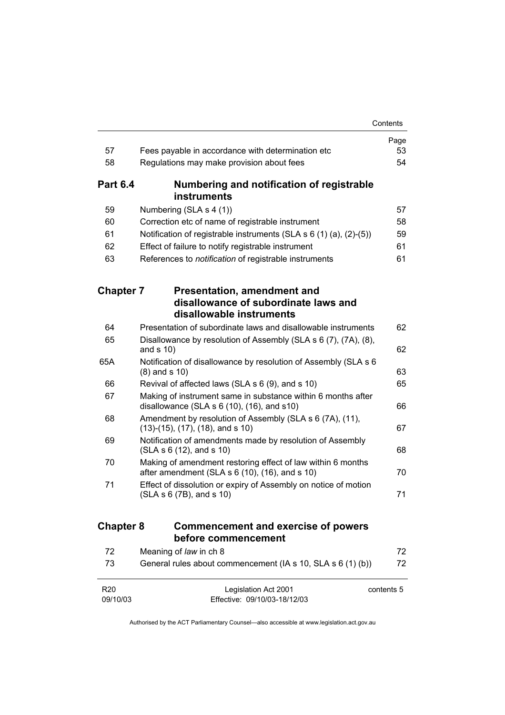|                             |                                                                                                                   | Contents   |
|-----------------------------|-------------------------------------------------------------------------------------------------------------------|------------|
|                             |                                                                                                                   | Page       |
| 57                          | Fees payable in accordance with determination etc                                                                 | 53         |
| 58                          | Regulations may make provision about fees                                                                         | 54         |
| <b>Part 6.4</b>             | Numbering and notification of registrable<br>instruments                                                          |            |
| 59                          | Numbering (SLA s 4 (1))                                                                                           | 57         |
| 60                          | Correction etc of name of registrable instrument                                                                  | 58         |
| 61                          | Notification of registrable instruments (SLA $s$ 6 (1) (a), (2)-(5))                                              | 59         |
| 62                          | Effect of failure to notify registrable instrument                                                                | 61         |
| 63                          | References to notification of registrable instruments                                                             | 61         |
| <b>Chapter 7</b>            | <b>Presentation, amendment and</b><br>disallowance of subordinate laws and                                        |            |
|                             | disallowable instruments                                                                                          |            |
| 64                          | Presentation of subordinate laws and disallowable instruments                                                     | 62         |
| 65                          | Disallowance by resolution of Assembly (SLA s 6 (7), (7A), (8),<br>and $s$ 10)                                    | 62         |
| 65A                         | Notification of disallowance by resolution of Assembly (SLA s 6<br>$(8)$ and s 10)                                | 63         |
| 66                          | Revival of affected laws (SLA s 6 (9), and s 10)                                                                  | 65         |
| 67                          | Making of instrument same in substance within 6 months after<br>disallowance (SLA $s$ 6 (10), (16), and $s$ 10)   | 66         |
| 68                          | Amendment by resolution of Assembly (SLA s 6 (7A), (11),<br>$(13)-(15)$ , $(17)$ , $(18)$ , and s 10)             | 67         |
| 69                          | Notification of amendments made by resolution of Assembly<br>(SLA S 6 (12), and S 10)                             | 68         |
| 70                          | Making of amendment restoring effect of law within 6 months<br>after amendment (SLA $s$ 6 (10), (16), and $s$ 10) | 70         |
| 71                          | Effect of dissolution or expiry of Assembly on notice of motion<br>(SLA s 6 (7B), and s 10)                       | 71         |
| <b>Chapter 8</b>            | <b>Commencement and exercise of powers</b><br>before commencement                                                 |            |
| 72                          | Meaning of law in ch 8                                                                                            | 72         |
| 73                          | General rules about commencement (IA s 10, SLA s 6 (1) (b))                                                       | 72         |
| R <sub>20</sub><br>09/10/03 | Legislation Act 2001<br>Effective: 09/10/03-18/12/03                                                              | contents 5 |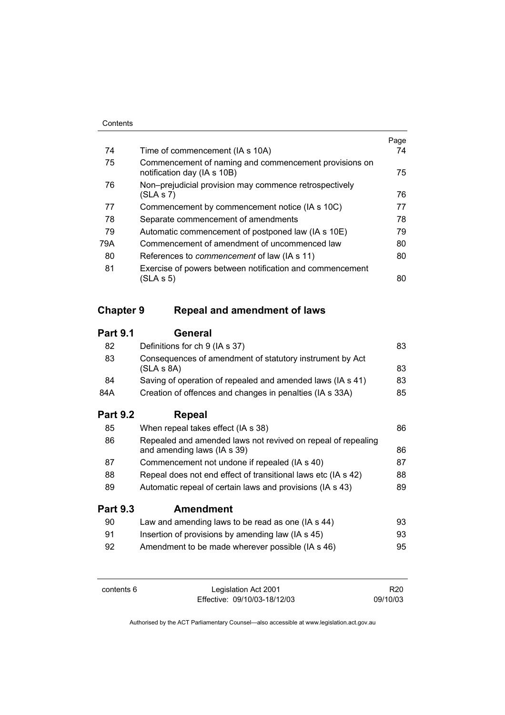| 74  |                                                                                      | Page<br>74 |
|-----|--------------------------------------------------------------------------------------|------------|
|     | Time of commencement (IA s 10A)                                                      |            |
| 75  | Commencement of naming and commencement provisions on<br>notification day (IA s 10B) | 75         |
| 76  | Non-prejudicial provision may commence retrospectively                               |            |
|     | (SLA S 7)                                                                            | 76         |
| 77  | Commencement by commencement notice (IA s 10C)                                       | 77         |
| 78  | Separate commencement of amendments                                                  | 78         |
| 79  | Automatic commencement of postponed law (IA s 10E)                                   | 79         |
| 79A | Commencement of amendment of uncommenced law                                         | 80         |
| 80  | References to <i>commencement</i> of law (IA s 11)                                   | 80         |
| 81  | Exercise of powers between notification and commencement                             |            |
|     | (SLA s 5)                                                                            | 80         |

# **Chapter 9 Repeal and amendment of laws**

# **Part 9.1 General**

| 0E.             | $10/6$ and $20/10/10$                                                  | 0e. |
|-----------------|------------------------------------------------------------------------|-----|
| <b>Part 9.2</b> | Repeal                                                                 |     |
| 84A             | Creation of offences and changes in penalties (IA s 33A)               | 85  |
| 84              | Saving of operation of repealed and amended laws (IA s 41)             | 83  |
| 83              | Consequences of amendment of statutory instrument by Act<br>(SLA S 8A) | 83  |
| 82              | Definitions for ch 9 (IA s 37)                                         | 83  |
|                 |                                                                        |     |

| <b>Part 9.3</b> | <b>Amendment</b>                                                                            |    |
|-----------------|---------------------------------------------------------------------------------------------|----|
| 89              | Automatic repeal of certain laws and provisions (IA s 43)                                   | 89 |
| 88              | Repeal does not end effect of transitional laws etc (IA s 42)                               | 88 |
| 87              | Commencement not undone if repealed (IA s 40)                                               | 87 |
| 86              | Repealed and amended laws not revived on repeal of repealing<br>and amending laws (IA s 39) | 86 |
| 85              | When repeal takes effect (IA s 38)                                                          | 86 |

| 90 | Law and amending laws to be read as one (IA s 44) | 93. |
|----|---------------------------------------------------|-----|
| 91 | Insertion of provisions by amending law (IA s 45) | 93. |
| 92 | Amendment to be made wherever possible (IA s 46)  | 95  |

| contents 6 |  |
|------------|--|
|------------|--|

Legislation Act 2001 Effective: 09/10/03-18/12/03

R20 09/10/03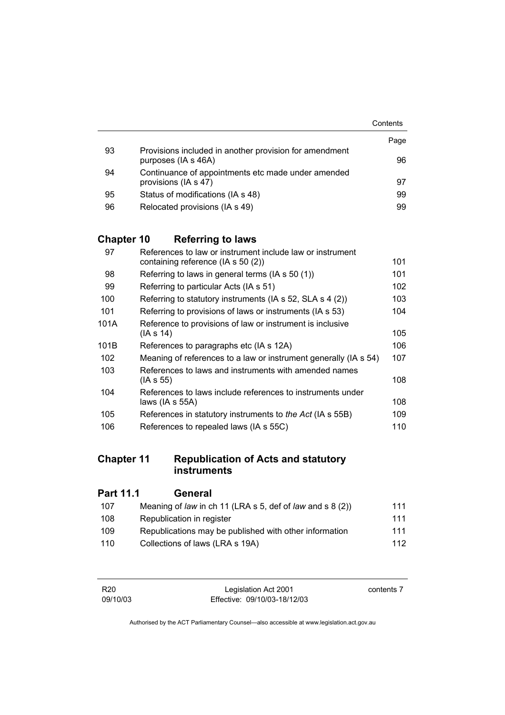|    |                                                                               | Contents |
|----|-------------------------------------------------------------------------------|----------|
|    |                                                                               | Page     |
| 93 | Provisions included in another provision for amendment<br>purposes (IA s 46A) | 96       |
| 94 | Continuance of appointments etc made under amended                            |          |
|    | provisions (IA s 47)                                                          | 97       |
| 95 | Status of modifications (IA s 48)                                             | 99       |
| 96 | Relocated provisions (IA s 49)                                                | 99       |

# **Chapter 10 Referring to laws**

| 97   | References to law or instrument include law or instrument        |     |
|------|------------------------------------------------------------------|-----|
|      | containing reference (IA s 50 (2))                               | 101 |
| 98   | Referring to laws in general terms (IA s 50 (1))                 | 101 |
| 99   | Referring to particular Acts (IA s 51)                           | 102 |
| 100  | Referring to statutory instruments (IA s 52, SLA s 4 (2))        | 103 |
| 101  | Referring to provisions of laws or instruments (IA s 53)         | 104 |
| 101A | Reference to provisions of law or instrument is inclusive        |     |
|      | (IA s 14)                                                        | 105 |
| 101B | References to paragraphs etc (IA s 12A)                          | 106 |
| 102  | Meaning of references to a law or instrument generally (IA s 54) | 107 |
| 103  | References to laws and instruments with amended names            |     |
|      | (IA s 55)                                                        | 108 |
| 104  | References to laws include references to instruments under       |     |
|      | laws (IA s 55A)                                                  | 108 |
| 105  | References in statutory instruments to the Act (IA s 55B)        | 109 |
| 106  | References to repealed laws (IA s 55C)                           | 110 |
|      |                                                                  |     |

# **Chapter 11 Republication of Acts and statutory instruments**

| <b>Part 11.1</b> | General                                                   |     |
|------------------|-----------------------------------------------------------|-----|
| 107              | Meaning of law in ch 11 (LRA s 5, def of law and s 8 (2)) | 111 |
| 108              | Republication in register                                 | 111 |
| 109              | Republications may be published with other information    | 111 |
| 110              | Collections of laws (LRA s 19A)                           | 112 |

| R <sub>20</sub> | Legislation Act 2001         | contents 7 |
|-----------------|------------------------------|------------|
| 09/10/03        | Effective: 09/10/03-18/12/03 |            |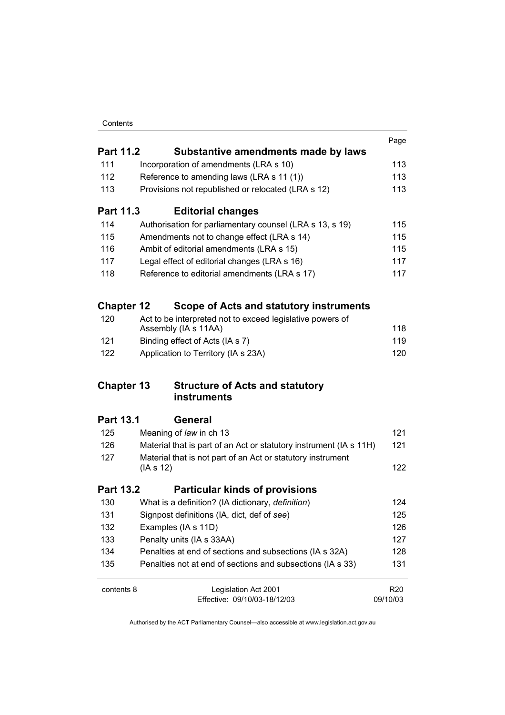| Contents |
|----------|
|----------|

|                   |                                                                    | Page            |
|-------------------|--------------------------------------------------------------------|-----------------|
| <b>Part 11.2</b>  | Substantive amendments made by laws                                |                 |
| 111               | Incorporation of amendments (LRA s 10)                             | 113             |
| 112               | Reference to amending laws (LRA s 11 (1))                          | 113             |
| 113               | Provisions not republished or relocated (LRA s 12)                 | 113             |
| Part 11.3         | <b>Editorial changes</b>                                           |                 |
| 114               | Authorisation for parliamentary counsel (LRA s 13, s 19)           | 115             |
| 115               | Amendments not to change effect (LRA s 14)                         | 115             |
| 116               | Ambit of editorial amendments (LRA s 15)                           | 115             |
| 117               | Legal effect of editorial changes (LRA s 16)                       | 117             |
| 118               | Reference to editorial amendments (LRA s 17)                       | 117             |
| <b>Chapter 12</b> | Scope of Acts and statutory instruments                            |                 |
| 120               | Act to be interpreted not to exceed legislative powers of          |                 |
|                   | Assembly (IA s 11AA)                                               | 118             |
| 121               | Binding effect of Acts (IA s 7)                                    | 119             |
| 122               | Application to Territory (IA s 23A)                                | 120             |
| <b>Chapter 13</b> | <b>Structure of Acts and statutory</b><br>instruments              |                 |
| <b>Part 13.1</b>  | <b>General</b>                                                     |                 |
| 125               | Meaning of law in ch 13                                            | 121             |
| 126               | Material that is part of an Act or statutory instrument (IA s 11H) | 121             |
| 127               | Material that is not part of an Act or statutory instrument        |                 |
|                   | (IAs 12)                                                           | 122             |
| <b>Part 13.2</b>  | <b>Particular kinds of provisions</b>                              |                 |
| 130               | What is a definition? (IA dictionary, definition)                  | 124             |
| 131               | Signpost definitions (IA, dict, def of see)                        | 125             |
| 132               | Examples (IA s 11D)                                                | 126             |
| 133               | Penalty units (IA s 33AA)                                          | 127             |
| 134               | Penalties at end of sections and subsections (IA s 32A)            | 128             |
| 135               | Penalties not at end of sections and subsections (IA s 33)         | 131             |
| contents 8        | Legislation Act 2001                                               | R <sub>20</sub> |
|                   | Effective: 09/10/03-18/12/03                                       | 09/10/03        |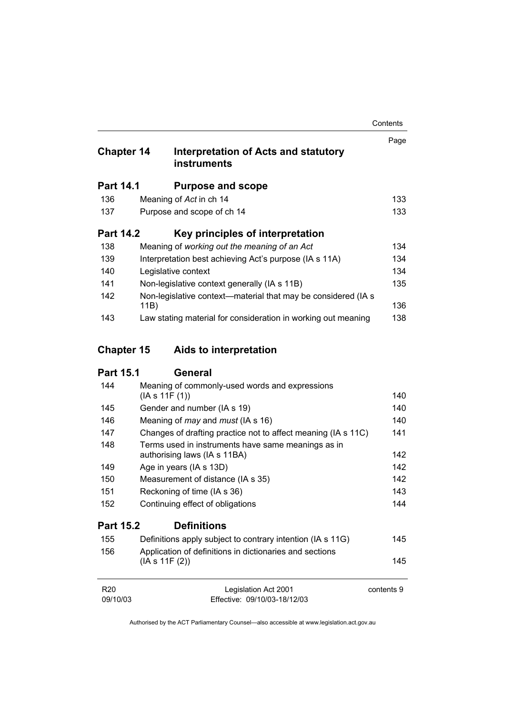| <b>Chapter 14</b> | Interpretation of Acts and statutory<br><b>instruments</b>            | Page |
|-------------------|-----------------------------------------------------------------------|------|
| <b>Part 14.1</b>  | <b>Purpose and scope</b>                                              |      |
| 136               | Meaning of Act in ch 14                                               | 133  |
| 137               | Purpose and scope of ch 14                                            | 133  |
| <b>Part 14.2</b>  | Key principles of interpretation                                      |      |
| 138               | Meaning of working out the meaning of an Act                          | 134  |
| 139               | Interpretation best achieving Act's purpose (IA s 11A)                | 134  |
| 140               | Legislative context                                                   | 134  |
| 141               | Non-legislative context generally (IA s 11B)                          | 135  |
| 142               | Non-legislative context—material that may be considered (IA s<br>11B) | 136  |
| 143               | Law stating material for consideration in working out meaning         | 138  |

# **Chapter 15 Aids to interpretation**

# **Part 15.1 General**

| 144              | Meaning of commonly-used words and expressions                |     |
|------------------|---------------------------------------------------------------|-----|
|                  | (IAs 11F(1))                                                  | 140 |
| 145              | Gender and number (IA s 19)                                   | 140 |
| 146              | Meaning of <i>may</i> and <i>must</i> (IA s 16)               | 140 |
| 147              | Changes of drafting practice not to affect meaning (IA s 11C) | 141 |
| 148              | Terms used in instruments have same meanings as in            |     |
|                  | authorising laws (IA s 11BA)                                  | 142 |
| 149              | Age in years (IA s 13D)                                       | 142 |
| 150              | Measurement of distance (IA s 35)                             | 142 |
| 151              | Reckoning of time (IA s 36)                                   | 143 |
| 152              | Continuing effect of obligations                              | 144 |
| <b>Part 15.2</b> | <b>Definitions</b>                                            |     |
| 155              | Definitions apply subject to contrary intention (IA s 11G)    | 145 |
| 156              | Application of definitions in dictionaries and sections       |     |
|                  | (IAs 11F(2))                                                  | 145 |
|                  |                                                               |     |

| R20      | Legislation Act 2001         | contents 9 |
|----------|------------------------------|------------|
| 09/10/03 | Effective: 09/10/03-18/12/03 |            |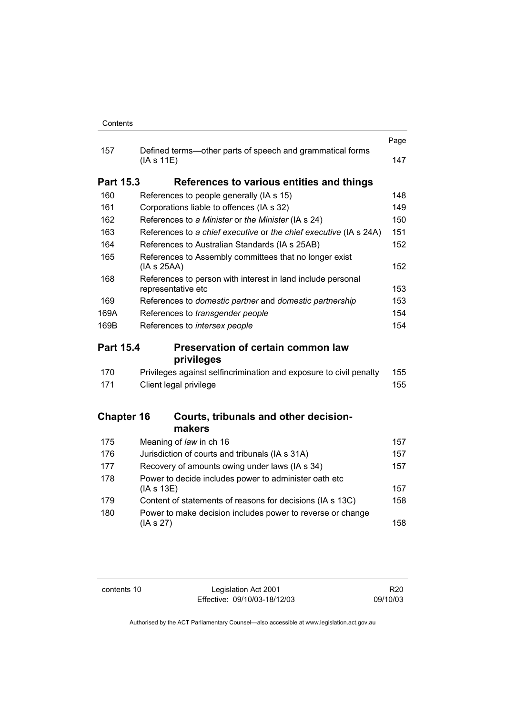|                  |                                                                                   | Page |
|------------------|-----------------------------------------------------------------------------------|------|
| 157              | Defined terms—other parts of speech and grammatical forms<br>(IAs 11E)            | 147  |
| <b>Part 15.3</b> | References to various entities and things                                         |      |
| 160              | References to people generally (IA s 15)                                          | 148  |
| 161              | Corporations liable to offences (IA s 32)                                         | 149  |
| 162              | References to a Minister or the Minister (IA s 24)                                | 150  |
| 163              | References to a chief executive or the chief executive (IA s 24A)                 | 151  |
| 164              | References to Australian Standards (IA s 25AB)                                    | 152  |
| 165              | References to Assembly committees that no longer exist<br>(IAs 25AA)              | 152  |
| 168              | References to person with interest in land include personal<br>representative etc | 153  |
| 169              | References to domestic partner and domestic partnership                           | 153  |
| 169A             | References to transgender people                                                  | 154  |
| 169B             | References to intersex people                                                     | 154  |
|                  |                                                                                   |      |
| <b>Part 15.4</b> | Preservation of certain common law                                                |      |
|                  | privileges                                                                        |      |
| 170              | Privileges against selfincrimination and exposure to civil penalty                | 155  |
| 171              | Client legal privilege                                                            | 155  |
|                  | <b>Chapter 16</b><br>Courts, tribunals and other decision-                        |      |
|                  | makers                                                                            |      |
| 175              | Meaning of law in ch 16                                                           | 157  |
| 176              | Jurisdiction of courts and tribunals (IA s 31A)                                   | 157  |
| 177              | Recovery of amounts owing under laws (IA s 34)                                    | 157  |
| 178              | Power to decide includes power to administer oath etc<br>(IA s 13E)               | 157  |
| 179              | Content of statements of reasons for decisions (IA s 13C)                         | 158  |

contents 10 Legislation Act 2001 Effective: 09/10/03-18/12/03

R20 09/10/03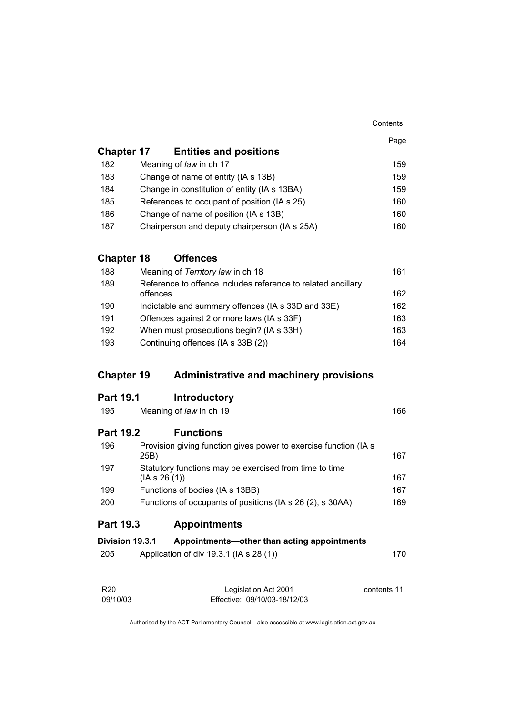|                             |                                                                       | Contents    |
|-----------------------------|-----------------------------------------------------------------------|-------------|
|                             |                                                                       | Page        |
| <b>Chapter 17</b>           | <b>Entities and positions</b>                                         |             |
| 182                         | Meaning of law in ch 17                                               | 159         |
| 183                         | Change of name of entity (IA s 13B)                                   | 159         |
| 184                         | Change in constitution of entity (IA s 13BA)                          | 159         |
| 185                         | References to occupant of position (IA s 25)                          | 160         |
| 186                         | Change of name of position (IA s 13B)                                 | 160         |
| 187                         | Chairperson and deputy chairperson (IA s 25A)                         | 160         |
| <b>Chapter 18</b>           | <b>Offences</b>                                                       |             |
| 188                         | Meaning of Territory law in ch 18                                     | 161         |
| 189                         | Reference to offence includes reference to related ancillary          |             |
|                             | offences                                                              | 162         |
| 190                         | Indictable and summary offences (IA s 33D and 33E)                    | 162         |
| 191                         | Offences against 2 or more laws (IA s 33F)                            | 163         |
| 192                         | When must prosecutions begin? (IA s 33H)                              | 163         |
| 193                         | Continuing offences (IA s 33B (2))                                    | 164         |
| <b>Chapter 19</b>           | <b>Administrative and machinery provisions</b>                        |             |
| <b>Part 19.1</b>            | <b>Introductory</b>                                                   |             |
| 195                         | Meaning of law in ch 19                                               | 166         |
| <b>Part 19.2</b>            | <b>Functions</b>                                                      |             |
| 196                         | Provision giving function gives power to exercise function (IA s      | 167         |
|                             | 25B)                                                                  |             |
| 197                         | Statutory functions may be exercised from time to time<br>(IAs 26(1)) | 167         |
| 199                         | Functions of bodies (IA s 13BB)                                       | 167         |
| 200                         | Functions of occupants of positions (IA s 26 (2), s 30AA)             | 169         |
| Part 19.3                   | <b>Appointments</b>                                                   |             |
| Division 19.3.1             | Appointments-other than acting appointments                           |             |
| 205                         | Application of div 19.3.1 (IA s 28 (1))                               | 170         |
| R <sub>20</sub><br>09/10/03 | Legislation Act 2001<br>Effective: 09/10/03-18/12/03                  | contents 11 |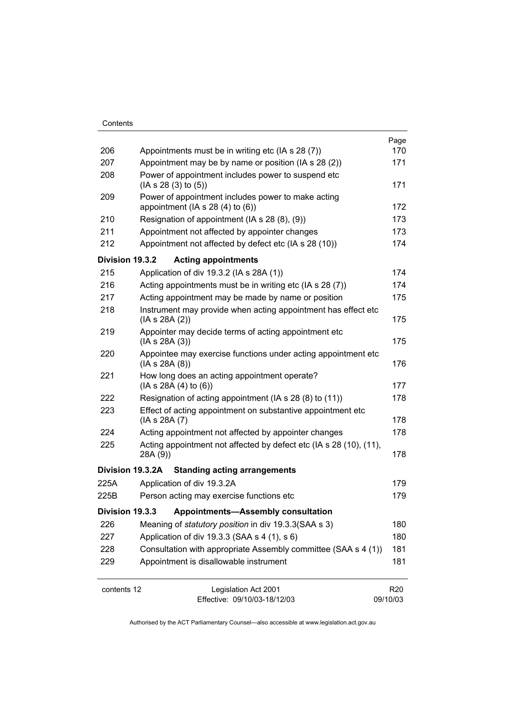| Contents    |                                                                                          |                 |
|-------------|------------------------------------------------------------------------------------------|-----------------|
| 206         | Appointments must be in writing etc (IA s 28 (7))                                        | Page<br>170     |
| 207         | Appointment may be by name or position (IA s 28 (2))                                     | 171             |
| 208         | Power of appointment includes power to suspend etc                                       |                 |
|             | (IAs 28(3) to (5))                                                                       | 171             |
| 209         | Power of appointment includes power to make acting<br>appointment (IA $s$ 28 (4) to (6)) | 172             |
| 210         | Resignation of appointment (IA s 28 (8), (9))                                            | 173             |
| 211         | Appointment not affected by appointer changes                                            | 173             |
| 212         | Appointment not affected by defect etc (IA s 28 (10))                                    | 174             |
|             | Division 19.3.2<br><b>Acting appointments</b>                                            |                 |
| 215         | Application of div 19.3.2 (IA s 28A (1))                                                 | 174             |
| 216         | Acting appointments must be in writing etc (IA s 28 (7))                                 | 174             |
| 217         | Acting appointment may be made by name or position                                       | 175             |
| 218         | Instrument may provide when acting appointment has effect etc                            |                 |
|             | (IAs 28A(2))                                                                             | 175             |
| 219         | Appointer may decide terms of acting appointment etc                                     |                 |
|             | (IAs 28A(3))                                                                             | 175             |
| 220         | Appointee may exercise functions under acting appointment etc<br>(IAs 28A(8))            | 176             |
| 221         | How long does an acting appointment operate?<br>(IAs 28A(4) to (6))                      | 177             |
| 222         | Resignation of acting appointment (IA s 28 (8) to (11))                                  | 178             |
| 223         | Effect of acting appointment on substantive appointment etc                              |                 |
|             | (IA s 28A (7)                                                                            | 178             |
| 224         | Acting appointment not affected by appointer changes                                     | 178             |
| 225         | Acting appointment not affected by defect etc (IA s 28 (10), (11),                       |                 |
|             | 28A (9))                                                                                 | 178             |
|             | Division 19.3.2A<br><b>Standing acting arrangements</b>                                  |                 |
| 225A        | Application of div 19.3.2A                                                               | 179             |
| 225B        | Person acting may exercise functions etc                                                 | 179             |
|             | <b>Appointments-Assembly consultation</b><br>Division 19.3.3                             |                 |
| 226         | Meaning of <i>statutory position</i> in div 19.3.3(SAA s 3)                              | 180             |
| 227         | Application of div 19.3.3 (SAA s 4 (1), s 6)                                             | 180             |
| 228         | Consultation with appropriate Assembly committee (SAA s 4 (1))                           | 181             |
| 229         | Appointment is disallowable instrument                                                   | 181             |
| contents 12 | Legislation Act 2001                                                                     | R <sub>20</sub> |
|             | Effective: 09/10/03-18/12/03                                                             | 09/10/03        |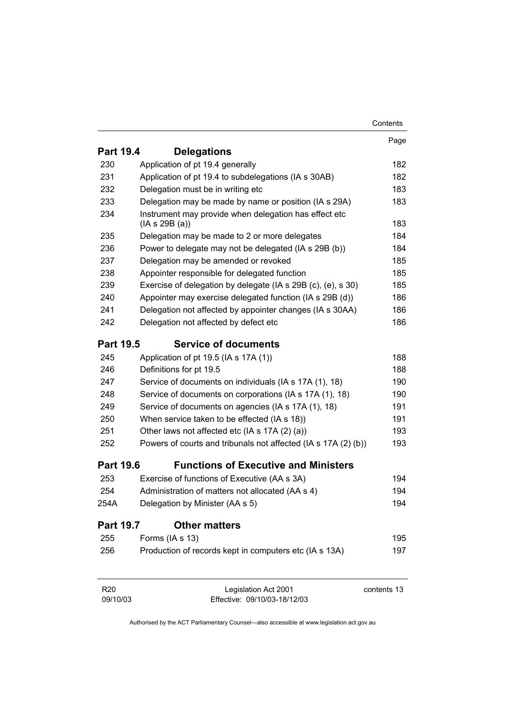|                             |                                                                       | Contents    |
|-----------------------------|-----------------------------------------------------------------------|-------------|
|                             |                                                                       | Page        |
| <b>Part 19.4</b>            | <b>Delegations</b>                                                    |             |
| 230                         | Application of pt 19.4 generally                                      | 182         |
| 231                         | Application of pt 19.4 to subdelegations (IA s 30AB)                  | 182         |
| 232                         | Delegation must be in writing etc                                     | 183         |
| 233                         | Delegation may be made by name or position (IA s 29A)                 | 183         |
| 234                         | Instrument may provide when delegation has effect etc<br>(IAs 29B(a)) | 183         |
| 235                         | Delegation may be made to 2 or more delegates                         | 184         |
| 236                         | Power to delegate may not be delegated (IA s 29B (b))                 | 184         |
| 237                         | Delegation may be amended or revoked                                  | 185         |
| 238                         | Appointer responsible for delegated function                          | 185         |
| 239                         | Exercise of delegation by delegate (IA s 29B (c), (e), s 30)          | 185         |
| 240                         | Appointer may exercise delegated function (IA s 29B (d))              | 186         |
| 241                         | Delegation not affected by appointer changes (IA s 30AA)              | 186         |
| 242                         | Delegation not affected by defect etc                                 | 186         |
| <b>Part 19.5</b>            | <b>Service of documents</b>                                           |             |
| 245                         | Application of pt 19.5 (IA s 17A (1))                                 | 188         |
| 246                         | Definitions for pt 19.5                                               | 188         |
| 247                         | Service of documents on individuals (IA s 17A (1), 18)                | 190         |
| 248                         | Service of documents on corporations (IA s 17A (1), 18)               | 190         |
| 249                         | Service of documents on agencies (IA s 17A (1), 18)                   | 191         |
| 250                         | When service taken to be effected (IA s 18))                          | 191         |
| 251                         | Other laws not affected etc (IA s 17A (2) (a))                        | 193         |
| 252                         | Powers of courts and tribunals not affected (IA s 17A (2) (b))        | 193         |
| <b>Part 19.6</b>            | <b>Functions of Executive and Ministers</b>                           |             |
| 253                         | Exercise of functions of Executive (AA s 3A)                          | 194         |
| 254                         | Administration of matters not allocated (AA s 4)                      | 194         |
| 254A                        | Delegation by Minister (AA s 5)                                       | 194         |
| <b>Part 19.7</b>            | <b>Other matters</b>                                                  |             |
| 255                         | Forms (IA s 13)                                                       | 195         |
| 256                         | Production of records kept in computers etc (IA s 13A)                | 197         |
| R <sub>20</sub><br>09/10/03 | Legislation Act 2001<br>Effective: 09/10/03-18/12/03                  | contents 13 |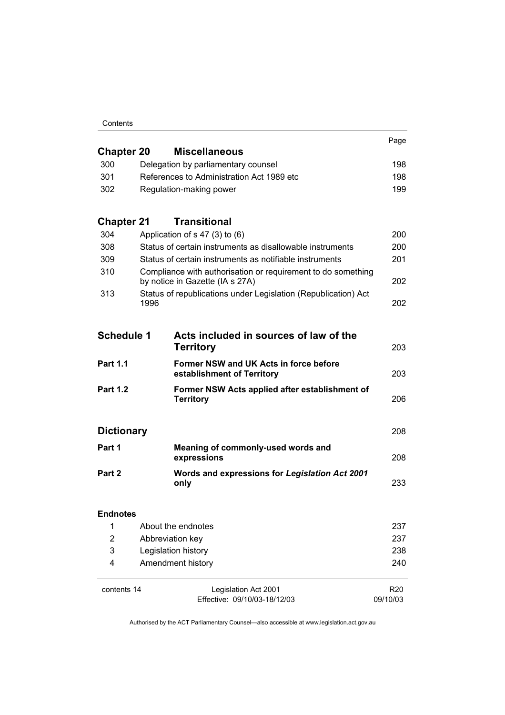| Contents |
|----------|
|----------|

|                   |                                                                                                 | Page                        |
|-------------------|-------------------------------------------------------------------------------------------------|-----------------------------|
| <b>Chapter 20</b> | <b>Miscellaneous</b>                                                                            |                             |
| 300               | Delegation by parliamentary counsel                                                             | 198                         |
| 301               | References to Administration Act 1989 etc                                                       | 198                         |
| 302               | Regulation-making power                                                                         | 199                         |
| <b>Chapter 21</b> | <b>Transitional</b>                                                                             |                             |
| 304               | Application of $s$ 47 (3) to (6)                                                                | 200                         |
| 308               | Status of certain instruments as disallowable instruments                                       | 200                         |
| 309               | Status of certain instruments as notifiable instruments                                         | 201                         |
| 310               | Compliance with authorisation or requirement to do something<br>by notice in Gazette (IA s 27A) | 202                         |
| 313               | Status of republications under Legislation (Republication) Act<br>1996                          | 202                         |
| <b>Schedule 1</b> | Acts included in sources of law of the                                                          |                             |
|                   | <b>Territory</b>                                                                                | 203                         |
| <b>Part 1.1</b>   | Former NSW and UK Acts in force before<br>establishment of Territory                            | 203                         |
| <b>Part 1.2</b>   | Former NSW Acts applied after establishment of<br><b>Territory</b>                              | 206                         |
| <b>Dictionary</b> |                                                                                                 | 208                         |
| Part 1            |                                                                                                 |                             |
|                   | Meaning of commonly-used words and<br>expressions                                               | 208                         |
| Part 2            | Words and expressions for Legislation Act 2001<br>only                                          | 233                         |
| <b>Endnotes</b>   |                                                                                                 |                             |
| 1                 | About the endnotes                                                                              | 237                         |
| $\overline{2}$    | Abbreviation key                                                                                | 237                         |
| 3                 | Legislation history                                                                             | 238                         |
| 4                 | Amendment history                                                                               | 240                         |
| contents 14       | Legislation Act 2001<br>Effective: 09/10/03-18/12/03                                            | R <sub>20</sub><br>09/10/03 |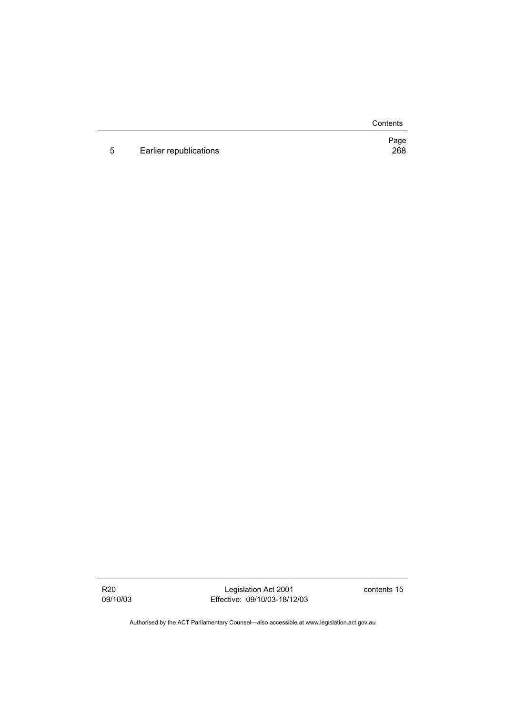**Contents** 

Page

5 Earlier republications 268

R20 09/10/03

Legislation Act 2001 Effective: 09/10/03-18/12/03 contents 15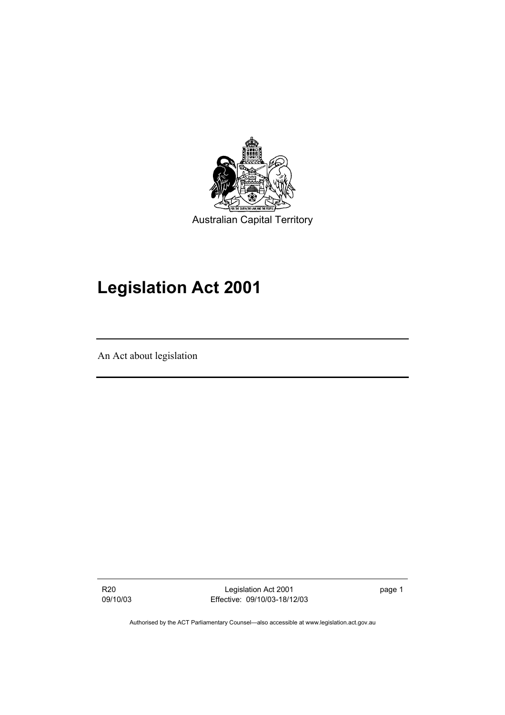

# **Legislation Act 2001**

An Act about legislation

R20 09/10/03

Legislation Act 2001 Effective: 09/10/03-18/12/03 page 1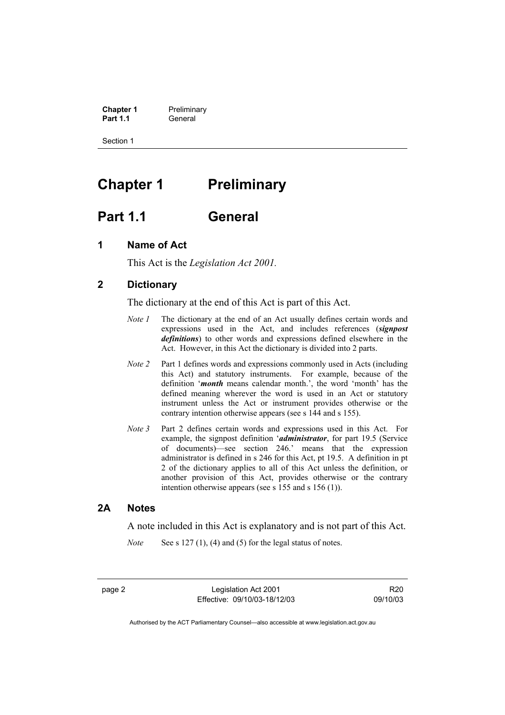**Chapter 1** Preliminary<br>**Part 1.1** General General

Section 1

# **Chapter 1 Preliminary**

# **Part 1.1 General**

# **1 Name of Act**

This Act is the *Legislation Act 2001.* 

## **2 Dictionary**

The dictionary at the end of this Act is part of this Act.

- *Note 1* The dictionary at the end of an Act usually defines certain words and expressions used in the Act, and includes references (*signpost definitions*) to other words and expressions defined elsewhere in the Act. However, in this Act the dictionary is divided into 2 parts.
- *Note 2* Part 1 defines words and expressions commonly used in Acts (including this Act) and statutory instruments. For example, because of the definition '*month* means calendar month.', the word 'month' has the defined meaning wherever the word is used in an Act or statutory instrument unless the Act or instrument provides otherwise or the contrary intention otherwise appears (see s 144 and s 155).
- *Note 3* Part 2 defines certain words and expressions used in this Act. For example, the signpost definition '*administrator*, for part 19.5 (Service of documents)—see section 246.' means that the expression administrator is defined in s 246 for this Act, pt 19.5. A definition in pt 2 of the dictionary applies to all of this Act unless the definition, or another provision of this Act, provides otherwise or the contrary intention otherwise appears (see s 155 and s 156 (1)).

### **2A Notes**

A note included in this Act is explanatory and is not part of this Act.

*Note* See s 127 (1), (4) and (5) for the legal status of notes.

page 2 Legislation Act 2001 Effective: 09/10/03-18/12/03

R20 09/10/03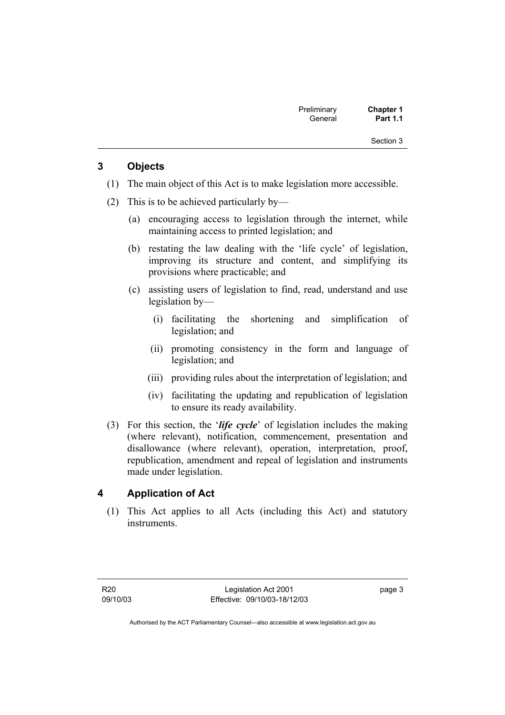| Preliminary | <b>Chapter 1</b> |  |
|-------------|------------------|--|
| General     | <b>Part 1.1</b>  |  |

## **3 Objects**

- (1) The main object of this Act is to make legislation more accessible.
- (2) This is to be achieved particularly by—
	- (a) encouraging access to legislation through the internet, while maintaining access to printed legislation; and
	- (b) restating the law dealing with the 'life cycle' of legislation, improving its structure and content, and simplifying its provisions where practicable; and
	- (c) assisting users of legislation to find, read, understand and use legislation by—
		- (i) facilitating the shortening and simplification of legislation; and
		- (ii) promoting consistency in the form and language of legislation; and
		- (iii) providing rules about the interpretation of legislation; and
		- (iv) facilitating the updating and republication of legislation to ensure its ready availability.
- (3) For this section, the '*life cycle*' of legislation includes the making (where relevant), notification, commencement, presentation and disallowance (where relevant), operation, interpretation, proof, republication, amendment and repeal of legislation and instruments made under legislation.

## **4 Application of Act**

 (1) This Act applies to all Acts (including this Act) and statutory instruments.

page 3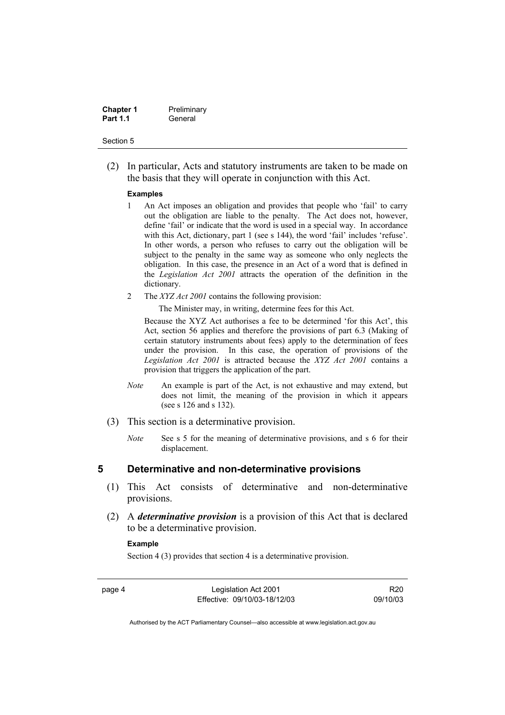| <b>Chapter 1</b> | Preliminary |
|------------------|-------------|
| <b>Part 1.1</b>  | General     |

 (2) In particular, Acts and statutory instruments are taken to be made on the basis that they will operate in conjunction with this Act.

#### **Examples**

- 1 An Act imposes an obligation and provides that people who 'fail' to carry out the obligation are liable to the penalty. The Act does not, however, define 'fail' or indicate that the word is used in a special way. In accordance with this Act, dictionary, part 1 (see s 144), the word 'fail' includes 'refuse'. In other words, a person who refuses to carry out the obligation will be subject to the penalty in the same way as someone who only neglects the obligation. In this case, the presence in an Act of a word that is defined in the *Legislation Act 2001* attracts the operation of the definition in the dictionary.
- 2 The *XYZ Act 2001* contains the following provision:

The Minister may, in writing, determine fees for this Act.

Because the XYZ Act authorises a fee to be determined 'for this Act', this Act, section 56 applies and therefore the provisions of part 6.3 (Making of certain statutory instruments about fees) apply to the determination of fees under the provision. In this case, the operation of provisions of the *Legislation Act 2001* is attracted because the *XYZ Act 2001* contains a provision that triggers the application of the part.

- *Note* An example is part of the Act, is not exhaustive and may extend, but does not limit, the meaning of the provision in which it appears (see s 126 and s 132).
- (3) This section is a determinative provision.
	- *Note* See s 5 for the meaning of determinative provisions, and s 6 for their displacement.

### **5 Determinative and non-determinative provisions**

- (1) This Act consists of determinative and non-determinative provisions.
- (2) A *determinative provision* is a provision of this Act that is declared to be a determinative provision.

### **Example**

Section 4 (3) provides that section 4 is a determinative provision.

page 4 Legislation Act 2001 Effective: 09/10/03-18/12/03

R20 09/10/03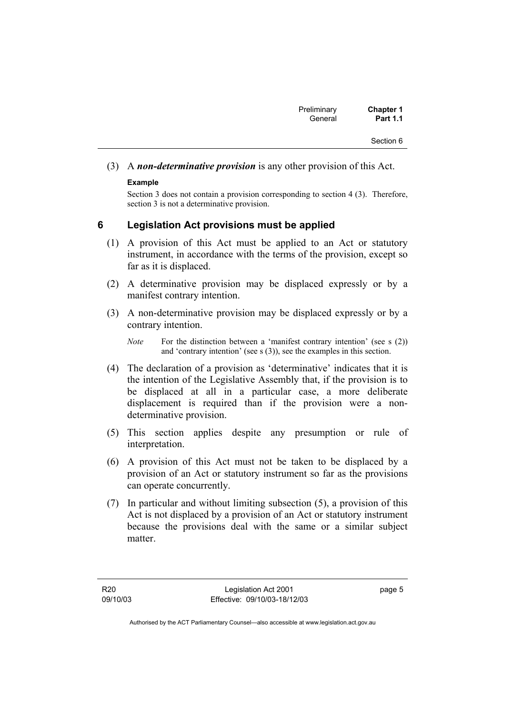| Preliminary | <b>Chapter 1</b> |
|-------------|------------------|
| General     | <b>Part 1.1</b>  |

(3) A *non-determinative provision* is any other provision of this Act.

#### **Example**

Section 3 does not contain a provision corresponding to section 4 (3). Therefore, section 3 is not a determinative provision.

### **6 Legislation Act provisions must be applied**

- (1) A provision of this Act must be applied to an Act or statutory instrument, in accordance with the terms of the provision, except so far as it is displaced.
- (2) A determinative provision may be displaced expressly or by a manifest contrary intention.
- (3) A non-determinative provision may be displaced expressly or by a contrary intention.
	- *Note* For the distinction between a 'manifest contrary intention' (see s (2)) and 'contrary intention' (see s (3)), see the examples in this section.
- (4) The declaration of a provision as 'determinative' indicates that it is the intention of the Legislative Assembly that, if the provision is to be displaced at all in a particular case, a more deliberate displacement is required than if the provision were a nondeterminative provision.
- (5) This section applies despite any presumption or rule of interpretation.
- (6) A provision of this Act must not be taken to be displaced by a provision of an Act or statutory instrument so far as the provisions can operate concurrently.
- (7) In particular and without limiting subsection (5), a provision of this Act is not displaced by a provision of an Act or statutory instrument because the provisions deal with the same or a similar subject matter.

page 5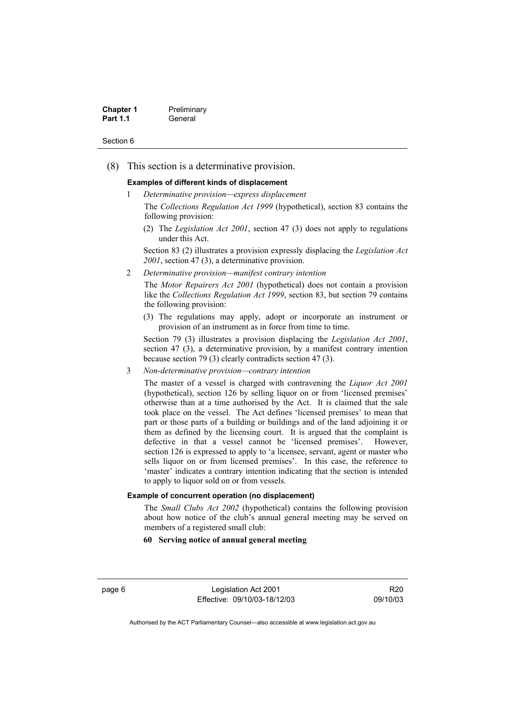| <b>Chapter 1</b> | Preliminary |
|------------------|-------------|
| <b>Part 1.1</b>  | General     |

(8) This section is a determinative provision.

#### **Examples of different kinds of displacement**

1 *Determinative provision—express displacement*

The *Collections Regulation Act 1999* (hypothetical), section 83 contains the following provision:

(2) The *Legislation Act 2001*, section 47 (3) does not apply to regulations under this Act.

Section 83 (2) illustrates a provision expressly displacing the *Legislation Act 2001*, section 47 (3), a determinative provision.

2 *Determinative provision—manifest contrary intention*

The *Motor Repairers Act 2001* (hypothetical) does not contain a provision like the *Collections Regulation Act 1999*, section 83, but section 79 contains the following provision:

(3) The regulations may apply, adopt or incorporate an instrument or provision of an instrument as in force from time to time.

Section 79 (3) illustrates a provision displacing the *Legislation Act 2001*, section 47 (3), a determinative provision, by a manifest contrary intention because section 79 (3) clearly contradicts section 47 (3).

3 *Non-determinative provision—contrary intention*

The master of a vessel is charged with contravening the *Liquor Act 2001* (hypothetical), section 126 by selling liquor on or from 'licensed premises' otherwise than at a time authorised by the Act. It is claimed that the sale took place on the vessel. The Act defines 'licensed premises' to mean that part or those parts of a building or buildings and of the land adjoining it or them as defined by the licensing court. It is argued that the complaint is defective in that a vessel cannot be 'licensed premises'. However, section 126 is expressed to apply to 'a licensee, servant, agent or master who sells liquor on or from licensed premises'. In this case, the reference to 'master' indicates a contrary intention indicating that the section is intended to apply to liquor sold on or from vessels.

#### **Example of concurrent operation (no displacement)**

The *Small Clubs Act 2002* (hypothetical) contains the following provision about how notice of the club's annual general meeting may be served on members of a registered small club:

#### **60 Serving notice of annual general meeting**

page 6 Legislation Act 2001 Effective: 09/10/03-18/12/03

R20 09/10/03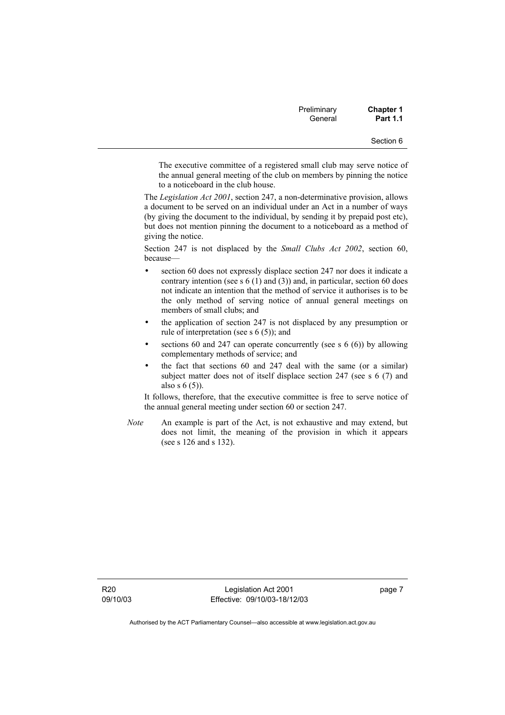| Preliminary<br>General | <b>Chapter 1</b><br><b>Part 1.1</b> |
|------------------------|-------------------------------------|
|                        | Section 6                           |

The executive committee of a registered small club may serve notice of the annual general meeting of the club on members by pinning the notice to a noticeboard in the club house.

The *Legislation Act 2001*, section 247, a non-determinative provision, allows a document to be served on an individual under an Act in a number of ways (by giving the document to the individual, by sending it by prepaid post etc), but does not mention pinning the document to a noticeboard as a method of giving the notice.

Section 247 is not displaced by the *Small Clubs Act 2002*, section 60, because—

- section 60 does not expressly displace section 247 nor does it indicate a contrary intention (see s  $6(1)$  and  $(3)$ ) and, in particular, section 60 does not indicate an intention that the method of service it authorises is to be the only method of serving notice of annual general meetings on members of small clubs; and
- the application of section 247 is not displaced by any presumption or rule of interpretation (see s 6 (5)); and
- sections 60 and 247 can operate concurrently (see s  $6(6)$ ) by allowing complementary methods of service; and
- the fact that sections 60 and 247 deal with the same (or a similar) subject matter does not of itself displace section 247 (see s 6 (7) and also s  $6(5)$ ).

It follows, therefore, that the executive committee is free to serve notice of the annual general meeting under section 60 or section 247.

*Note* An example is part of the Act, is not exhaustive and may extend, but does not limit, the meaning of the provision in which it appears (see s 126 and s 132).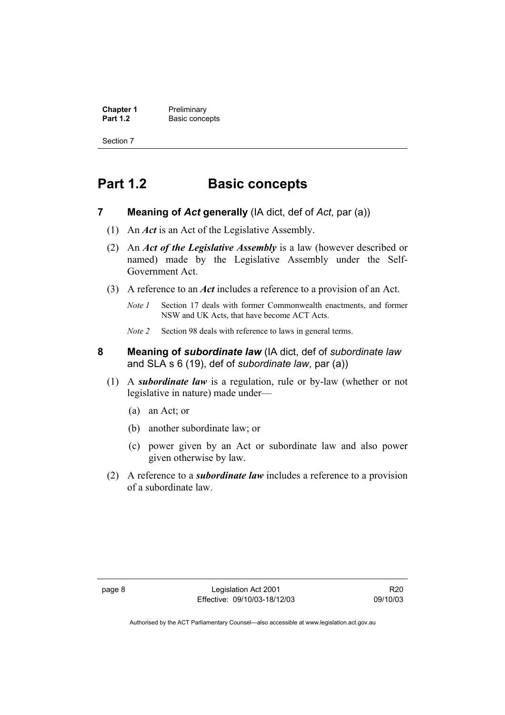**Chapter 1** Preliminary<br>**Part 1.2** Basic conce **Basic concepts** 

Section 7

# **Part 1.2 Basic concepts**

- **7 Meaning of** *Act* **generally** (IA dict, def of *Act*, par (a))
	- (1) An *Act* is an Act of the Legislative Assembly.
	- (2) An *Act of the Legislative Assembly* is a law (however described or named) made by the Legislative Assembly under the Self-Government Act.
	- (3) A reference to an *Act* includes a reference to a provision of an Act.
		- *Note 1* Section 17 deals with former Commonwealth enactments, and former NSW and UK Acts, that have become ACT Acts.
		- *Note 2* Section 98 deals with reference to laws in general terms.
- **8 Meaning of** *subordinate law* (IA dict, def of *subordinate law* and SLA s 6 (19), def of *subordinate law*, par (a))
	- (1) A *subordinate law* is a regulation, rule or by-law (whether or not legislative in nature) made under—
		- (a) an Act; or
		- (b) another subordinate law; or
		- (c) power given by an Act or subordinate law and also power given otherwise by law.
	- (2) A reference to a *subordinate law* includes a reference to a provision of a subordinate law.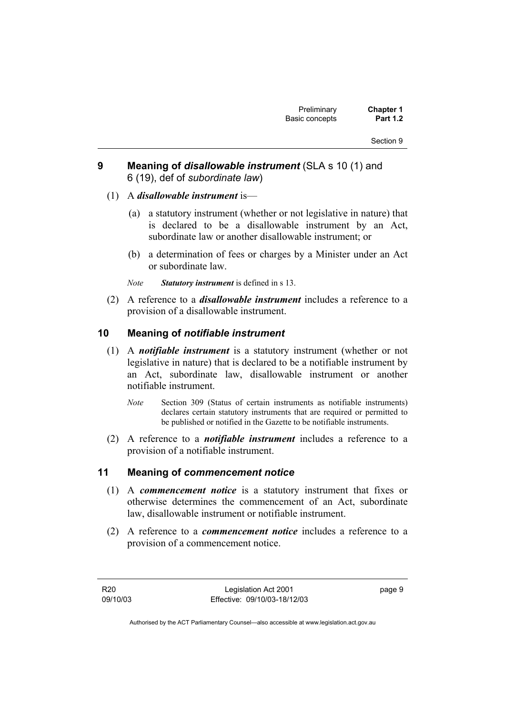# **9 Meaning of** *disallowable instrument* (SLA s 10 (1) and 6 (19), def of *subordinate law*)

## (1) A *disallowable instrument* is—

- (a) a statutory instrument (whether or not legislative in nature) that is declared to be a disallowable instrument by an Act, subordinate law or another disallowable instrument; or
- (b) a determination of fees or charges by a Minister under an Act or subordinate law.
- *Note Statutory instrument* is defined in s 13.
- (2) A reference to a *disallowable instrument* includes a reference to a provision of a disallowable instrument.

## **10 Meaning of** *notifiable instrument*

- (1) A *notifiable instrument* is a statutory instrument (whether or not legislative in nature) that is declared to be a notifiable instrument by an Act, subordinate law, disallowable instrument or another notifiable instrument.
	- *Note* Section 309 (Status of certain instruments as notifiable instruments) declares certain statutory instruments that are required or permitted to be published or notified in the Gazette to be notifiable instruments.
- (2) A reference to a *notifiable instrument* includes a reference to a provision of a notifiable instrument.

## **11 Meaning of** *commencement notice*

- (1) A *commencement notice* is a statutory instrument that fixes or otherwise determines the commencement of an Act, subordinate law, disallowable instrument or notifiable instrument.
- (2) A reference to a *commencement notice* includes a reference to a provision of a commencement notice.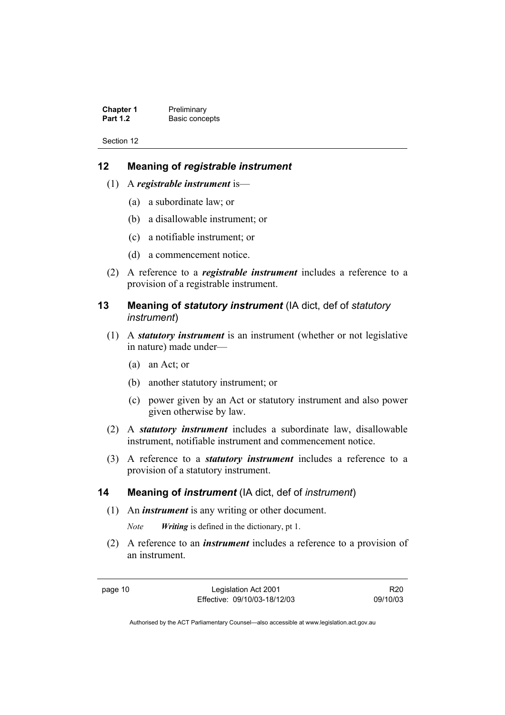**Chapter 1** Preliminary<br>**Part 1.2** Basic conce **Basic concepts** 

Section 12

# **12 Meaning of** *registrable instrument*

- (1) A *registrable instrument* is—
	- (a) a subordinate law; or
	- (b) a disallowable instrument; or
	- (c) a notifiable instrument; or
	- (d) a commencement notice.
- (2) A reference to a *registrable instrument* includes a reference to a provision of a registrable instrument.
- **13 Meaning of** *statutory instrument* (IA dict, def of *statutory instrument*)
	- (1) A *statutory instrument* is an instrument (whether or not legislative in nature) made under—
		- (a) an Act; or
		- (b) another statutory instrument; or
		- (c) power given by an Act or statutory instrument and also power given otherwise by law.
	- (2) A *statutory instrument* includes a subordinate law, disallowable instrument, notifiable instrument and commencement notice.
	- (3) A reference to a *statutory instrument* includes a reference to a provision of a statutory instrument.

## **14 Meaning of** *instrument* (IA dict, def of *instrument*)

(1) An *instrument* is any writing or other document.

*Note Writing* is defined in the dictionary, pt 1.

 (2) A reference to an *instrument* includes a reference to a provision of an instrument.

page 10 Legislation Act 2001 Effective: 09/10/03-18/12/03

R20 09/10/03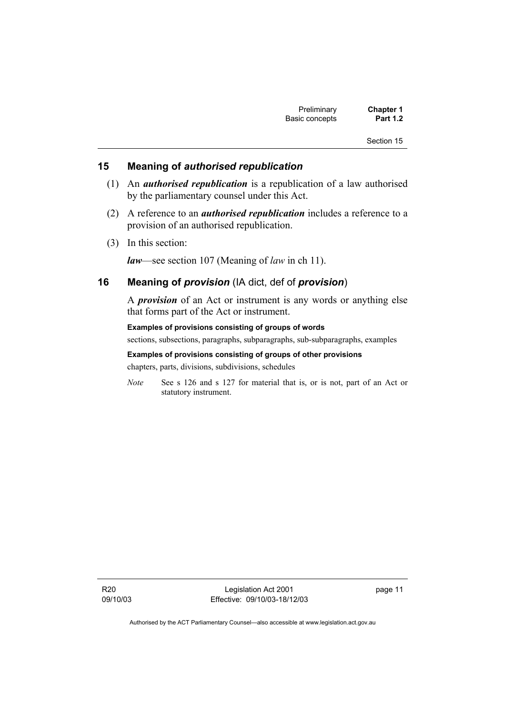| Preliminary    | <b>Chapter 1</b> |
|----------------|------------------|
| Basic concepts | <b>Part 1.2</b>  |

## **15 Meaning of** *authorised republication*

- (1) An *authorised republication* is a republication of a law authorised by the parliamentary counsel under this Act.
- (2) A reference to an *authorised republication* includes a reference to a provision of an authorised republication.
- (3) In this section:

*law*—see section 107 (Meaning of *law* in ch 11).

## **16 Meaning of** *provision* (IA dict, def of *provision*)

A *provision* of an Act or instrument is any words or anything else that forms part of the Act or instrument.

**Examples of provisions consisting of groups of words**  sections, subsections, paragraphs, subparagraphs, sub-subparagraphs, examples

**Examples of provisions consisting of groups of other provisions**  chapters, parts, divisions, subdivisions, schedules

*Note* See s 126 and s 127 for material that is, or is not, part of an Act or statutory instrument.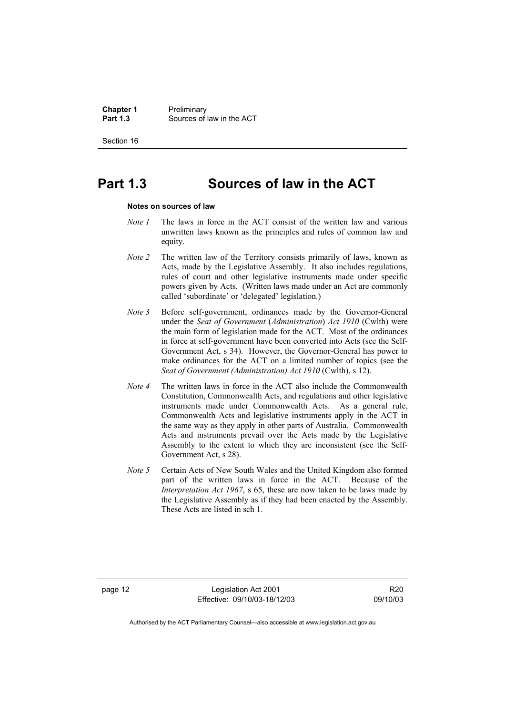**Chapter 1** Preliminary<br>**Part 1.3** Sources of **Part 1.3** Sources of law in the ACT

Section 16

# **Part 1.3 Sources of law in the ACT**

#### **Notes on sources of law**

- *Note 1* The laws in force in the ACT consist of the written law and various unwritten laws known as the principles and rules of common law and equity.
- *Note 2* The written law of the Territory consists primarily of laws, known as Acts, made by the Legislative Assembly. It also includes regulations, rules of court and other legislative instruments made under specific powers given by Acts. (Written laws made under an Act are commonly called 'subordinate' or 'delegated' legislation.)
- *Note 3* Before self-government, ordinances made by the Governor-General under the *Seat of Government* (*Administration*) *Act 1910* (Cwlth) were the main form of legislation made for the ACT. Most of the ordinances in force at self-government have been converted into Acts (see the Self-Government Act, s 34). However, the Governor-General has power to make ordinances for the ACT on a limited number of topics (see the *Seat of Government (Administration) Act 1910* (Cwlth), s 12).
- *Note 4* The written laws in force in the ACT also include the Commonwealth Constitution, Commonwealth Acts, and regulations and other legislative instruments made under Commonwealth Acts. As a general rule, Commonwealth Acts and legislative instruments apply in the ACT in the same way as they apply in other parts of Australia. Commonwealth Acts and instruments prevail over the Acts made by the Legislative Assembly to the extent to which they are inconsistent (see the Self-Government Act, s 28).
- *Note 5* Certain Acts of New South Wales and the United Kingdom also formed part of the written laws in force in the ACT. Because of the *Interpretation Act 1967*, s 65, these are now taken to be laws made by the Legislative Assembly as if they had been enacted by the Assembly. These Acts are listed in sch 1.

page 12 Legislation Act 2001 Effective: 09/10/03-18/12/03

R20 09/10/03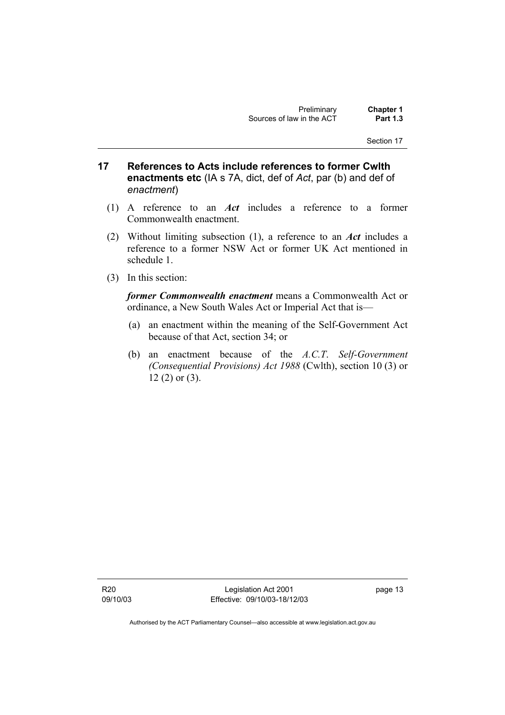- **17 References to Acts include references to former Cwlth enactments etc** (IA s 7A, dict, def of *Act*, par (b) and def of *enactment*)
	- (1) A reference to an *Act* includes a reference to a former Commonwealth enactment.
	- (2) Without limiting subsection (1), a reference to an *Act* includes a reference to a former NSW Act or former UK Act mentioned in schedule 1.
	- (3) In this section:

*former Commonwealth enactment* means a Commonwealth Act or ordinance, a New South Wales Act or Imperial Act that is—

- (a) an enactment within the meaning of the Self-Government Act because of that Act, section 34; or
- (b) an enactment because of the *A.C.T*. *Self-Government (Consequential Provisions) Act 1988* (Cwlth), section 10 (3) or 12 (2) or (3).

R20 09/10/03

Legislation Act 2001 Effective: 09/10/03-18/12/03 page 13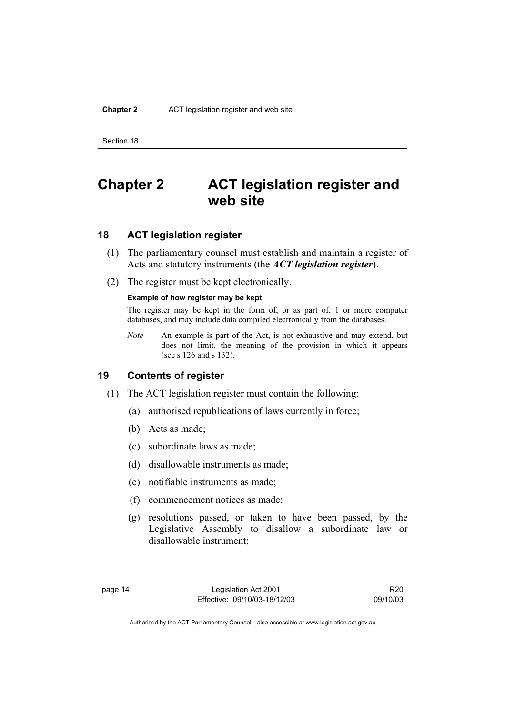# **Chapter 2 ACT legislation register and web site**

# **18 ACT legislation register**

- (1) The parliamentary counsel must establish and maintain a register of Acts and statutory instruments (the *ACT legislation register*).
- (2) The register must be kept electronically.

#### **Example of how register may be kept**

The register may be kept in the form of, or as part of, 1 or more computer databases, and may include data compiled electronically from the databases.

*Note* An example is part of the Act, is not exhaustive and may extend, but does not limit, the meaning of the provision in which it appears (see s 126 and s 132).

## **19 Contents of register**

- (1) The ACT legislation register must contain the following:
	- (a) authorised republications of laws currently in force;
	- (b) Acts as made;
	- (c) subordinate laws as made;
	- (d) disallowable instruments as made;
	- (e) notifiable instruments as made;
	- (f) commencement notices as made;
	- (g) resolutions passed, or taken to have been passed, by the Legislative Assembly to disallow a subordinate law or disallowable instrument;

R20 09/10/03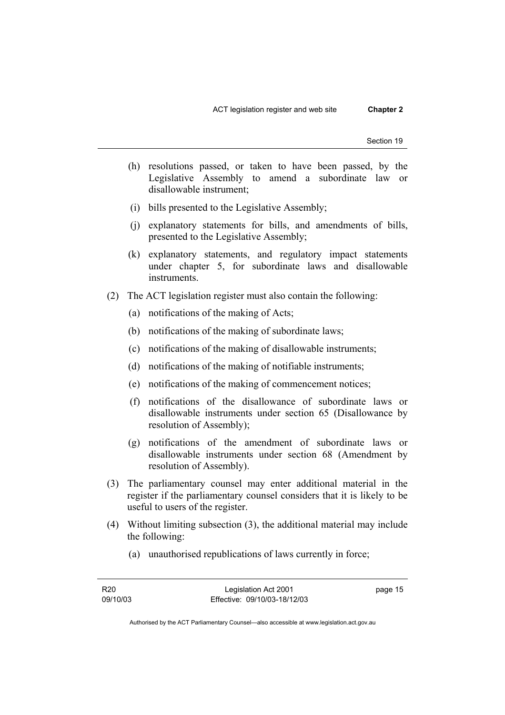- (h) resolutions passed, or taken to have been passed, by the Legislative Assembly to amend a subordinate law or disallowable instrument;
- (i) bills presented to the Legislative Assembly;
- (j) explanatory statements for bills, and amendments of bills, presented to the Legislative Assembly;
- (k) explanatory statements, and regulatory impact statements under chapter 5, for subordinate laws and disallowable instruments.
- (2) The ACT legislation register must also contain the following:
	- (a) notifications of the making of Acts;
	- (b) notifications of the making of subordinate laws;
	- (c) notifications of the making of disallowable instruments;
	- (d) notifications of the making of notifiable instruments;
	- (e) notifications of the making of commencement notices;
	- (f) notifications of the disallowance of subordinate laws or disallowable instruments under section 65 (Disallowance by resolution of Assembly);
	- (g) notifications of the amendment of subordinate laws or disallowable instruments under section 68 (Amendment by resolution of Assembly).
- (3) The parliamentary counsel may enter additional material in the register if the parliamentary counsel considers that it is likely to be useful to users of the register.
- (4) Without limiting subsection (3), the additional material may include the following:
	- (a) unauthorised republications of laws currently in force;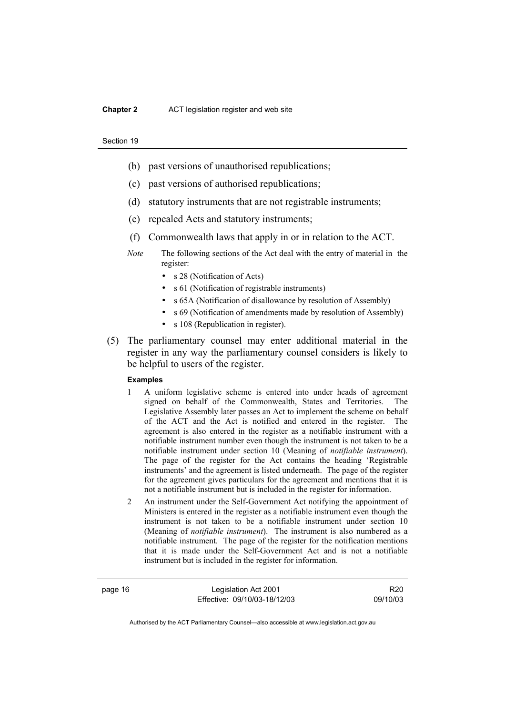- (b) past versions of unauthorised republications;
- (c) past versions of authorised republications;
- (d) statutory instruments that are not registrable instruments;
- (e) repealed Acts and statutory instruments;
- (f) Commonwealth laws that apply in or in relation to the ACT.
- *Note* The following sections of the Act deal with the entry of material in the register:
	- s 28 (Notification of Acts)
	- s 61 (Notification of registrable instruments)
	- s 65A (Notification of disallowance by resolution of Assembly)
	- s 69 (Notification of amendments made by resolution of Assembly)
	- s 108 (Republication in register).
- (5) The parliamentary counsel may enter additional material in the register in any way the parliamentary counsel considers is likely to be helpful to users of the register.

#### **Examples**

- 1 A uniform legislative scheme is entered into under heads of agreement signed on behalf of the Commonwealth, States and Territories. The Legislative Assembly later passes an Act to implement the scheme on behalf of the ACT and the Act is notified and entered in the register. The agreement is also entered in the register as a notifiable instrument with a notifiable instrument number even though the instrument is not taken to be a notifiable instrument under section 10 (Meaning of *notifiable instrument*). The page of the register for the Act contains the heading 'Registrable instruments' and the agreement is listed underneath. The page of the register for the agreement gives particulars for the agreement and mentions that it is not a notifiable instrument but is included in the register for information.
- 2 An instrument under the Self-Government Act notifying the appointment of Ministers is entered in the register as a notifiable instrument even though the instrument is not taken to be a notifiable instrument under section 10 (Meaning of *notifiable instrument*). The instrument is also numbered as a notifiable instrument. The page of the register for the notification mentions that it is made under the Self-Government Act and is not a notifiable instrument but is included in the register for information.

page 16 Legislation Act 2001 Effective: 09/10/03-18/12/03

R20 09/10/03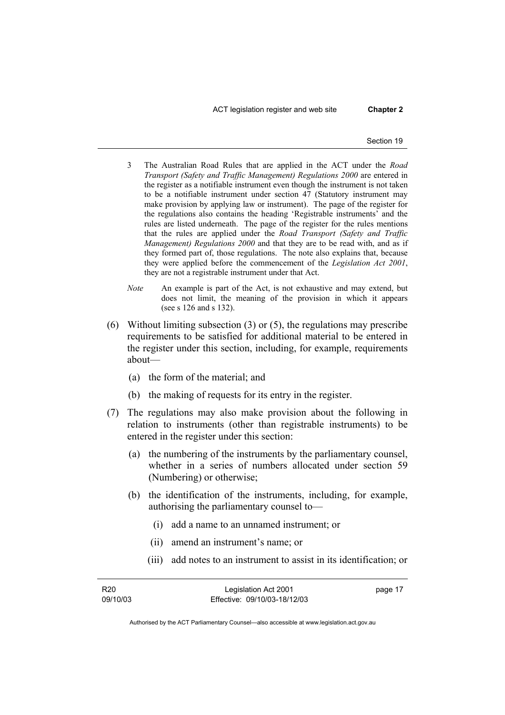ACT legislation register and web site **Chapter 2** 

- 3 The Australian Road Rules that are applied in the ACT under the *Road Transport (Safety and Traffic Management) Regulations 2000* are entered in the register as a notifiable instrument even though the instrument is not taken to be a notifiable instrument under section 47 (Statutory instrument may make provision by applying law or instrument). The page of the register for the regulations also contains the heading 'Registrable instruments' and the rules are listed underneath. The page of the register for the rules mentions that the rules are applied under the *Road Transport (Safety and Traffic Management) Regulations 2000* and that they are to be read with, and as if they formed part of, those regulations. The note also explains that, because they were applied before the commencement of the *Legislation Act 2001*, they are not a registrable instrument under that Act.
- *Note* An example is part of the Act, is not exhaustive and may extend, but does not limit, the meaning of the provision in which it appears (see s 126 and s 132).
- (6) Without limiting subsection (3) or (5), the regulations may prescribe requirements to be satisfied for additional material to be entered in the register under this section, including, for example, requirements about—
	- (a) the form of the material; and
	- (b) the making of requests for its entry in the register.
- (7) The regulations may also make provision about the following in relation to instruments (other than registrable instruments) to be entered in the register under this section:
	- (a) the numbering of the instruments by the parliamentary counsel, whether in a series of numbers allocated under section 59 (Numbering) or otherwise;
	- (b) the identification of the instruments, including, for example, authorising the parliamentary counsel to—
		- (i) add a name to an unnamed instrument; or
		- (ii) amend an instrument's name; or
		- (iii) add notes to an instrument to assist in its identification; or

| R <sub>20</sub> | Legislation Act 2001         | page 17 |
|-----------------|------------------------------|---------|
| 09/10/03        | Effective: 09/10/03-18/12/03 |         |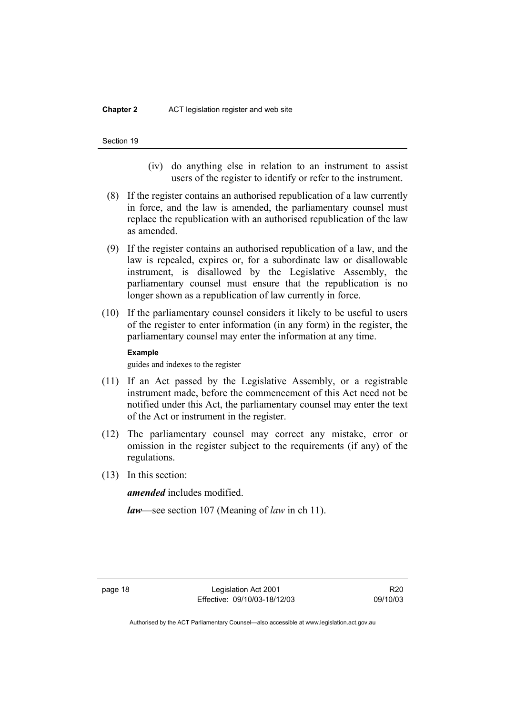#### **Chapter 2** ACT legislation register and web site



- (iv) do anything else in relation to an instrument to assist users of the register to identify or refer to the instrument.
- (8) If the register contains an authorised republication of a law currently in force, and the law is amended, the parliamentary counsel must replace the republication with an authorised republication of the law as amended.
- (9) If the register contains an authorised republication of a law, and the law is repealed, expires or, for a subordinate law or disallowable instrument, is disallowed by the Legislative Assembly, the parliamentary counsel must ensure that the republication is no longer shown as a republication of law currently in force.
- (10) If the parliamentary counsel considers it likely to be useful to users of the register to enter information (in any form) in the register, the parliamentary counsel may enter the information at any time.

#### **Example**

guides and indexes to the register

- (11) If an Act passed by the Legislative Assembly, or a registrable instrument made, before the commencement of this Act need not be notified under this Act, the parliamentary counsel may enter the text of the Act or instrument in the register.
- (12) The parliamentary counsel may correct any mistake, error or omission in the register subject to the requirements (if any) of the regulations.
- (13) In this section:

*amended* includes modified.

*law*—see section 107 (Meaning of *law* in ch 11).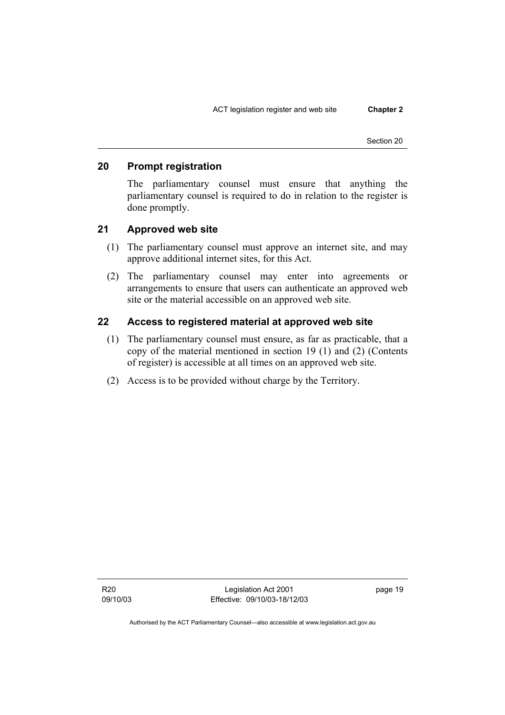# **20 Prompt registration**

The parliamentary counsel must ensure that anything the parliamentary counsel is required to do in relation to the register is done promptly.

## **21 Approved web site**

- (1) The parliamentary counsel must approve an internet site, and may approve additional internet sites, for this Act.
- (2) The parliamentary counsel may enter into agreements or arrangements to ensure that users can authenticate an approved web site or the material accessible on an approved web site.

## **22 Access to registered material at approved web site**

- (1) The parliamentary counsel must ensure, as far as practicable, that a copy of the material mentioned in section 19 (1) and (2) (Contents of register) is accessible at all times on an approved web site.
- (2) Access is to be provided without charge by the Territory.

Legislation Act 2001 Effective: 09/10/03-18/12/03 page 19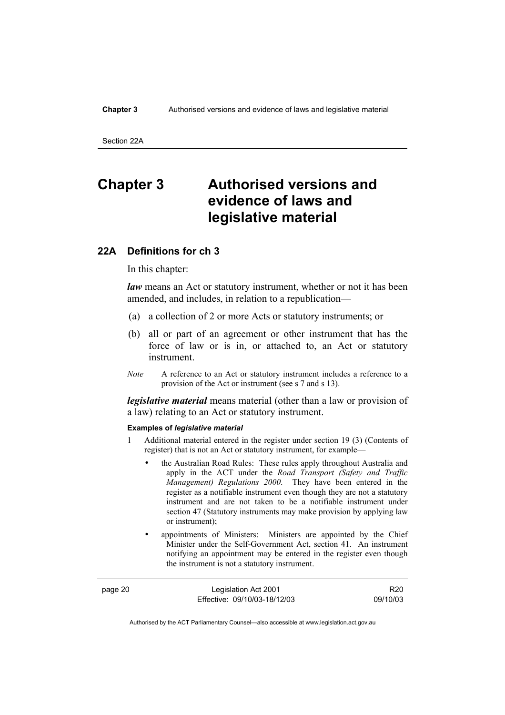Section 22A

# **Chapter 3 Authorised versions and evidence of laws and legislative material**

## **22A Definitions for ch 3**

In this chapter:

*law* means an Act or statutory instrument, whether or not it has been amended, and includes, in relation to a republication—

- (a) a collection of 2 or more Acts or statutory instruments; or
- (b) all or part of an agreement or other instrument that has the force of law or is in, or attached to, an Act or statutory instrument.
- *Note* A reference to an Act or statutory instrument includes a reference to a provision of the Act or instrument (see s 7 and s 13).

*legislative material* means material (other than a law or provision of a law) relating to an Act or statutory instrument.

#### **Examples of** *legislative material*

- 1 Additional material entered in the register under section 19 (3) (Contents of register) that is not an Act or statutory instrument, for example—
	- the Australian Road Rules: These rules apply throughout Australia and apply in the ACT under the *Road Transport (Safety and Traffic Management) Regulations 2000*. They have been entered in the register as a notifiable instrument even though they are not a statutory instrument and are not taken to be a notifiable instrument under section 47 (Statutory instruments may make provision by applying law or instrument);
	- appointments of Ministers: Ministers are appointed by the Chief Minister under the Self-Government Act, section 41. An instrument notifying an appointment may be entered in the register even though the instrument is not a statutory instrument.

page 20 Legislation Act 2001 Effective: 09/10/03-18/12/03

R20 09/10/03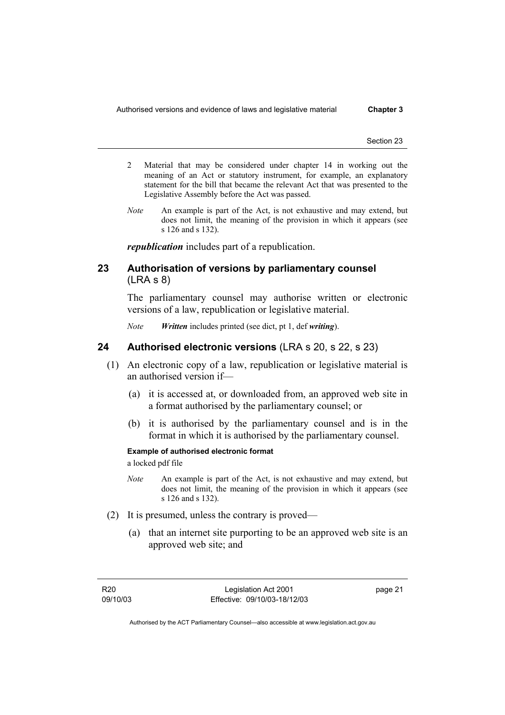Authorised versions and evidence of laws and legislative material **Chapter 3** 

Section 23

- 2 Material that may be considered under chapter 14 in working out the meaning of an Act or statutory instrument, for example, an explanatory statement for the bill that became the relevant Act that was presented to the Legislative Assembly before the Act was passed.
- *Note* An example is part of the Act, is not exhaustive and may extend, but does not limit, the meaning of the provision in which it appears (see s 126 and s 132).

*republication* includes part of a republication.

## **23 Authorisation of versions by parliamentary counsel**  (LRA s 8)

The parliamentary counsel may authorise written or electronic versions of a law, republication or legislative material.

*Note Written* includes printed (see dict, pt 1, def *writing*).

## **24 Authorised electronic versions** (LRA s 20, s 22, s 23)

- (1) An electronic copy of a law, republication or legislative material is an authorised version if—
	- (a) it is accessed at, or downloaded from, an approved web site in a format authorised by the parliamentary counsel; or
	- (b) it is authorised by the parliamentary counsel and is in the format in which it is authorised by the parliamentary counsel.

### **Example of authorised electronic format**

a locked pdf file

- *Note* An example is part of the Act, is not exhaustive and may extend, but does not limit, the meaning of the provision in which it appears (see s 126 and s 132).
- (2) It is presumed, unless the contrary is proved—
	- (a) that an internet site purporting to be an approved web site is an approved web site; and

page 21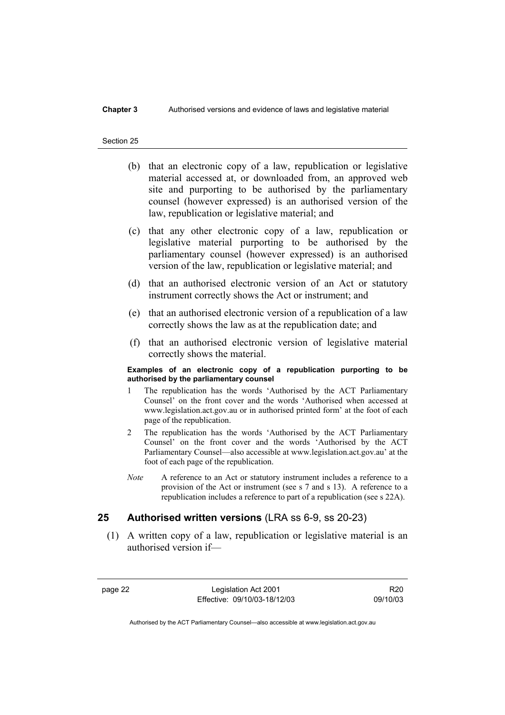### **Chapter 3** Authorised versions and evidence of laws and legislative material

#### Section 25

- (b) that an electronic copy of a law, republication or legislative material accessed at, or downloaded from, an approved web site and purporting to be authorised by the parliamentary counsel (however expressed) is an authorised version of the law, republication or legislative material; and
- (c) that any other electronic copy of a law, republication or legislative material purporting to be authorised by the parliamentary counsel (however expressed) is an authorised version of the law, republication or legislative material; and
- (d) that an authorised electronic version of an Act or statutory instrument correctly shows the Act or instrument; and
- (e) that an authorised electronic version of a republication of a law correctly shows the law as at the republication date; and
- (f) that an authorised electronic version of legislative material correctly shows the material.

#### **Examples of an electronic copy of a republication purporting to be authorised by the parliamentary counsel**

- 1 The republication has the words 'Authorised by the ACT Parliamentary Counsel' on the front cover and the words 'Authorised when accessed at www.legislation.act.gov.au or in authorised printed form' at the foot of each page of the republication.
- 2 The republication has the words 'Authorised by the ACT Parliamentary Counsel' on the front cover and the words 'Authorised by the ACT Parliamentary Counsel—also accessible at www.legislation.act.gov.au' at the foot of each page of the republication.
- *Note* A reference to an Act or statutory instrument includes a reference to a provision of the Act or instrument (see s 7 and s 13). A reference to a republication includes a reference to part of a republication (see s 22A).

## **25 Authorised written versions** (LRA ss 6-9, ss 20-23)

 (1) A written copy of a law, republication or legislative material is an authorised version if—

page 22 Legislation Act 2001 Effective: 09/10/03-18/12/03

R20 09/10/03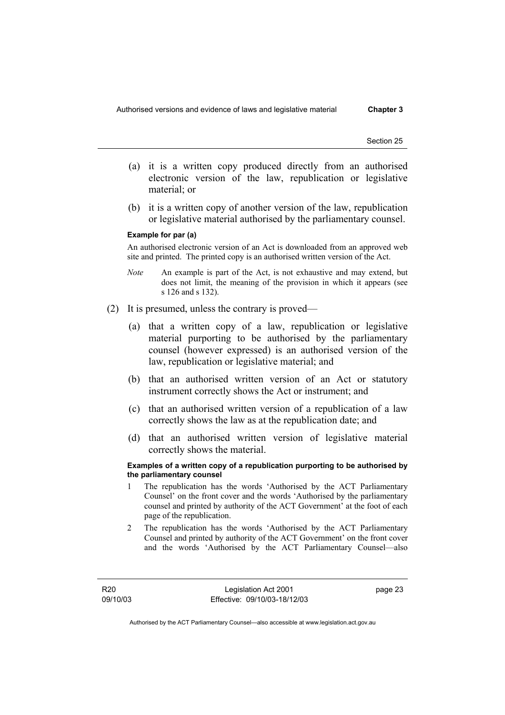- (a) it is a written copy produced directly from an authorised electronic version of the law, republication or legislative material; or
- (b) it is a written copy of another version of the law, republication or legislative material authorised by the parliamentary counsel.

#### **Example for par (a)**

An authorised electronic version of an Act is downloaded from an approved web site and printed. The printed copy is an authorised written version of the Act.

- *Note* An example is part of the Act, is not exhaustive and may extend, but does not limit, the meaning of the provision in which it appears (see s 126 and s 132).
- (2) It is presumed, unless the contrary is proved—
	- (a) that a written copy of a law, republication or legislative material purporting to be authorised by the parliamentary counsel (however expressed) is an authorised version of the law, republication or legislative material; and
	- (b) that an authorised written version of an Act or statutory instrument correctly shows the Act or instrument; and
	- (c) that an authorised written version of a republication of a law correctly shows the law as at the republication date; and
	- (d) that an authorised written version of legislative material correctly shows the material.

#### **Examples of a written copy of a republication purporting to be authorised by the parliamentary counsel**

- 1 The republication has the words 'Authorised by the ACT Parliamentary Counsel' on the front cover and the words 'Authorised by the parliamentary counsel and printed by authority of the ACT Government' at the foot of each page of the republication.
- 2 The republication has the words 'Authorised by the ACT Parliamentary Counsel and printed by authority of the ACT Government' on the front cover and the words 'Authorised by the ACT Parliamentary Counsel—also

R20 09/10/03

Legislation Act 2001 Effective: 09/10/03-18/12/03 page 23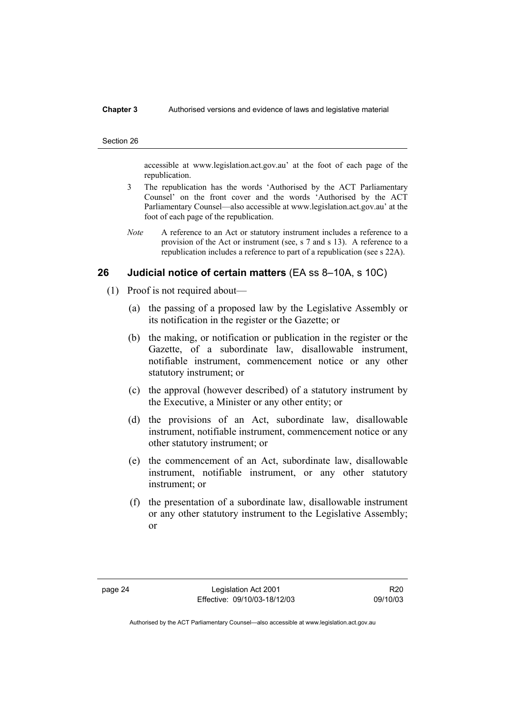### **Chapter 3** Authorised versions and evidence of laws and legislative material

#### Section 26

accessible at www.legislation.act.gov.au' at the foot of each page of the republication.

- 3 The republication has the words 'Authorised by the ACT Parliamentary Counsel' on the front cover and the words 'Authorised by the ACT Parliamentary Counsel—also accessible at www.legislation.act.gov.au' at the foot of each page of the republication.
- *Note* A reference to an Act or statutory instrument includes a reference to a provision of the Act or instrument (see, s 7 and s 13). A reference to a republication includes a reference to part of a republication (see s 22A).

## **26 Judicial notice of certain matters** (EA ss 8–10A, s 10C)

- (1) Proof is not required about—
	- (a) the passing of a proposed law by the Legislative Assembly or its notification in the register or the Gazette; or
	- (b) the making, or notification or publication in the register or the Gazette, of a subordinate law, disallowable instrument, notifiable instrument, commencement notice or any other statutory instrument; or
	- (c) the approval (however described) of a statutory instrument by the Executive, a Minister or any other entity; or
	- (d) the provisions of an Act, subordinate law, disallowable instrument, notifiable instrument, commencement notice or any other statutory instrument; or
	- (e) the commencement of an Act, subordinate law, disallowable instrument, notifiable instrument, or any other statutory instrument; or
	- (f) the presentation of a subordinate law, disallowable instrument or any other statutory instrument to the Legislative Assembly; or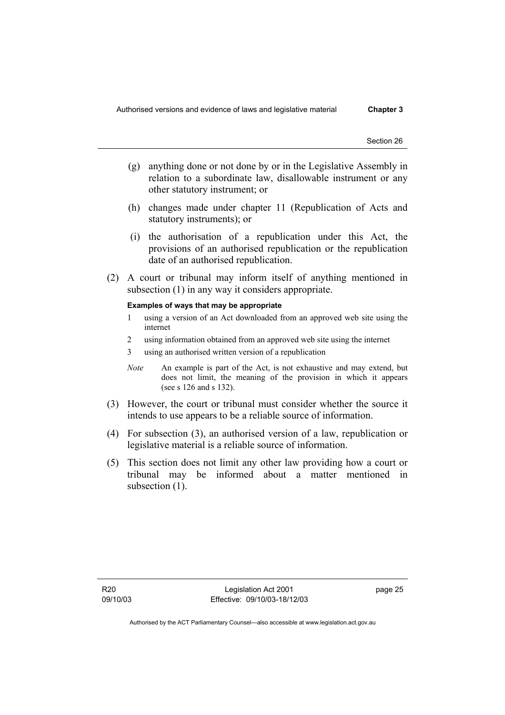- (g) anything done or not done by or in the Legislative Assembly in relation to a subordinate law, disallowable instrument or any other statutory instrument; or
- (h) changes made under chapter 11 (Republication of Acts and statutory instruments); or
- (i) the authorisation of a republication under this Act, the provisions of an authorised republication or the republication date of an authorised republication.
- (2) A court or tribunal may inform itself of anything mentioned in subsection (1) in any way it considers appropriate.

### **Examples of ways that may be appropriate**

- 1 using a version of an Act downloaded from an approved web site using the internet
- 2 using information obtained from an approved web site using the internet
- 3 using an authorised written version of a republication
- *Note* An example is part of the Act, is not exhaustive and may extend, but does not limit, the meaning of the provision in which it appears (see s 126 and s 132).
- (3) However, the court or tribunal must consider whether the source it intends to use appears to be a reliable source of information.
- (4) For subsection (3), an authorised version of a law, republication or legislative material is a reliable source of information.
- (5) This section does not limit any other law providing how a court or tribunal may be informed about a matter mentioned in subsection  $(1)$ .

page 25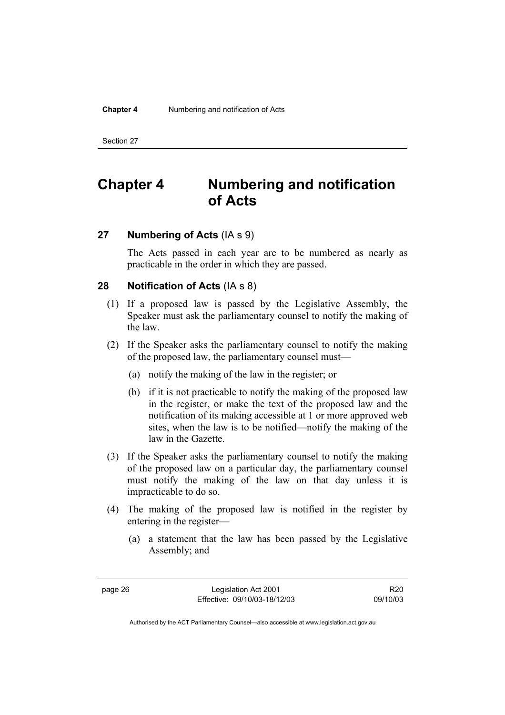# **Chapter 4 Numbering and notification of Acts**

## **27 Numbering of Acts** (IA s 9)

The Acts passed in each year are to be numbered as nearly as practicable in the order in which they are passed.

## **28 Notification of Acts** (IA s 8)

- (1) If a proposed law is passed by the Legislative Assembly, the Speaker must ask the parliamentary counsel to notify the making of the law.
- (2) If the Speaker asks the parliamentary counsel to notify the making of the proposed law, the parliamentary counsel must—
	- (a) notify the making of the law in the register; or
	- (b) if it is not practicable to notify the making of the proposed law in the register, or make the text of the proposed law and the notification of its making accessible at 1 or more approved web sites, when the law is to be notified—notify the making of the law in the Gazette.
- (3) If the Speaker asks the parliamentary counsel to notify the making of the proposed law on a particular day, the parliamentary counsel must notify the making of the law on that day unless it is impracticable to do so.
- (4) The making of the proposed law is notified in the register by entering in the register—
	- (a) a statement that the law has been passed by the Legislative Assembly; and

page 26 Legislation Act 2001 Effective: 09/10/03-18/12/03

R20 09/10/03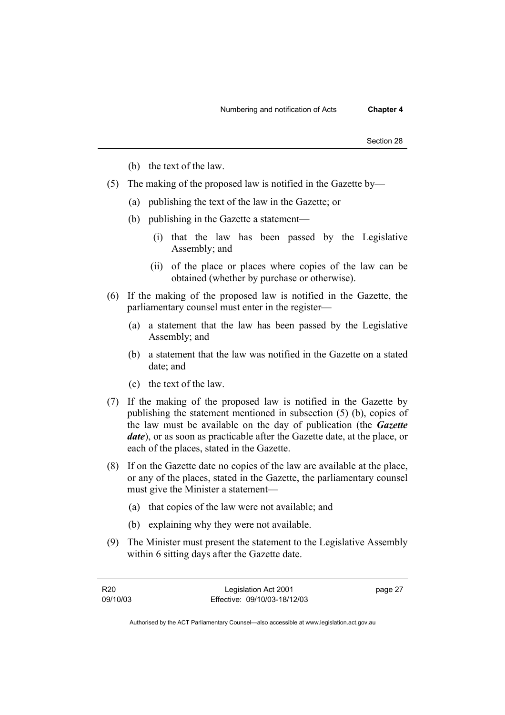- (b) the text of the law.
- (5) The making of the proposed law is notified in the Gazette by—
	- (a) publishing the text of the law in the Gazette; or
	- (b) publishing in the Gazette a statement—
		- (i) that the law has been passed by the Legislative Assembly; and
		- (ii) of the place or places where copies of the law can be obtained (whether by purchase or otherwise).
- (6) If the making of the proposed law is notified in the Gazette, the parliamentary counsel must enter in the register—
	- (a) a statement that the law has been passed by the Legislative Assembly; and
	- (b) a statement that the law was notified in the Gazette on a stated date; and
	- (c) the text of the law.
- (7) If the making of the proposed law is notified in the Gazette by publishing the statement mentioned in subsection (5) (b), copies of the law must be available on the day of publication (the *Gazette date*), or as soon as practicable after the Gazette date, at the place, or each of the places, stated in the Gazette.
- (8) If on the Gazette date no copies of the law are available at the place, or any of the places, stated in the Gazette, the parliamentary counsel must give the Minister a statement—
	- (a) that copies of the law were not available; and
	- (b) explaining why they were not available.
- (9) The Minister must present the statement to the Legislative Assembly within 6 sitting days after the Gazette date.

| R20      | Legislation Act 2001         | page 27 |
|----------|------------------------------|---------|
| 09/10/03 | Effective: 09/10/03-18/12/03 |         |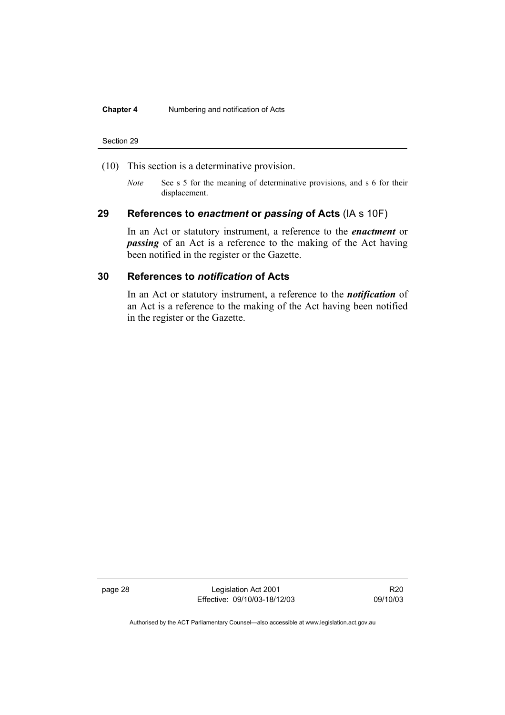### **Chapter 4** Numbering and notification of Acts

#### Section 29

- (10) This section is a determinative provision.
	- *Note* See s 5 for the meaning of determinative provisions, and s 6 for their displacement.

## **29 References to** *enactment* **or** *passing* **of Acts** (IA s 10F)

In an Act or statutory instrument, a reference to the *enactment* or *passing* of an Act is a reference to the making of the Act having been notified in the register or the Gazette.

# **30 References to** *notification* **of Acts**

In an Act or statutory instrument, a reference to the *notification* of an Act is a reference to the making of the Act having been notified in the register or the Gazette.

page 28 Legislation Act 2001 Effective: 09/10/03-18/12/03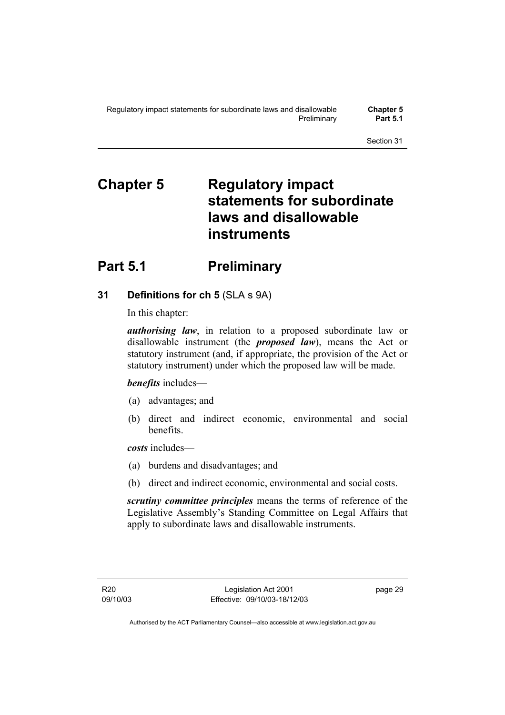# **Chapter 5 Regulatory impact statements for subordinate laws and disallowable instruments**

# **Part 5.1** Preliminary

# **31 Definitions for ch 5** (SLA s 9A)

In this chapter:

*authorising law*, in relation to a proposed subordinate law or disallowable instrument (the *proposed law*), means the Act or statutory instrument (and, if appropriate, the provision of the Act or statutory instrument) under which the proposed law will be made.

## *benefits* includes—

- (a) advantages; and
- (b) direct and indirect economic, environmental and social benefits.

*costs* includes—

- (a) burdens and disadvantages; and
- (b) direct and indirect economic, environmental and social costs.

*scrutiny committee principles* means the terms of reference of the Legislative Assembly's Standing Committee on Legal Affairs that apply to subordinate laws and disallowable instruments.

page 29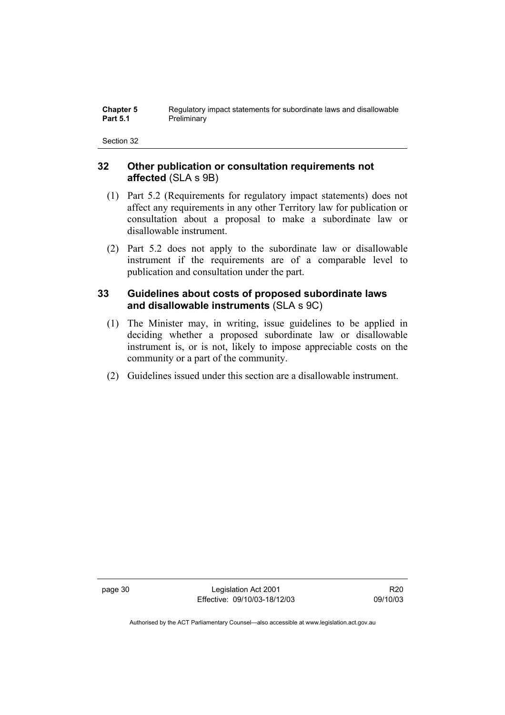| <b>Chapter 5</b> | Regulatory impact statements for subordinate laws and disallowable |
|------------------|--------------------------------------------------------------------|
| <b>Part 5.1</b>  | Preliminary                                                        |

## **32 Other publication or consultation requirements not affected** (SLA s 9B)

- (1) Part 5.2 (Requirements for regulatory impact statements) does not affect any requirements in any other Territory law for publication or consultation about a proposal to make a subordinate law or disallowable instrument.
- (2) Part 5.2 does not apply to the subordinate law or disallowable instrument if the requirements are of a comparable level to publication and consultation under the part.

# **33 Guidelines about costs of proposed subordinate laws and disallowable instruments** (SLA s 9C)

- (1) The Minister may, in writing, issue guidelines to be applied in deciding whether a proposed subordinate law or disallowable instrument is, or is not, likely to impose appreciable costs on the community or a part of the community.
- (2) Guidelines issued under this section are a disallowable instrument.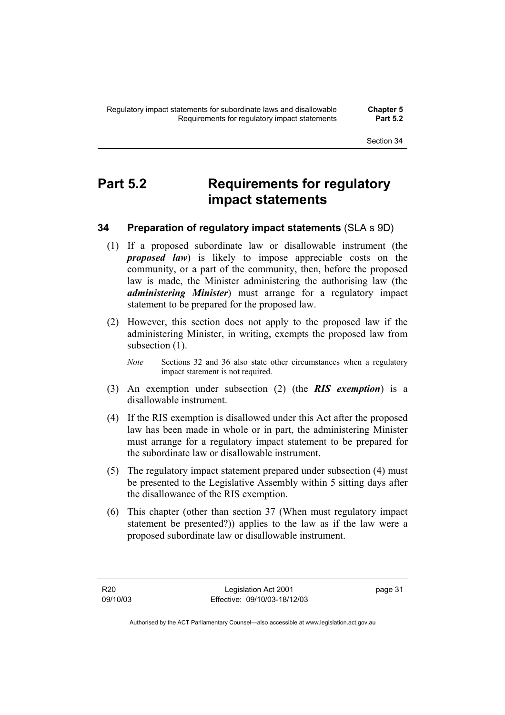# **Part 5.2 Requirements for regulatory impact statements**

# **34 Preparation of regulatory impact statements** (SLA s 9D)

- (1) If a proposed subordinate law or disallowable instrument (the *proposed law*) is likely to impose appreciable costs on the community, or a part of the community, then, before the proposed law is made, the Minister administering the authorising law (the *administering Minister*) must arrange for a regulatory impact statement to be prepared for the proposed law.
- (2) However, this section does not apply to the proposed law if the administering Minister, in writing, exempts the proposed law from subsection  $(1)$ .
	- *Note* Sections 32 and 36 also state other circumstances when a regulatory impact statement is not required.
- (3) An exemption under subsection (2) (the *RIS exemption*) is a disallowable instrument.
- (4) If the RIS exemption is disallowed under this Act after the proposed law has been made in whole or in part, the administering Minister must arrange for a regulatory impact statement to be prepared for the subordinate law or disallowable instrument.
- (5) The regulatory impact statement prepared under subsection (4) must be presented to the Legislative Assembly within 5 sitting days after the disallowance of the RIS exemption.
- (6) This chapter (other than section 37 (When must regulatory impact statement be presented?)) applies to the law as if the law were a proposed subordinate law or disallowable instrument.

page 31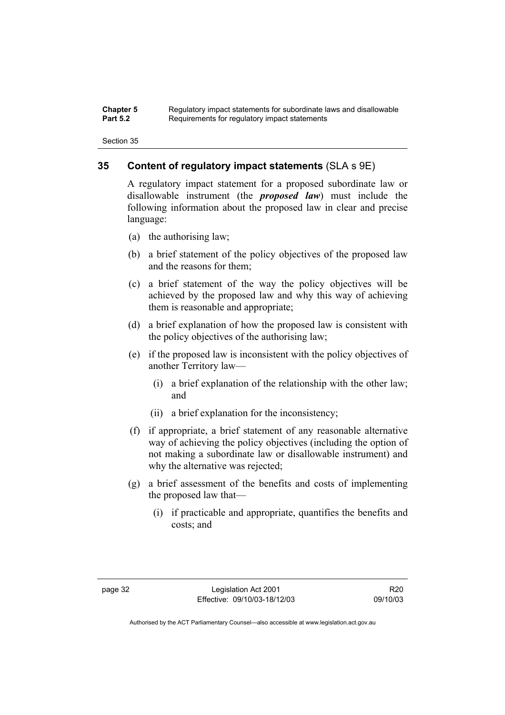#### **Chapter 5** Regulatory impact statements for subordinate laws and disallowable<br>**Part 5.2** Requirements for requistory impact statements Requirements for regulatory impact statements

Section 35

## **35 Content of regulatory impact statements** (SLA s 9E)

A regulatory impact statement for a proposed subordinate law or disallowable instrument (the *proposed law*) must include the following information about the proposed law in clear and precise language:

- (a) the authorising law;
- (b) a brief statement of the policy objectives of the proposed law and the reasons for them;
- (c) a brief statement of the way the policy objectives will be achieved by the proposed law and why this way of achieving them is reasonable and appropriate;
- (d) a brief explanation of how the proposed law is consistent with the policy objectives of the authorising law;
- (e) if the proposed law is inconsistent with the policy objectives of another Territory law—
	- (i) a brief explanation of the relationship with the other law; and
	- (ii) a brief explanation for the inconsistency;
- (f) if appropriate, a brief statement of any reasonable alternative way of achieving the policy objectives (including the option of not making a subordinate law or disallowable instrument) and why the alternative was rejected;
- (g) a brief assessment of the benefits and costs of implementing the proposed law that—
	- (i) if practicable and appropriate, quantifies the benefits and costs; and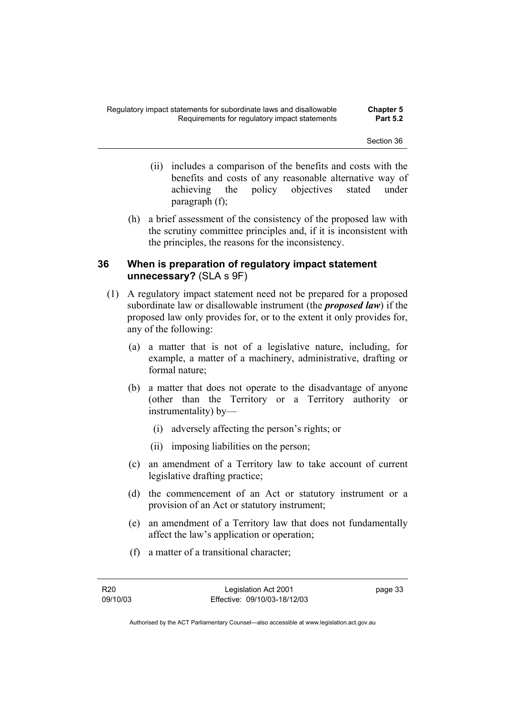- (ii) includes a comparison of the benefits and costs with the benefits and costs of any reasonable alternative way of achieving the policy objectives stated under paragraph (f);
- (h) a brief assessment of the consistency of the proposed law with the scrutiny committee principles and, if it is inconsistent with the principles, the reasons for the inconsistency.

## **36 When is preparation of regulatory impact statement unnecessary?** (SLA s 9F)

- (1) A regulatory impact statement need not be prepared for a proposed subordinate law or disallowable instrument (the *proposed law*) if the proposed law only provides for, or to the extent it only provides for, any of the following:
	- (a) a matter that is not of a legislative nature, including, for example, a matter of a machinery, administrative, drafting or formal nature;
	- (b) a matter that does not operate to the disadvantage of anyone (other than the Territory or a Territory authority or instrumentality) by—
		- (i) adversely affecting the person's rights; or
		- (ii) imposing liabilities on the person;
	- (c) an amendment of a Territory law to take account of current legislative drafting practice;
	- (d) the commencement of an Act or statutory instrument or a provision of an Act or statutory instrument;
	- (e) an amendment of a Territory law that does not fundamentally affect the law's application or operation;
	- (f) a matter of a transitional character;

page 33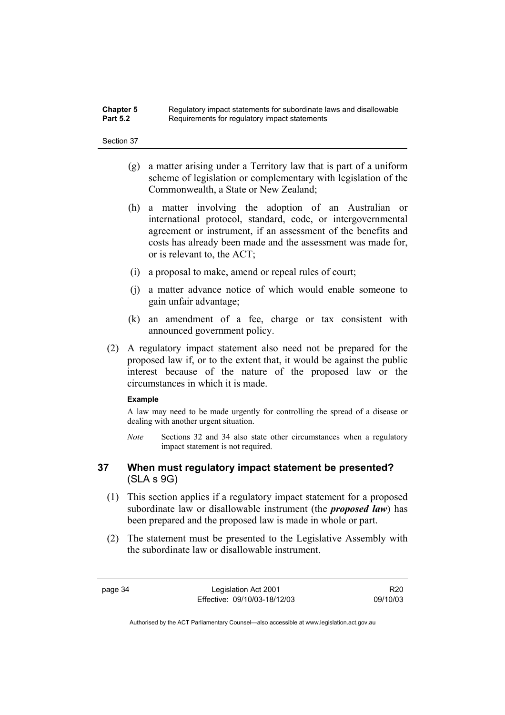### **Chapter 5** Regulatory impact statements for subordinate laws and disallowable<br>**Part 5.2** Requirements for requistory impact statements Requirements for requiatory impact statements

#### Section 37

- (g) a matter arising under a Territory law that is part of a uniform scheme of legislation or complementary with legislation of the Commonwealth, a State or New Zealand;
- (h) a matter involving the adoption of an Australian or international protocol, standard, code, or intergovernmental agreement or instrument, if an assessment of the benefits and costs has already been made and the assessment was made for, or is relevant to, the ACT;
- (i) a proposal to make, amend or repeal rules of court;
- (j) a matter advance notice of which would enable someone to gain unfair advantage;
- (k) an amendment of a fee, charge or tax consistent with announced government policy.
- (2) A regulatory impact statement also need not be prepared for the proposed law if, or to the extent that, it would be against the public interest because of the nature of the proposed law or the circumstances in which it is made.

#### **Example**

A law may need to be made urgently for controlling the spread of a disease or dealing with another urgent situation.

*Note* Sections 32 and 34 also state other circumstances when a regulatory impact statement is not required.

## **37 When must regulatory impact statement be presented?**  (SLA s 9G)

- (1) This section applies if a regulatory impact statement for a proposed subordinate law or disallowable instrument (the *proposed law*) has been prepared and the proposed law is made in whole or part.
- (2) The statement must be presented to the Legislative Assembly with the subordinate law or disallowable instrument.

R20 09/10/03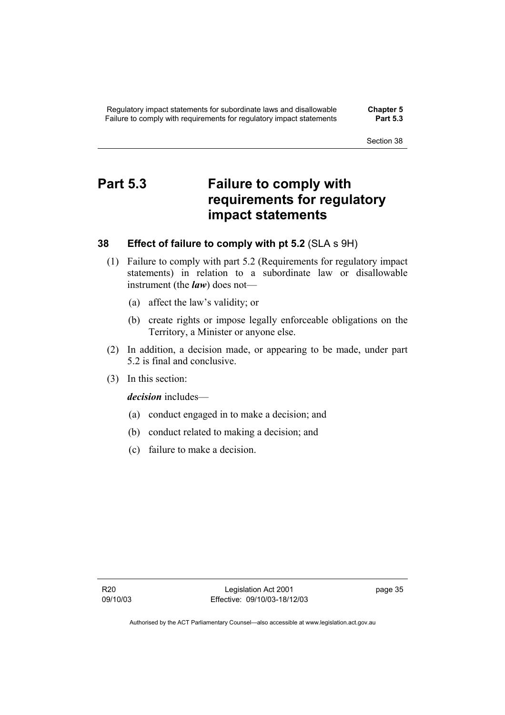# **Part 5.3 Failure to comply with requirements for regulatory impact statements**

## **38 Effect of failure to comply with pt 5.2** (SLA s 9H)

- (1) Failure to comply with part 5.2 (Requirements for regulatory impact statements) in relation to a subordinate law or disallowable instrument (the *law*) does not—
	- (a) affect the law's validity; or
	- (b) create rights or impose legally enforceable obligations on the Territory, a Minister or anyone else.
- (2) In addition, a decision made, or appearing to be made, under part 5.2 is final and conclusive.
- (3) In this section:

*decision* includes—

- (a) conduct engaged in to make a decision; and
- (b) conduct related to making a decision; and
- (c) failure to make a decision.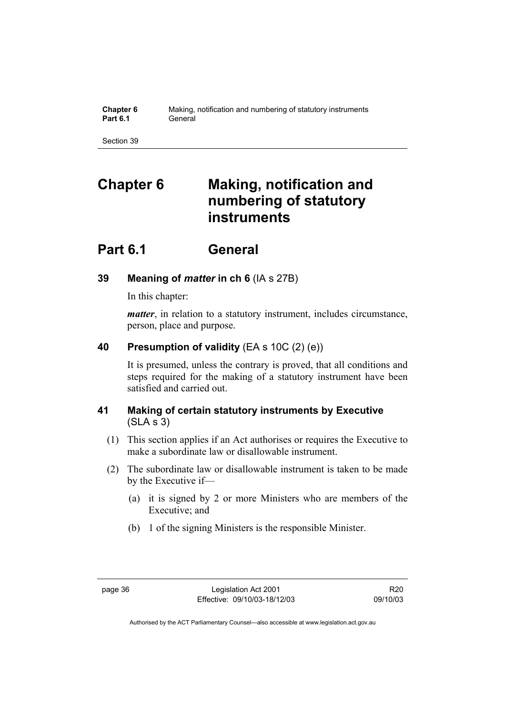| <b>Chapter 6</b> | Making, notification and numbering of statutory instruments |
|------------------|-------------------------------------------------------------|
| <b>Part 6.1</b>  | General                                                     |

# **Chapter 6 Making, notification and numbering of statutory instruments**

# **Part 6.1 General**

# **39 Meaning of** *matter* **in ch 6** (IA s 27B)

In this chapter:

*matter*, in relation to a statutory instrument, includes circumstance, person, place and purpose.

# **40 Presumption of validity** (EA s 10C (2) (e))

It is presumed, unless the contrary is proved, that all conditions and steps required for the making of a statutory instrument have been satisfied and carried out.

# **41 Making of certain statutory instruments by Executive**  (SLA s 3)

- (1) This section applies if an Act authorises or requires the Executive to make a subordinate law or disallowable instrument.
- (2) The subordinate law or disallowable instrument is taken to be made by the Executive if—
	- (a) it is signed by 2 or more Ministers who are members of the Executive; and
	- (b) 1 of the signing Ministers is the responsible Minister.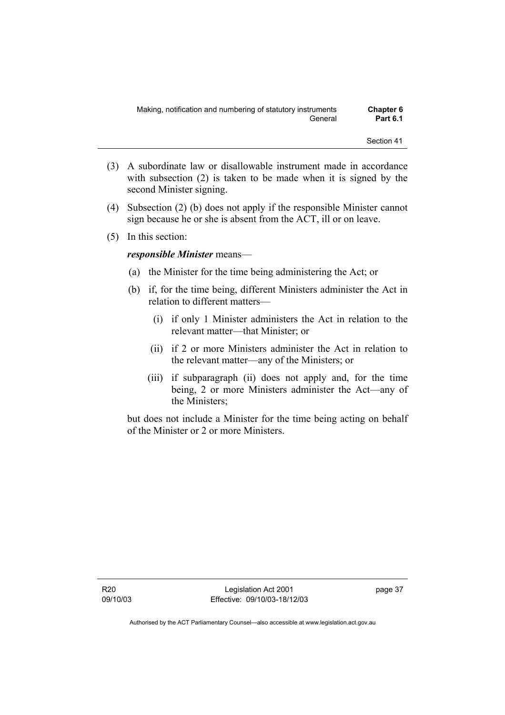- (3) A subordinate law or disallowable instrument made in accordance with subsection (2) is taken to be made when it is signed by the second Minister signing.
- (4) Subsection (2) (b) does not apply if the responsible Minister cannot sign because he or she is absent from the ACT, ill or on leave.
- (5) In this section:

## *responsible Minister* means—

- (a) the Minister for the time being administering the Act; or
- (b) if, for the time being, different Ministers administer the Act in relation to different matters—
	- (i) if only 1 Minister administers the Act in relation to the relevant matter—that Minister; or
	- (ii) if 2 or more Ministers administer the Act in relation to the relevant matter—any of the Ministers; or
	- (iii) if subparagraph (ii) does not apply and, for the time being, 2 or more Ministers administer the Act—any of the Ministers;

but does not include a Minister for the time being acting on behalf of the Minister or 2 or more Ministers.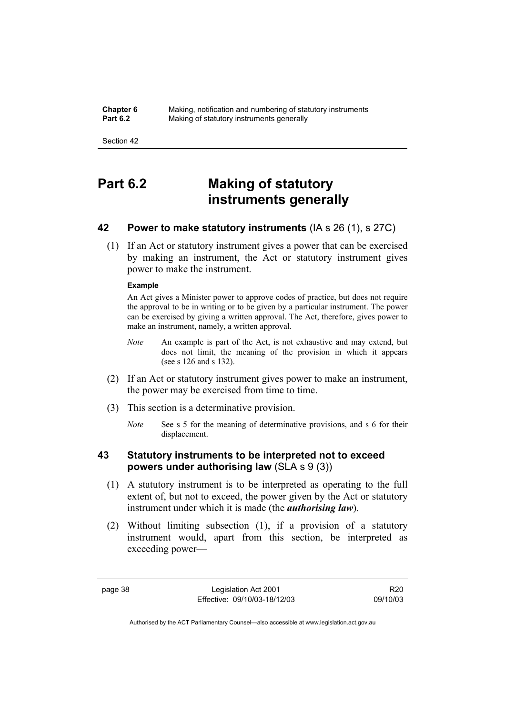**Chapter 6** Making, notification and numbering of statutory instruments<br>**Part 6.2** Making of statutory instruments generally **Making of statutory instruments generally** 

Section 42

# **Part 6.2 Making of statutory instruments generally**

## **42 Power to make statutory instruments** (IA s 26 (1), s 27C)

 (1) If an Act or statutory instrument gives a power that can be exercised by making an instrument, the Act or statutory instrument gives power to make the instrument.

### **Example**

An Act gives a Minister power to approve codes of practice, but does not require the approval to be in writing or to be given by a particular instrument. The power can be exercised by giving a written approval. The Act, therefore, gives power to make an instrument, namely, a written approval.

- *Note* An example is part of the Act, is not exhaustive and may extend, but does not limit, the meaning of the provision in which it appears (see s 126 and s 132).
- (2) If an Act or statutory instrument gives power to make an instrument, the power may be exercised from time to time.
- (3) This section is a determinative provision.
	- *Note* See s 5 for the meaning of determinative provisions, and s 6 for their displacement.

# **43 Statutory instruments to be interpreted not to exceed powers under authorising law** (SLA s 9 (3))

- (1) A statutory instrument is to be interpreted as operating to the full extent of, but not to exceed, the power given by the Act or statutory instrument under which it is made (the *authorising law*).
- (2) Without limiting subsection (1), if a provision of a statutory instrument would, apart from this section, be interpreted as exceeding power—

page 38 Legislation Act 2001 Effective: 09/10/03-18/12/03

R20 09/10/03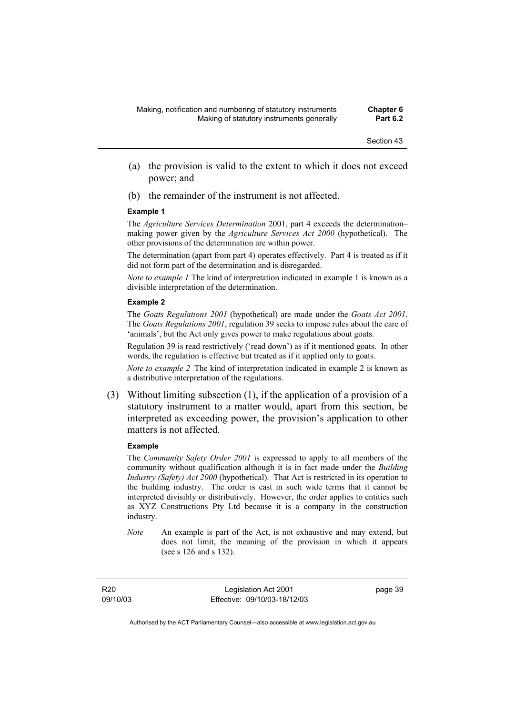- (a) the provision is valid to the extent to which it does not exceed power; and
- (b) the remainder of the instrument is not affected.

#### **Example 1**

The *Agriculture Services Determination* 2001, part 4 exceeds the determination– making power given by the *Agriculture Services Act 2000* (hypothetical). The other provisions of the determination are within power.

The determination (apart from part 4) operates effectively. Part 4 is treated as if it did not form part of the determination and is disregarded.

*Note to example 1* The kind of interpretation indicated in example 1 is known as a divisible interpretation of the determination.

#### **Example 2**

The *Goats Regulations 2001* (hypothetical) are made under the *Goats Act 2001*. The *Goats Regulations 2001*, regulation 39 seeks to impose rules about the care of 'animals', but the Act only gives power to make regulations about goats.

Regulation 39 is read restrictively ('read down') as if it mentioned goats. In other words, the regulation is effective but treated as if it applied only to goats.

*Note to example 2* The kind of interpretation indicated in example 2 is known as a distributive interpretation of the regulations.

 (3) Without limiting subsection (1), if the application of a provision of a statutory instrument to a matter would, apart from this section, be interpreted as exceeding power, the provision's application to other matters is not affected.

#### **Example**

The *Community Safety Order 2001* is expressed to apply to all members of the community without qualification although it is in fact made under the *Building Industry (Safety) Act 2000* (hypothetical). That Act is restricted in its operation to the building industry. The order is cast in such wide terms that it cannot be interpreted divisibly or distributively. However, the order applies to entities such as XYZ Constructions Pty Ltd because it is a company in the construction industry.

*Note* An example is part of the Act, is not exhaustive and may extend, but does not limit, the meaning of the provision in which it appears (see s 126 and s 132).

R20 09/10/03

Legislation Act 2001 Effective: 09/10/03-18/12/03 page 39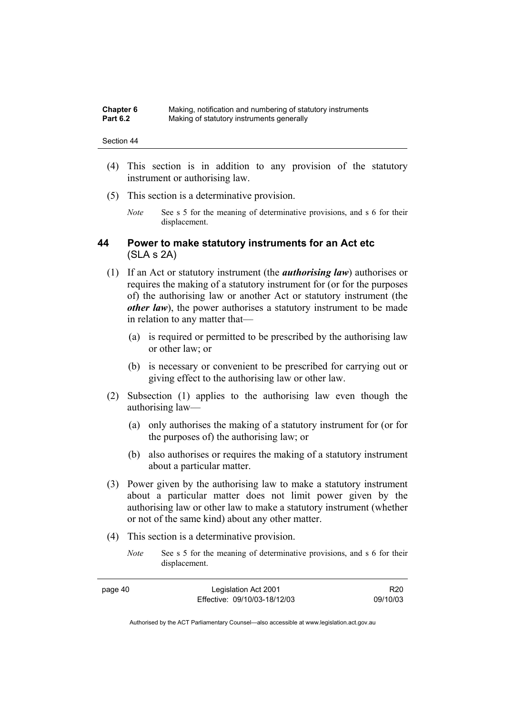| <b>Chapter 6</b> | Making, notification and numbering of statutory instruments |
|------------------|-------------------------------------------------------------|
| <b>Part 6.2</b>  | Making of statutory instruments generally                   |

- (4) This section is in addition to any provision of the statutory instrument or authorising law.
- (5) This section is a determinative provision.
	- *Note* See s 5 for the meaning of determinative provisions, and s 6 for their displacement.

## **44 Power to make statutory instruments for an Act etc**  (SLA s 2A)

- (1) If an Act or statutory instrument (the *authorising law*) authorises or requires the making of a statutory instrument for (or for the purposes of) the authorising law or another Act or statutory instrument (the *other law*), the power authorises a statutory instrument to be made in relation to any matter that—
	- (a) is required or permitted to be prescribed by the authorising law or other law; or
	- (b) is necessary or convenient to be prescribed for carrying out or giving effect to the authorising law or other law.
- (2) Subsection (1) applies to the authorising law even though the authorising law—
	- (a) only authorises the making of a statutory instrument for (or for the purposes of) the authorising law; or
	- (b) also authorises or requires the making of a statutory instrument about a particular matter.
- (3) Power given by the authorising law to make a statutory instrument about a particular matter does not limit power given by the authorising law or other law to make a statutory instrument (whether or not of the same kind) about any other matter.
- (4) This section is a determinative provision.
	- *Note* See s 5 for the meaning of determinative provisions, and s 6 for their displacement.

| page 40 | Legislation Act 2001         | R <sub>20</sub> |
|---------|------------------------------|-----------------|
|         | Effective: 09/10/03-18/12/03 | 09/10/03        |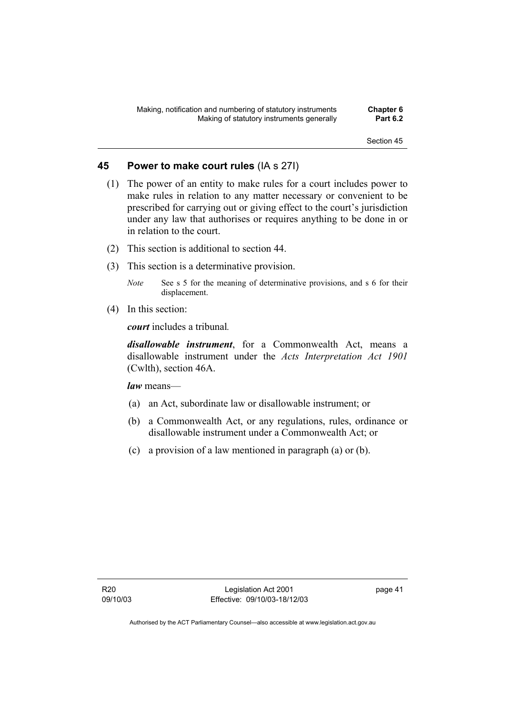## **45 Power to make court rules** (IA s 27I)

- (1) The power of an entity to make rules for a court includes power to make rules in relation to any matter necessary or convenient to be prescribed for carrying out or giving effect to the court's jurisdiction under any law that authorises or requires anything to be done in or in relation to the court.
- (2) This section is additional to section 44.
- (3) This section is a determinative provision.
	- *Note* See s 5 for the meaning of determinative provisions, and s 6 for their displacement.
- (4) In this section:

*court* includes a tribunal*.*

*disallowable instrument*, for a Commonwealth Act, means a disallowable instrument under the *Acts Interpretation Act 1901* (Cwlth), section 46A.

*law* means—

- (a) an Act, subordinate law or disallowable instrument; or
- (b) a Commonwealth Act, or any regulations, rules, ordinance or disallowable instrument under a Commonwealth Act; or
- (c) a provision of a law mentioned in paragraph (a) or (b).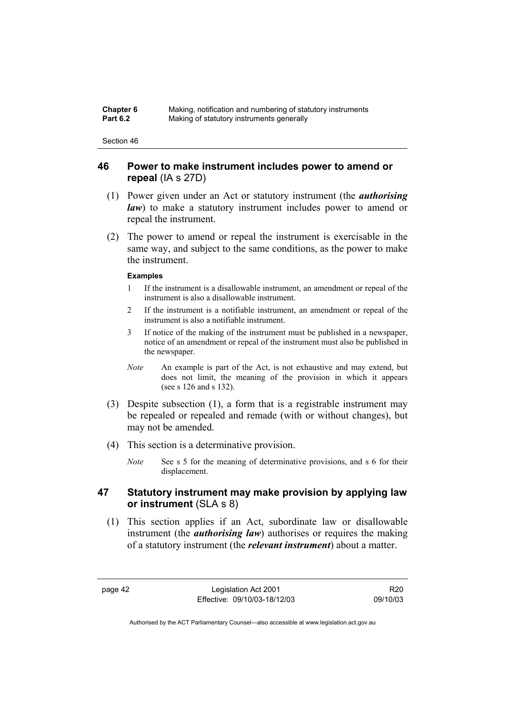| <b>Chapter 6</b> | Making, notification and numbering of statutory instruments |
|------------------|-------------------------------------------------------------|
| <b>Part 6.2</b>  | Making of statutory instruments generally                   |

## **46 Power to make instrument includes power to amend or repeal** (IA s 27D)

- (1) Power given under an Act or statutory instrument (the *authorising law*) to make a statutory instrument includes power to amend or repeal the instrument.
- (2) The power to amend or repeal the instrument is exercisable in the same way, and subject to the same conditions, as the power to make the instrument.

### **Examples**

- 1 If the instrument is a disallowable instrument, an amendment or repeal of the instrument is also a disallowable instrument.
- 2 If the instrument is a notifiable instrument, an amendment or repeal of the instrument is also a notifiable instrument.
- 3 If notice of the making of the instrument must be published in a newspaper, notice of an amendment or repeal of the instrument must also be published in the newspaper.
- *Note* An example is part of the Act, is not exhaustive and may extend, but does not limit, the meaning of the provision in which it appears (see s 126 and s 132).
- (3) Despite subsection (1), a form that is a registrable instrument may be repealed or repealed and remade (with or without changes), but may not be amended.
- (4) This section is a determinative provision.
	- *Note* See s 5 for the meaning of determinative provisions, and s 6 for their displacement.

## **47 Statutory instrument may make provision by applying law or instrument** (SLA s 8)

 (1) This section applies if an Act, subordinate law or disallowable instrument (the *authorising law*) authorises or requires the making of a statutory instrument (the *relevant instrument*) about a matter.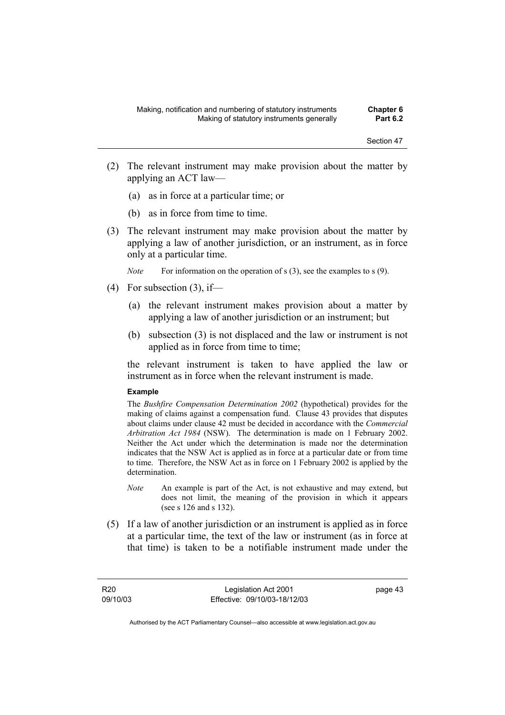- (2) The relevant instrument may make provision about the matter by applying an ACT law—
	- (a) as in force at a particular time; or
	- (b) as in force from time to time.
- (3) The relevant instrument may make provision about the matter by applying a law of another jurisdiction, or an instrument, as in force only at a particular time.

*Note* For information on the operation of s (3), see the examples to s (9).

- $(4)$  For subsection  $(3)$ , if—
	- (a) the relevant instrument makes provision about a matter by applying a law of another jurisdiction or an instrument; but
	- (b) subsection (3) is not displaced and the law or instrument is not applied as in force from time to time;

the relevant instrument is taken to have applied the law or instrument as in force when the relevant instrument is made.

#### **Example**

The *Bushfire Compensation Determination 2002* (hypothetical) provides for the making of claims against a compensation fund. Clause 43 provides that disputes about claims under clause 42 must be decided in accordance with the *Commercial Arbitration Act 1984* (NSW). The determination is made on 1 February 2002. Neither the Act under which the determination is made nor the determination indicates that the NSW Act is applied as in force at a particular date or from time to time. Therefore, the NSW Act as in force on 1 February 2002 is applied by the determination.

- *Note* An example is part of the Act, is not exhaustive and may extend, but does not limit, the meaning of the provision in which it appears (see s 126 and s 132).
- (5) If a law of another jurisdiction or an instrument is applied as in force at a particular time, the text of the law or instrument (as in force at that time) is taken to be a notifiable instrument made under the

R20 09/10/03

Legislation Act 2001 Effective: 09/10/03-18/12/03 page 43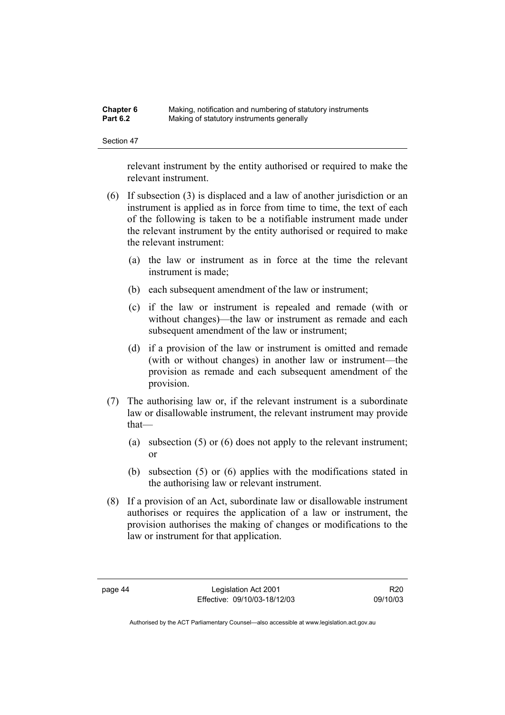| <b>Chapter 6</b> | Making, notification and numbering of statutory instruments |
|------------------|-------------------------------------------------------------|
| <b>Part 6.2</b>  | Making of statutory instruments generally                   |

relevant instrument by the entity authorised or required to make the relevant instrument.

- (6) If subsection (3) is displaced and a law of another jurisdiction or an instrument is applied as in force from time to time, the text of each of the following is taken to be a notifiable instrument made under the relevant instrument by the entity authorised or required to make the relevant instrument:
	- (a) the law or instrument as in force at the time the relevant instrument is made;
	- (b) each subsequent amendment of the law or instrument;
	- (c) if the law or instrument is repealed and remade (with or without changes)—the law or instrument as remade and each subsequent amendment of the law or instrument:
	- (d) if a provision of the law or instrument is omitted and remade (with or without changes) in another law or instrument—the provision as remade and each subsequent amendment of the provision.
- (7) The authorising law or, if the relevant instrument is a subordinate law or disallowable instrument, the relevant instrument may provide that—
	- (a) subsection (5) or (6) does not apply to the relevant instrument; or
	- (b) subsection (5) or (6) applies with the modifications stated in the authorising law or relevant instrument.
- (8) If a provision of an Act, subordinate law or disallowable instrument authorises or requires the application of a law or instrument, the provision authorises the making of changes or modifications to the law or instrument for that application.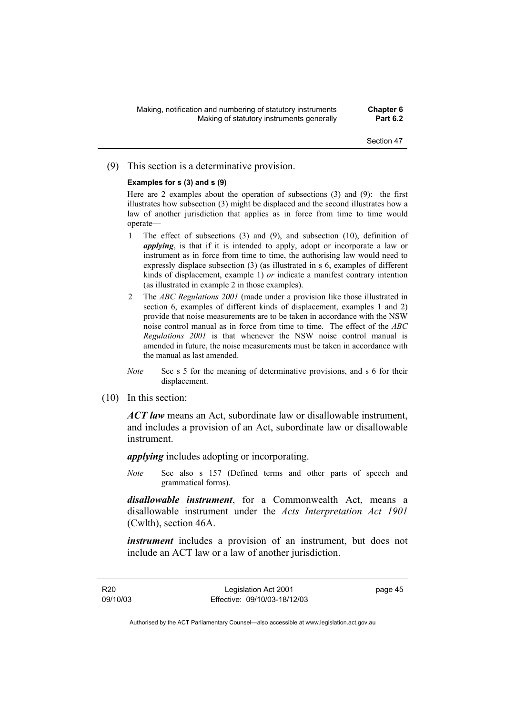### (9) This section is a determinative provision.

### **Examples for s (3) and s (9)**

Here are 2 examples about the operation of subsections (3) and (9): the first illustrates how subsection (3) might be displaced and the second illustrates how a law of another jurisdiction that applies as in force from time to time would operate—

- 1 The effect of subsections (3) and (9), and subsection (10), definition of *applying*, is that if it is intended to apply, adopt or incorporate a law or instrument as in force from time to time, the authorising law would need to expressly displace subsection (3) (as illustrated in s 6, examples of different kinds of displacement, example 1) *or* indicate a manifest contrary intention (as illustrated in example 2 in those examples).
- 2 The *ABC Regulations 2001* (made under a provision like those illustrated in section 6, examples of different kinds of displacement, examples 1 and 2) provide that noise measurements are to be taken in accordance with the NSW noise control manual as in force from time to time. The effect of the *ABC Regulations 2001* is that whenever the NSW noise control manual is amended in future, the noise measurements must be taken in accordance with the manual as last amended.
- *Note* See s 5 for the meaning of determinative provisions, and s 6 for their displacement.
- (10) In this section:

*ACT law* means an Act, subordinate law or disallowable instrument, and includes a provision of an Act, subordinate law or disallowable instrument.

*applying* includes adopting or incorporating.

*Note* See also s 157 (Defined terms and other parts of speech and grammatical forms).

*disallowable instrument*, for a Commonwealth Act, means a disallowable instrument under the *Acts Interpretation Act 1901* (Cwlth), section 46A.

*instrument* includes a provision of an instrument, but does not include an ACT law or a law of another jurisdiction.

R20 09/10/03

Legislation Act 2001 Effective: 09/10/03-18/12/03 page 45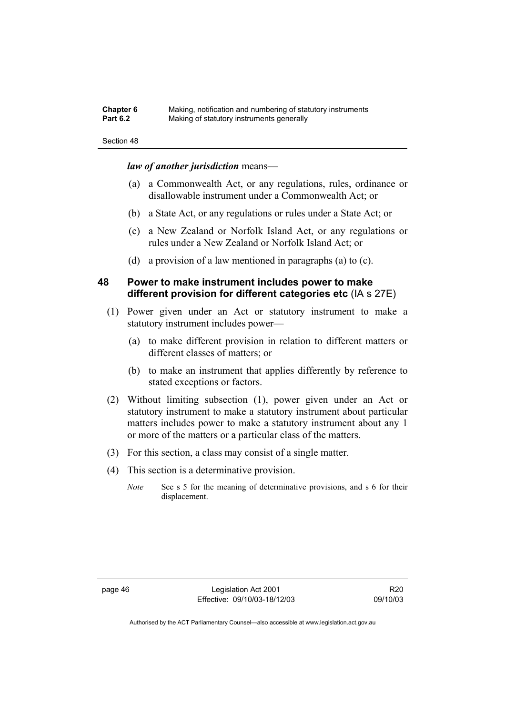| Chapter 6       | Making, notification and numbering of statutory instruments |
|-----------------|-------------------------------------------------------------|
| <b>Part 6.2</b> | Making of statutory instruments generally                   |

#### *law of another jurisdiction* means—

- (a) a Commonwealth Act, or any regulations, rules, ordinance or disallowable instrument under a Commonwealth Act; or
- (b) a State Act, or any regulations or rules under a State Act; or
- (c) a New Zealand or Norfolk Island Act, or any regulations or rules under a New Zealand or Norfolk Island Act; or
- (d) a provision of a law mentioned in paragraphs (a) to (c).

## **48 Power to make instrument includes power to make different provision for different categories etc** (IA s 27E)

- (1) Power given under an Act or statutory instrument to make a statutory instrument includes power—
	- (a) to make different provision in relation to different matters or different classes of matters; or
	- (b) to make an instrument that applies differently by reference to stated exceptions or factors.
- (2) Without limiting subsection (1), power given under an Act or statutory instrument to make a statutory instrument about particular matters includes power to make a statutory instrument about any 1 or more of the matters or a particular class of the matters.
- (3) For this section, a class may consist of a single matter.
- (4) This section is a determinative provision.
	- *Note* See s 5 for the meaning of determinative provisions, and s 6 for their displacement.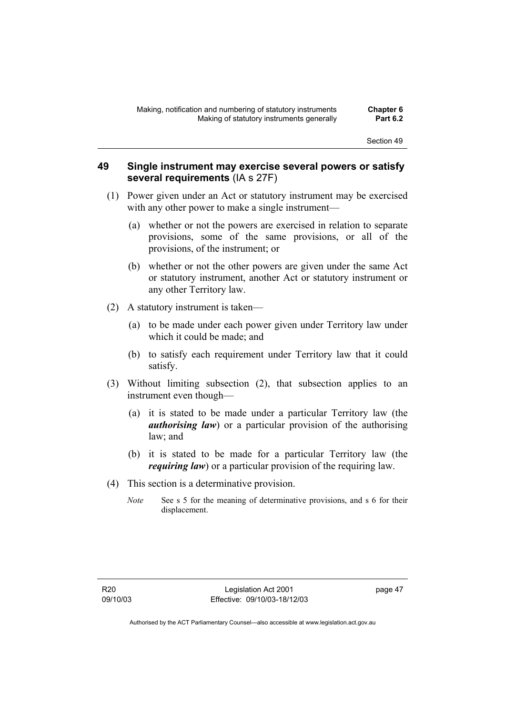## **49 Single instrument may exercise several powers or satisfy several requirements** (IA s 27F)

- (1) Power given under an Act or statutory instrument may be exercised with any other power to make a single instrument—
	- (a) whether or not the powers are exercised in relation to separate provisions, some of the same provisions, or all of the provisions, of the instrument; or
	- (b) whether or not the other powers are given under the same Act or statutory instrument, another Act or statutory instrument or any other Territory law.
- (2) A statutory instrument is taken—
	- (a) to be made under each power given under Territory law under which it could be made; and
	- (b) to satisfy each requirement under Territory law that it could satisfy.
- (3) Without limiting subsection (2), that subsection applies to an instrument even though—
	- (a) it is stated to be made under a particular Territory law (the *authorising law*) or a particular provision of the authorising law; and
	- (b) it is stated to be made for a particular Territory law (the *requiring law*) or a particular provision of the requiring law.
- (4) This section is a determinative provision.
	- *Note* See s 5 for the meaning of determinative provisions, and s 6 for their displacement.

page 47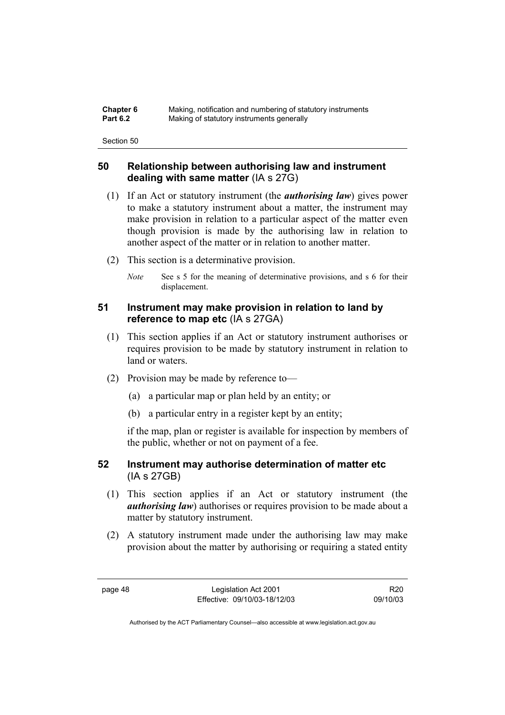| <b>Chapter 6</b> | Making, notification and numbering of statutory instruments |
|------------------|-------------------------------------------------------------|
| <b>Part 6.2</b>  | Making of statutory instruments generally                   |

## **50 Relationship between authorising law and instrument dealing with same matter** (IA s 27G)

- (1) If an Act or statutory instrument (the *authorising law*) gives power to make a statutory instrument about a matter, the instrument may make provision in relation to a particular aspect of the matter even though provision is made by the authorising law in relation to another aspect of the matter or in relation to another matter.
- (2) This section is a determinative provision.
	- *Note* See s 5 for the meaning of determinative provisions, and s 6 for their displacement.

# **51 Instrument may make provision in relation to land by reference to map etc** (IA s 27GA)

- (1) This section applies if an Act or statutory instrument authorises or requires provision to be made by statutory instrument in relation to land or waters.
- (2) Provision may be made by reference to—
	- (a) a particular map or plan held by an entity; or
	- (b) a particular entry in a register kept by an entity;

if the map, plan or register is available for inspection by members of the public, whether or not on payment of a fee.

## **52 Instrument may authorise determination of matter etc**  (IA s 27GB)

- (1) This section applies if an Act or statutory instrument (the *authorising law*) authorises or requires provision to be made about a matter by statutory instrument.
- (2) A statutory instrument made under the authorising law may make provision about the matter by authorising or requiring a stated entity

page 48 Legislation Act 2001 Effective: 09/10/03-18/12/03

R20 09/10/03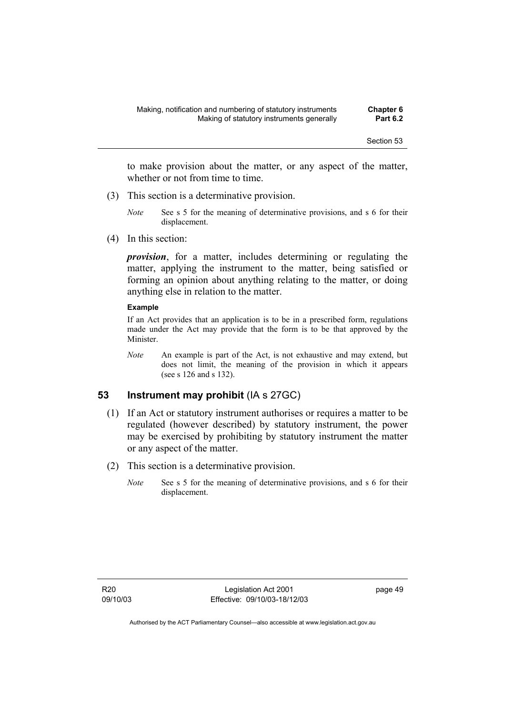to make provision about the matter, or any aspect of the matter, whether or not from time to time.

- (3) This section is a determinative provision.
	- *Note* See s 5 for the meaning of determinative provisions, and s 6 for their displacement.
- (4) In this section:

*provision*, for a matter, includes determining or regulating the matter, applying the instrument to the matter, being satisfied or forming an opinion about anything relating to the matter, or doing anything else in relation to the matter.

#### **Example**

If an Act provides that an application is to be in a prescribed form, regulations made under the Act may provide that the form is to be that approved by the Minister.

*Note* An example is part of the Act, is not exhaustive and may extend, but does not limit, the meaning of the provision in which it appears (see s 126 and s 132).

## **53 Instrument may prohibit** (IA s 27GC)

- (1) If an Act or statutory instrument authorises or requires a matter to be regulated (however described) by statutory instrument, the power may be exercised by prohibiting by statutory instrument the matter or any aspect of the matter.
- (2) This section is a determinative provision.
	- *Note* See s 5 for the meaning of determinative provisions, and s 6 for their displacement.

page 49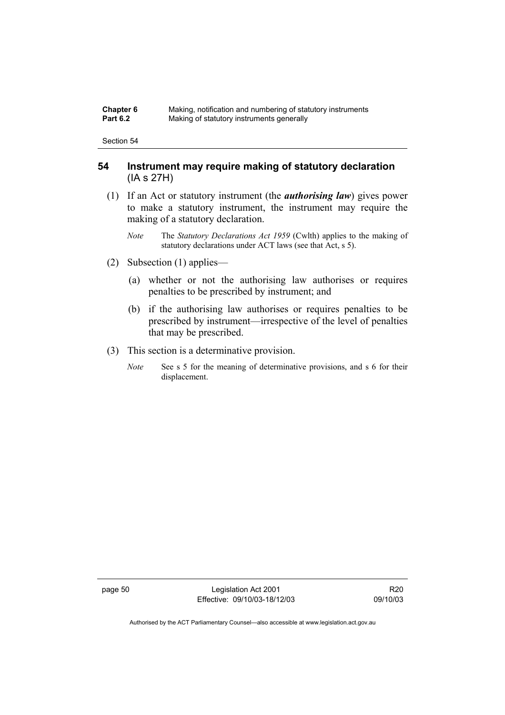| <b>Chapter 6</b> | Making, notification and numbering of statutory instruments |
|------------------|-------------------------------------------------------------|
| <b>Part 6.2</b>  | Making of statutory instruments generally                   |

## **54 Instrument may require making of statutory declaration**  (IA s 27H)

- (1) If an Act or statutory instrument (the *authorising law*) gives power to make a statutory instrument, the instrument may require the making of a statutory declaration.
	- *Note* The *Statutory Declarations Act 1959* (Cwlth) applies to the making of statutory declarations under ACT laws (see that Act, s 5).
- (2) Subsection (1) applies—
	- (a) whether or not the authorising law authorises or requires penalties to be prescribed by instrument; and
	- (b) if the authorising law authorises or requires penalties to be prescribed by instrument—irrespective of the level of penalties that may be prescribed.
- (3) This section is a determinative provision.
	- *Note* See s 5 for the meaning of determinative provisions, and s 6 for their displacement.

page 50 Legislation Act 2001 Effective: 09/10/03-18/12/03

R20 09/10/03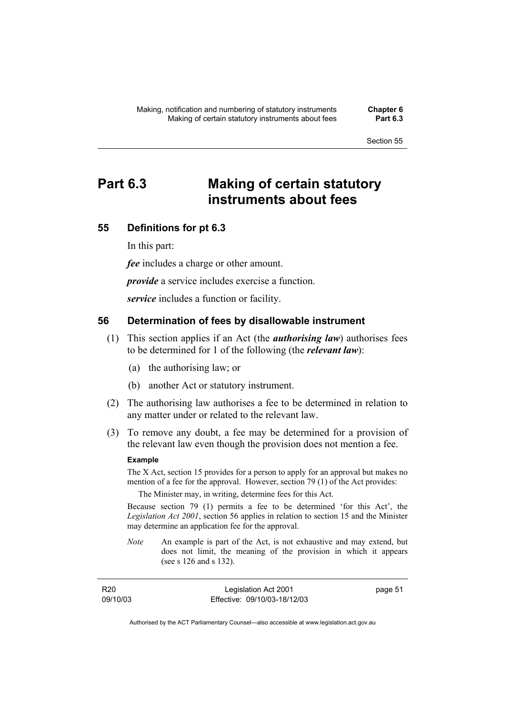# **Part 6.3 Making of certain statutory instruments about fees**

## **55 Definitions for pt 6.3**

In this part:

*fee* includes a charge or other amount.

*provide* a service includes exercise a function.

*service* includes a function or facility.

## **56 Determination of fees by disallowable instrument**

- (1) This section applies if an Act (the *authorising law*) authorises fees to be determined for 1 of the following (the *relevant law*):
	- (a) the authorising law; or
	- (b) another Act or statutory instrument.
- (2) The authorising law authorises a fee to be determined in relation to any matter under or related to the relevant law.
- (3) To remove any doubt, a fee may be determined for a provision of the relevant law even though the provision does not mention a fee.

### **Example**

The X Act, section 15 provides for a person to apply for an approval but makes no mention of a fee for the approval. However, section 79 (1) of the Act provides:

The Minister may, in writing, determine fees for this Act.

Because section 79 (1) permits a fee to be determined 'for this Act', the *Legislation Act 2001*, section 56 applies in relation to section 15 and the Minister may determine an application fee for the approval.

*Note* An example is part of the Act, is not exhaustive and may extend, but does not limit, the meaning of the provision in which it appears (see s 126 and s 132).

| R <sub>20</sub> | Legislation Act 2001         | page 51 |
|-----------------|------------------------------|---------|
| 09/10/03        | Effective: 09/10/03-18/12/03 |         |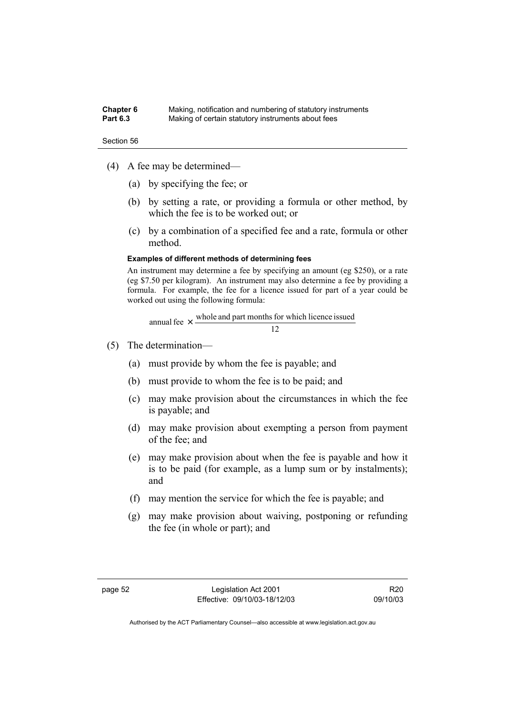#### **Chapter 6** Making, notification and numbering of statutory instruments<br>**Part 6.3** Making of certain statutory instruments about fees Making of certain statutory instruments about fees



- (4) A fee may be determined—
	- (a) by specifying the fee; or
	- (b) by setting a rate, or providing a formula or other method, by which the fee is to be worked out; or
	- (c) by a combination of a specified fee and a rate, formula or other method.

#### **Examples of different methods of determining fees**

An instrument may determine a fee by specifying an amount (eg \$250), or a rate (eg \$7.50 per kilogram). An instrument may also determine a fee by providing a formula. For example, the fee for a licence issued for part of a year could be worked out using the following formula:

12 annual fee  $\times$  whole and part months for which licence issued

- (5) The determination—
	- (a) must provide by whom the fee is payable; and
	- (b) must provide to whom the fee is to be paid; and
	- (c) may make provision about the circumstances in which the fee is payable; and
	- (d) may make provision about exempting a person from payment of the fee; and
	- (e) may make provision about when the fee is payable and how it is to be paid (for example, as a lump sum or by instalments); and
	- (f) may mention the service for which the fee is payable; and
	- (g) may make provision about waiving, postponing or refunding the fee (in whole or part); and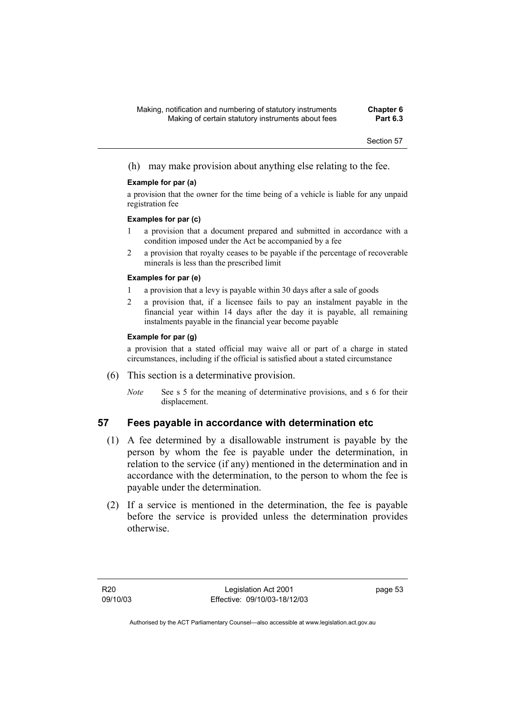(h) may make provision about anything else relating to the fee.

#### **Example for par (a)**

a provision that the owner for the time being of a vehicle is liable for any unpaid registration fee

#### **Examples for par (c)**

- 1 a provision that a document prepared and submitted in accordance with a condition imposed under the Act be accompanied by a fee
- 2 a provision that royalty ceases to be payable if the percentage of recoverable minerals is less than the prescribed limit

#### **Examples for par (e)**

- 1 a provision that a levy is payable within 30 days after a sale of goods
- 2 a provision that, if a licensee fails to pay an instalment payable in the financial year within 14 days after the day it is payable, all remaining instalments payable in the financial year become payable

#### **Example for par (g)**

a provision that a stated official may waive all or part of a charge in stated circumstances, including if the official is satisfied about a stated circumstance

- (6) This section is a determinative provision.
	- *Note* See s 5 for the meaning of determinative provisions, and s 6 for their displacement.

## **57 Fees payable in accordance with determination etc**

- (1) A fee determined by a disallowable instrument is payable by the person by whom the fee is payable under the determination, in relation to the service (if any) mentioned in the determination and in accordance with the determination, to the person to whom the fee is payable under the determination.
- (2) If a service is mentioned in the determination, the fee is payable before the service is provided unless the determination provides otherwise.

page 53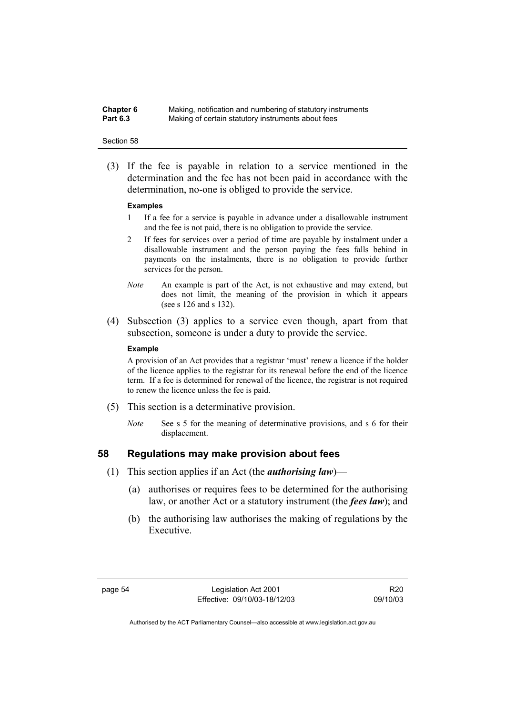| <b>Chapter 6</b> | Making, notification and numbering of statutory instruments |
|------------------|-------------------------------------------------------------|
| <b>Part 6.3</b>  | Making of certain statutory instruments about fees          |

 (3) If the fee is payable in relation to a service mentioned in the determination and the fee has not been paid in accordance with the determination, no-one is obliged to provide the service.

#### **Examples**

- 1 If a fee for a service is payable in advance under a disallowable instrument and the fee is not paid, there is no obligation to provide the service.
- 2 If fees for services over a period of time are payable by instalment under a disallowable instrument and the person paying the fees falls behind in payments on the instalments, there is no obligation to provide further services for the person.
- *Note* An example is part of the Act, is not exhaustive and may extend, but does not limit, the meaning of the provision in which it appears (see s 126 and s 132).
- (4) Subsection (3) applies to a service even though, apart from that subsection, someone is under a duty to provide the service.

#### **Example**

A provision of an Act provides that a registrar 'must' renew a licence if the holder of the licence applies to the registrar for its renewal before the end of the licence term. If a fee is determined for renewal of the licence, the registrar is not required to renew the licence unless the fee is paid.

- (5) This section is a determinative provision.
	- *Note* See s 5 for the meaning of determinative provisions, and s 6 for their displacement.

## **58 Regulations may make provision about fees**

- (1) This section applies if an Act (the *authorising law*)—
	- (a) authorises or requires fees to be determined for the authorising law, or another Act or a statutory instrument (the *fees law*); and
	- (b) the authorising law authorises the making of regulations by the Executive.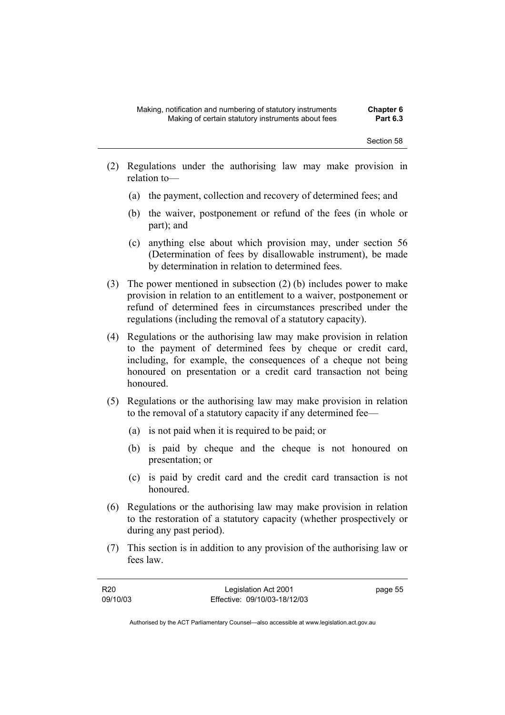- (2) Regulations under the authorising law may make provision in relation to—
	- (a) the payment, collection and recovery of determined fees; and
	- (b) the waiver, postponement or refund of the fees (in whole or part); and
	- (c) anything else about which provision may, under section 56 (Determination of fees by disallowable instrument), be made by determination in relation to determined fees.
- (3) The power mentioned in subsection (2) (b) includes power to make provision in relation to an entitlement to a waiver, postponement or refund of determined fees in circumstances prescribed under the regulations (including the removal of a statutory capacity).
- (4) Regulations or the authorising law may make provision in relation to the payment of determined fees by cheque or credit card, including, for example, the consequences of a cheque not being honoured on presentation or a credit card transaction not being honoured.
- (5) Regulations or the authorising law may make provision in relation to the removal of a statutory capacity if any determined fee—
	- (a) is not paid when it is required to be paid; or
	- (b) is paid by cheque and the cheque is not honoured on presentation; or
	- (c) is paid by credit card and the credit card transaction is not honoured.
- (6) Regulations or the authorising law may make provision in relation to the restoration of a statutory capacity (whether prospectively or during any past period).
- (7) This section is in addition to any provision of the authorising law or fees law.

| R20      | Legislation Act 2001         | page 55 |
|----------|------------------------------|---------|
| 09/10/03 | Effective: 09/10/03-18/12/03 |         |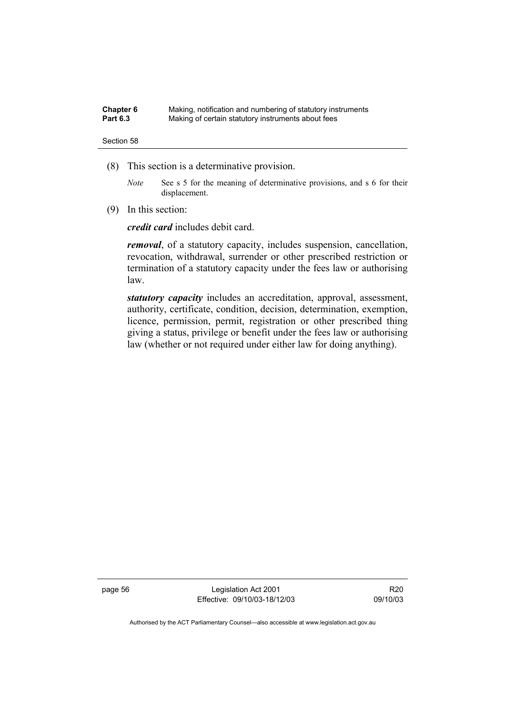| Chapter 6       | Making, notification and numbering of statutory instruments |
|-----------------|-------------------------------------------------------------|
| <b>Part 6.3</b> | Making of certain statutory instruments about fees          |

- (8) This section is a determinative provision.
	- *Note* See s 5 for the meaning of determinative provisions, and s 6 for their displacement.
- (9) In this section:

*credit card* includes debit card.

*removal*, of a statutory capacity, includes suspension, cancellation, revocation, withdrawal, surrender or other prescribed restriction or termination of a statutory capacity under the fees law or authorising law.

*statutory capacity* includes an accreditation, approval, assessment, authority, certificate, condition, decision, determination, exemption, licence, permission, permit, registration or other prescribed thing giving a status, privilege or benefit under the fees law or authorising law (whether or not required under either law for doing anything).

page 56 Legislation Act 2001 Effective: 09/10/03-18/12/03

R20 09/10/03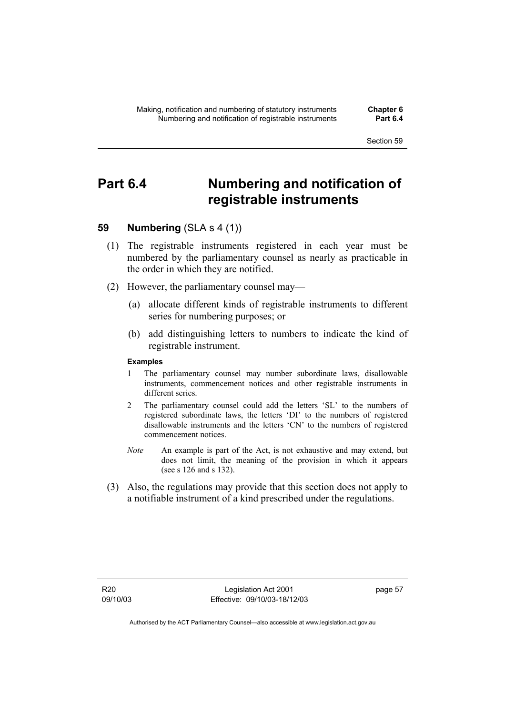# **Part 6.4 Numbering and notification of registrable instruments**

# **59 Numbering** (SLA s 4 (1))

- (1) The registrable instruments registered in each year must be numbered by the parliamentary counsel as nearly as practicable in the order in which they are notified.
- (2) However, the parliamentary counsel may—
	- (a) allocate different kinds of registrable instruments to different series for numbering purposes; or
	- (b) add distinguishing letters to numbers to indicate the kind of registrable instrument.

### **Examples**

- 1 The parliamentary counsel may number subordinate laws, disallowable instruments, commencement notices and other registrable instruments in different series.
- 2 The parliamentary counsel could add the letters 'SL' to the numbers of registered subordinate laws, the letters 'DI' to the numbers of registered disallowable instruments and the letters 'CN' to the numbers of registered commencement notices.
- *Note* An example is part of the Act, is not exhaustive and may extend, but does not limit, the meaning of the provision in which it appears (see s 126 and s 132).
- (3) Also, the regulations may provide that this section does not apply to a notifiable instrument of a kind prescribed under the regulations.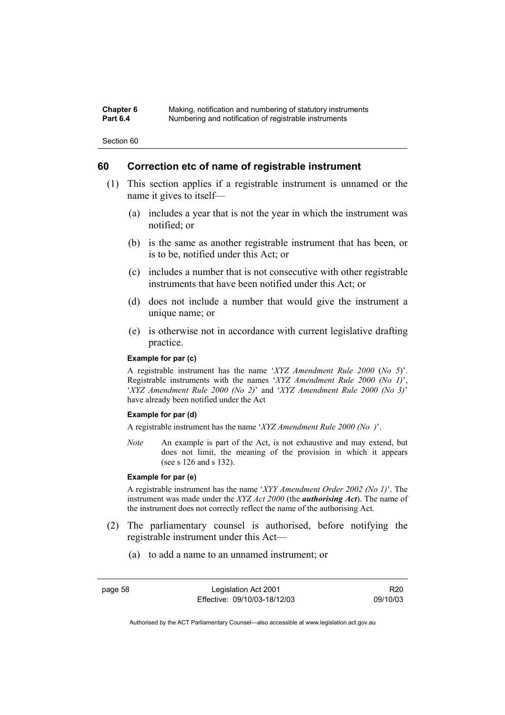| Chapter 6       | Making, notification and numbering of statutory instruments |
|-----------------|-------------------------------------------------------------|
| <b>Part 6.4</b> | Numbering and notification of registrable instruments       |

### **60 Correction etc of name of registrable instrument**

- (1) This section applies if a registrable instrument is unnamed or the name it gives to itself—
	- (a) includes a year that is not the year in which the instrument was notified; or
	- (b) is the same as another registrable instrument that has been, or is to be, notified under this Act; or
	- (c) includes a number that is not consecutive with other registrable instruments that have been notified under this Act; or
	- (d) does not include a number that would give the instrument a unique name; or
	- (e) is otherwise not in accordance with current legislative drafting practice.

### **Example for par (c)**

A registrable instrument has the name '*XYZ Amendment Rule 2000* (*No 5*)'. Registrable instruments with the names '*XYZ Amendment Rule 2000 (No 1)*', '*XYZ Amendment Rule 2000 (No 2)*' and '*XYZ Amendment Rule 2000 (No 3)*' have already been notified under the Act

### **Example for par (d)**

A registrable instrument has the name '*XYZ Amendment Rule 2000 (No )*'.

*Note* An example is part of the Act, is not exhaustive and may extend, but does not limit, the meaning of the provision in which it appears (see s 126 and s 132).

### **Example for par (e)**

A registrable instrument has the name '*XYY Amendment Order 2002 (No 1)*'. The instrument was made under the *XYZ Act 2000* (the *authorising Act*). The name of the instrument does not correctly reflect the name of the authorising Act.

- (2) The parliamentary counsel is authorised, before notifying the registrable instrument under this Act—
	- (a) to add a name to an unnamed instrument; or

page 58 Legislation Act 2001 Effective: 09/10/03-18/12/03

R20 09/10/03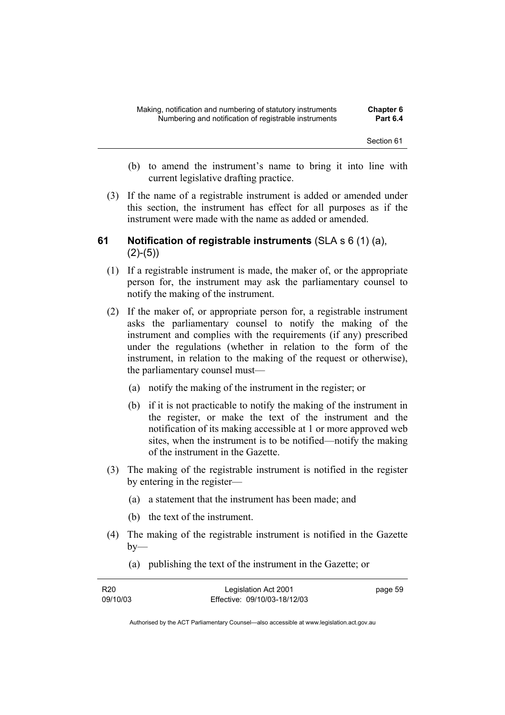- (b) to amend the instrument's name to bring it into line with current legislative drafting practice.
- (3) If the name of a registrable instrument is added or amended under this section, the instrument has effect for all purposes as if the instrument were made with the name as added or amended.

## **61 Notification of registrable instruments** (SLA s 6 (1) (a),  $(2)-(5)$

- (1) If a registrable instrument is made, the maker of, or the appropriate person for, the instrument may ask the parliamentary counsel to notify the making of the instrument.
- (2) If the maker of, or appropriate person for, a registrable instrument asks the parliamentary counsel to notify the making of the instrument and complies with the requirements (if any) prescribed under the regulations (whether in relation to the form of the instrument, in relation to the making of the request or otherwise), the parliamentary counsel must—
	- (a) notify the making of the instrument in the register; or
	- (b) if it is not practicable to notify the making of the instrument in the register, or make the text of the instrument and the notification of its making accessible at 1 or more approved web sites, when the instrument is to be notified—notify the making of the instrument in the Gazette.
- (3) The making of the registrable instrument is notified in the register by entering in the register—
	- (a) a statement that the instrument has been made; and
	- (b) the text of the instrument.
- (4) The making of the registrable instrument is notified in the Gazette  $bv$ —
- R20 09/10/03 Legislation Act 2001 Effective: 09/10/03-18/12/03 page 59
- (a) publishing the text of the instrument in the Gazette; or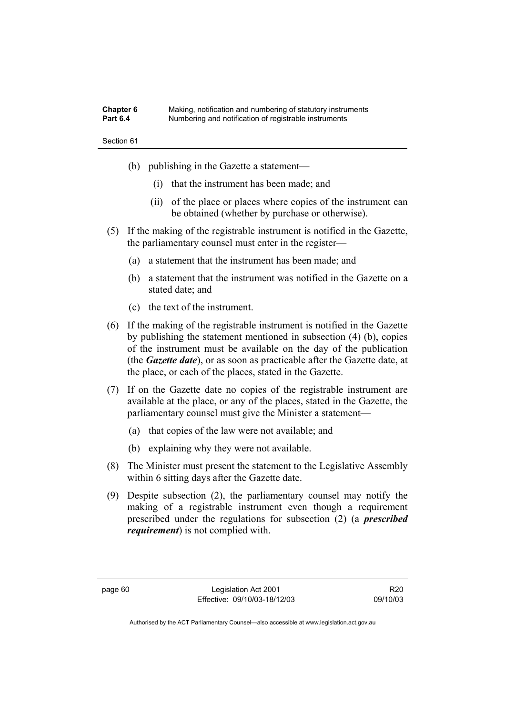| <b>Chapter 6</b> | Making, notification and numbering of statutory instruments |
|------------------|-------------------------------------------------------------|
| <b>Part 6.4</b>  | Numbering and notification of registrable instruments       |

- (b) publishing in the Gazette a statement—
	- (i) that the instrument has been made; and
	- (ii) of the place or places where copies of the instrument can be obtained (whether by purchase or otherwise).
- (5) If the making of the registrable instrument is notified in the Gazette, the parliamentary counsel must enter in the register—
	- (a) a statement that the instrument has been made; and
	- (b) a statement that the instrument was notified in the Gazette on a stated date; and
	- (c) the text of the instrument.
- (6) If the making of the registrable instrument is notified in the Gazette by publishing the statement mentioned in subsection (4) (b), copies of the instrument must be available on the day of the publication (the *Gazette date*), or as soon as practicable after the Gazette date, at the place, or each of the places, stated in the Gazette.
- (7) If on the Gazette date no copies of the registrable instrument are available at the place, or any of the places, stated in the Gazette, the parliamentary counsel must give the Minister a statement—
	- (a) that copies of the law were not available; and
	- (b) explaining why they were not available.
- (8) The Minister must present the statement to the Legislative Assembly within 6 sitting days after the Gazette date.
- (9) Despite subsection (2), the parliamentary counsel may notify the making of a registrable instrument even though a requirement prescribed under the regulations for subsection (2) (a *prescribed requirement*) is not complied with.

R20 09/10/03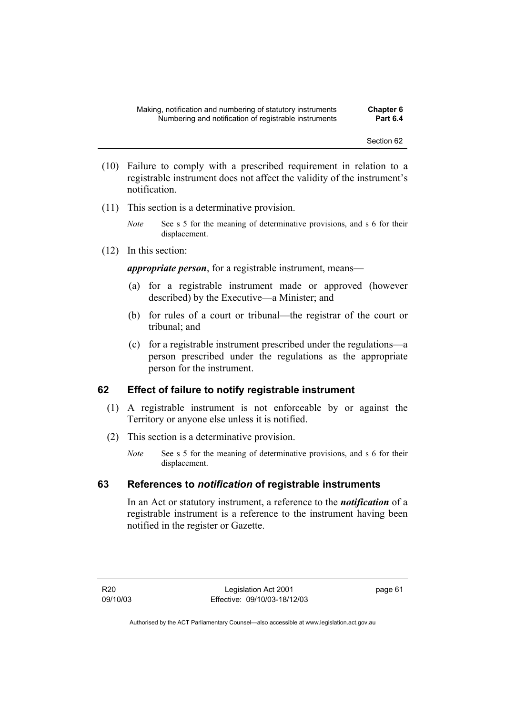- (10) Failure to comply with a prescribed requirement in relation to a registrable instrument does not affect the validity of the instrument's notification.
- (11) This section is a determinative provision.
	- *Note* See s 5 for the meaning of determinative provisions, and s 6 for their displacement.
- (12) In this section:

*appropriate person*, for a registrable instrument, means—

- (a) for a registrable instrument made or approved (however described) by the Executive—a Minister; and
- (b) for rules of a court or tribunal—the registrar of the court or tribunal; and
- (c) for a registrable instrument prescribed under the regulations—a person prescribed under the regulations as the appropriate person for the instrument.

### **62 Effect of failure to notify registrable instrument**

- (1) A registrable instrument is not enforceable by or against the Territory or anyone else unless it is notified.
- (2) This section is a determinative provision.
	- *Note* See s 5 for the meaning of determinative provisions, and s 6 for their displacement.

### **63 References to** *notification* **of registrable instruments**

In an Act or statutory instrument, a reference to the *notification* of a registrable instrument is a reference to the instrument having been notified in the register or Gazette.

page 61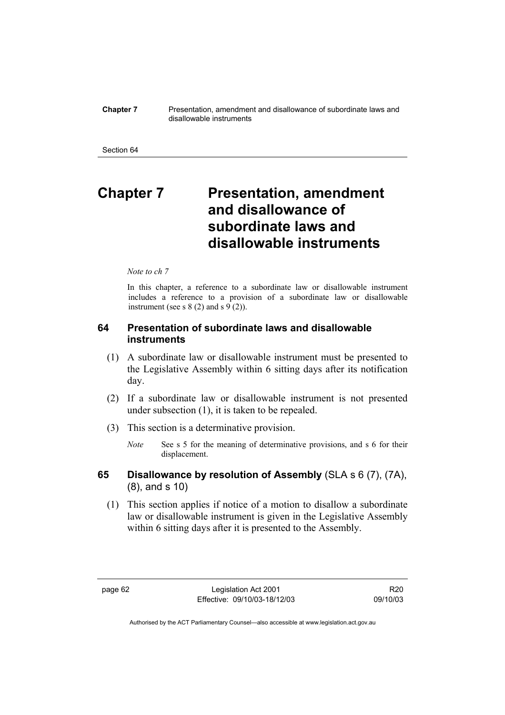#### **Chapter 7** Presentation, amendment and disallowance of subordinate laws and disallowable instruments

#### Section 64

# **Chapter 7** Presentation, amendment **and disallowance of subordinate laws and disallowable instruments**

### *Note to ch 7*

In this chapter, a reference to a subordinate law or disallowable instrument includes a reference to a provision of a subordinate law or disallowable instrument (see s  $8(2)$  and s  $9(2)$ ).

# **64 Presentation of subordinate laws and disallowable instruments**

- (1) A subordinate law or disallowable instrument must be presented to the Legislative Assembly within 6 sitting days after its notification day.
- (2) If a subordinate law or disallowable instrument is not presented under subsection (1), it is taken to be repealed.
- (3) This section is a determinative provision.
	- *Note* See s 5 for the meaning of determinative provisions, and s 6 for their displacement.
- **65 Disallowance by resolution of Assembly** (SLA s 6 (7), (7A), (8), and s 10)
	- (1) This section applies if notice of a motion to disallow a subordinate law or disallowable instrument is given in the Legislative Assembly within 6 sitting days after it is presented to the Assembly.

R20 09/10/03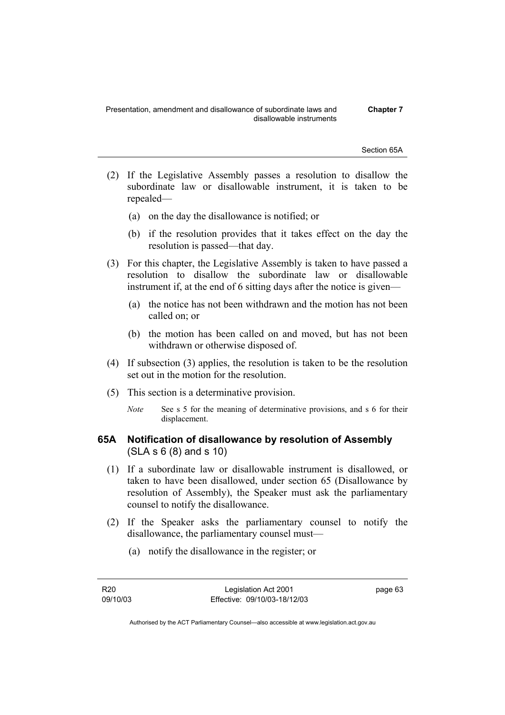Presentation, amendment and disallowance of subordinate laws and disallowable instruments

**Chapter 7** 

Section 65A

- (2) If the Legislative Assembly passes a resolution to disallow the subordinate law or disallowable instrument, it is taken to be repealed—
	- (a) on the day the disallowance is notified; or
	- (b) if the resolution provides that it takes effect on the day the resolution is passed—that day.
- (3) For this chapter, the Legislative Assembly is taken to have passed a resolution to disallow the subordinate law or disallowable instrument if, at the end of 6 sitting days after the notice is given—
	- (a) the notice has not been withdrawn and the motion has not been called on; or
	- (b) the motion has been called on and moved, but has not been withdrawn or otherwise disposed of.
- (4) If subsection (3) applies, the resolution is taken to be the resolution set out in the motion for the resolution.
- (5) This section is a determinative provision.
	- *Note* See s 5 for the meaning of determinative provisions, and s 6 for their displacement.

## **65A Notification of disallowance by resolution of Assembly**  (SLA s 6 (8) and s 10)

- (1) If a subordinate law or disallowable instrument is disallowed, or taken to have been disallowed, under section 65 (Disallowance by resolution of Assembly), the Speaker must ask the parliamentary counsel to notify the disallowance.
- (2) If the Speaker asks the parliamentary counsel to notify the disallowance, the parliamentary counsel must—
	- (a) notify the disallowance in the register; or

page 63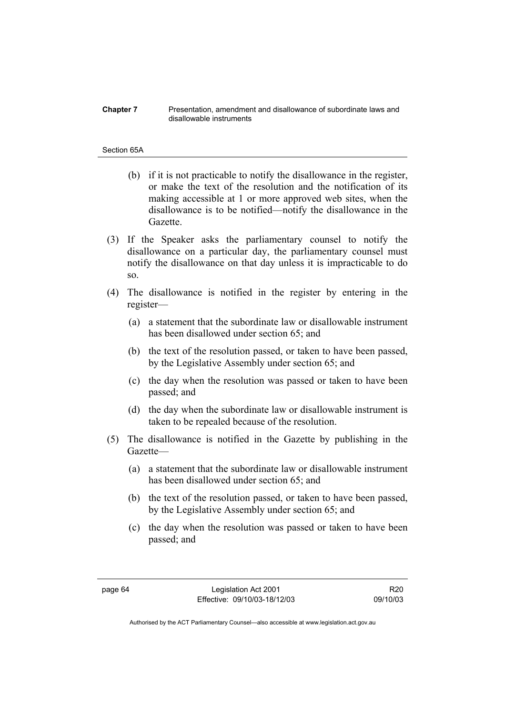#### **Chapter 7** Presentation, amendment and disallowance of subordinate laws and disallowable instruments

### Section 65A

- (b) if it is not practicable to notify the disallowance in the register, or make the text of the resolution and the notification of its making accessible at 1 or more approved web sites, when the disallowance is to be notified—notify the disallowance in the Gazette.
- (3) If the Speaker asks the parliamentary counsel to notify the disallowance on a particular day, the parliamentary counsel must notify the disallowance on that day unless it is impracticable to do so.
- (4) The disallowance is notified in the register by entering in the register—
	- (a) a statement that the subordinate law or disallowable instrument has been disallowed under section 65; and
	- (b) the text of the resolution passed, or taken to have been passed, by the Legislative Assembly under section 65; and
	- (c) the day when the resolution was passed or taken to have been passed; and
	- (d) the day when the subordinate law or disallowable instrument is taken to be repealed because of the resolution.
- (5) The disallowance is notified in the Gazette by publishing in the Gazette—
	- (a) a statement that the subordinate law or disallowable instrument has been disallowed under section 65; and
	- (b) the text of the resolution passed, or taken to have been passed, by the Legislative Assembly under section 65; and
	- (c) the day when the resolution was passed or taken to have been passed; and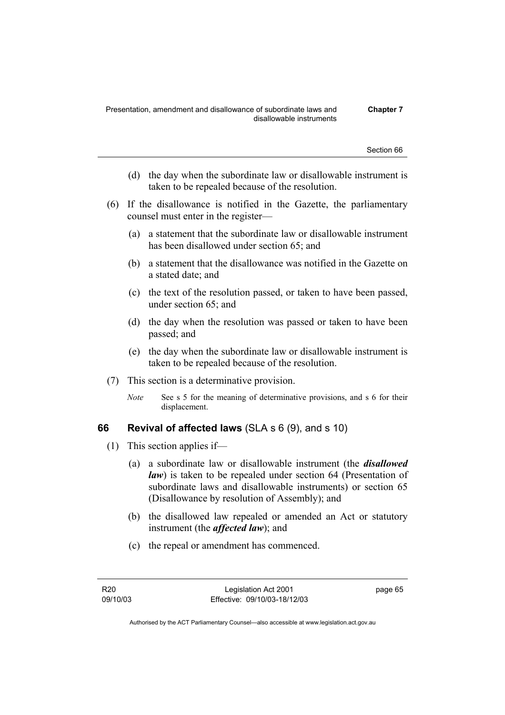- (d) the day when the subordinate law or disallowable instrument is taken to be repealed because of the resolution.
- (6) If the disallowance is notified in the Gazette, the parliamentary counsel must enter in the register—
	- (a) a statement that the subordinate law or disallowable instrument has been disallowed under section 65; and
	- (b) a statement that the disallowance was notified in the Gazette on a stated date; and
	- (c) the text of the resolution passed, or taken to have been passed, under section 65; and
	- (d) the day when the resolution was passed or taken to have been passed; and
	- (e) the day when the subordinate law or disallowable instrument is taken to be repealed because of the resolution.
- (7) This section is a determinative provision.
	- *Note* See s 5 for the meaning of determinative provisions, and s 6 for their displacement.

### **66 Revival of affected laws** (SLA s 6 (9), and s 10)

- (1) This section applies if—
	- (a) a subordinate law or disallowable instrument (the *disallowed law*) is taken to be repealed under section 64 (Presentation of subordinate laws and disallowable instruments) or section 65 (Disallowance by resolution of Assembly); and
	- (b) the disallowed law repealed or amended an Act or statutory instrument (the *affected law*); and
	- (c) the repeal or amendment has commenced.

R20 09/10/03 page 65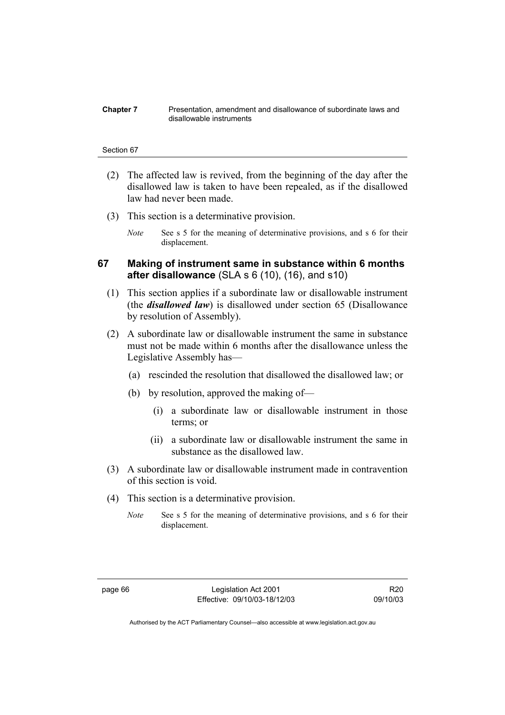#### **Chapter 7** Presentation, amendment and disallowance of subordinate laws and disallowable instruments

#### Section 67

- (2) The affected law is revived, from the beginning of the day after the disallowed law is taken to have been repealed, as if the disallowed law had never been made.
- (3) This section is a determinative provision.
	- *Note* See s 5 for the meaning of determinative provisions, and s 6 for their displacement.

### **67 Making of instrument same in substance within 6 months after disallowance** (SLA s 6 (10), (16), and s10)

- (1) This section applies if a subordinate law or disallowable instrument (the *disallowed law*) is disallowed under section 65 (Disallowance by resolution of Assembly).
- (2) A subordinate law or disallowable instrument the same in substance must not be made within 6 months after the disallowance unless the Legislative Assembly has—
	- (a) rescinded the resolution that disallowed the disallowed law; or
	- (b) by resolution, approved the making of—
		- (i) a subordinate law or disallowable instrument in those terms; or
		- (ii) a subordinate law or disallowable instrument the same in substance as the disallowed law.
- (3) A subordinate law or disallowable instrument made in contravention of this section is void.
- (4) This section is a determinative provision.
	- *Note* See s 5 for the meaning of determinative provisions, and s 6 for their displacement.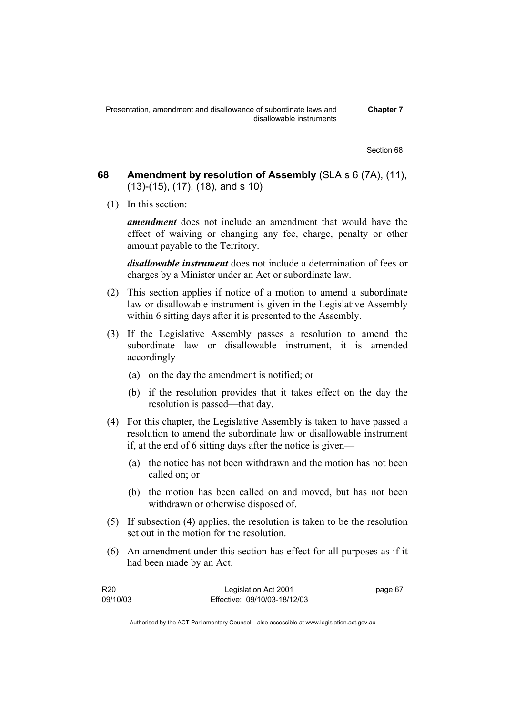**Chapter 7** 

Section 68

- **68 Amendment by resolution of Assembly** (SLA s 6 (7A), (11), (13)-(15), (17), (18), and s 10)
	- (1) In this section:

*amendment* does not include an amendment that would have the effect of waiving or changing any fee, charge, penalty or other amount payable to the Territory.

*disallowable instrument* does not include a determination of fees or charges by a Minister under an Act or subordinate law.

- (2) This section applies if notice of a motion to amend a subordinate law or disallowable instrument is given in the Legislative Assembly within 6 sitting days after it is presented to the Assembly.
- (3) If the Legislative Assembly passes a resolution to amend the subordinate law or disallowable instrument, it is amended accordingly—
	- (a) on the day the amendment is notified; or
	- (b) if the resolution provides that it takes effect on the day the resolution is passed—that day.
- (4) For this chapter, the Legislative Assembly is taken to have passed a resolution to amend the subordinate law or disallowable instrument if, at the end of 6 sitting days after the notice is given—
	- (a) the notice has not been withdrawn and the motion has not been called on; or
	- (b) the motion has been called on and moved, but has not been withdrawn or otherwise disposed of.
- (5) If subsection (4) applies, the resolution is taken to be the resolution set out in the motion for the resolution.
- (6) An amendment under this section has effect for all purposes as if it had been made by an Act.

| R20      | Legislation Act 2001         | page 67 |
|----------|------------------------------|---------|
| 09/10/03 | Effective: 09/10/03-18/12/03 |         |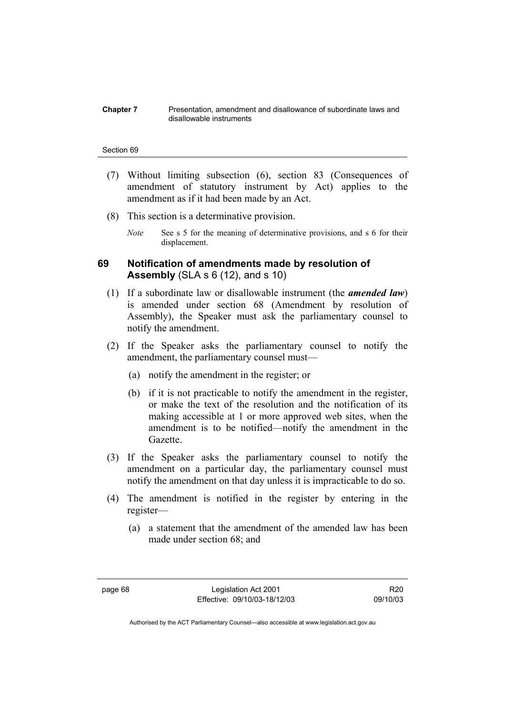#### **Chapter 7** Presentation, amendment and disallowance of subordinate laws and disallowable instruments

#### Section 69

- (7) Without limiting subsection (6), section 83 (Consequences of amendment of statutory instrument by Act) applies to the amendment as if it had been made by an Act.
- (8) This section is a determinative provision.
	- *Note* See s 5 for the meaning of determinative provisions, and s 6 for their displacement.

# **69 Notification of amendments made by resolution of Assembly** (SLA s 6 (12), and s 10)

- (1) If a subordinate law or disallowable instrument (the *amended law*) is amended under section 68 (Amendment by resolution of Assembly), the Speaker must ask the parliamentary counsel to notify the amendment.
- (2) If the Speaker asks the parliamentary counsel to notify the amendment, the parliamentary counsel must—
	- (a) notify the amendment in the register; or
	- (b) if it is not practicable to notify the amendment in the register, or make the text of the resolution and the notification of its making accessible at 1 or more approved web sites, when the amendment is to be notified—notify the amendment in the Gazette.
- (3) If the Speaker asks the parliamentary counsel to notify the amendment on a particular day, the parliamentary counsel must notify the amendment on that day unless it is impracticable to do so.
- (4) The amendment is notified in the register by entering in the register—
	- (a) a statement that the amendment of the amended law has been made under section 68; and

R20 09/10/03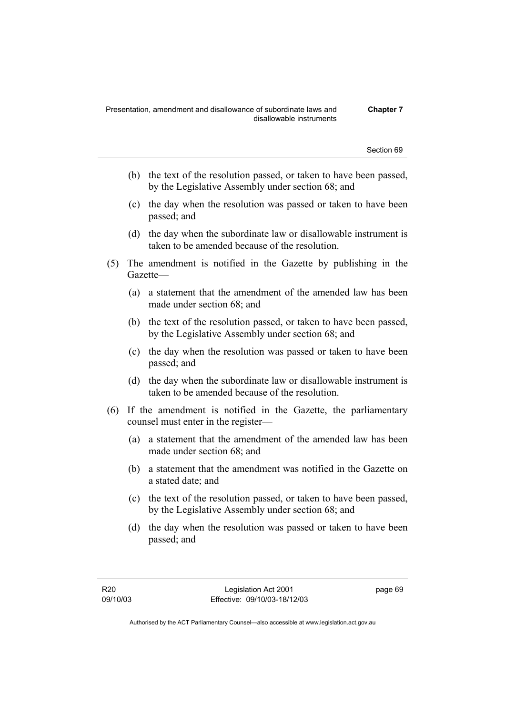- (b) the text of the resolution passed, or taken to have been passed, by the Legislative Assembly under section 68; and
- (c) the day when the resolution was passed or taken to have been passed; and
- (d) the day when the subordinate law or disallowable instrument is taken to be amended because of the resolution.
- (5) The amendment is notified in the Gazette by publishing in the Gazette—
	- (a) a statement that the amendment of the amended law has been made under section 68; and
	- (b) the text of the resolution passed, or taken to have been passed, by the Legislative Assembly under section 68; and
	- (c) the day when the resolution was passed or taken to have been passed; and
	- (d) the day when the subordinate law or disallowable instrument is taken to be amended because of the resolution.
- (6) If the amendment is notified in the Gazette, the parliamentary counsel must enter in the register—
	- (a) a statement that the amendment of the amended law has been made under section 68; and
	- (b) a statement that the amendment was notified in the Gazette on a stated date; and
	- (c) the text of the resolution passed, or taken to have been passed, by the Legislative Assembly under section 68; and
	- (d) the day when the resolution was passed or taken to have been passed; and

page 69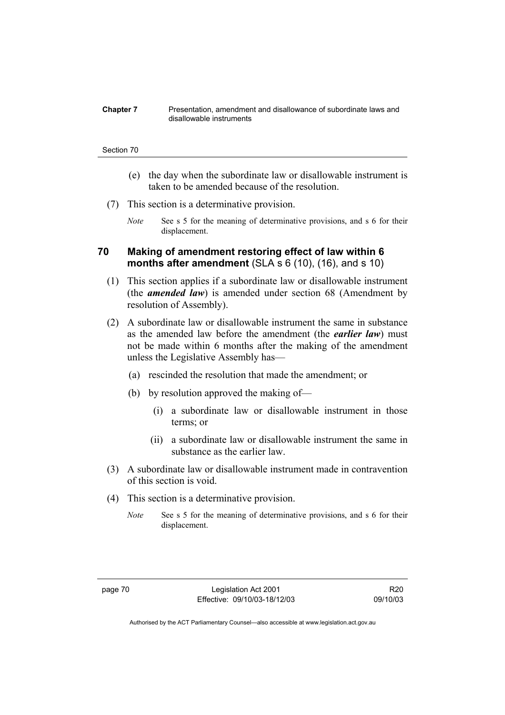#### **Chapter 7** Presentation, amendment and disallowance of subordinate laws and disallowable instruments

#### Section 70

- (e) the day when the subordinate law or disallowable instrument is taken to be amended because of the resolution.
- (7) This section is a determinative provision.
	- *Note* See s 5 for the meaning of determinative provisions, and s 6 for their displacement.

### **70 Making of amendment restoring effect of law within 6 months after amendment** (SLA s 6 (10), (16), and s 10)

- (1) This section applies if a subordinate law or disallowable instrument (the *amended law*) is amended under section 68 (Amendment by resolution of Assembly).
- (2) A subordinate law or disallowable instrument the same in substance as the amended law before the amendment (the *earlier law*) must not be made within 6 months after the making of the amendment unless the Legislative Assembly has—
	- (a) rescinded the resolution that made the amendment; or
	- (b) by resolution approved the making of—
		- (i) a subordinate law or disallowable instrument in those terms; or
		- (ii) a subordinate law or disallowable instrument the same in substance as the earlier law.
- (3) A subordinate law or disallowable instrument made in contravention of this section is void.
- (4) This section is a determinative provision.
	- *Note* See s 5 for the meaning of determinative provisions, and s 6 for their displacement.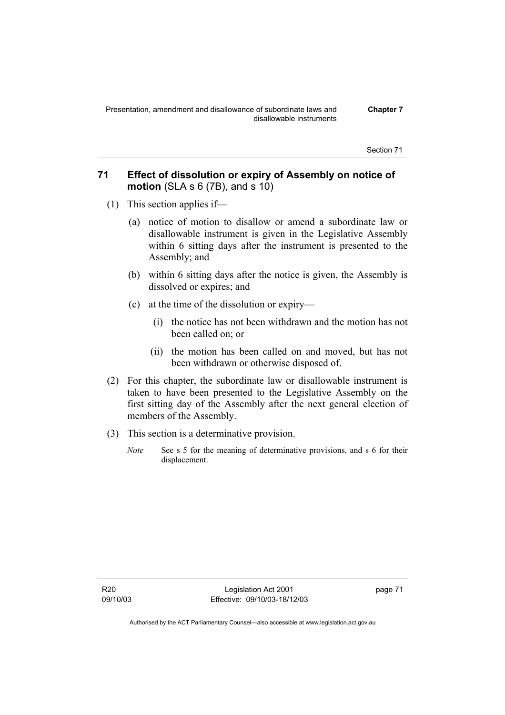# **71 Effect of dissolution or expiry of Assembly on notice of motion** (SLA s 6 (7B), and s 10)

- (1) This section applies if—
	- (a) notice of motion to disallow or amend a subordinate law or disallowable instrument is given in the Legislative Assembly within 6 sitting days after the instrument is presented to the Assembly; and
	- (b) within 6 sitting days after the notice is given, the Assembly is dissolved or expires; and
	- (c) at the time of the dissolution or expiry—
		- (i) the notice has not been withdrawn and the motion has not been called on; or
		- (ii) the motion has been called on and moved, but has not been withdrawn or otherwise disposed of.
- (2) For this chapter, the subordinate law or disallowable instrument is taken to have been presented to the Legislative Assembly on the first sitting day of the Assembly after the next general election of members of the Assembly.
- (3) This section is a determinative provision.
	- *Note* See s 5 for the meaning of determinative provisions, and s 6 for their displacement.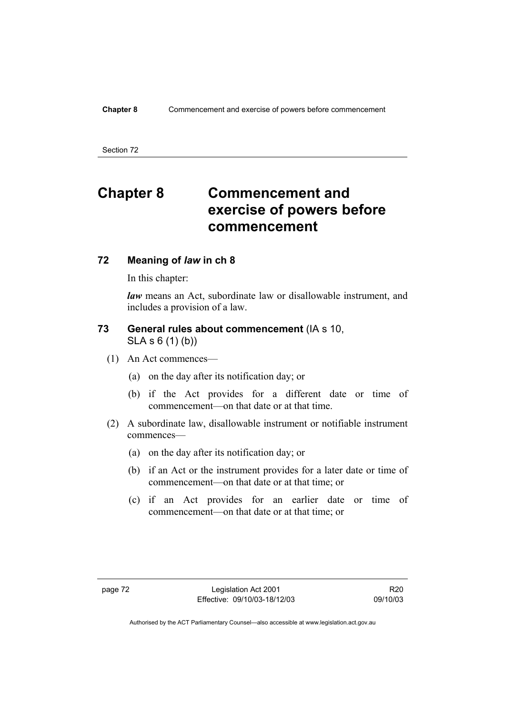# **Chapter 8 Commencement and exercise of powers before commencement**

### **72 Meaning of** *law* **in ch 8**

In this chapter:

*law* means an Act, subordinate law or disallowable instrument, and includes a provision of a law.

# **73 General rules about commencement** (IA s 10,

SLA s 6 (1) (b))

- (1) An Act commences—
	- (a) on the day after its notification day; or
	- (b) if the Act provides for a different date or time of commencement—on that date or at that time.
- (2) A subordinate law, disallowable instrument or notifiable instrument commences—
	- (a) on the day after its notification day; or
	- (b) if an Act or the instrument provides for a later date or time of commencement—on that date or at that time; or
	- (c) if an Act provides for an earlier date or time of commencement—on that date or at that time; or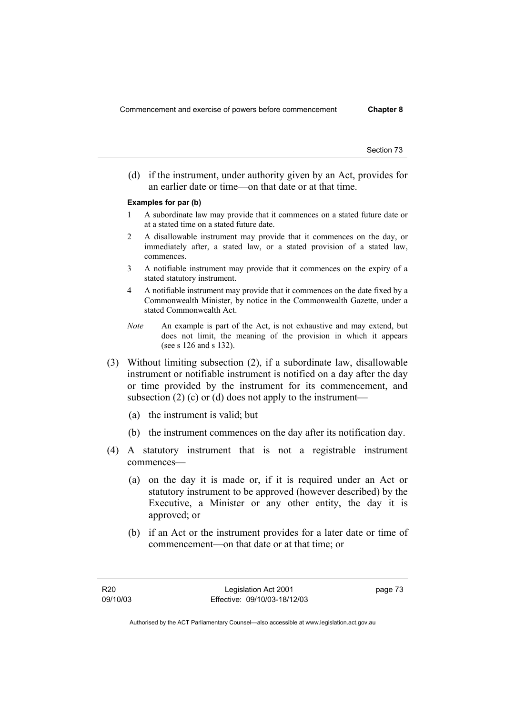(d) if the instrument, under authority given by an Act, provides for an earlier date or time—on that date or at that time.

### **Examples for par (b)**

- 1 A subordinate law may provide that it commences on a stated future date or at a stated time on a stated future date.
- 2 A disallowable instrument may provide that it commences on the day, or immediately after, a stated law, or a stated provision of a stated law, commences.
- 3 A notifiable instrument may provide that it commences on the expiry of a stated statutory instrument.
- 4 A notifiable instrument may provide that it commences on the date fixed by a Commonwealth Minister, by notice in the Commonwealth Gazette, under a stated Commonwealth Act.
- *Note* An example is part of the Act, is not exhaustive and may extend, but does not limit, the meaning of the provision in which it appears (see s 126 and s 132).
- (3) Without limiting subsection (2), if a subordinate law, disallowable instrument or notifiable instrument is notified on a day after the day or time provided by the instrument for its commencement, and subsection  $(2)$  (c) or (d) does not apply to the instrument—
	- (a) the instrument is valid; but
	- (b) the instrument commences on the day after its notification day.
- (4) A statutory instrument that is not a registrable instrument commences—
	- (a) on the day it is made or, if it is required under an Act or statutory instrument to be approved (however described) by the Executive, a Minister or any other entity, the day it is approved; or
	- (b) if an Act or the instrument provides for a later date or time of commencement—on that date or at that time; or

page 73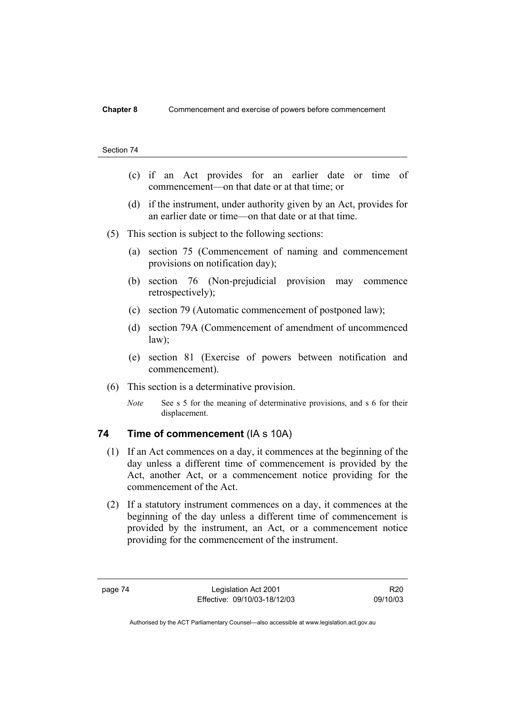- (c) if an Act provides for an earlier date or time of commencement—on that date or at that time; or
- (d) if the instrument, under authority given by an Act, provides for an earlier date or time—on that date or at that time.
- (5) This section is subject to the following sections:
	- (a) section 75 (Commencement of naming and commencement provisions on notification day);
	- (b) section 76 (Non-prejudicial provision may commence retrospectively);
	- (c) section 79 (Automatic commencement of postponed law);
	- (d) section 79A (Commencement of amendment of uncommenced law);
	- (e) section 81 (Exercise of powers between notification and commencement).
- (6) This section is a determinative provision.
	- *Note* See s 5 for the meaning of determinative provisions, and s 6 for their displacement.

### **74 Time of commencement** (IA s 10A)

- (1) If an Act commences on a day, it commences at the beginning of the day unless a different time of commencement is provided by the Act, another Act, or a commencement notice providing for the commencement of the Act.
- (2) If a statutory instrument commences on a day, it commences at the beginning of the day unless a different time of commencement is provided by the instrument, an Act, or a commencement notice providing for the commencement of the instrument.

R20 09/10/03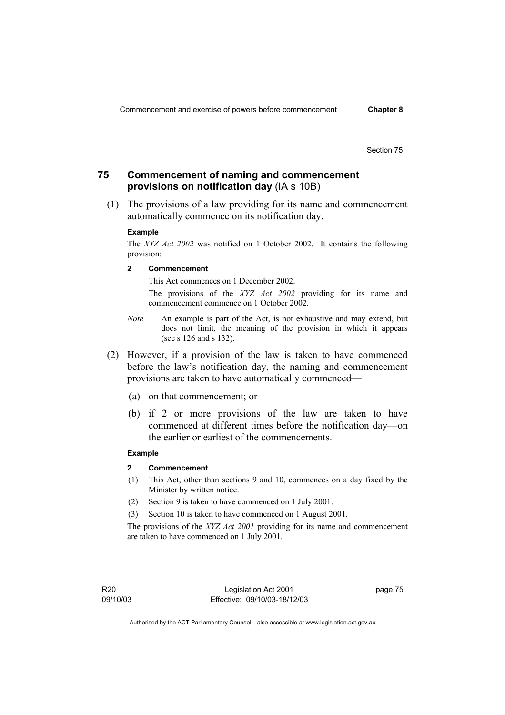# **75 Commencement of naming and commencement provisions on notification day** (IA s 10B)

 (1) The provisions of a law providing for its name and commencement automatically commence on its notification day.

#### **Example**

The *XYZ Act 2002* was notified on 1 October 2002. It contains the following provision:

**2 Commencement** 

This Act commences on 1 December 2002.

 The provisions of the *XYZ Act 2002* providing for its name and commencement commence on 1 October 2002.

- *Note* An example is part of the Act, is not exhaustive and may extend, but does not limit, the meaning of the provision in which it appears (see s 126 and s 132).
- (2) However, if a provision of the law is taken to have commenced before the law's notification day, the naming and commencement provisions are taken to have automatically commenced—
	- (a) on that commencement; or
	- (b) if 2 or more provisions of the law are taken to have commenced at different times before the notification day—on the earlier or earliest of the commencements.

### **Example**

### **2 Commencement**

- (1) This Act, other than sections 9 and 10, commences on a day fixed by the Minister by written notice.
- (2) Section 9 is taken to have commenced on 1 July 2001.
- (3) Section 10 is taken to have commenced on 1 August 2001.

The provisions of the *XYZ Act 2001* providing for its name and commencement are taken to have commenced on 1 July 2001.

R20 09/10/03 page 75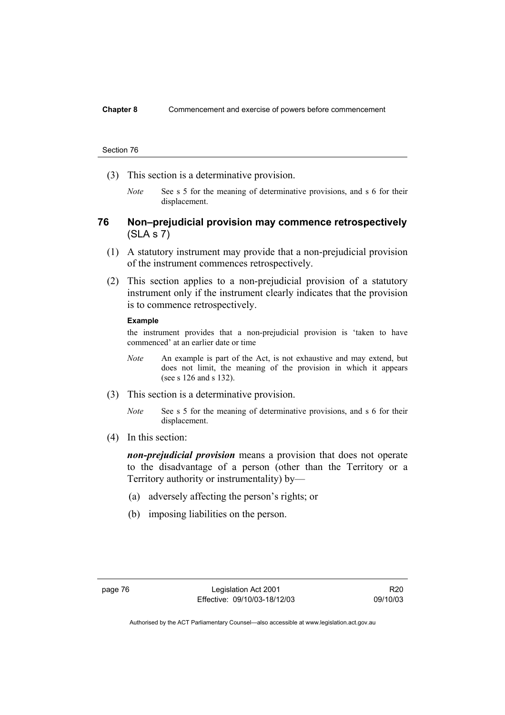- (3) This section is a determinative provision.
	- *Note* See s 5 for the meaning of determinative provisions, and s 6 for their displacement.

### **76 Non–prejudicial provision may commence retrospectively**  (SLA s 7)

- (1) A statutory instrument may provide that a non-prejudicial provision of the instrument commences retrospectively.
- (2) This section applies to a non-prejudicial provision of a statutory instrument only if the instrument clearly indicates that the provision is to commence retrospectively.

#### **Example**

the instrument provides that a non-prejudicial provision is 'taken to have commenced' at an earlier date or time

- *Note* An example is part of the Act, is not exhaustive and may extend, but does not limit, the meaning of the provision in which it appears (see s 126 and s 132).
- (3) This section is a determinative provision.
	- *Note* See s 5 for the meaning of determinative provisions, and s 6 for their displacement.
- (4) In this section:

*non-prejudicial provision* means a provision that does not operate to the disadvantage of a person (other than the Territory or a Territory authority or instrumentality) by—

- (a) adversely affecting the person's rights; or
- (b) imposing liabilities on the person.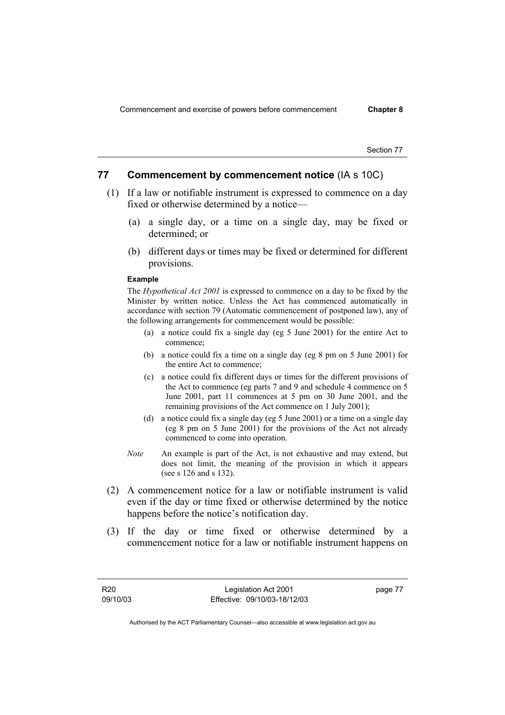### **77 Commencement by commencement notice** (IA s 10C)

- (1) If a law or notifiable instrument is expressed to commence on a day fixed or otherwise determined by a notice—
	- (a) a single day, or a time on a single day, may be fixed or determined; or
	- (b) different days or times may be fixed or determined for different provisions.

#### **Example**

The *Hypothetical Act 2001* is expressed to commence on a day to be fixed by the Minister by written notice. Unless the Act has commenced automatically in accordance with section 79 (Automatic commencement of postponed law), any of the following arrangements for commencement would be possible:

- (a) a notice could fix a single day (eg 5 June 2001) for the entire Act to commence;
- (b) a notice could fix a time on a single day (eg 8 pm on 5 June 2001) for the entire Act to commence;
- (c) a notice could fix different days or times for the different provisions of the Act to commence (eg parts 7 and 9 and schedule 4 commence on 5 June 2001, part 11 commences at 5 pm on 30 June 2001, and the remaining provisions of the Act commence on 1 July 2001);
- (d) a notice could fix a single day (eg 5 June 2001) or a time on a single day (eg 8 pm on 5 June 2001) for the provisions of the Act not already commenced to come into operation.
- *Note* An example is part of the Act, is not exhaustive and may extend, but does not limit, the meaning of the provision in which it appears (see s 126 and s 132).
- (2) A commencement notice for a law or notifiable instrument is valid even if the day or time fixed or otherwise determined by the notice happens before the notice's notification day.
- (3) If the day or time fixed or otherwise determined by a commencement notice for a law or notifiable instrument happens on

page 77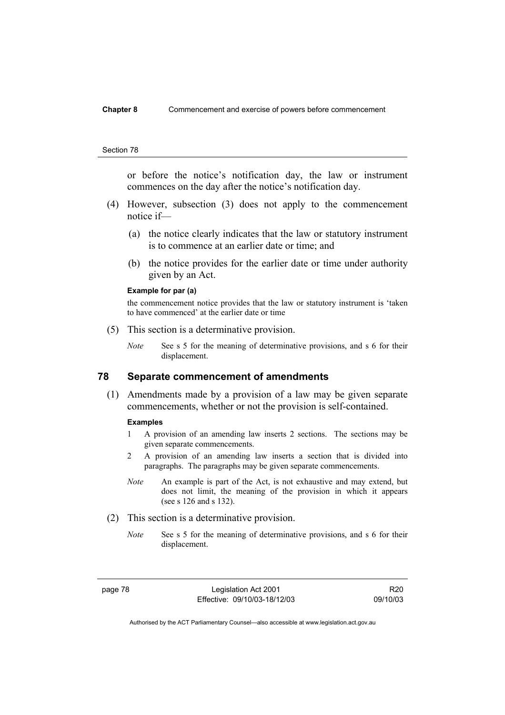### **Chapter 8** Commencement and exercise of powers before commencement

#### Section 78

or before the notice's notification day, the law or instrument commences on the day after the notice's notification day.

- (4) However, subsection (3) does not apply to the commencement notice if—
	- (a) the notice clearly indicates that the law or statutory instrument is to commence at an earlier date or time; and
	- (b) the notice provides for the earlier date or time under authority given by an Act.

#### **Example for par (a)**

the commencement notice provides that the law or statutory instrument is 'taken to have commenced' at the earlier date or time

- (5) This section is a determinative provision.
	- *Note* See s 5 for the meaning of determinative provisions, and s 6 for their displacement.

### **78 Separate commencement of amendments**

 (1) Amendments made by a provision of a law may be given separate commencements, whether or not the provision is self-contained.

### **Examples**

- 1 A provision of an amending law inserts 2 sections. The sections may be given separate commencements.
- 2 A provision of an amending law inserts a section that is divided into paragraphs. The paragraphs may be given separate commencements.
- *Note* An example is part of the Act, is not exhaustive and may extend, but does not limit, the meaning of the provision in which it appears (see s 126 and s 132).
- (2) This section is a determinative provision.
	- *Note* See s 5 for the meaning of determinative provisions, and s 6 for their displacement.

R20 09/10/03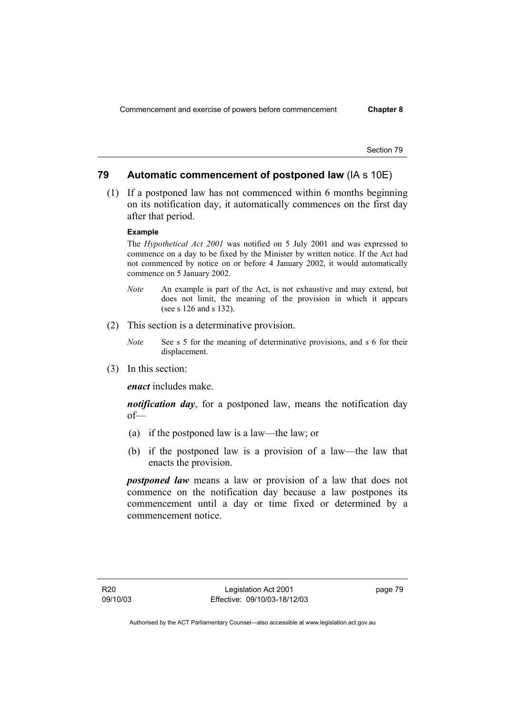# **79 Automatic commencement of postponed law** (IA s 10E)

 (1) If a postponed law has not commenced within 6 months beginning on its notification day, it automatically commences on the first day after that period.

## **Example**

The *Hypothetical Act 2001* was notified on 5 July 2001 and was expressed to commence on a day to be fixed by the Minister by written notice. If the Act had not commenced by notice on or before 4 January 2002, it would automatically commence on 5 January 2002.

- *Note* An example is part of the Act, is not exhaustive and may extend, but does not limit, the meaning of the provision in which it appears (see s 126 and s 132).
- (2) This section is a determinative provision.
	- *Note* See s 5 for the meaning of determinative provisions, and s 6 for their displacement.
- (3) In this section:

*enact* includes make.

*notification day*, for a postponed law, means the notification day of—

- (a) if the postponed law is a law—the law; or
- (b) if the postponed law is a provision of a law—the law that enacts the provision.

*postponed law* means a law or provision of a law that does not commence on the notification day because a law postpones its commencement until a day or time fixed or determined by a commencement notice.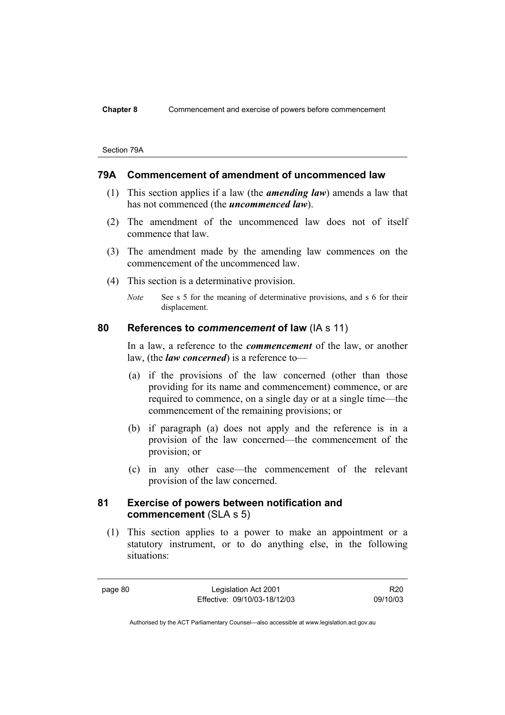#### Section 79A

### **79A Commencement of amendment of uncommenced law**

- (1) This section applies if a law (the *amending law*) amends a law that has not commenced (the *uncommenced law*).
- (2) The amendment of the uncommenced law does not of itself commence that law.
- (3) The amendment made by the amending law commences on the commencement of the uncommenced law.
- (4) This section is a determinative provision.

*Note* See s 5 for the meaning of determinative provisions, and s 6 for their displacement.

### **80 References to** *commencement* **of law** (IA s 11)

In a law, a reference to the *commencement* of the law, or another law, (the *law concerned*) is a reference to—

- (a) if the provisions of the law concerned (other than those providing for its name and commencement) commence, or are required to commence, on a single day or at a single time—the commencement of the remaining provisions; or
- (b) if paragraph (a) does not apply and the reference is in a provision of the law concerned—the commencement of the provision; or
- (c) in any other case—the commencement of the relevant provision of the law concerned.

### **81 Exercise of powers between notification and commencement** (SLA s 5)

 (1) This section applies to a power to make an appointment or a statutory instrument, or to do anything else, in the following situations:

page 80 Legislation Act 2001 Effective: 09/10/03-18/12/03

R20 09/10/03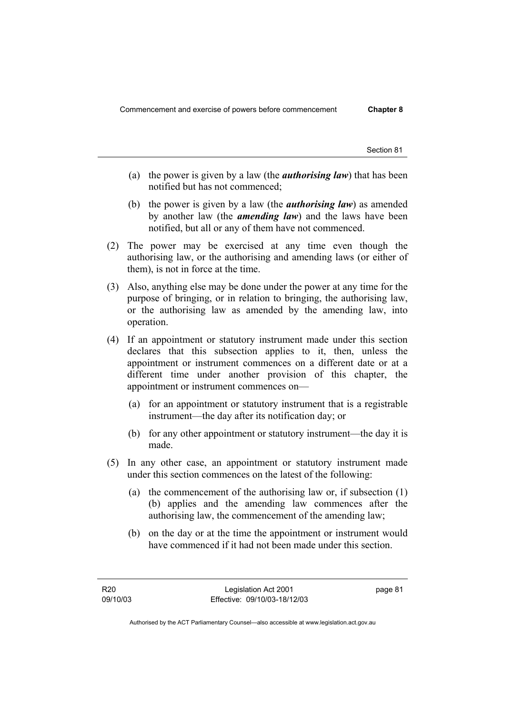- (a) the power is given by a law (the *authorising law*) that has been notified but has not commenced;
- (b) the power is given by a law (the *authorising law*) as amended by another law (the *amending law*) and the laws have been notified, but all or any of them have not commenced.
- (2) The power may be exercised at any time even though the authorising law, or the authorising and amending laws (or either of them), is not in force at the time.
- (3) Also, anything else may be done under the power at any time for the purpose of bringing, or in relation to bringing, the authorising law, or the authorising law as amended by the amending law, into operation.
- (4) If an appointment or statutory instrument made under this section declares that this subsection applies to it, then, unless the appointment or instrument commences on a different date or at a different time under another provision of this chapter, the appointment or instrument commences on—
	- (a) for an appointment or statutory instrument that is a registrable instrument—the day after its notification day; or
	- (b) for any other appointment or statutory instrument—the day it is made.
- (5) In any other case, an appointment or statutory instrument made under this section commences on the latest of the following:
	- (a) the commencement of the authorising law or, if subsection (1) (b) applies and the amending law commences after the authorising law, the commencement of the amending law;
	- (b) on the day or at the time the appointment or instrument would have commenced if it had not been made under this section.

page 81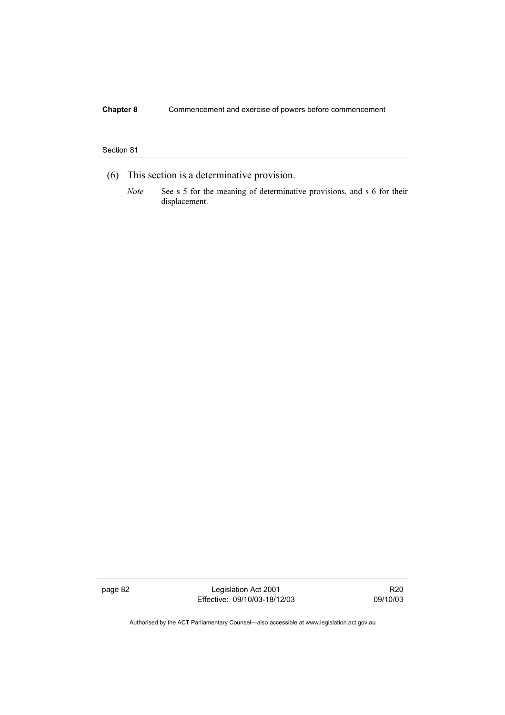# **Chapter 8** Commencement and exercise of powers before commencement

### Section 81

- (6) This section is a determinative provision.
	- *Note* See s 5 for the meaning of determinative provisions, and s 6 for their displacement.

page 82 Legislation Act 2001 Effective: 09/10/03-18/12/03

R20 09/10/03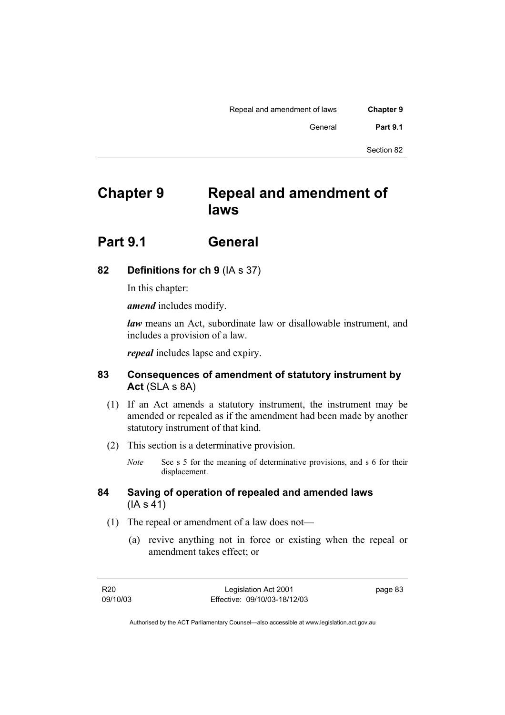| <b>Chapter 9</b> | Repeal and amendment of laws |  |
|------------------|------------------------------|--|
| <b>Part 9.1</b>  | General                      |  |
|                  |                              |  |

# **Chapter 9 Repeal and amendment of laws**

# **Part 9.1 General**

# **82 Definitions for ch 9** (IA s 37)

In this chapter:

*amend* includes modify.

*law* means an Act, subordinate law or disallowable instrument, and includes a provision of a law.

*repeal* includes lapse and expiry.

# **83 Consequences of amendment of statutory instrument by Act** (SLA s 8A)

- (1) If an Act amends a statutory instrument, the instrument may be amended or repealed as if the amendment had been made by another statutory instrument of that kind.
- (2) This section is a determinative provision.
	- *Note* See s 5 for the meaning of determinative provisions, and s 6 for their displacement.

# **84 Saving of operation of repealed and amended laws** (IA s 41)

- (1) The repeal or amendment of a law does not—
	- (a) revive anything not in force or existing when the repeal or amendment takes effect; or

page 83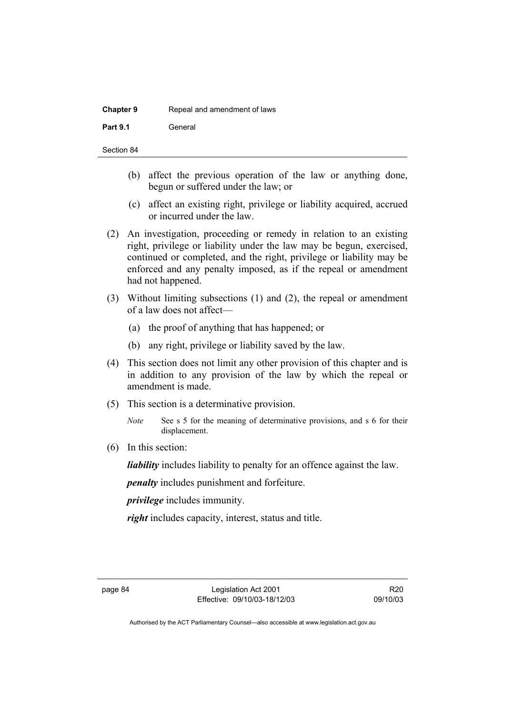| <b>Chapter 9</b> | Repeal and amendment of laws |
|------------------|------------------------------|
| <b>Part 9.1</b>  | General                      |

- (b) affect the previous operation of the law or anything done, begun or suffered under the law; or
- (c) affect an existing right, privilege or liability acquired, accrued or incurred under the law.
- (2) An investigation, proceeding or remedy in relation to an existing right, privilege or liability under the law may be begun, exercised, continued or completed, and the right, privilege or liability may be enforced and any penalty imposed, as if the repeal or amendment had not happened.
- (3) Without limiting subsections (1) and (2), the repeal or amendment of a law does not affect—
	- (a) the proof of anything that has happened; or
	- (b) any right, privilege or liability saved by the law.
- (4) This section does not limit any other provision of this chapter and is in addition to any provision of the law by which the repeal or amendment is made.
- (5) This section is a determinative provision.

(6) In this section:

*liability* includes liability to penalty for an offence against the law.

*penalty* includes punishment and forfeiture.

*privilege* includes immunity.

*right* includes capacity, interest, status and title.

*Note* See s 5 for the meaning of determinative provisions, and s 6 for their displacement.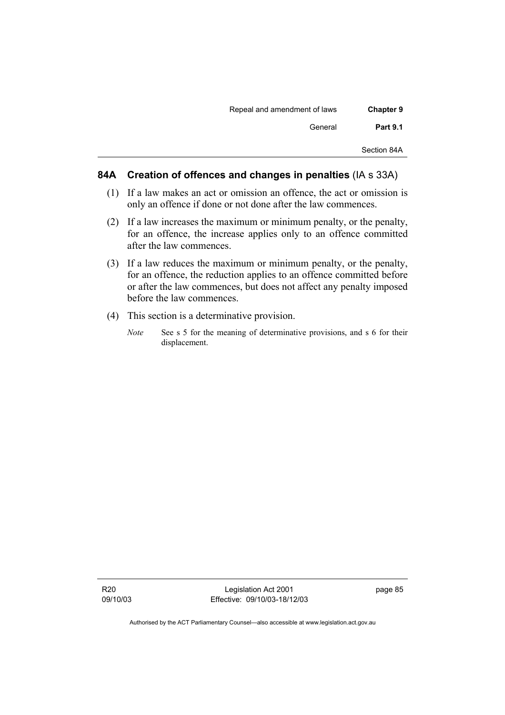| Repeal and amendment of laws |
|------------------------------|
| General                      |
|                              |
|                              |

## **84A Creation of offences and changes in penalties** (IA s 33A)

- (1) If a law makes an act or omission an offence, the act or omission is only an offence if done or not done after the law commences.
- (2) If a law increases the maximum or minimum penalty, or the penalty, for an offence, the increase applies only to an offence committed after the law commences.
- (3) If a law reduces the maximum or minimum penalty, or the penalty, for an offence, the reduction applies to an offence committed before or after the law commences, but does not affect any penalty imposed before the law commences.
- (4) This section is a determinative provision.
	- *Note* See s 5 for the meaning of determinative provisions, and s 6 for their displacement.

Legislation Act 2001 Effective: 09/10/03-18/12/03 page 85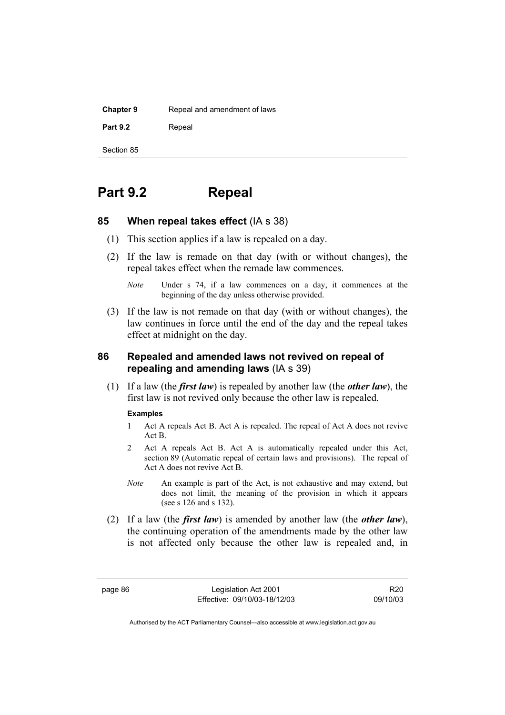| <b>Chapter 9</b> | Repeal and amendment of laws |  |
|------------------|------------------------------|--|
| <b>Part 9.2</b>  | Repeal                       |  |
| Section 85       |                              |  |

# **Part 9.2 Repeal**

### **85 When repeal takes effect** (IA s 38)

- (1) This section applies if a law is repealed on a day.
- (2) If the law is remade on that day (with or without changes), the repeal takes effect when the remade law commences.

*Note* Under s 74, if a law commences on a day, it commences at the beginning of the day unless otherwise provided.

 (3) If the law is not remade on that day (with or without changes), the law continues in force until the end of the day and the repeal takes effect at midnight on the day.

### **86 Repealed and amended laws not revived on repeal of repealing and amending laws** (IA s 39)

 (1) If a law (the *first law*) is repealed by another law (the *other law*), the first law is not revived only because the other law is repealed.

#### **Examples**

- 1 Act A repeals Act B. Act A is repealed. The repeal of Act A does not revive Act B.
- 2 Act A repeals Act B. Act A is automatically repealed under this Act, section 89 (Automatic repeal of certain laws and provisions). The repeal of Act A does not revive Act B.
- *Note* An example is part of the Act, is not exhaustive and may extend, but does not limit, the meaning of the provision in which it appears (see s 126 and s 132).
- (2) If a law (the *first law*) is amended by another law (the *other law*), the continuing operation of the amendments made by the other law is not affected only because the other law is repealed and, in

page 86 Legislation Act 2001 Effective: 09/10/03-18/12/03

R20 09/10/03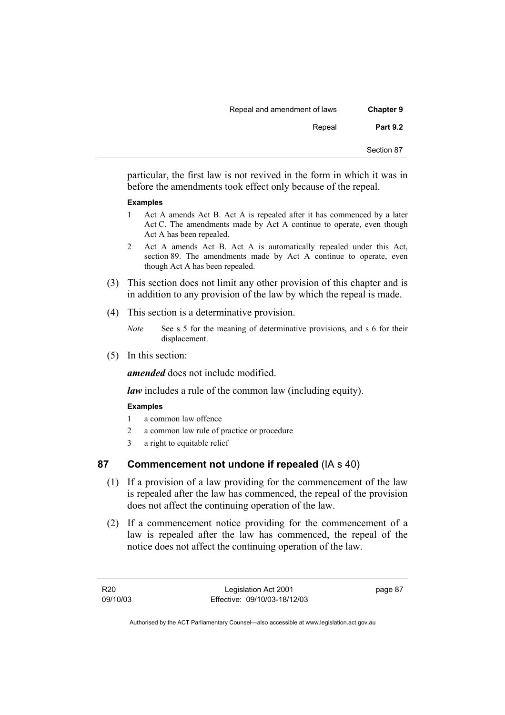| <b>Chapter 9</b> | Repeal and amendment of laws |
|------------------|------------------------------|
| <b>Part 9.2</b>  | Repeal                       |
| Section 87       |                              |

particular, the first law is not revived in the form in which it was in before the amendments took effect only because of the repeal.

### **Examples**

- 1 Act A amends Act B. Act A is repealed after it has commenced by a later Act C. The amendments made by Act A continue to operate, even though Act A has been repealed.
- 2 Act A amends Act B. Act A is automatically repealed under this Act, section 89. The amendments made by Act A continue to operate, even though Act A has been repealed.
- (3) This section does not limit any other provision of this chapter and is in addition to any provision of the law by which the repeal is made.
- (4) This section is a determinative provision.
	- *Note* See s 5 for the meaning of determinative provisions, and s 6 for their displacement.
- (5) In this section:

*amended* does not include modified.

*law* includes a rule of the common law (including equity).

### **Examples**

- 1 a common law offence
- 2 a common law rule of practice or procedure
- 3 a right to equitable relief

# **87 Commencement not undone if repealed** (IA s 40)

- (1) If a provision of a law providing for the commencement of the law is repealed after the law has commenced, the repeal of the provision does not affect the continuing operation of the law.
- (2) If a commencement notice providing for the commencement of a law is repealed after the law has commenced, the repeal of the notice does not affect the continuing operation of the law.

R20 09/10/03 page 87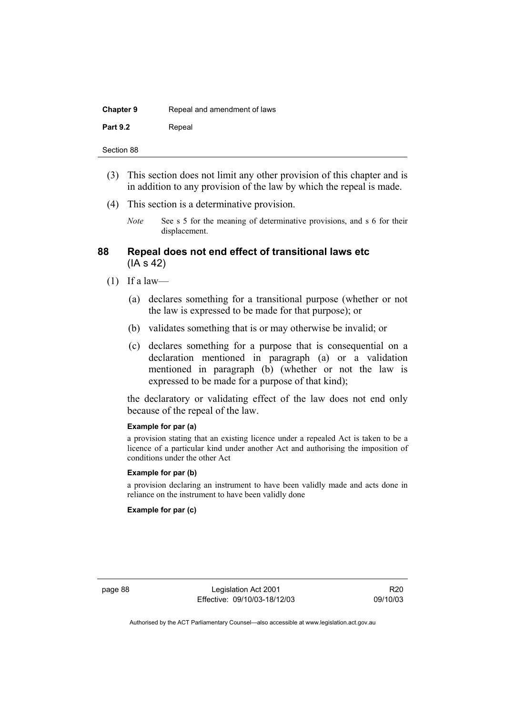| <b>Chapter 9</b> | Repeal and amendment of laws |
|------------------|------------------------------|
| <b>Part 9.2</b>  | Repeal                       |

- (3) This section does not limit any other provision of this chapter and is in addition to any provision of the law by which the repeal is made.
- (4) This section is a determinative provision.
	- *Note* See s 5 for the meaning of determinative provisions, and s 6 for their displacement.

### **88 Repeal does not end effect of transitional laws etc**  (IA s 42)

- $(1)$  If a law—
	- (a) declares something for a transitional purpose (whether or not the law is expressed to be made for that purpose); or
	- (b) validates something that is or may otherwise be invalid; or
	- (c) declares something for a purpose that is consequential on a declaration mentioned in paragraph (a) or a validation mentioned in paragraph (b) (whether or not the law is expressed to be made for a purpose of that kind);

the declaratory or validating effect of the law does not end only because of the repeal of the law.

#### **Example for par (a)**

a provision stating that an existing licence under a repealed Act is taken to be a licence of a particular kind under another Act and authorising the imposition of conditions under the other Act

### **Example for par (b)**

a provision declaring an instrument to have been validly made and acts done in reliance on the instrument to have been validly done

### **Example for par (c)**

page 88 Legislation Act 2001 Effective: 09/10/03-18/12/03

R20 09/10/03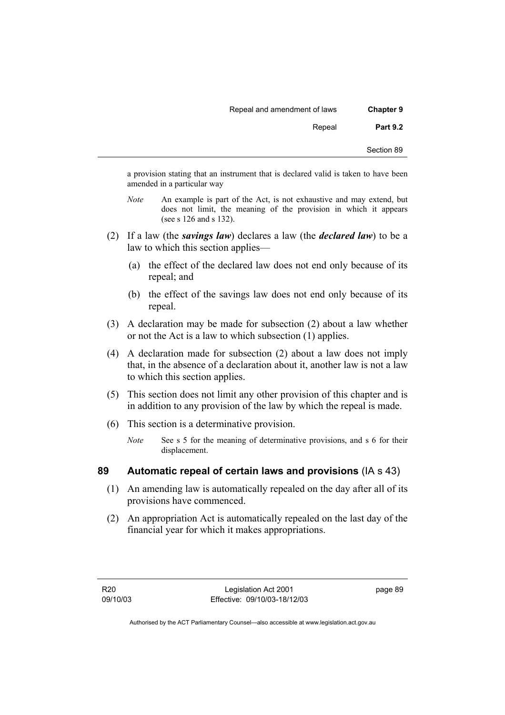| <b>Chapter 9</b> | Repeal and amendment of laws |
|------------------|------------------------------|
| <b>Part 9.2</b>  | Repeal                       |
| Section 89       |                              |

a provision stating that an instrument that is declared valid is taken to have been amended in a particular way

- *Note* An example is part of the Act, is not exhaustive and may extend, but does not limit, the meaning of the provision in which it appears (see s 126 and s 132).
- (2) If a law (the *savings law*) declares a law (the *declared law*) to be a law to which this section applies—
	- (a) the effect of the declared law does not end only because of its repeal; and
	- (b) the effect of the savings law does not end only because of its repeal.
- (3) A declaration may be made for subsection (2) about a law whether or not the Act is a law to which subsection (1) applies.
- (4) A declaration made for subsection (2) about a law does not imply that, in the absence of a declaration about it, another law is not a law to which this section applies.
- (5) This section does not limit any other provision of this chapter and is in addition to any provision of the law by which the repeal is made.
- (6) This section is a determinative provision.
	- *Note* See s 5 for the meaning of determinative provisions, and s 6 for their displacement.

# **89 Automatic repeal of certain laws and provisions** (IA s 43)

- (1) An amending law is automatically repealed on the day after all of its provisions have commenced.
- (2) An appropriation Act is automatically repealed on the last day of the financial year for which it makes appropriations.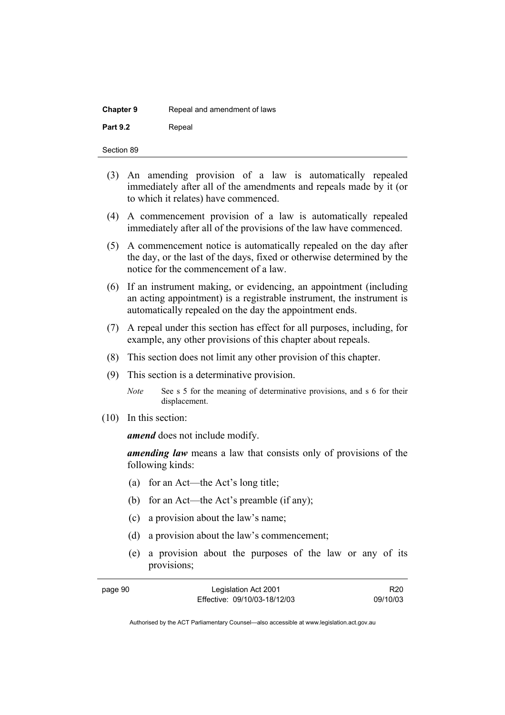| <b>Chapter 9</b> | Repeal and amendment of laws |
|------------------|------------------------------|
| <b>Part 9.2</b>  | Repeal                       |

| Section 89 |  |
|------------|--|
|            |  |

- (3) An amending provision of a law is automatically repealed immediately after all of the amendments and repeals made by it (or to which it relates) have commenced.
- (4) A commencement provision of a law is automatically repealed immediately after all of the provisions of the law have commenced.
- (5) A commencement notice is automatically repealed on the day after the day, or the last of the days, fixed or otherwise determined by the notice for the commencement of a law.
- (6) If an instrument making, or evidencing, an appointment (including an acting appointment) is a registrable instrument, the instrument is automatically repealed on the day the appointment ends.
- (7) A repeal under this section has effect for all purposes, including, for example, any other provisions of this chapter about repeals.
- (8) This section does not limit any other provision of this chapter.
- (9) This section is a determinative provision.

(10) In this section:

*amend* does not include modify.

*amending law* means a law that consists only of provisions of the following kinds:

- (a) for an Act—the Act's long title;
- (b) for an Act—the Act's preamble (if any);
- (c) a provision about the law's name;
- (d) a provision about the law's commencement;
- (e) a provision about the purposes of the law or any of its provisions;

| page 90 | Legislation Act 2001         | R <sub>20</sub> |
|---------|------------------------------|-----------------|
|         | Effective: 09/10/03-18/12/03 | 09/10/03        |

*Note* See s 5 for the meaning of determinative provisions, and s 6 for their displacement.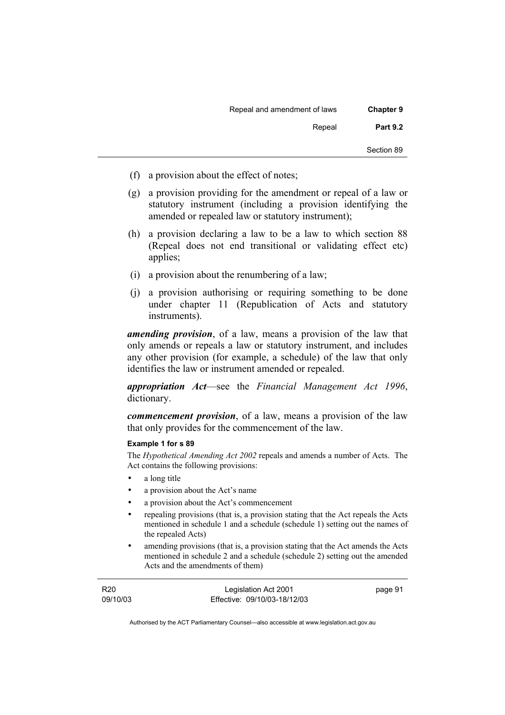| <b>Chapter 9</b> | Repeal and amendment of laws |
|------------------|------------------------------|
| <b>Part 9.2</b>  | Repeal                       |
| Section 89       |                              |

- (f) a provision about the effect of notes;
- (g) a provision providing for the amendment or repeal of a law or statutory instrument (including a provision identifying the amended or repealed law or statutory instrument);
- (h) a provision declaring a law to be a law to which section 88 (Repeal does not end transitional or validating effect etc) applies;
- (i) a provision about the renumbering of a law;
- (j) a provision authorising or requiring something to be done under chapter 11 (Republication of Acts and statutory instruments).

*amending provision*, of a law, means a provision of the law that only amends or repeals a law or statutory instrument, and includes any other provision (for example, a schedule) of the law that only identifies the law or instrument amended or repealed.

*appropriation Act*—see the *Financial Management Act 1996*, dictionary.

*commencement provision*, of a law, means a provision of the law that only provides for the commencement of the law.

### **Example 1 for s 89**

The *Hypothetical Amending Act 2002* repeals and amends a number of Acts. The Act contains the following provisions:

- a long title
- a provision about the Act's name
- a provision about the Act's commencement
- repealing provisions (that is, a provision stating that the Act repeals the Acts mentioned in schedule 1 and a schedule (schedule 1) setting out the names of the repealed Acts)
- amending provisions (that is, a provision stating that the Act amends the Acts mentioned in schedule 2 and a schedule (schedule 2) setting out the amended Acts and the amendments of them)

| R20      | Legislation Act 2001         | page 91 |
|----------|------------------------------|---------|
| 09/10/03 | Effective: 09/10/03-18/12/03 |         |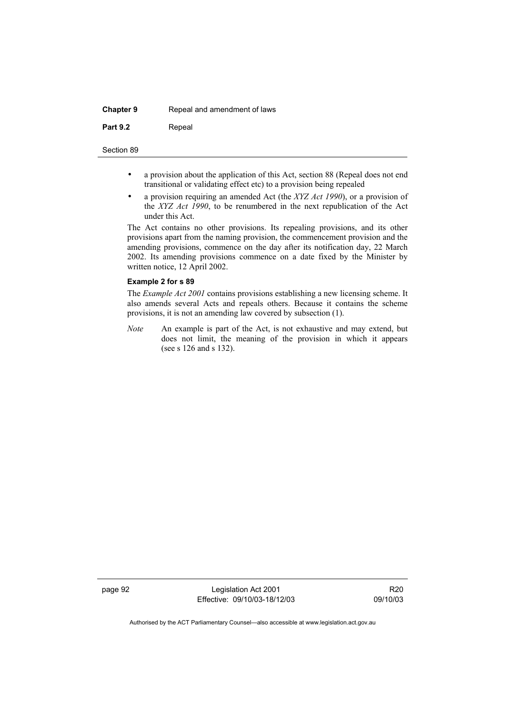| <b>Chapter 9</b> | Repeal and amendment of laws |
|------------------|------------------------------|
| <b>Part 9.2</b>  | Repeal                       |

- a provision about the application of this Act, section 88 (Repeal does not end transitional or validating effect etc) to a provision being repealed
- a provision requiring an amended Act (the *XYZ Act 1990*), or a provision of the *XYZ Act 1990*, to be renumbered in the next republication of the Act under this Act.

The Act contains no other provisions. Its repealing provisions, and its other provisions apart from the naming provision, the commencement provision and the amending provisions, commence on the day after its notification day, 22 March 2002. Its amending provisions commence on a date fixed by the Minister by written notice, 12 April 2002.

### **Example 2 for s 89**

The *Example Act 2001* contains provisions establishing a new licensing scheme. It also amends several Acts and repeals others. Because it contains the scheme provisions, it is not an amending law covered by subsection (1).

*Note* An example is part of the Act, is not exhaustive and may extend, but does not limit, the meaning of the provision in which it appears (see s 126 and s 132).

page 92 Legislation Act 2001 Effective: 09/10/03-18/12/03

R20 09/10/03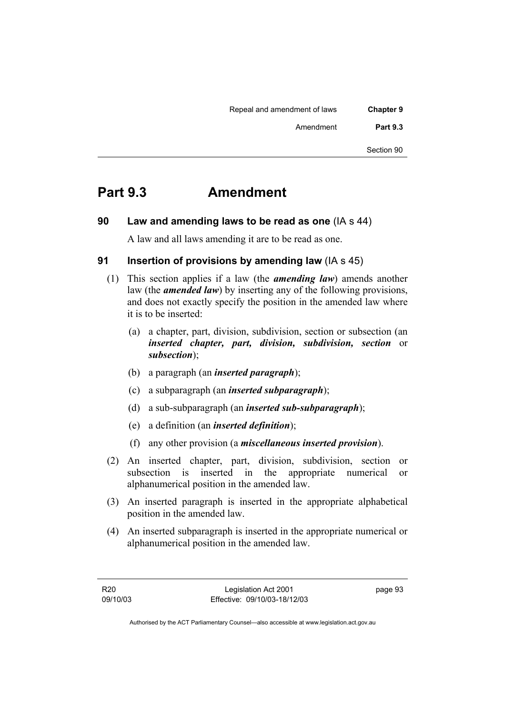| <b>Chapter 9</b> | Repeal and amendment of laws |
|------------------|------------------------------|
| <b>Part 9.3</b>  | Amendment                    |
| Section 90       |                              |

## **Part 9.3 Amendment**

**90 Law and amending laws to be read as one** (IA s 44)

A law and all laws amending it are to be read as one.

## **91 Insertion of provisions by amending law** (IA s 45)

- (1) This section applies if a law (the *amending law*) amends another law (the *amended law*) by inserting any of the following provisions, and does not exactly specify the position in the amended law where it is to be inserted:
	- (a) a chapter, part, division, subdivision, section or subsection (an *inserted chapter, part, division, subdivision, section* or *subsection*);
	- (b) a paragraph (an *inserted paragraph*);
	- (c) a subparagraph (an *inserted subparagraph*);
	- (d) a sub-subparagraph (an *inserted sub-subparagraph*);
	- (e) a definition (an *inserted definition*);
	- (f) any other provision (a *miscellaneous inserted provision*).
- (2) An inserted chapter, part, division, subdivision, section or subsection is inserted in the appropriate numerical or alphanumerical position in the amended law.
- (3) An inserted paragraph is inserted in the appropriate alphabetical position in the amended law.
- (4) An inserted subparagraph is inserted in the appropriate numerical or alphanumerical position in the amended law.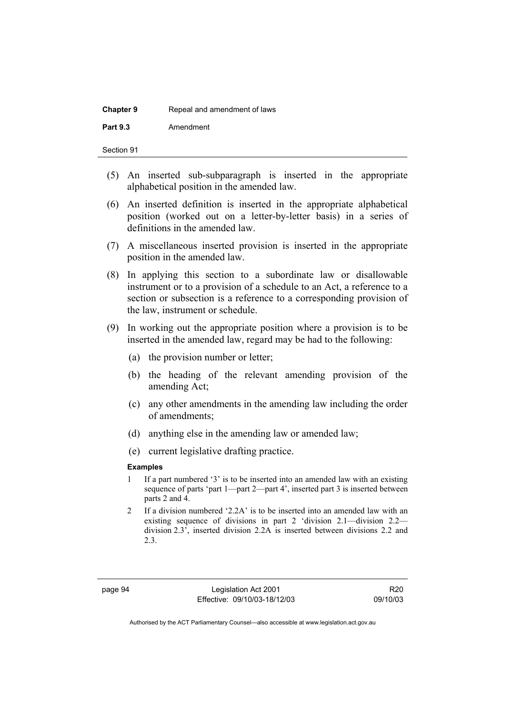| <b>Chapter 9</b> | Repeal and amendment of laws |
|------------------|------------------------------|
| <b>Part 9.3</b>  | Amendment                    |

- (5) An inserted sub-subparagraph is inserted in the appropriate alphabetical position in the amended law.
- (6) An inserted definition is inserted in the appropriate alphabetical position (worked out on a letter-by-letter basis) in a series of definitions in the amended law.
- (7) A miscellaneous inserted provision is inserted in the appropriate position in the amended law.
- (8) In applying this section to a subordinate law or disallowable instrument or to a provision of a schedule to an Act, a reference to a section or subsection is a reference to a corresponding provision of the law, instrument or schedule.
- (9) In working out the appropriate position where a provision is to be inserted in the amended law, regard may be had to the following:
	- (a) the provision number or letter;
	- (b) the heading of the relevant amending provision of the amending Act;
	- (c) any other amendments in the amending law including the order of amendments;
	- (d) anything else in the amending law or amended law;
	- (e) current legislative drafting practice.

### **Examples**

- 1 If a part numbered '3' is to be inserted into an amended law with an existing sequence of parts 'part 1—part 2—part 4', inserted part 3 is inserted between parts 2 and 4.
- 2 If a division numbered '2.2A' is to be inserted into an amended law with an existing sequence of divisions in part 2 'division 2.1—division 2.2 division 2.3', inserted division 2.2A is inserted between divisions 2.2 and 2.3.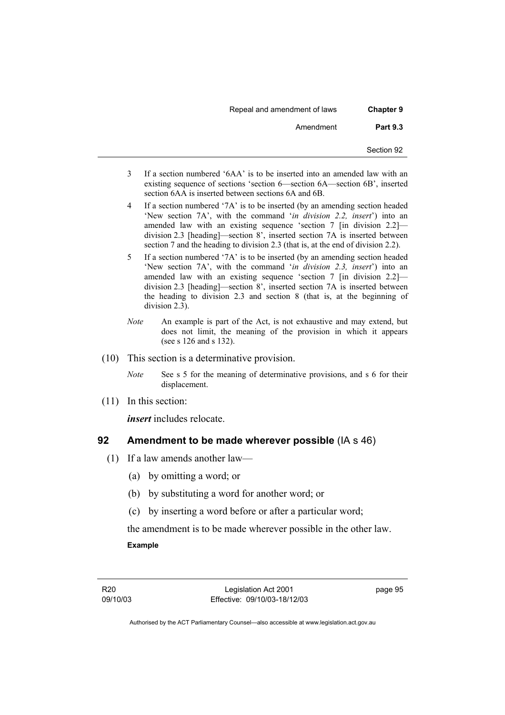| <b>Chapter 9</b> | Repeal and amendment of laws |
|------------------|------------------------------|
| <b>Part 9.3</b>  | Amendment                    |
| Section 92       |                              |

- 3 If a section numbered '6AA' is to be inserted into an amended law with an existing sequence of sections 'section 6—section 6A—section 6B', inserted section 6AA is inserted between sections 6A and 6B.
- 4 If a section numbered '7A' is to be inserted (by an amending section headed 'New section 7A', with the command '*in division 2.2, insert*') into an amended law with an existing sequence 'section 7 [in division 2.2] division 2.3 [heading]—section 8', inserted section 7A is inserted between section 7 and the heading to division 2.3 (that is, at the end of division 2.2).
- 5 If a section numbered '7A' is to be inserted (by an amending section headed 'New section 7A', with the command '*in division 2.3, insert*') into an amended law with an existing sequence 'section 7 [in division 2.2] division 2.3 [heading]—section 8', inserted section 7A is inserted between the heading to division 2.3 and section 8 (that is, at the beginning of division 2.3).
- *Note* An example is part of the Act, is not exhaustive and may extend, but does not limit, the meaning of the provision in which it appears (see s 126 and s 132).
- (10) This section is a determinative provision.

*Note* See s 5 for the meaning of determinative provisions, and s 6 for their displacement.

(11) In this section:

*insert* includes relocate.

### **92 Amendment to be made wherever possible** (IA s 46)

- (1) If a law amends another law—
	- (a) by omitting a word; or
	- (b) by substituting a word for another word; or
	- (c) by inserting a word before or after a particular word;

the amendment is to be made wherever possible in the other law. **Example** 

page 95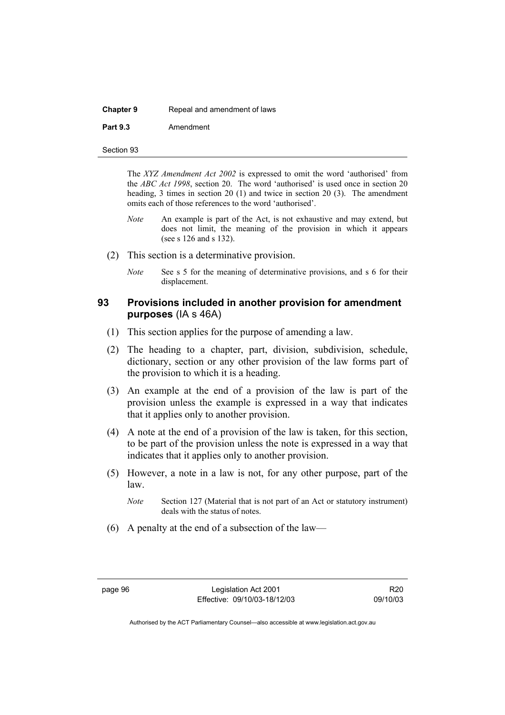| <b>Chapter 9</b> | Repeal and amendment of laws |
|------------------|------------------------------|
| <b>Part 9.3</b>  | Amendment                    |

Section 93

The *XYZ Amendment Act 2002* is expressed to omit the word 'authorised' from the *ABC Act 1998*, section 20. The word 'authorised' is used once in section 20 heading, 3 times in section 20 (1) and twice in section 20 (3). The amendment omits each of those references to the word 'authorised'.

- *Note* An example is part of the Act, is not exhaustive and may extend, but does not limit, the meaning of the provision in which it appears (see s 126 and s 132).
- (2) This section is a determinative provision.
	- *Note* See s 5 for the meaning of determinative provisions, and s 6 for their displacement.

### **93 Provisions included in another provision for amendment purposes** (IA s 46A)

- (1) This section applies for the purpose of amending a law.
- (2) The heading to a chapter, part, division, subdivision, schedule, dictionary, section or any other provision of the law forms part of the provision to which it is a heading.
- (3) An example at the end of a provision of the law is part of the provision unless the example is expressed in a way that indicates that it applies only to another provision.
- (4) A note at the end of a provision of the law is taken, for this section, to be part of the provision unless the note is expressed in a way that indicates that it applies only to another provision.
- (5) However, a note in a law is not, for any other purpose, part of the law.
	- *Note* Section 127 (Material that is not part of an Act or statutory instrument) deals with the status of notes.
- (6) A penalty at the end of a subsection of the law—

R20 09/10/03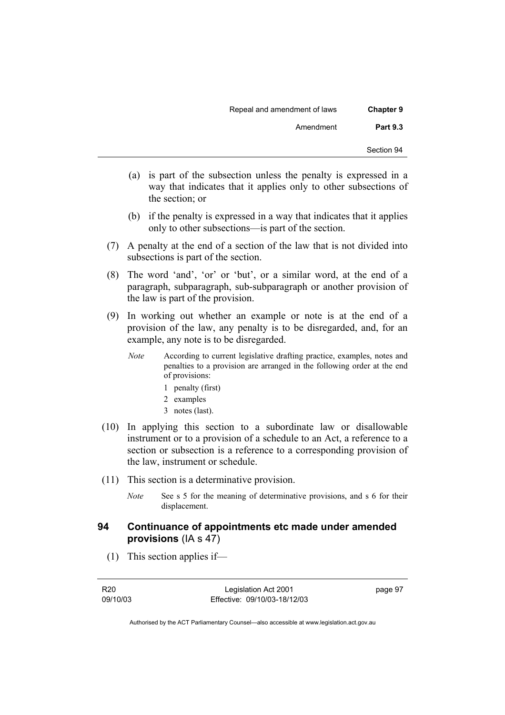| <b>Chapter 9</b> | Repeal and amendment of laws |
|------------------|------------------------------|
| <b>Part 9.3</b>  | Amendment                    |
| Section 94       |                              |

- (a) is part of the subsection unless the penalty is expressed in a way that indicates that it applies only to other subsections of the section; or
- (b) if the penalty is expressed in a way that indicates that it applies only to other subsections—is part of the section.
- (7) A penalty at the end of a section of the law that is not divided into subsections is part of the section.
- (8) The word 'and', 'or' or 'but', or a similar word, at the end of a paragraph, subparagraph, sub-subparagraph or another provision of the law is part of the provision.
- (9) In working out whether an example or note is at the end of a provision of the law, any penalty is to be disregarded, and, for an example, any note is to be disregarded.
	- *Note* According to current legislative drafting practice, examples, notes and penalties to a provision are arranged in the following order at the end of provisions:
		- 1 penalty (first)
		- 2 examples
		- 3 notes (last).
- (10) In applying this section to a subordinate law or disallowable instrument or to a provision of a schedule to an Act, a reference to a section or subsection is a reference to a corresponding provision of the law, instrument or schedule.
- (11) This section is a determinative provision.
	- *Note* See s 5 for the meaning of determinative provisions, and s 6 for their displacement.

## **94 Continuance of appointments etc made under amended provisions** (IA s 47)

(1) This section applies if—

page 97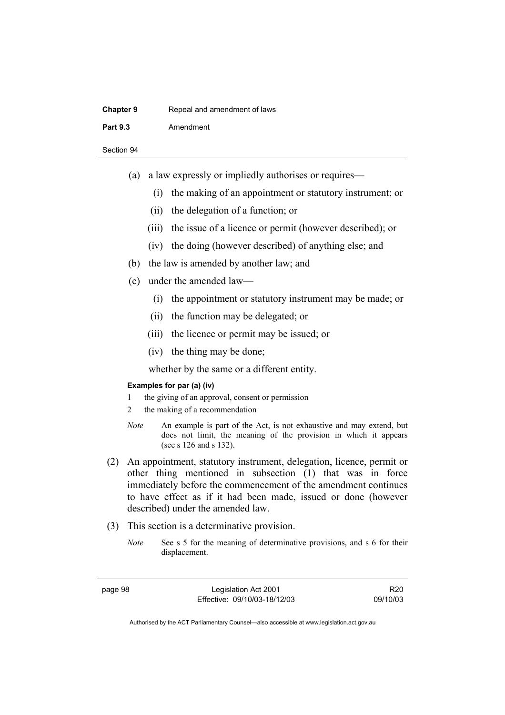| <b>Chapter 9</b> | Repeal and amendment of laws |
|------------------|------------------------------|
| <b>Part 9.3</b>  | Amendment                    |
|                  |                              |

- (a) a law expressly or impliedly authorises or requires—
	- (i) the making of an appointment or statutory instrument; or
	- (ii) the delegation of a function; or
	- (iii) the issue of a licence or permit (however described); or
	- (iv) the doing (however described) of anything else; and
- (b) the law is amended by another law; and
- (c) under the amended law—
	- (i) the appointment or statutory instrument may be made; or
	- (ii) the function may be delegated; or
	- (iii) the licence or permit may be issued; or
	- (iv) the thing may be done;

whether by the same or a different entity.

### **Examples for par (a) (iv)**

- 1 the giving of an approval, consent or permission
- 2 the making of a recommendation
- *Note* An example is part of the Act, is not exhaustive and may extend, but does not limit, the meaning of the provision in which it appears (see s 126 and s 132).
- (2) An appointment, statutory instrument, delegation, licence, permit or other thing mentioned in subsection (1) that was in force immediately before the commencement of the amendment continues to have effect as if it had been made, issued or done (however described) under the amended law.
- (3) This section is a determinative provision.
	- *Note* See s 5 for the meaning of determinative provisions, and s 6 for their displacement.

R20 09/10/03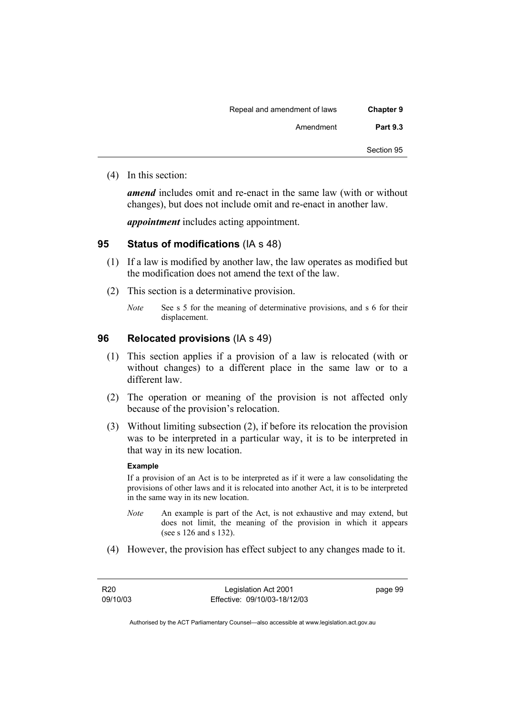| <b>Chapter 9</b> | Repeal and amendment of laws |
|------------------|------------------------------|
| <b>Part 9.3</b>  | Amendment                    |
| Section 95       |                              |

(4) In this section:

*amend* includes omit and re-enact in the same law (with or without changes), but does not include omit and re-enact in another law.

*appointment* includes acting appointment.

## **95 Status of modifications** (IA s 48)

- (1) If a law is modified by another law, the law operates as modified but the modification does not amend the text of the law.
- (2) This section is a determinative provision.
	- *Note* See s 5 for the meaning of determinative provisions, and s 6 for their displacement.

### **96 Relocated provisions** (IA s 49)

- (1) This section applies if a provision of a law is relocated (with or without changes) to a different place in the same law or to a different law.
- (2) The operation or meaning of the provision is not affected only because of the provision's relocation.
- (3) Without limiting subsection (2), if before its relocation the provision was to be interpreted in a particular way, it is to be interpreted in that way in its new location.

### **Example**

If a provision of an Act is to be interpreted as if it were a law consolidating the provisions of other laws and it is relocated into another Act, it is to be interpreted in the same way in its new location.

- *Note* An example is part of the Act, is not exhaustive and may extend, but does not limit, the meaning of the provision in which it appears (see s 126 and s 132).
- (4) However, the provision has effect subject to any changes made to it.

page 99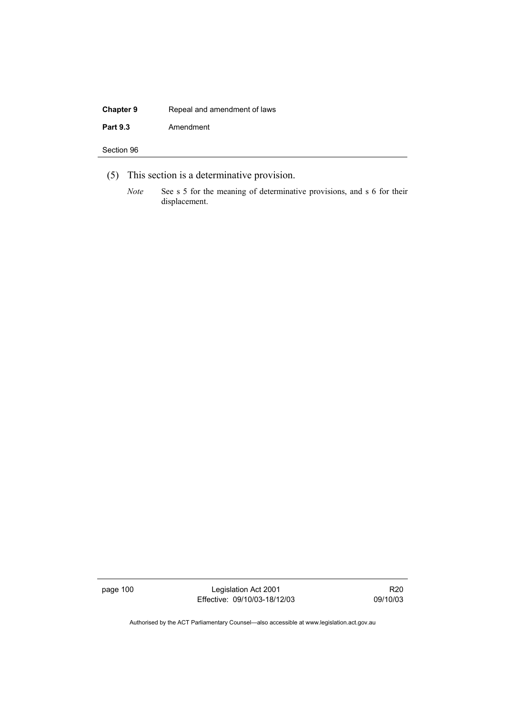# **Chapter 9 Repeal and amendment of laws** Part 9.3 **Amendment**

Section 96

- (5) This section is a determinative provision.
	- *Note* See s 5 for the meaning of determinative provisions, and s 6 for their displacement.

page 100 Legislation Act 2001 Effective: 09/10/03-18/12/03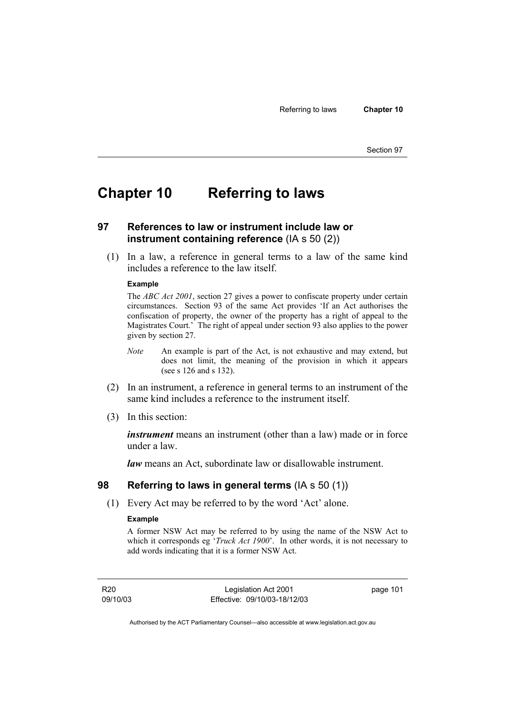## **Chapter 10 Referring to laws**

## **97 References to law or instrument include law or instrument containing reference** (IA s 50 (2))

 (1) In a law, a reference in general terms to a law of the same kind includes a reference to the law itself.

### **Example**

The *ABC Act 2001*, section 27 gives a power to confiscate property under certain circumstances. Section 93 of the same Act provides 'If an Act authorises the confiscation of property, the owner of the property has a right of appeal to the Magistrates Court.' The right of appeal under section 93 also applies to the power given by section 27.

- *Note* An example is part of the Act, is not exhaustive and may extend, but does not limit, the meaning of the provision in which it appears (see s 126 and s 132).
- (2) In an instrument, a reference in general terms to an instrument of the same kind includes a reference to the instrument itself.
- (3) In this section:

*instrument* means an instrument (other than a law) made or in force under a law.

*law* means an Act, subordinate law or disallowable instrument.

### **98 Referring to laws in general terms** (IA s 50 (1))

(1) Every Act may be referred to by the word 'Act' alone.

### **Example**

A former NSW Act may be referred to by using the name of the NSW Act to which it corresponds eg '*Truck Act 1900*'. In other words, it is not necessary to add words indicating that it is a former NSW Act.

R20 09/10/03

Legislation Act 2001 Effective: 09/10/03-18/12/03 page 101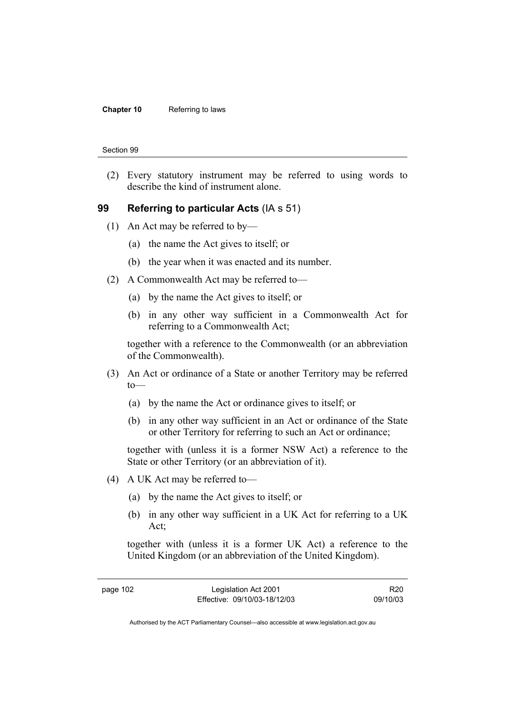### **Chapter 10** Referring to laws

#### Section 99

 (2) Every statutory instrument may be referred to using words to describe the kind of instrument alone.

### **99 Referring to particular Acts** (IA s 51)

- (1) An Act may be referred to by—
	- (a) the name the Act gives to itself; or
	- (b) the year when it was enacted and its number.
- (2) A Commonwealth Act may be referred to—
	- (a) by the name the Act gives to itself; or
	- (b) in any other way sufficient in a Commonwealth Act for referring to a Commonwealth Act;

together with a reference to the Commonwealth (or an abbreviation of the Commonwealth).

- (3) An Act or ordinance of a State or another Territory may be referred to—
	- (a) by the name the Act or ordinance gives to itself; or
	- (b) in any other way sufficient in an Act or ordinance of the State or other Territory for referring to such an Act or ordinance;

together with (unless it is a former NSW Act) a reference to the State or other Territory (or an abbreviation of it).

- (4) A UK Act may be referred to—
	- (a) by the name the Act gives to itself; or
	- (b) in any other way sufficient in a UK Act for referring to a UK Act;

together with (unless it is a former UK Act) a reference to the United Kingdom (or an abbreviation of the United Kingdom).

R20 09/10/03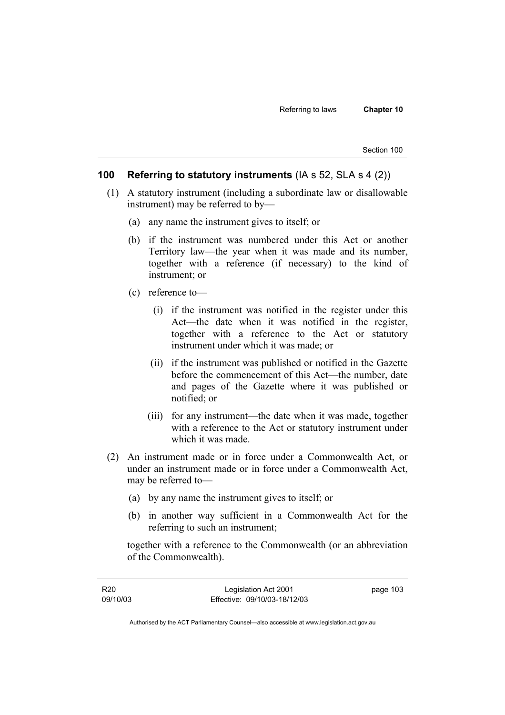### **100 Referring to statutory instruments** (IA s 52, SLA s 4 (2))

- (1) A statutory instrument (including a subordinate law or disallowable instrument) may be referred to by—
	- (a) any name the instrument gives to itself; or
	- (b) if the instrument was numbered under this Act or another Territory law—the year when it was made and its number, together with a reference (if necessary) to the kind of instrument; or
	- (c) reference to—
		- (i) if the instrument was notified in the register under this Act—the date when it was notified in the register, together with a reference to the Act or statutory instrument under which it was made; or
		- (ii) if the instrument was published or notified in the Gazette before the commencement of this Act—the number, date and pages of the Gazette where it was published or notified; or
		- (iii) for any instrument—the date when it was made, together with a reference to the Act or statutory instrument under which it was made.
- (2) An instrument made or in force under a Commonwealth Act, or under an instrument made or in force under a Commonwealth Act, may be referred to—
	- (a) by any name the instrument gives to itself; or
	- (b) in another way sufficient in a Commonwealth Act for the referring to such an instrument;

together with a reference to the Commonwealth (or an abbreviation of the Commonwealth).

| R20      | Legislation Act 2001         | page 103 |
|----------|------------------------------|----------|
| 09/10/03 | Effective: 09/10/03-18/12/03 |          |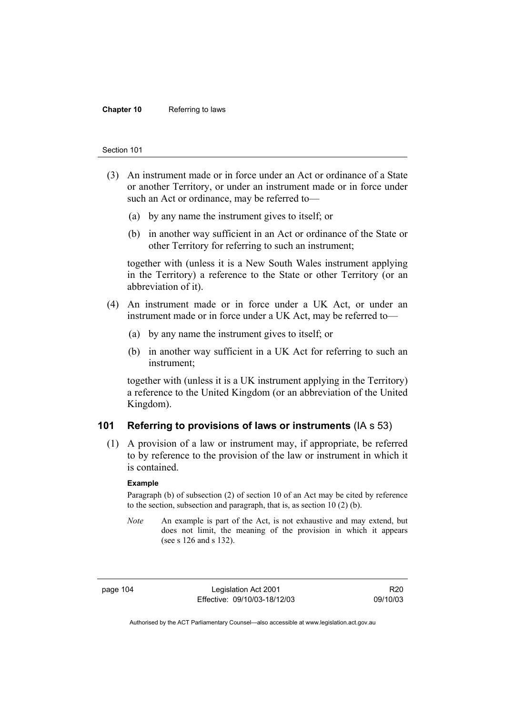#### **Chapter 10** Referring to laws

#### Section 101

- (3) An instrument made or in force under an Act or ordinance of a State or another Territory, or under an instrument made or in force under such an Act or ordinance, may be referred to—
	- (a) by any name the instrument gives to itself; or
	- (b) in another way sufficient in an Act or ordinance of the State or other Territory for referring to such an instrument;

together with (unless it is a New South Wales instrument applying in the Territory) a reference to the State or other Territory (or an abbreviation of it).

- (4) An instrument made or in force under a UK Act, or under an instrument made or in force under a UK Act, may be referred to—
	- (a) by any name the instrument gives to itself; or
	- (b) in another way sufficient in a UK Act for referring to such an instrument;

together with (unless it is a UK instrument applying in the Territory) a reference to the United Kingdom (or an abbreviation of the United Kingdom).

### **101 Referring to provisions of laws or instruments** (IA s 53)

 (1) A provision of a law or instrument may, if appropriate, be referred to by reference to the provision of the law or instrument in which it is contained.

#### **Example**

Paragraph (b) of subsection (2) of section 10 of an Act may be cited by reference to the section, subsection and paragraph, that is, as section 10 (2) (b).

*Note* An example is part of the Act, is not exhaustive and may extend, but does not limit, the meaning of the provision in which it appears (see s 126 and s 132).

page 104 Legislation Act 2001 Effective: 09/10/03-18/12/03

R20 09/10/03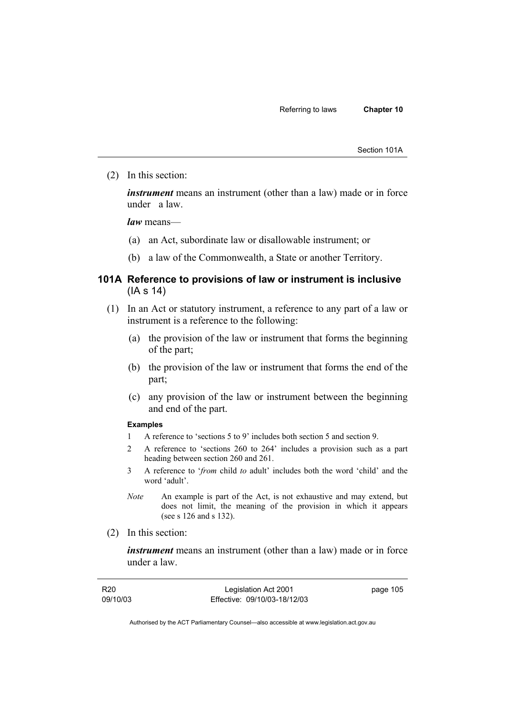Section 101A

(2) In this section:

*instrument* means an instrument (other than a law) made or in force under a law.

*law* means—

- (a) an Act, subordinate law or disallowable instrument; or
- (b) a law of the Commonwealth, a State or another Territory.

### **101A Reference to provisions of law or instrument is inclusive**  (IA s 14)

- (1) In an Act or statutory instrument, a reference to any part of a law or instrument is a reference to the following:
	- (a) the provision of the law or instrument that forms the beginning of the part;
	- (b) the provision of the law or instrument that forms the end of the part;
	- (c) any provision of the law or instrument between the beginning and end of the part.

### **Examples**

- 1 A reference to 'sections 5 to 9' includes both section 5 and section 9.
- 2 A reference to 'sections 260 to 264' includes a provision such as a part heading between section 260 and 261.
- 3 A reference to '*from* child *to* adult' includes both the word 'child' and the word 'adult'.
- *Note* An example is part of the Act, is not exhaustive and may extend, but does not limit, the meaning of the provision in which it appears (see s 126 and s 132).
- (2) In this section:

*instrument* means an instrument (other than a law) made or in force under a law.

| R <sub>20</sub> | Legislation Act 2001         | page 105 |
|-----------------|------------------------------|----------|
| 09/10/03        | Effective: 09/10/03-18/12/03 |          |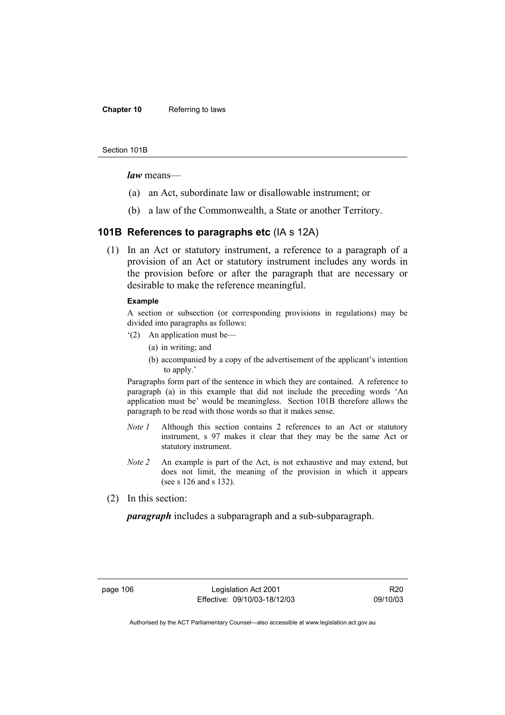### **Chapter 10** Referring to laws

#### Section 101B

*law* means—

- (a) an Act, subordinate law or disallowable instrument; or
- (b) a law of the Commonwealth, a State or another Territory.

### **101B References to paragraphs etc** (IA s 12A)

 (1) In an Act or statutory instrument, a reference to a paragraph of a provision of an Act or statutory instrument includes any words in the provision before or after the paragraph that are necessary or desirable to make the reference meaningful.

### **Example**

A section or subsection (or corresponding provisions in regulations) may be divided into paragraphs as follows:

- '(2) An application must be—
	- (a) in writing; and
	- (b) accompanied by a copy of the advertisement of the applicant's intention to apply.'

Paragraphs form part of the sentence in which they are contained. A reference to paragraph (a) in this example that did not include the preceding words 'An application must be' would be meaningless. Section 101B therefore allows the paragraph to be read with those words so that it makes sense.

- *Note 1* Although this section contains 2 references to an Act or statutory instrument, s 97 makes it clear that they may be the same Act or statutory instrument.
- *Note 2* An example is part of the Act, is not exhaustive and may extend, but does not limit, the meaning of the provision in which it appears (see s 126 and s 132).
- (2) In this section:

*paragraph* includes a subparagraph and a sub-subparagraph.

page 106 Legislation Act 2001 Effective: 09/10/03-18/12/03

R20 09/10/03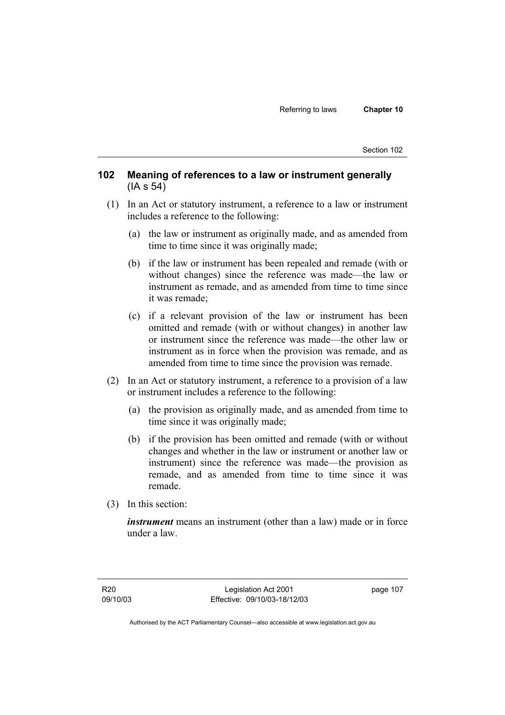### **102 Meaning of references to a law or instrument generally**  (IA s 54)

- (1) In an Act or statutory instrument, a reference to a law or instrument includes a reference to the following:
	- (a) the law or instrument as originally made, and as amended from time to time since it was originally made;
	- (b) if the law or instrument has been repealed and remade (with or without changes) since the reference was made—the law or instrument as remade, and as amended from time to time since it was remade;
	- (c) if a relevant provision of the law or instrument has been omitted and remade (with or without changes) in another law or instrument since the reference was made—the other law or instrument as in force when the provision was remade, and as amended from time to time since the provision was remade.
- (2) In an Act or statutory instrument, a reference to a provision of a law or instrument includes a reference to the following:
	- (a) the provision as originally made, and as amended from time to time since it was originally made;
	- (b) if the provision has been omitted and remade (with or without changes and whether in the law or instrument or another law or instrument) since the reference was made—the provision as remade, and as amended from time to time since it was remade.
- (3) In this section:

*instrument* means an instrument (other than a law) made or in force under a law.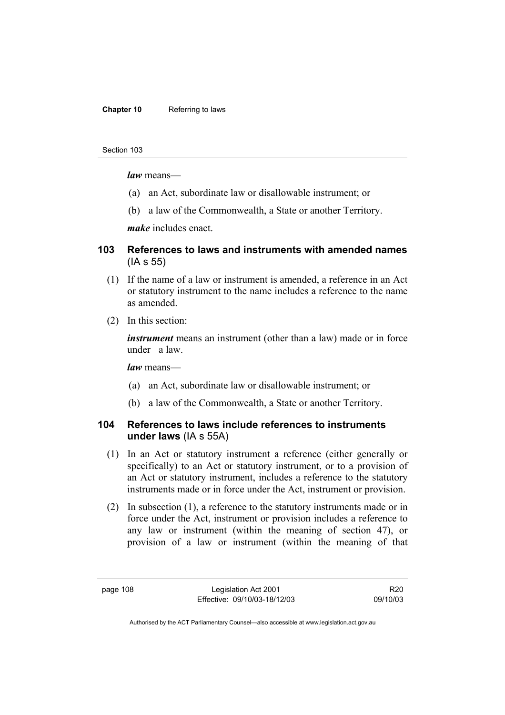### **Chapter 10** Referring to laws

#### Section 103

*law* means—

- (a) an Act, subordinate law or disallowable instrument; or
- (b) a law of the Commonwealth, a State or another Territory.

*make* includes enact.

## **103 References to laws and instruments with amended names**  (IA s 55)

- (1) If the name of a law or instrument is amended, a reference in an Act or statutory instrument to the name includes a reference to the name as amended.
- (2) In this section:

*instrument* means an instrument (other than a law) made or in force under a law.

*law* means—

- (a) an Act, subordinate law or disallowable instrument; or
- (b) a law of the Commonwealth, a State or another Territory.

### **104 References to laws include references to instruments under laws** (IA s 55A)

- (1) In an Act or statutory instrument a reference (either generally or specifically) to an Act or statutory instrument, or to a provision of an Act or statutory instrument, includes a reference to the statutory instruments made or in force under the Act, instrument or provision.
- (2) In subsection (1), a reference to the statutory instruments made or in force under the Act, instrument or provision includes a reference to any law or instrument (within the meaning of section 47), or provision of a law or instrument (within the meaning of that

R20 09/10/03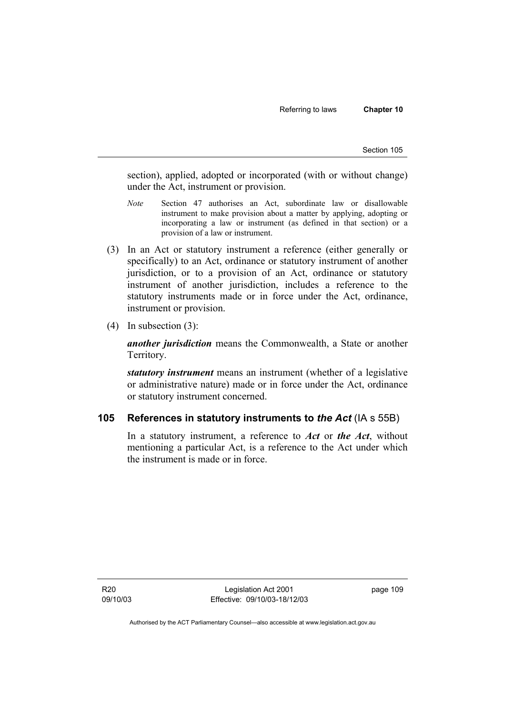section), applied, adopted or incorporated (with or without change) under the Act, instrument or provision.

- *Note* Section 47 authorises an Act, subordinate law or disallowable instrument to make provision about a matter by applying, adopting or incorporating a law or instrument (as defined in that section) or a provision of a law or instrument.
- (3) In an Act or statutory instrument a reference (either generally or specifically) to an Act, ordinance or statutory instrument of another jurisdiction, or to a provision of an Act, ordinance or statutory instrument of another jurisdiction, includes a reference to the statutory instruments made or in force under the Act, ordinance, instrument or provision.
- (4) In subsection (3):

*another jurisdiction* means the Commonwealth, a State or another Territory.

*statutory instrument* means an instrument (whether of a legislative or administrative nature) made or in force under the Act, ordinance or statutory instrument concerned.

### **105 References in statutory instruments to** *the Act* (IA s 55B)

In a statutory instrument, a reference to *Act* or *the Act*, without mentioning a particular Act, is a reference to the Act under which the instrument is made or in force.

R20 09/10/03

Legislation Act 2001 Effective: 09/10/03-18/12/03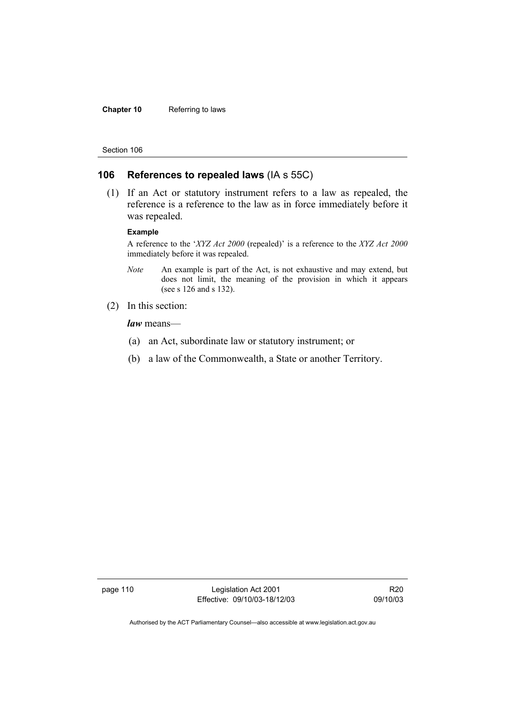### **Chapter 10** Referring to laws

#### Section 106

### **106 References to repealed laws** (IA s 55C)

 (1) If an Act or statutory instrument refers to a law as repealed, the reference is a reference to the law as in force immediately before it was repealed.

#### **Example**

A reference to the '*XYZ Act 2000* (repealed)' is a reference to the *XYZ Act 2000* immediately before it was repealed.

- *Note* An example is part of the Act, is not exhaustive and may extend, but does not limit, the meaning of the provision in which it appears (see s 126 and s 132).
- (2) In this section:

*law* means—

- (a) an Act, subordinate law or statutory instrument; or
- (b) a law of the Commonwealth, a State or another Territory.

page 110 Legislation Act 2001 Effective: 09/10/03-18/12/03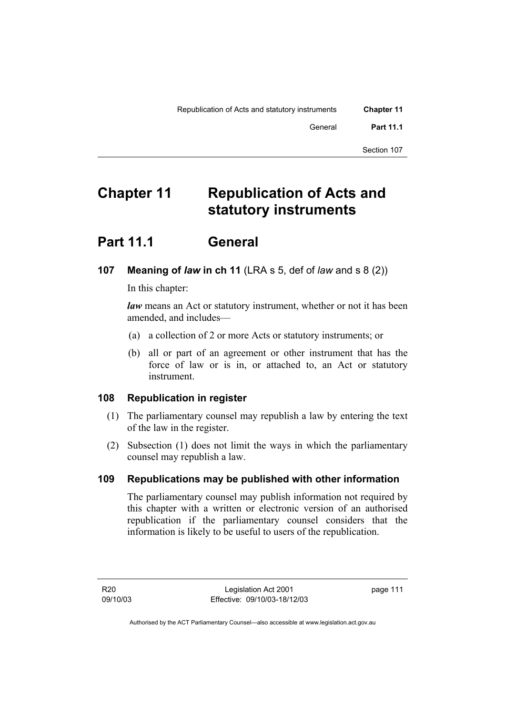| <b>Chapter 11</b> | Republication of Acts and statutory instruments |
|-------------------|-------------------------------------------------|
| <b>Part 11.1</b>  | General                                         |
| Section 107       |                                                 |

## **Chapter 11 Republication of Acts and statutory instruments**

## **Part 11.1 General**

## **107 Meaning of** *law* **in ch 11** (LRA s 5, def of *law* and s 8 (2))

In this chapter:

*law* means an Act or statutory instrument, whether or not it has been amended, and includes—

- (a) a collection of 2 or more Acts or statutory instruments; or
- (b) all or part of an agreement or other instrument that has the force of law or is in, or attached to, an Act or statutory instrument.

## **108 Republication in register**

- (1) The parliamentary counsel may republish a law by entering the text of the law in the register.
- (2) Subsection (1) does not limit the ways in which the parliamentary counsel may republish a law.

## **109 Republications may be published with other information**

The parliamentary counsel may publish information not required by this chapter with a written or electronic version of an authorised republication if the parliamentary counsel considers that the information is likely to be useful to users of the republication.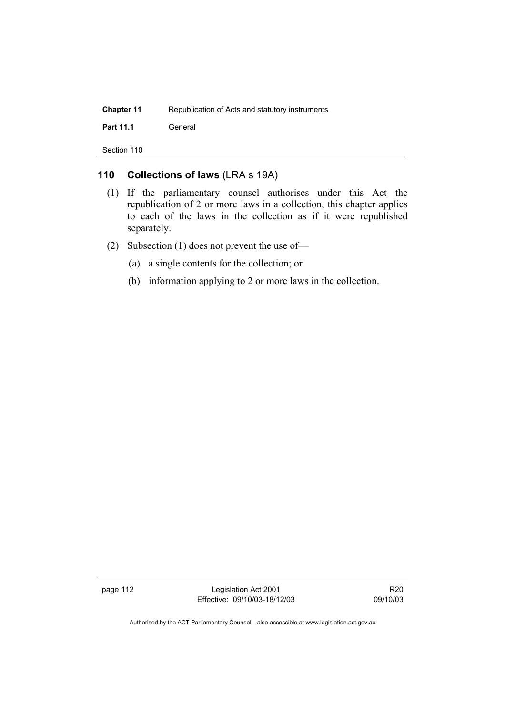| <b>Chapter 11</b> | Republication of Acts and statutory instruments |
|-------------------|-------------------------------------------------|
| <b>Part 11.1</b>  | General                                         |

## **110 Collections of laws** (LRA s 19A)

- (1) If the parliamentary counsel authorises under this Act the republication of 2 or more laws in a collection, this chapter applies to each of the laws in the collection as if it were republished separately.
- (2) Subsection (1) does not prevent the use of—
	- (a) a single contents for the collection; or
	- (b) information applying to 2 or more laws in the collection.

page 112 Legislation Act 2001 Effective: 09/10/03-18/12/03

R20 09/10/03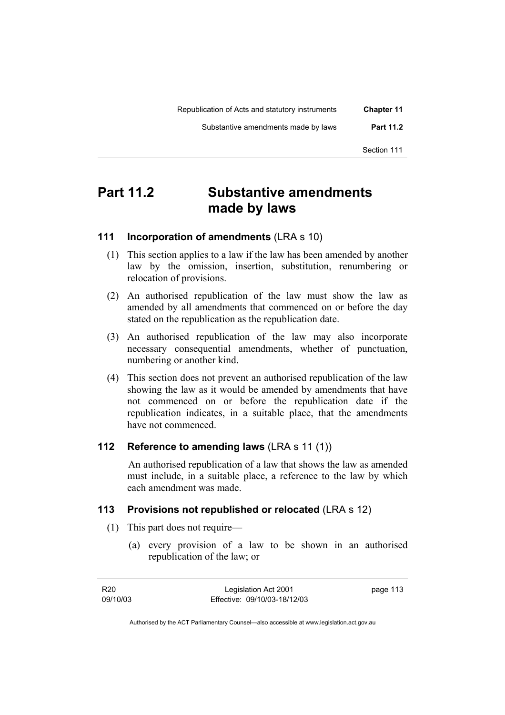| <b>Chapter 11</b> | Republication of Acts and statutory instruments |
|-------------------|-------------------------------------------------|
| <b>Part 11.2</b>  | Substantive amendments made by laws             |
| Section 111       |                                                 |

## **Part 11.2 Substantive amendments made by laws**

## **111 Incorporation of amendments** (LRA s 10)

- (1) This section applies to a law if the law has been amended by another law by the omission, insertion, substitution, renumbering or relocation of provisions.
- (2) An authorised republication of the law must show the law as amended by all amendments that commenced on or before the day stated on the republication as the republication date.
- (3) An authorised republication of the law may also incorporate necessary consequential amendments, whether of punctuation, numbering or another kind.
- (4) This section does not prevent an authorised republication of the law showing the law as it would be amended by amendments that have not commenced on or before the republication date if the republication indicates, in a suitable place, that the amendments have not commenced.

## **112 Reference to amending laws** (LRA s 11 (1))

 An authorised republication of a law that shows the law as amended must include, in a suitable place, a reference to the law by which each amendment was made.

### **113 Provisions not republished or relocated** (LRA s 12)

- (1) This part does not require—
	- (a) every provision of a law to be shown in an authorised republication of the law; or

| R20      | Legislation Act 2001         | page 113 |
|----------|------------------------------|----------|
| 09/10/03 | Effective: 09/10/03-18/12/03 |          |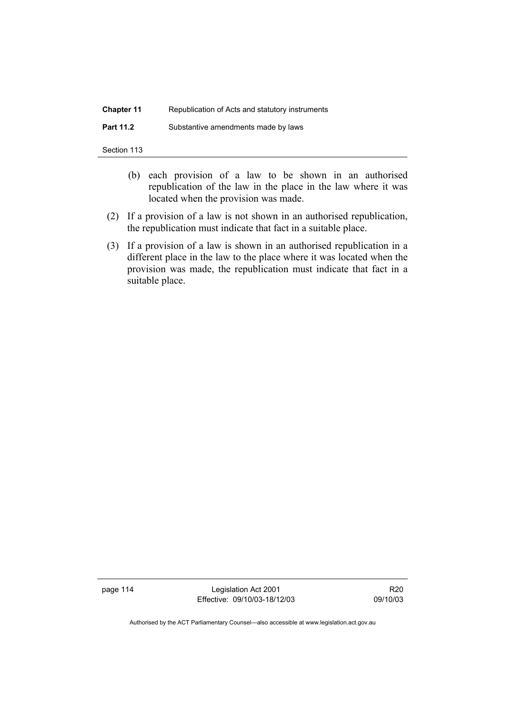| <b>Chapter 11</b> | Republication of Acts and statutory instruments |
|-------------------|-------------------------------------------------|
| <b>Part 11.2</b>  | Substantive amendments made by laws             |

- (b) each provision of a law to be shown in an authorised republication of the law in the place in the law where it was located when the provision was made.
- (2) If a provision of a law is not shown in an authorised republication, the republication must indicate that fact in a suitable place.
- (3) If a provision of a law is shown in an authorised republication in a different place in the law to the place where it was located when the provision was made, the republication must indicate that fact in a suitable place.

page 114 Legislation Act 2001 Effective: 09/10/03-18/12/03

R20 09/10/03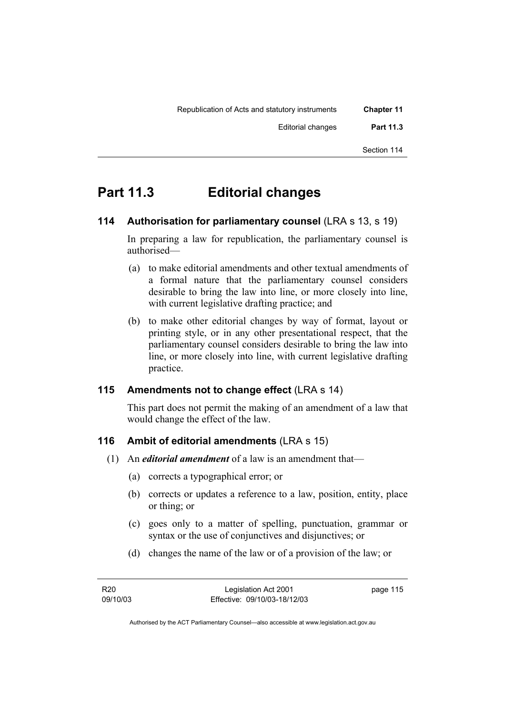| <b>Chapter 11</b> | Republication of Acts and statutory instruments |
|-------------------|-------------------------------------------------|
| <b>Part 11.3</b>  | Editorial changes                               |
| Section 114       |                                                 |

## **Part 11.3 Editorial changes**

## **114 Authorisation for parliamentary counsel** (LRA s 13, s 19)

In preparing a law for republication, the parliamentary counsel is authorised—

- (a) to make editorial amendments and other textual amendments of a formal nature that the parliamentary counsel considers desirable to bring the law into line, or more closely into line, with current legislative drafting practice; and
- (b) to make other editorial changes by way of format, layout or printing style, or in any other presentational respect, that the parliamentary counsel considers desirable to bring the law into line, or more closely into line, with current legislative drafting practice.

## **115 Amendments not to change effect** (LRA s 14)

This part does not permit the making of an amendment of a law that would change the effect of the law.

## **116 Ambit of editorial amendments** (LRA s 15)

- (1) An *editorial amendment* of a law is an amendment that—
	- (a) corrects a typographical error; or
	- (b) corrects or updates a reference to a law, position, entity, place or thing; or
	- (c) goes only to a matter of spelling, punctuation, grammar or syntax or the use of conjunctives and disjunctives; or
	- (d) changes the name of the law or of a provision of the law; or

page 115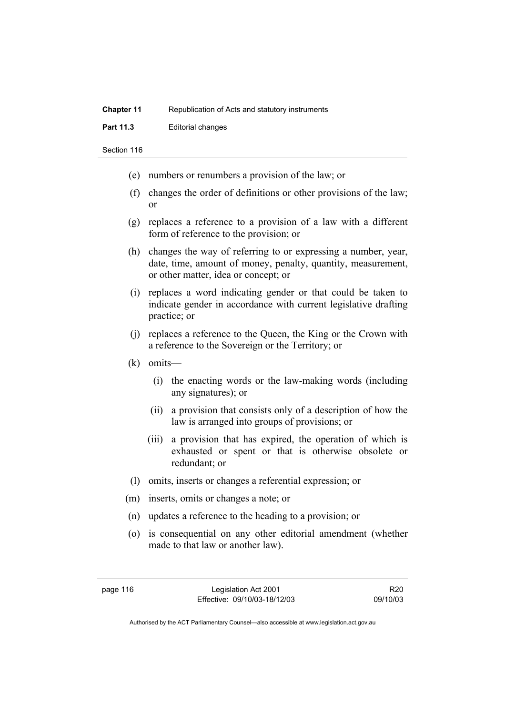| <b>Chapter 11</b> | Republication of Acts and statutory instruments |
|-------------------|-------------------------------------------------|
| <b>Part 11.3</b>  | Editorial changes                               |

- (e) numbers or renumbers a provision of the law; or
- (f) changes the order of definitions or other provisions of the law; or
- (g) replaces a reference to a provision of a law with a different form of reference to the provision; or
- (h) changes the way of referring to or expressing a number, year, date, time, amount of money, penalty, quantity, measurement, or other matter, idea or concept; or
- (i) replaces a word indicating gender or that could be taken to indicate gender in accordance with current legislative drafting practice; or
- (j) replaces a reference to the Queen, the King or the Crown with a reference to the Sovereign or the Territory; or
- (k) omits—
	- (i) the enacting words or the law-making words (including any signatures); or
	- (ii) a provision that consists only of a description of how the law is arranged into groups of provisions; or
	- (iii) a provision that has expired, the operation of which is exhausted or spent or that is otherwise obsolete or redundant; or
- (l) omits, inserts or changes a referential expression; or
- (m) inserts, omits or changes a note; or
- (n) updates a reference to the heading to a provision; or
- (o) is consequential on any other editorial amendment (whether made to that law or another law).

R20 09/10/03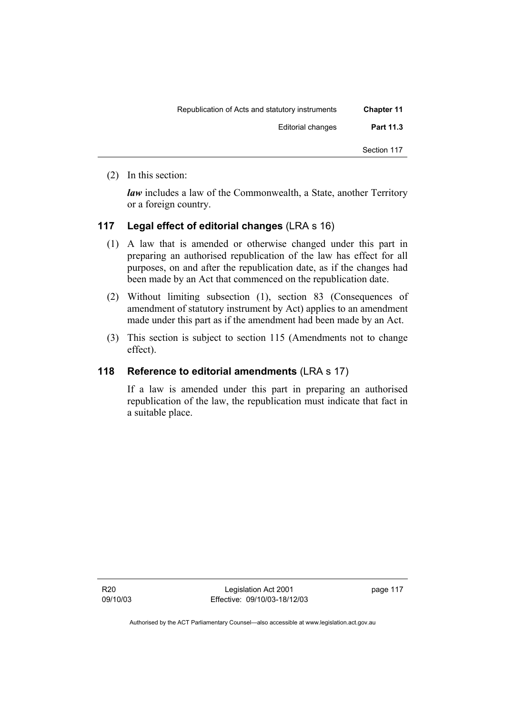| <b>Chapter 11</b> | Republication of Acts and statutory instruments |
|-------------------|-------------------------------------------------|
| Part 11.3         | <b>Editorial changes</b>                        |
| Section 117       |                                                 |

(2) In this section:

*law* includes a law of the Commonwealth, a State, another Territory or a foreign country.

## **117 Legal effect of editorial changes** (LRA s 16)

- (1) A law that is amended or otherwise changed under this part in preparing an authorised republication of the law has effect for all purposes, on and after the republication date, as if the changes had been made by an Act that commenced on the republication date.
- (2) Without limiting subsection (1), section 83 (Consequences of amendment of statutory instrument by Act) applies to an amendment made under this part as if the amendment had been made by an Act.
- (3) This section is subject to section 115 (Amendments not to change effect).

## **118 Reference to editorial amendments** (LRA s 17)

If a law is amended under this part in preparing an authorised republication of the law, the republication must indicate that fact in a suitable place.

R20 09/10/03

Legislation Act 2001 Effective: 09/10/03-18/12/03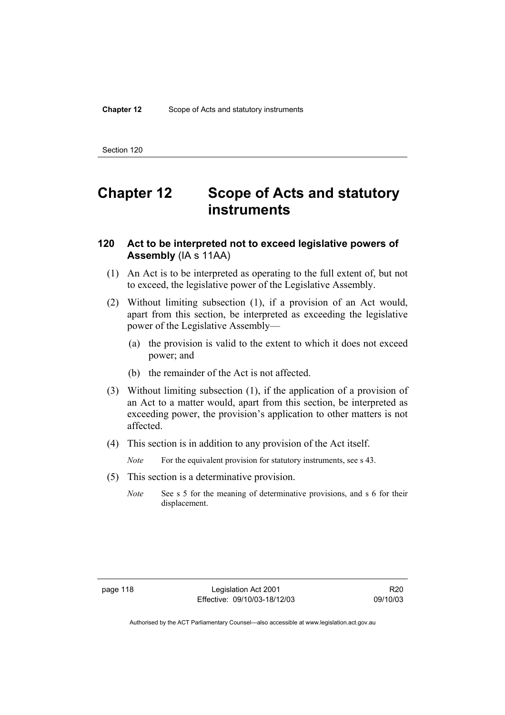## **Chapter 12 Scope of Acts and statutory instruments**

### **120 Act to be interpreted not to exceed legislative powers of Assembly** (IA s 11AA)

- (1) An Act is to be interpreted as operating to the full extent of, but not to exceed, the legislative power of the Legislative Assembly.
- (2) Without limiting subsection (1), if a provision of an Act would, apart from this section, be interpreted as exceeding the legislative power of the Legislative Assembly—
	- (a) the provision is valid to the extent to which it does not exceed power; and
	- (b) the remainder of the Act is not affected.
- (3) Without limiting subsection (1), if the application of a provision of an Act to a matter would, apart from this section, be interpreted as exceeding power, the provision's application to other matters is not affected.
- (4) This section is in addition to any provision of the Act itself.

*Note* For the equivalent provision for statutory instruments, see s 43.

- (5) This section is a determinative provision.
	- *Note* See s 5 for the meaning of determinative provisions, and s 6 for their displacement.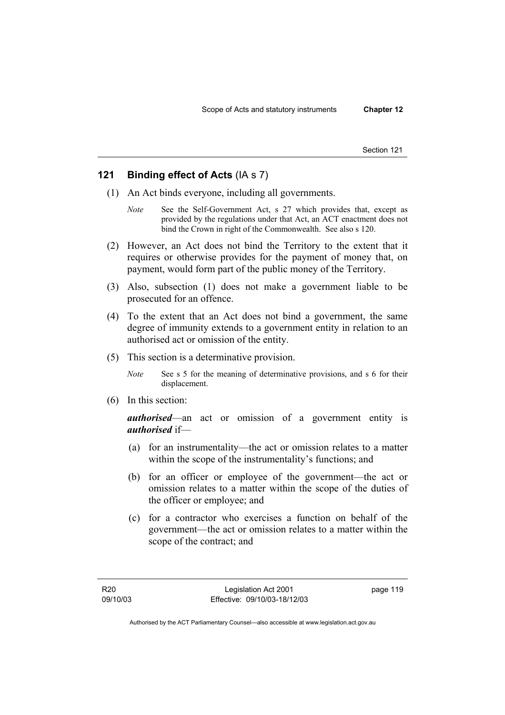### **121 Binding effect of Acts** (IA s 7)

- (1) An Act binds everyone, including all governments.
	- *Note* See the Self-Government Act, s 27 which provides that, except as provided by the regulations under that Act, an ACT enactment does not bind the Crown in right of the Commonwealth. See also s 120.
- (2) However, an Act does not bind the Territory to the extent that it requires or otherwise provides for the payment of money that, on payment, would form part of the public money of the Territory.
- (3) Also, subsection (1) does not make a government liable to be prosecuted for an offence.
- (4) To the extent that an Act does not bind a government, the same degree of immunity extends to a government entity in relation to an authorised act or omission of the entity.
- (5) This section is a determinative provision.

*Note* See s 5 for the meaning of determinative provisions, and s 6 for their displacement.

(6) In this section:

*authorised*—an act or omission of a government entity is *authorised* if—

- (a) for an instrumentality—the act or omission relates to a matter within the scope of the instrumentality's functions; and
- (b) for an officer or employee of the government—the act or omission relates to a matter within the scope of the duties of the officer or employee; and
- (c) for a contractor who exercises a function on behalf of the government—the act or omission relates to a matter within the scope of the contract; and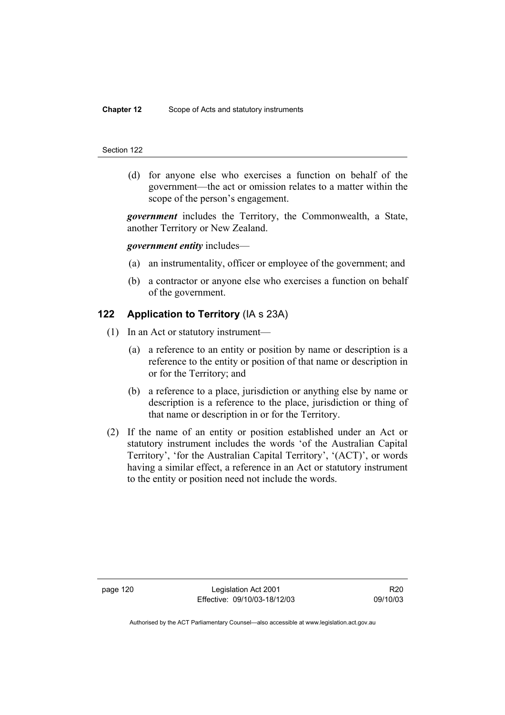(d) for anyone else who exercises a function on behalf of the government—the act or omission relates to a matter within the scope of the person's engagement.

*government* includes the Territory, the Commonwealth, a State, another Territory or New Zealand.

### *government entity* includes—

- (a) an instrumentality, officer or employee of the government; and
- (b) a contractor or anyone else who exercises a function on behalf of the government.

### **122 Application to Territory** (IA s 23A)

- (1) In an Act or statutory instrument—
	- (a) a reference to an entity or position by name or description is a reference to the entity or position of that name or description in or for the Territory; and
	- (b) a reference to a place, jurisdiction or anything else by name or description is a reference to the place, jurisdiction or thing of that name or description in or for the Territory.
- (2) If the name of an entity or position established under an Act or statutory instrument includes the words 'of the Australian Capital Territory', 'for the Australian Capital Territory', '(ACT)', or words having a similar effect, a reference in an Act or statutory instrument to the entity or position need not include the words.

page 120 Legislation Act 2001 Effective: 09/10/03-18/12/03

R20 09/10/03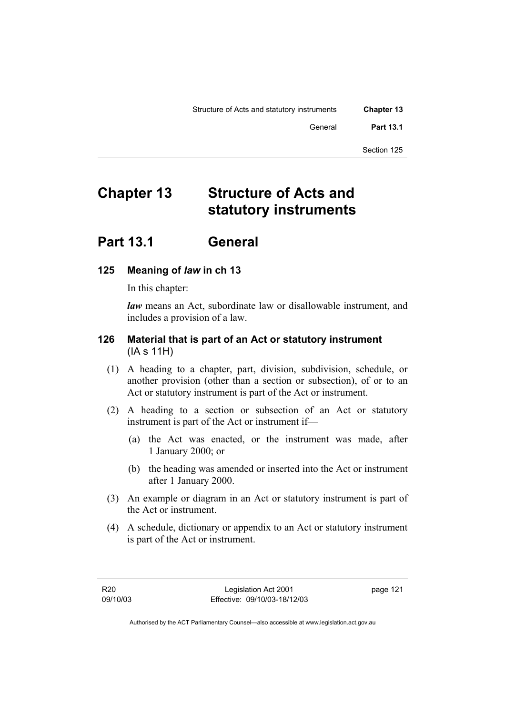| <b>Chapter 13</b> | Structure of Acts and statutory instruments |
|-------------------|---------------------------------------------|
| <b>Part 13.1</b>  | General                                     |
| Section 125       |                                             |

## **Chapter 13 Structure of Acts and statutory instruments**

## **Part 13.1 General**

## **125 Meaning of** *law* **in ch 13**

In this chapter:

*law* means an Act, subordinate law or disallowable instrument, and includes a provision of a law.

## **126 Material that is part of an Act or statutory instrument**  (IA s 11H)

- (1) A heading to a chapter, part, division, subdivision, schedule, or another provision (other than a section or subsection), of or to an Act or statutory instrument is part of the Act or instrument.
- (2) A heading to a section or subsection of an Act or statutory instrument is part of the Act or instrument if—
	- (a) the Act was enacted, or the instrument was made, after 1 January 2000; or
	- (b) the heading was amended or inserted into the Act or instrument after 1 January 2000.
- (3) An example or diagram in an Act or statutory instrument is part of the Act or instrument.
- (4) A schedule, dictionary or appendix to an Act or statutory instrument is part of the Act or instrument.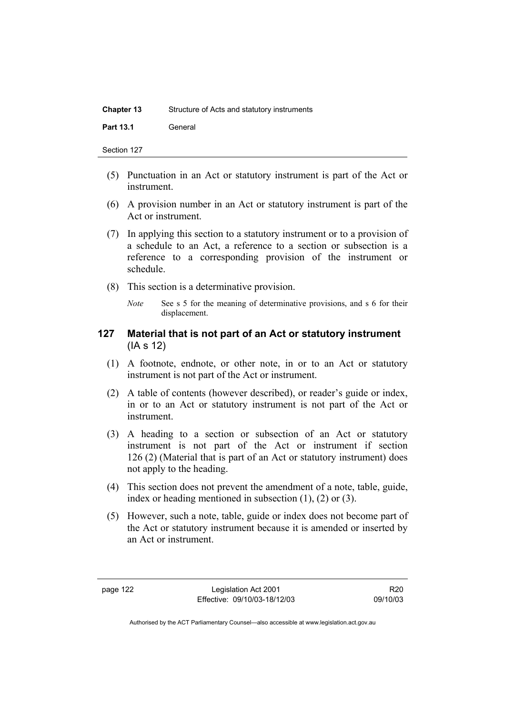| <b>Chapter 13</b> | Structure of Acts and statutory instruments |
|-------------------|---------------------------------------------|
| <b>Part 13.1</b>  | General                                     |

- (5) Punctuation in an Act or statutory instrument is part of the Act or instrument.
- (6) A provision number in an Act or statutory instrument is part of the Act or instrument.
- (7) In applying this section to a statutory instrument or to a provision of a schedule to an Act, a reference to a section or subsection is a reference to a corresponding provision of the instrument or schedule.
- (8) This section is a determinative provision.
	- *Note* See s 5 for the meaning of determinative provisions, and s 6 for their displacement.

### **127 Material that is not part of an Act or statutory instrument**  (IA s 12)

- (1) A footnote, endnote, or other note, in or to an Act or statutory instrument is not part of the Act or instrument.
- (2) A table of contents (however described), or reader's guide or index, in or to an Act or statutory instrument is not part of the Act or instrument.
- (3) A heading to a section or subsection of an Act or statutory instrument is not part of the Act or instrument if section 126 (2) (Material that is part of an Act or statutory instrument) does not apply to the heading.
- (4) This section does not prevent the amendment of a note, table, guide, index or heading mentioned in subsection (1), (2) or (3).
- (5) However, such a note, table, guide or index does not become part of the Act or statutory instrument because it is amended or inserted by an Act or instrument.

R20 09/10/03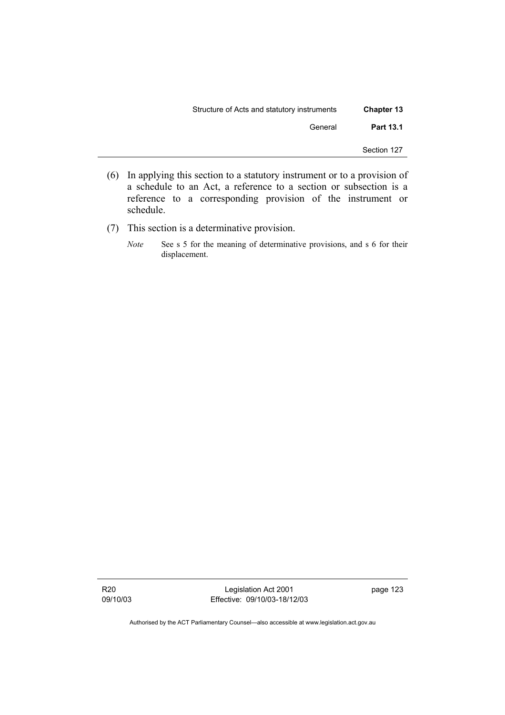| <b>Chapter 13</b> | Structure of Acts and statutory instruments |
|-------------------|---------------------------------------------|
| <b>Part 13.1</b>  | General                                     |
| Section 127       |                                             |

- (6) In applying this section to a statutory instrument or to a provision of a schedule to an Act, a reference to a section or subsection is a reference to a corresponding provision of the instrument or schedule.
- (7) This section is a determinative provision.
	- *Note* See s 5 for the meaning of determinative provisions, and s 6 for their displacement.

R20 09/10/03

Legislation Act 2001 Effective: 09/10/03-18/12/03 page 123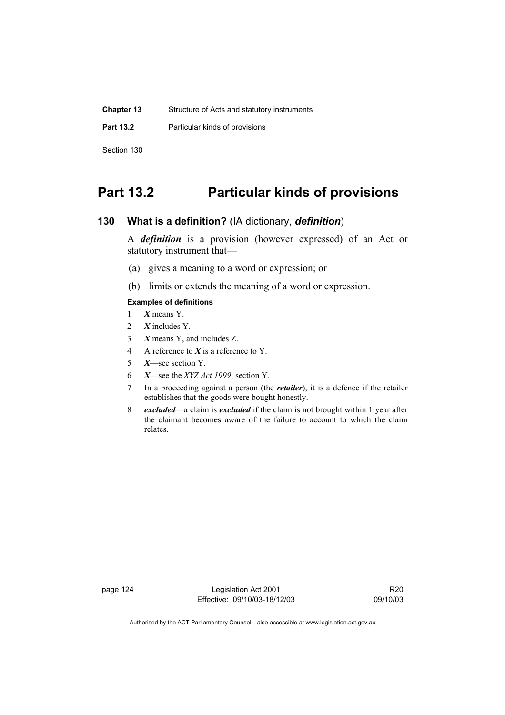| <b>Chapter 13</b> | Structure of Acts and statutory instruments |
|-------------------|---------------------------------------------|
| <b>Part 13.2</b>  | Particular kinds of provisions              |
| Section 130       |                                             |

## **Part 13.2 Particular kinds of provisions**

## **130 What is a definition?** (IA dictionary, *definition*)

A *definition* is a provision (however expressed) of an Act or statutory instrument that—

- (a) gives a meaning to a word or expression; or
- (b) limits or extends the meaning of a word or expression.

### **Examples of definitions**

- 1 *X* means Y.
- 2 *X* includes Y.
- 3 *X* means Y, and includes Z.
- 4 A reference to *X* is a reference to Y.
- 5 *X*—see section Y.
- 6 *X*—see the *XYZ Act 1999*, section Y.
- 7 In a proceeding against a person (the *retailer*), it is a defence if the retailer establishes that the goods were bought honestly.
- 8 *excluded*—a claim is *excluded* if the claim is not brought within 1 year after the claimant becomes aware of the failure to account to which the claim relates.

page 124 Legislation Act 2001 Effective: 09/10/03-18/12/03

R20 09/10/03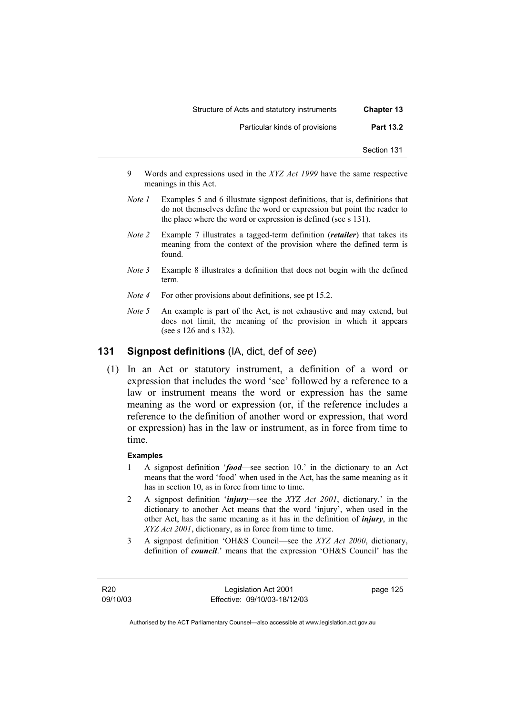| <b>Chapter 13</b> | Structure of Acts and statutory instruments |
|-------------------|---------------------------------------------|
| <b>Part 13.2</b>  | Particular kinds of provisions              |
| Section 131       |                                             |

- 9 Words and expressions used in the *XYZ Act 1999* have the same respective meanings in this Act.
- *Note 1* Examples 5 and 6 illustrate signpost definitions, that is, definitions that do not themselves define the word or expression but point the reader to the place where the word or expression is defined (see s 131).
- *Note 2* Example 7 illustrates a tagged-term definition (*retailer*) that takes its meaning from the context of the provision where the defined term is found.
- *Note* 3 Example 8 illustrates a definition that does not begin with the defined term.
- *Note 4* For other provisions about definitions, see pt 15.2.
- *Note 5* An example is part of the Act, is not exhaustive and may extend, but does not limit, the meaning of the provision in which it appears (see s 126 and s 132).

## **131 Signpost definitions** (IA, dict, def of *see*)

 (1) In an Act or statutory instrument, a definition of a word or expression that includes the word 'see' followed by a reference to a law or instrument means the word or expression has the same meaning as the word or expression (or, if the reference includes a reference to the definition of another word or expression, that word or expression) has in the law or instrument, as in force from time to time.

### **Examples**

- 1 A signpost definition '*food*—see section 10.' in the dictionary to an Act means that the word 'food' when used in the Act, has the same meaning as it has in section 10, as in force from time to time.
- 2 A signpost definition '*injury*—see the *XYZ Act 2001*, dictionary.' in the dictionary to another Act means that the word 'injury', when used in the other Act, has the same meaning as it has in the definition of *injury*, in the *XYZ Act 2001*, dictionary, as in force from time to time.
- 3 A signpost definition 'OH&S Council—see the *XYZ Act 2000*, dictionary, definition of *council*.' means that the expression 'OH&S Council' has the

R20 09/10/03

Legislation Act 2001 Effective: 09/10/03-18/12/03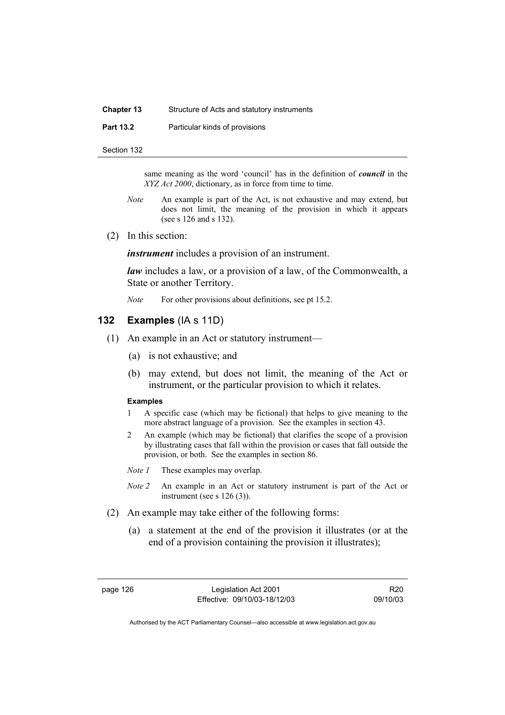### **Chapter 13** Structure of Acts and statutory instruments

**Part 13.2** Particular kinds of provisions

Section 132

same meaning as the word 'council' has in the definition of *council* in the *XYZ Act 2000*, dictionary, as in force from time to time.

- *Note* An example is part of the Act, is not exhaustive and may extend, but does not limit, the meaning of the provision in which it appears (see s 126 and s 132).
- (2) In this section:

*instrument* includes a provision of an instrument.

*law* includes a law, or a provision of a law, of the Commonwealth, a State or another Territory.

*Note* For other provisions about definitions, see pt 15.2.

### **132 Examples** (IA s 11D)

- (1) An example in an Act or statutory instrument—
	- (a) is not exhaustive; and
	- (b) may extend, but does not limit, the meaning of the Act or instrument, or the particular provision to which it relates.

#### **Examples**

- 1 A specific case (which may be fictional) that helps to give meaning to the more abstract language of a provision. See the examples in section 43.
- 2 An example (which may be fictional) that clarifies the scope of a provision by illustrating cases that fall within the provision or cases that fall outside the provision, or both. See the examples in section 86.
- *Note 1* These examples may overlap.
- *Note 2* An example in an Act or statutory instrument is part of the Act or instrument (see s 126 (3)).
- (2) An example may take either of the following forms:
	- (a) a statement at the end of the provision it illustrates (or at the end of a provision containing the provision it illustrates);

R20 09/10/03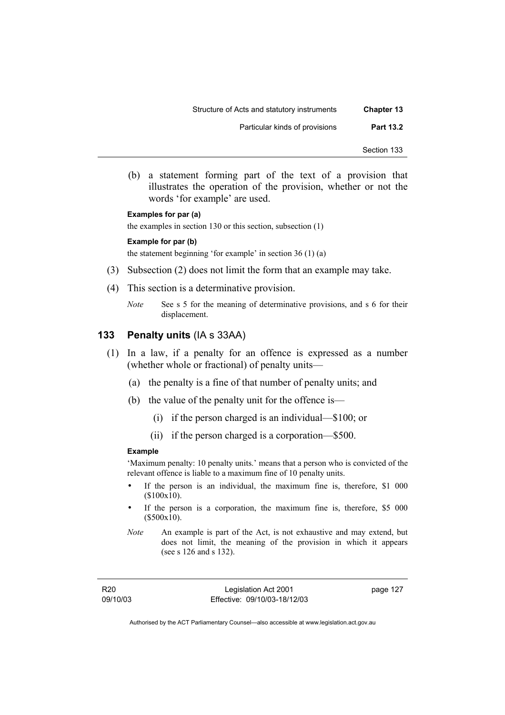- Section 133
- (b) a statement forming part of the text of a provision that illustrates the operation of the provision, whether or not the words 'for example' are used.

#### **Examples for par (a)**

the examples in section 130 or this section, subsection (1)

#### **Example for par (b)**

the statement beginning 'for example' in section 36 (1) (a)

- (3) Subsection (2) does not limit the form that an example may take.
- (4) This section is a determinative provision.
	- *Note* See s 5 for the meaning of determinative provisions, and s 6 for their displacement.

#### **133 Penalty units** (IA s 33AA)

- (1) In a law, if a penalty for an offence is expressed as a number (whether whole or fractional) of penalty units—
	- (a) the penalty is a fine of that number of penalty units; and
	- (b) the value of the penalty unit for the offence is—
		- (i) if the person charged is an individual—\$100; or
		- (ii) if the person charged is a corporation—\$500.

#### **Example**

'Maximum penalty: 10 penalty units.' means that a person who is convicted of the relevant offence is liable to a maximum fine of 10 penalty units.

- If the person is an individual, the maximum fine is, therefore, \$1 000 (\$100x10).
- If the person is a corporation, the maximum fine is, therefore, \$5 000 (\$500x10).
- *Note* An example is part of the Act, is not exhaustive and may extend, but does not limit, the meaning of the provision in which it appears (see s 126 and s 132).

Legislation Act 2001 Effective: 09/10/03-18/12/03 page 127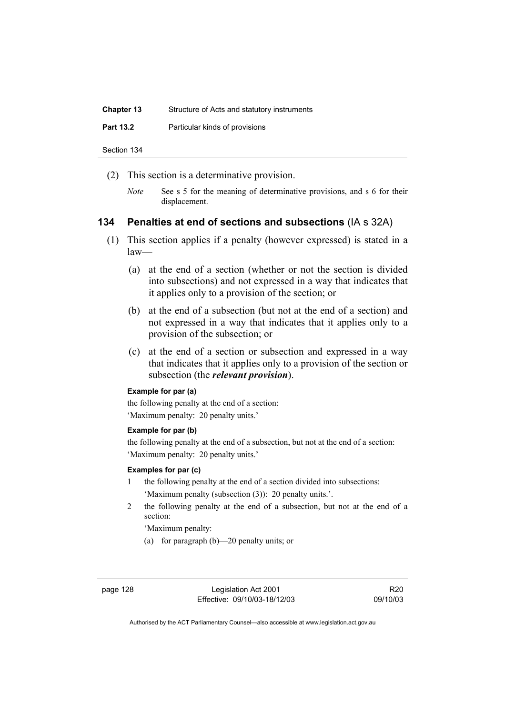| <b>Chapter 13</b> | Structure of Acts and statutory instruments |
|-------------------|---------------------------------------------|
| <b>Part 13.2</b>  | Particular kinds of provisions              |
|                   |                                             |

(2) This section is a determinative provision.

Section 134

*Note* See s 5 for the meaning of determinative provisions, and s 6 for their displacement.

### **134 Penalties at end of sections and subsections** (IA s 32A)

- (1) This section applies if a penalty (however expressed) is stated in a law—
	- (a) at the end of a section (whether or not the section is divided into subsections) and not expressed in a way that indicates that it applies only to a provision of the section; or
	- (b) at the end of a subsection (but not at the end of a section) and not expressed in a way that indicates that it applies only to a provision of the subsection; or
	- (c) at the end of a section or subsection and expressed in a way that indicates that it applies only to a provision of the section or subsection (the *relevant provision*).

#### **Example for par (a)**

the following penalty at the end of a section: 'Maximum penalty: 20 penalty units.'

#### **Example for par (b)**

the following penalty at the end of a subsection, but not at the end of a section: 'Maximum penalty: 20 penalty units.'

#### **Examples for par (c)**

- 1 the following penalty at the end of a section divided into subsections: 'Maximum penalty (subsection (3)): 20 penalty units.'.
- 2 the following penalty at the end of a subsection, but not at the end of a section:

'Maximum penalty:

(a) for paragraph (b)—20 penalty units; or

R20 09/10/03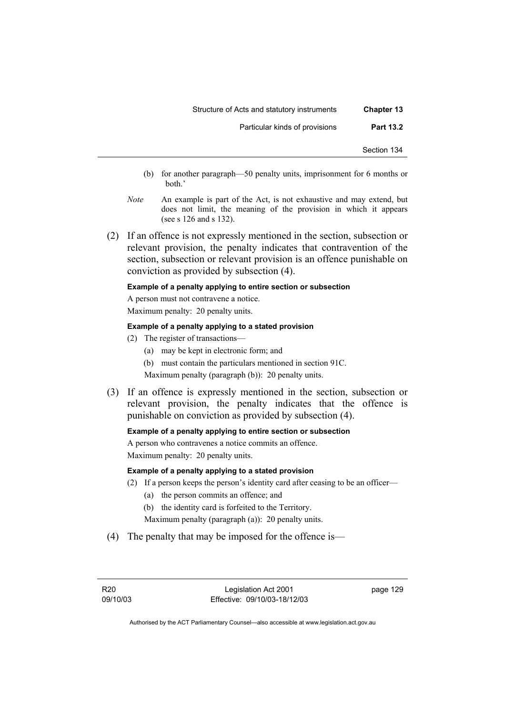- (b) for another paragraph—50 penalty units, imprisonment for 6 months or both.'
- *Note* An example is part of the Act, is not exhaustive and may extend, but does not limit, the meaning of the provision in which it appears (see s 126 and s 132).
- (2) If an offence is not expressly mentioned in the section, subsection or relevant provision, the penalty indicates that contravention of the section, subsection or relevant provision is an offence punishable on conviction as provided by subsection (4).

#### **Example of a penalty applying to entire section or subsection**

A person must not contravene a notice.

Maximum penalty: 20 penalty units.

#### **Example of a penalty applying to a stated provision**

- (2) The register of transactions—
	- (a) may be kept in electronic form; and
	- (b) must contain the particulars mentioned in section 91C.

Maximum penalty (paragraph (b)): 20 penalty units.

 (3) If an offence is expressly mentioned in the section, subsection or relevant provision, the penalty indicates that the offence is punishable on conviction as provided by subsection (4).

#### **Example of a penalty applying to entire section or subsection**

A person who contravenes a notice commits an offence. Maximum penalty: 20 penalty units.

#### **Example of a penalty applying to a stated provision**

- (2) If a person keeps the person's identity card after ceasing to be an officer—
	- (a) the person commits an offence; and
	- (b) the identity card is forfeited to the Territory.
	- Maximum penalty (paragraph (a)): 20 penalty units.
- (4) The penalty that may be imposed for the offence is—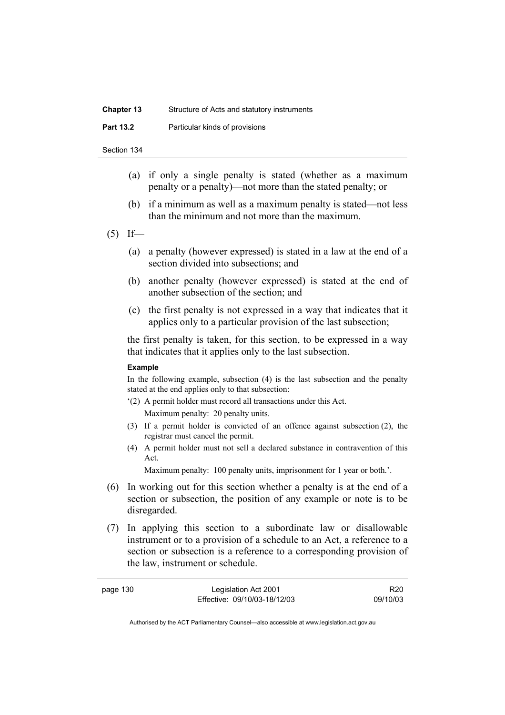| <b>Chapter 13</b> | Structure of Acts and statutory instruments |
|-------------------|---------------------------------------------|
| <b>Part 13.2</b>  | Particular kinds of provisions              |

- Section 134
	- (a) if only a single penalty is stated (whether as a maximum penalty or a penalty)—not more than the stated penalty; or
	- (b) if a minimum as well as a maximum penalty is stated—not less than the minimum and not more than the maximum.
- $(5)$  If—
	- (a) a penalty (however expressed) is stated in a law at the end of a section divided into subsections; and
	- (b) another penalty (however expressed) is stated at the end of another subsection of the section; and
	- (c) the first penalty is not expressed in a way that indicates that it applies only to a particular provision of the last subsection;

the first penalty is taken, for this section, to be expressed in a way that indicates that it applies only to the last subsection.

#### **Example**

In the following example, subsection (4) is the last subsection and the penalty stated at the end applies only to that subsection:

- '(2) A permit holder must record all transactions under this Act. Maximum penalty: 20 penalty units.
- (3) If a permit holder is convicted of an offence against subsection (2), the registrar must cancel the permit.
- (4) A permit holder must not sell a declared substance in contravention of this Act.

Maximum penalty: 100 penalty units, imprisonment for 1 year or both.'.

- (6) In working out for this section whether a penalty is at the end of a section or subsection, the position of any example or note is to be disregarded.
- (7) In applying this section to a subordinate law or disallowable instrument or to a provision of a schedule to an Act, a reference to a section or subsection is a reference to a corresponding provision of the law, instrument or schedule.

| page 130 | Legislation Act 2001         | R20      |
|----------|------------------------------|----------|
|          | Effective: 09/10/03-18/12/03 | 09/10/03 |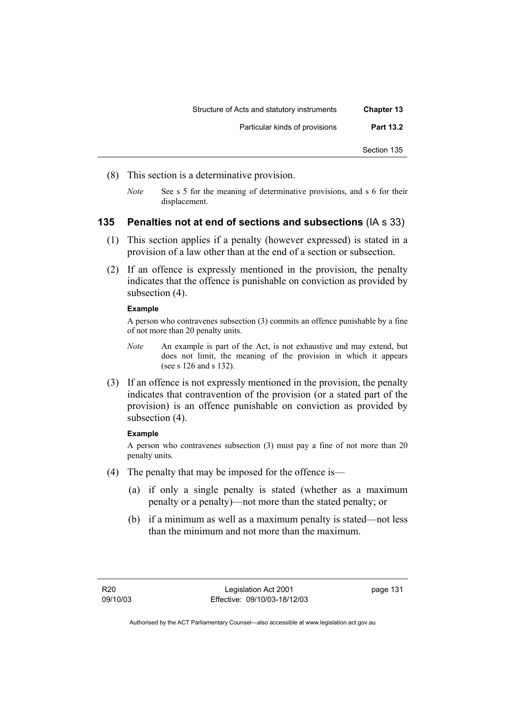| <b>Chapter 13</b> | Structure of Acts and statutory instruments |
|-------------------|---------------------------------------------|
| <b>Part 13.2</b>  | Particular kinds of provisions              |
| Section 135       |                                             |

- (8) This section is a determinative provision.
	- *Note* See s 5 for the meaning of determinative provisions, and s 6 for their displacement.

## **135 Penalties not at end of sections and subsections** (IA s 33)

- (1) This section applies if a penalty (however expressed) is stated in a provision of a law other than at the end of a section or subsection.
- (2) If an offence is expressly mentioned in the provision, the penalty indicates that the offence is punishable on conviction as provided by subsection (4).

#### **Example**

A person who contravenes subsection (3) commits an offence punishable by a fine of not more than 20 penalty units.

- *Note* An example is part of the Act, is not exhaustive and may extend, but does not limit, the meaning of the provision in which it appears (see s 126 and s 132).
- (3) If an offence is not expressly mentioned in the provision, the penalty indicates that contravention of the provision (or a stated part of the provision) is an offence punishable on conviction as provided by subsection  $(4)$ .

#### **Example**

A person who contravenes subsection (3) must pay a fine of not more than 20 penalty units.

- (4) The penalty that may be imposed for the offence is—
	- (a) if only a single penalty is stated (whether as a maximum penalty or a penalty)—not more than the stated penalty; or
	- (b) if a minimum as well as a maximum penalty is stated—not less than the minimum and not more than the maximum.

page 131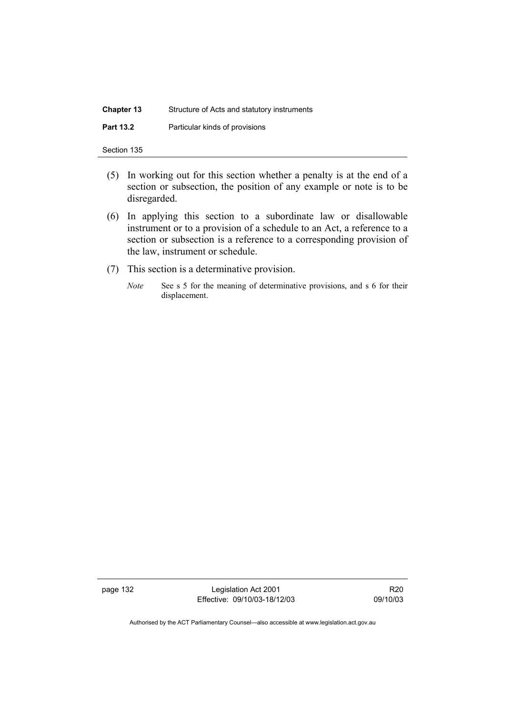| <b>Chapter 13</b> | Structure of Acts and statutory instruments |
|-------------------|---------------------------------------------|
| <b>Part 13.2</b>  | Particular kinds of provisions              |

| Section 135 |  |
|-------------|--|
|             |  |

- (5) In working out for this section whether a penalty is at the end of a section or subsection, the position of any example or note is to be disregarded.
- (6) In applying this section to a subordinate law or disallowable instrument or to a provision of a schedule to an Act, a reference to a section or subsection is a reference to a corresponding provision of the law, instrument or schedule.
- (7) This section is a determinative provision.
	- *Note* See s 5 for the meaning of determinative provisions, and s 6 for their displacement.

page 132 Legislation Act 2001 Effective: 09/10/03-18/12/03

R20 09/10/03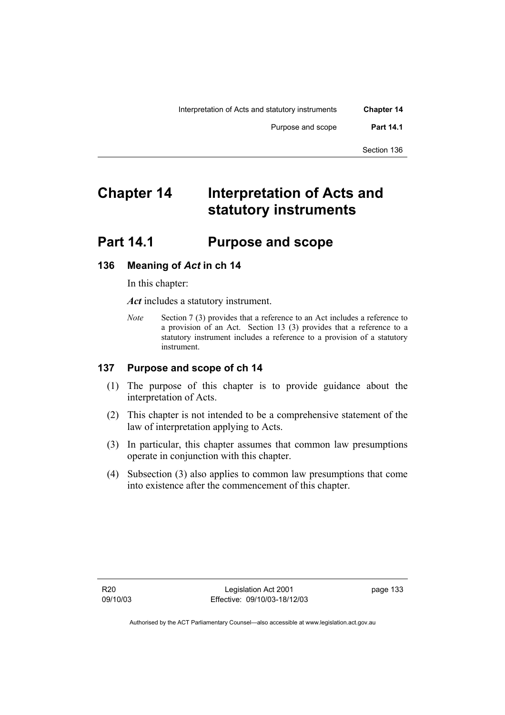# **Chapter 14 Interpretation of Acts and statutory instruments**

# **Part 14.1 Purpose and scope**

## **136 Meaning of** *Act* **in ch 14**

In this chapter:

*Act* includes a statutory instrument.

*Note* Section 7 (3) provides that a reference to an Act includes a reference to a provision of an Act. Section 13 (3) provides that a reference to a statutory instrument includes a reference to a provision of a statutory instrument.

### **137 Purpose and scope of ch 14**

- (1) The purpose of this chapter is to provide guidance about the interpretation of Acts.
- (2) This chapter is not intended to be a comprehensive statement of the law of interpretation applying to Acts.
- (3) In particular, this chapter assumes that common law presumptions operate in conjunction with this chapter.
- (4) Subsection (3) also applies to common law presumptions that come into existence after the commencement of this chapter.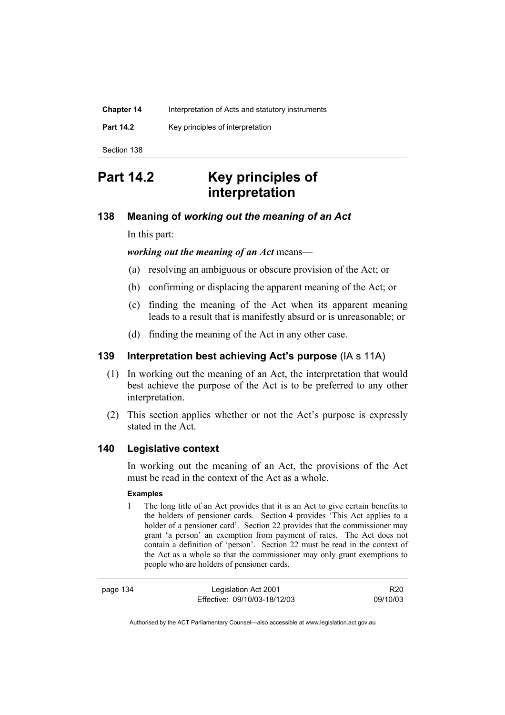| <b>Chapter 14</b> | Interpretation of Acts and statutory instruments |
|-------------------|--------------------------------------------------|
| <b>Part 14.2</b>  | Key principles of interpretation                 |
| Section 138       |                                                  |

# **Part 14.2 Key principles of interpretation**

### **138 Meaning of** *working out the meaning of an Act*

In this part:

*working out the meaning of an Act* means—

- (a) resolving an ambiguous or obscure provision of the Act; or
- (b) confirming or displacing the apparent meaning of the Act; or
- (c) finding the meaning of the Act when its apparent meaning leads to a result that is manifestly absurd or is unreasonable; or
- (d) finding the meaning of the Act in any other case.

### **139 Interpretation best achieving Act's purpose** (IA s 11A)

- (1) In working out the meaning of an Act, the interpretation that would best achieve the purpose of the Act is to be preferred to any other interpretation.
- (2) This section applies whether or not the Act's purpose is expressly stated in the Act.

#### **140 Legislative context**

In working out the meaning of an Act, the provisions of the Act must be read in the context of the Act as a whole.

#### **Examples**

1 The long title of an Act provides that it is an Act to give certain benefits to the holders of pensioner cards. Section 4 provides 'This Act applies to a holder of a pensioner card'. Section 22 provides that the commissioner may grant 'a person' an exemption from payment of rates. The Act does not contain a definition of 'person'. Section 22 must be read in the context of the Act as a whole so that the commissioner may only grant exemptions to people who are holders of pensioner cards.

page 134 Legislation Act 2001 Effective: 09/10/03-18/12/03

R20 09/10/03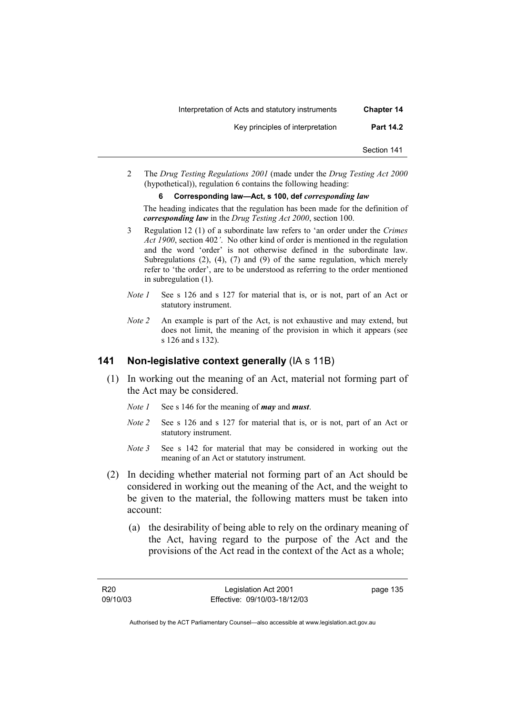| <b>Chapter 14</b> | Interpretation of Acts and statutory instruments |
|-------------------|--------------------------------------------------|
| <b>Part 14.2</b>  | Key principles of interpretation                 |
| Section 141       |                                                  |

2 The *Drug Testing Regulations 2001* (made under the *Drug Testing Act 2000* (hypothetical)), regulation 6 contains the following heading:

#### **6 Corresponding law—Act, s 100, def** *corresponding law*

The heading indicates that the regulation has been made for the definition of *corresponding law* in the *Drug Testing Act 2000*, section 100.

- 3 Regulation 12 (1) of a subordinate law refers to 'an order under the *Crimes Act 1900*, section 402*'*. No other kind of order is mentioned in the regulation and the word 'order' is not otherwise defined in the subordinate law. Subregulations (2), (4), (7) and (9) of the same regulation, which merely refer to 'the order', are to be understood as referring to the order mentioned in subregulation (1).
- *Note 1* See s 126 and s 127 for material that is, or is not, part of an Act or statutory instrument.
- *Note 2* An example is part of the Act, is not exhaustive and may extend, but does not limit, the meaning of the provision in which it appears (see s 126 and s 132).

#### **141 Non-legislative context generally** (IA s 11B)

- (1) In working out the meaning of an Act, material not forming part of the Act may be considered.
	- *Note 1* See s 146 for the meaning of *may* and *must*.
	- *Note 2* See s 126 and s 127 for material that is, or is not, part of an Act or statutory instrument.
	- *Note* 3 See s 142 for material that may be considered in working out the meaning of an Act or statutory instrument.
- (2) In deciding whether material not forming part of an Act should be considered in working out the meaning of the Act, and the weight to be given to the material, the following matters must be taken into account:
	- (a) the desirability of being able to rely on the ordinary meaning of the Act, having regard to the purpose of the Act and the provisions of the Act read in the context of the Act as a whole;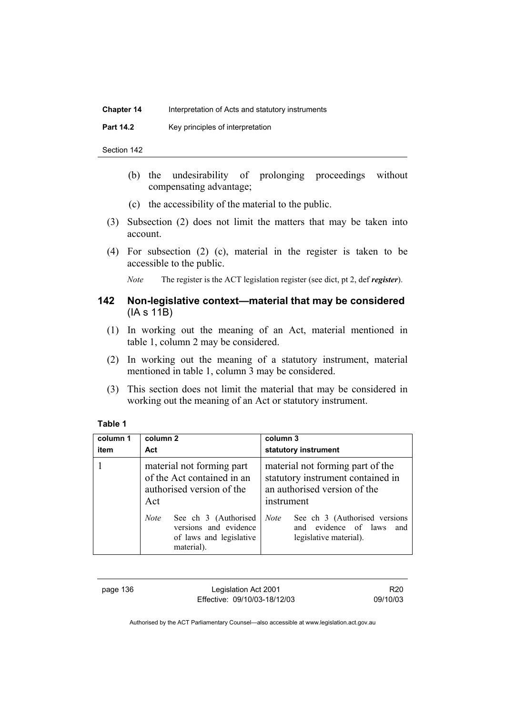#### **Chapter 14** Interpretation of Acts and statutory instruments

**Part 14.2 Key principles of interpretation** 

Section 142

- (b) the undesirability of prolonging proceedings without compensating advantage;
- (c) the accessibility of the material to the public.
- (3) Subsection (2) does not limit the matters that may be taken into account.
- (4) For subsection (2) (c), material in the register is taken to be accessible to the public.

*Note* The register is the ACT legislation register (see dict, pt 2, def *register*).

## **142 Non-legislative context—material that may be considered**  (IA s 11B)

- (1) In working out the meaning of an Act, material mentioned in table 1, column 2 may be considered.
- (2) In working out the meaning of a statutory instrument, material mentioned in table 1, column 3 may be considered.
- (3) This section does not limit the material that may be considered in working out the meaning of an Act or statutory instrument.

### **Table 1**

| column 1<br>item | column 2<br>Act                                                                                       | column 3<br>statutory instrument                                                                                    |
|------------------|-------------------------------------------------------------------------------------------------------|---------------------------------------------------------------------------------------------------------------------|
|                  |                                                                                                       |                                                                                                                     |
|                  | material not forming part<br>of the Act contained in an<br>authorised version of the<br>Act           | material not forming part of the<br>statutory instrument contained in<br>an authorised version of the<br>instrument |
|                  | See ch 3 (Authorised<br><b>Note</b><br>versions and evidence<br>of laws and legislative<br>material). | See ch 3 (Authorised versions<br><b>Note</b><br>and evidence of laws<br>and<br>legislative material).               |

page 136 Legislation Act 2001 Effective: 09/10/03-18/12/03

R20 09/10/03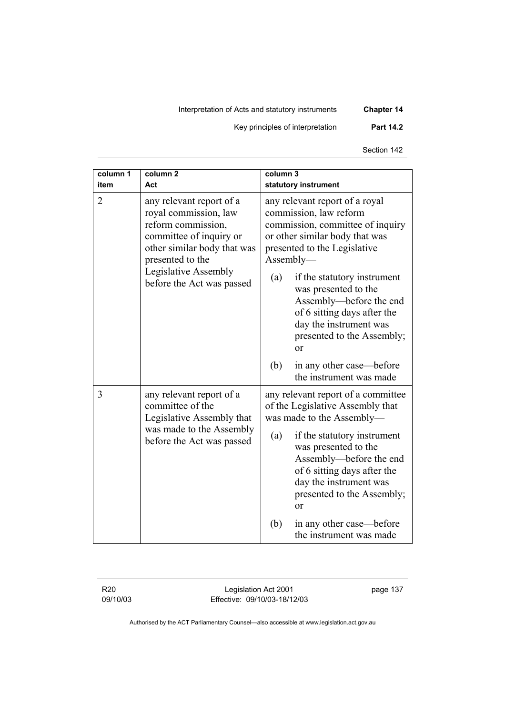Interpretation of Acts and statutory instruments **Chapter 14** 

Key principles of interpretation **Part 14.2** 

Section 142

| column 1<br>item | column <sub>2</sub><br>Act                                                                                                                                                                                 | colum <sub>1</sub><br>statutory instrument                                                                                                                                                                                                                                                                                                                        |
|------------------|------------------------------------------------------------------------------------------------------------------------------------------------------------------------------------------------------------|-------------------------------------------------------------------------------------------------------------------------------------------------------------------------------------------------------------------------------------------------------------------------------------------------------------------------------------------------------------------|
| $\overline{2}$   | any relevant report of a<br>royal commission, law<br>reform commission,<br>committee of inquiry or<br>other similar body that was<br>presented to the<br>Legislative Assembly<br>before the Act was passed | any relevant report of a royal<br>commission, law reform<br>commission, committee of inquiry<br>or other similar body that was<br>presented to the Legislative<br>Assently—<br>(a)<br>if the statutory instrument<br>was presented to the<br>Assembly-before the end<br>of 6 sitting days after the<br>day the instrument was<br>presented to the Assembly;<br>or |
|                  |                                                                                                                                                                                                            | (b)<br>in any other case—before<br>the instrument was made                                                                                                                                                                                                                                                                                                        |
| 3                | any relevant report of a<br>committee of the<br>Legislative Assembly that<br>was made to the Assembly<br>before the Act was passed                                                                         | any relevant report of a committee<br>of the Legislative Assembly that<br>was made to the Assembly-<br>if the statutory instrument<br>(a)<br>was presented to the<br>Assembly—before the end<br>of 6 sitting days after the<br>day the instrument was<br>presented to the Assembly;<br>or                                                                         |
|                  |                                                                                                                                                                                                            | in any other case—before<br>(b)<br>the instrument was made                                                                                                                                                                                                                                                                                                        |

R20 09/10/03

Legislation Act 2001 Effective: 09/10/03-18/12/03 page 137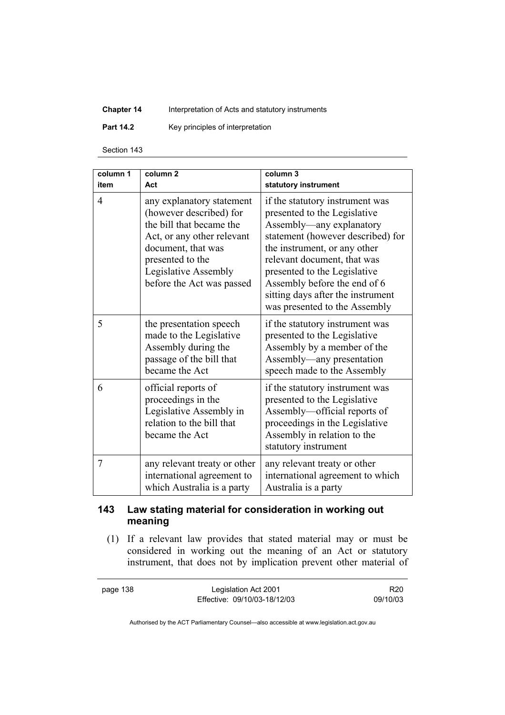## **Chapter 14** Interpretation of Acts and statutory instruments

**Part 14.2 Key principles of interpretation** 

Section 143

| column 1<br>item | colum <sub>n</sub><br>Act                                                                                                                                                                                     | column 3<br>statutory instrument                                                                                                                                                                                                                                                                                                      |
|------------------|---------------------------------------------------------------------------------------------------------------------------------------------------------------------------------------------------------------|---------------------------------------------------------------------------------------------------------------------------------------------------------------------------------------------------------------------------------------------------------------------------------------------------------------------------------------|
| 4                | any explanatory statement<br>(however described) for<br>the bill that became the<br>Act, or any other relevant<br>document, that was<br>presented to the<br>Legislative Assembly<br>before the Act was passed | if the statutory instrument was<br>presented to the Legislative<br>Assembly—any explanatory<br>statement (however described) for<br>the instrument, or any other<br>relevant document, that was<br>presented to the Legislative<br>Assembly before the end of 6<br>sitting days after the instrument<br>was presented to the Assembly |
| 5                | the presentation speech<br>made to the Legislative<br>Assembly during the<br>passage of the bill that<br>became the Act                                                                                       | if the statutory instrument was<br>presented to the Legislative<br>Assembly by a member of the<br>Assembly—any presentation<br>speech made to the Assembly                                                                                                                                                                            |
| 6                | official reports of<br>proceedings in the<br>Legislative Assembly in<br>relation to the bill that<br>became the Act                                                                                           | if the statutory instrument was<br>presented to the Legislative<br>Assembly—official reports of<br>proceedings in the Legislative<br>Assembly in relation to the<br>statutory instrument                                                                                                                                              |
| 7                | any relevant treaty or other<br>international agreement to<br>which Australia is a party                                                                                                                      | any relevant treaty or other<br>international agreement to which<br>Australia is a party                                                                                                                                                                                                                                              |

## **143 Law stating material for consideration in working out meaning**

 (1) If a relevant law provides that stated material may or must be considered in working out the meaning of an Act or statutory instrument, that does not by implication prevent other material of

page 138 Legislation Act 2001 Effective: 09/10/03-18/12/03

R20 09/10/03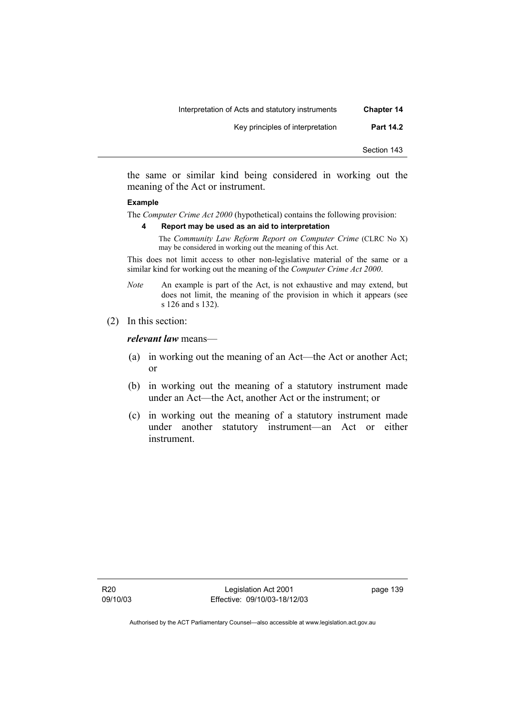the same or similar kind being considered in working out the meaning of the Act or instrument.

#### **Example**

The *Computer Crime Act 2000* (hypothetical) contains the following provision:

**4 Report may be used as an aid to interpretation** 

The *Community Law Reform Report on Computer Crime* (CLRC No X) may be considered in working out the meaning of this Act.

This does not limit access to other non-legislative material of the same or a similar kind for working out the meaning of the *Computer Crime Act 2000*.

- *Note* An example is part of the Act, is not exhaustive and may extend, but does not limit, the meaning of the provision in which it appears (see s 126 and s 132).
- (2) In this section:

*relevant law* means—

- (a) in working out the meaning of an Act—the Act or another Act; or
- (b) in working out the meaning of a statutory instrument made under an Act—the Act, another Act or the instrument; or
- (c) in working out the meaning of a statutory instrument made under another statutory instrument—an Act or either instrument.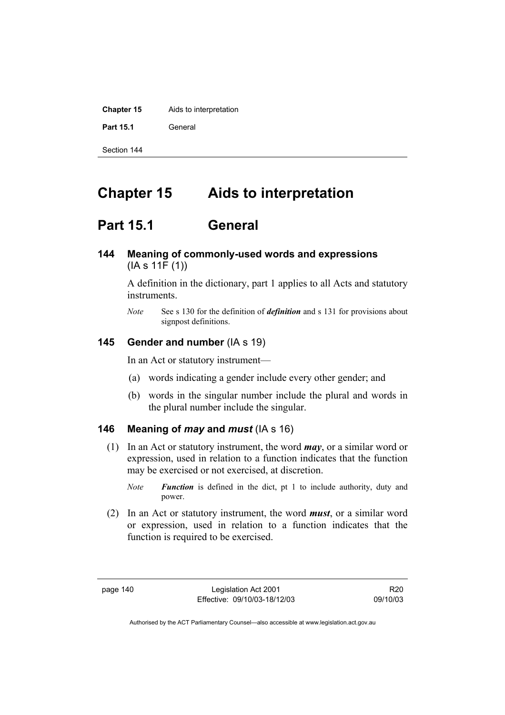| <b>Chapter 15</b> | Aids to interpretation |
|-------------------|------------------------|
| Part 15.1         | General                |
| Section 144       |                        |

# **Chapter 15 Aids to interpretation**

# **Part 15.1 General**

**144 Meaning of commonly-used words and expressions**  (IA s 11F (1))

> A definition in the dictionary, part 1 applies to all Acts and statutory instruments.

> *Note* See s 130 for the definition of *definition* and s 131 for provisions about signpost definitions.

### **145 Gender and number** (IA s 19)

In an Act or statutory instrument—

- (a) words indicating a gender include every other gender; and
- (b) words in the singular number include the plural and words in the plural number include the singular.

### **146 Meaning of** *may* **and** *must* (IA s 16)

- (1) In an Act or statutory instrument, the word *may*, or a similar word or expression, used in relation to a function indicates that the function may be exercised or not exercised, at discretion.
	- *Note Function* is defined in the dict, pt 1 to include authority, duty and power.
- (2) In an Act or statutory instrument, the word *must*, or a similar word or expression, used in relation to a function indicates that the function is required to be exercised.

R20 09/10/03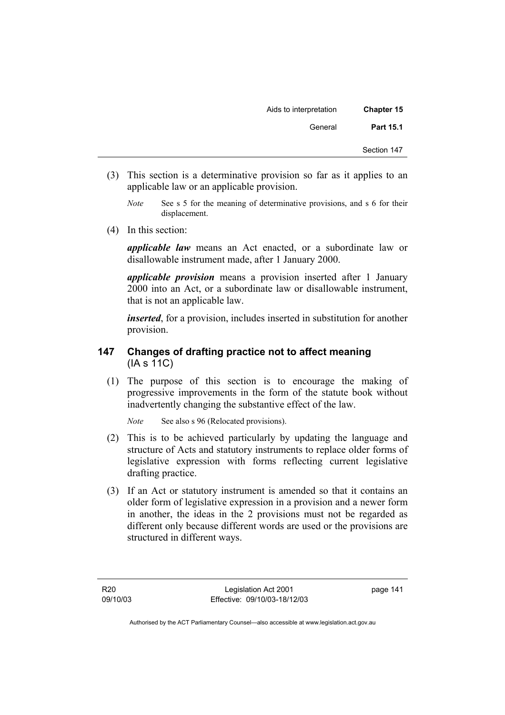| <b>Chapter 15</b> | Aids to interpretation |
|-------------------|------------------------|
| <b>Part 15.1</b>  | General                |
| Section 147       |                        |

- (3) This section is a determinative provision so far as it applies to an applicable law or an applicable provision.
	- *Note* See s 5 for the meaning of determinative provisions, and s 6 for their displacement.
- (4) In this section:

*applicable law* means an Act enacted, or a subordinate law or disallowable instrument made, after 1 January 2000.

*applicable provision* means a provision inserted after 1 January 2000 into an Act, or a subordinate law or disallowable instrument, that is not an applicable law.

*inserted*, for a provision, includes inserted in substitution for another provision.

## **147 Changes of drafting practice not to affect meaning**  (IA s 11C)

 (1) The purpose of this section is to encourage the making of progressive improvements in the form of the statute book without inadvertently changing the substantive effect of the law.

*Note* See also s 96 (Relocated provisions).

- (2) This is to be achieved particularly by updating the language and structure of Acts and statutory instruments to replace older forms of legislative expression with forms reflecting current legislative drafting practice.
- (3) If an Act or statutory instrument is amended so that it contains an older form of legislative expression in a provision and a newer form in another, the ideas in the 2 provisions must not be regarded as different only because different words are used or the provisions are structured in different ways.

page 141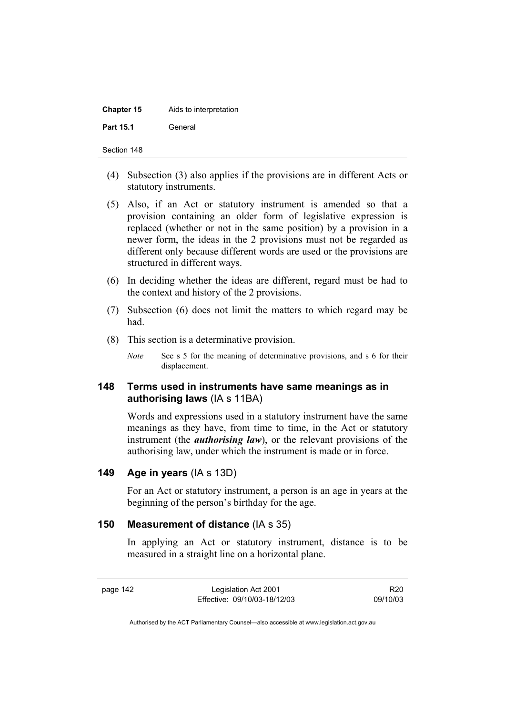| <b>Chapter 15</b> | Aids to interpretation |
|-------------------|------------------------|
| <b>Part 15.1</b>  | General                |

- (4) Subsection (3) also applies if the provisions are in different Acts or statutory instruments.
- (5) Also, if an Act or statutory instrument is amended so that a provision containing an older form of legislative expression is replaced (whether or not in the same position) by a provision in a newer form, the ideas in the 2 provisions must not be regarded as different only because different words are used or the provisions are structured in different ways.
- (6) In deciding whether the ideas are different, regard must be had to the context and history of the 2 provisions.
- (7) Subsection (6) does not limit the matters to which regard may be had.
- (8) This section is a determinative provision.
	- *Note* See s 5 for the meaning of determinative provisions, and s 6 for their displacement.

## **148 Terms used in instruments have same meanings as in authorising laws** (IA s 11BA)

Words and expressions used in a statutory instrument have the same meanings as they have, from time to time, in the Act or statutory instrument (the *authorising law*), or the relevant provisions of the authorising law, under which the instrument is made or in force.

### **149 Age in years** (IA s 13D)

For an Act or statutory instrument, a person is an age in years at the beginning of the person's birthday for the age.

### **150 Measurement of distance** (IA s 35)

In applying an Act or statutory instrument, distance is to be measured in a straight line on a horizontal plane.

page 142 Legislation Act 2001 Effective: 09/10/03-18/12/03

R20 09/10/03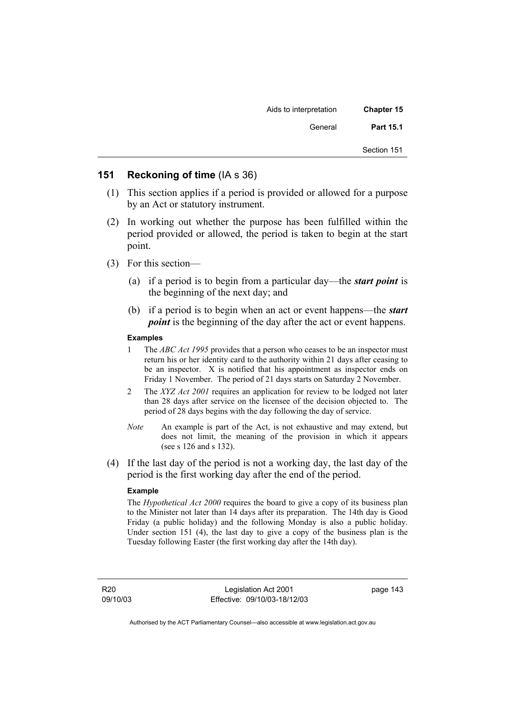| Chapter 15  | Aids to interpretation |
|-------------|------------------------|
| Part 15.1   | General                |
| Section 151 |                        |

## **151 Reckoning of time** (IA s 36)

- (1) This section applies if a period is provided or allowed for a purpose by an Act or statutory instrument.
- (2) In working out whether the purpose has been fulfilled within the period provided or allowed, the period is taken to begin at the start point.
- (3) For this section—
	- (a) if a period is to begin from a particular day—the *start point* is the beginning of the next day; and
	- (b) if a period is to begin when an act or event happens—the *start point* is the beginning of the day after the act or event happens.

#### **Examples**

- 1 The *ABC Act 1995* provides that a person who ceases to be an inspector must return his or her identity card to the authority within 21 days after ceasing to be an inspector. X is notified that his appointment as inspector ends on Friday 1 November. The period of 21 days starts on Saturday 2 November.
- 2 The *XYZ Act 2001* requires an application for review to be lodged not later than 28 days after service on the licensee of the decision objected to. The period of 28 days begins with the day following the day of service.
- *Note* An example is part of the Act, is not exhaustive and may extend, but does not limit, the meaning of the provision in which it appears (see s 126 and s 132).
- (4) If the last day of the period is not a working day, the last day of the period is the first working day after the end of the period.

#### **Example**

The *Hypothetical Act 2000* requires the board to give a copy of its business plan to the Minister not later than 14 days after its preparation. The 14th day is Good Friday (a public holiday) and the following Monday is also a public holiday. Under section 151 (4), the last day to give a copy of the business plan is the Tuesday following Easter (the first working day after the 14th day).

R20 09/10/03

Legislation Act 2001 Effective: 09/10/03-18/12/03 page 143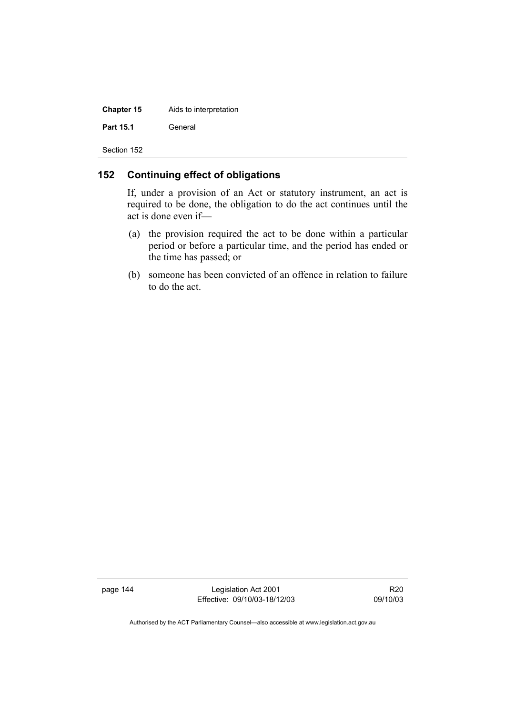| <b>Chapter 15</b> | Aids to interpretation |
|-------------------|------------------------|
| Part 15.1         | General                |
| Section 152       |                        |

### **152 Continuing effect of obligations**

If, under a provision of an Act or statutory instrument, an act is required to be done, the obligation to do the act continues until the act is done even if—

- (a) the provision required the act to be done within a particular period or before a particular time, and the period has ended or the time has passed; or
- (b) someone has been convicted of an offence in relation to failure to do the act.

page 144 Legislation Act 2001 Effective: 09/10/03-18/12/03

R20 09/10/03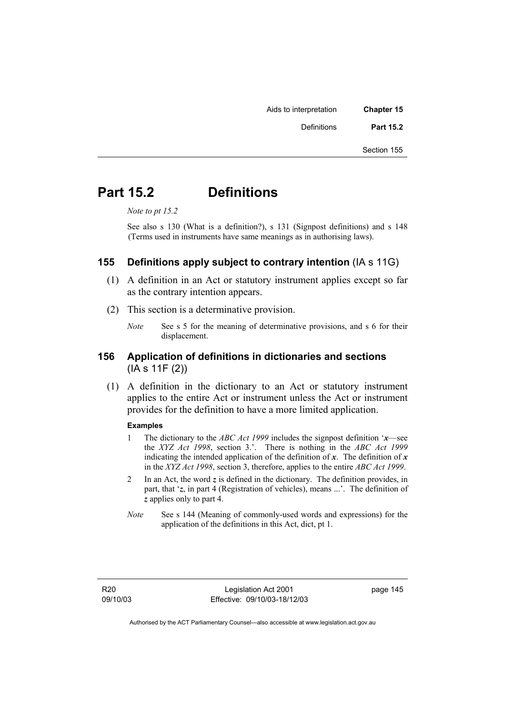Aids to interpretation **Chapter 15**  Definitions **Part 15.2** 

Section 155

## **Part 15.2 Definitions**

*Note to pt 15.2* 

See also s 130 (What is a definition?), s 131 (Signpost definitions) and s 148 (Terms used in instruments have same meanings as in authorising laws).

## **155 Definitions apply subject to contrary intention** (IA s 11G)

- (1) A definition in an Act or statutory instrument applies except so far as the contrary intention appears.
- (2) This section is a determinative provision.
	- *Note* See s 5 for the meaning of determinative provisions, and s 6 for their displacement.

### **156 Application of definitions in dictionaries and sections**  (IA s 11F (2))

 (1) A definition in the dictionary to an Act or statutory instrument applies to the entire Act or instrument unless the Act or instrument provides for the definition to have a more limited application.

#### **Examples**

- 1 The dictionary to the *ABC Act 1999* includes the signpost definition '*x*—see the *XYZ Act 1998*, section 3.'. There is nothing in the *ABC Act 1999* indicating the intended application of the definition of  $x$ . The definition of  $x$ in the *XYZ Act 1998*, section 3, therefore, applies to the entire *ABC Act 1999*.
- 2 In an Act, the word *z* is defined in the dictionary. The definition provides, in part, that '*z*, in part 4 (Registration of vehicles), means ...'. The definition of *z* applies only to part 4.
- *Note* See s 144 (Meaning of commonly-used words and expressions) for the application of the definitions in this Act, dict, pt 1.

page 145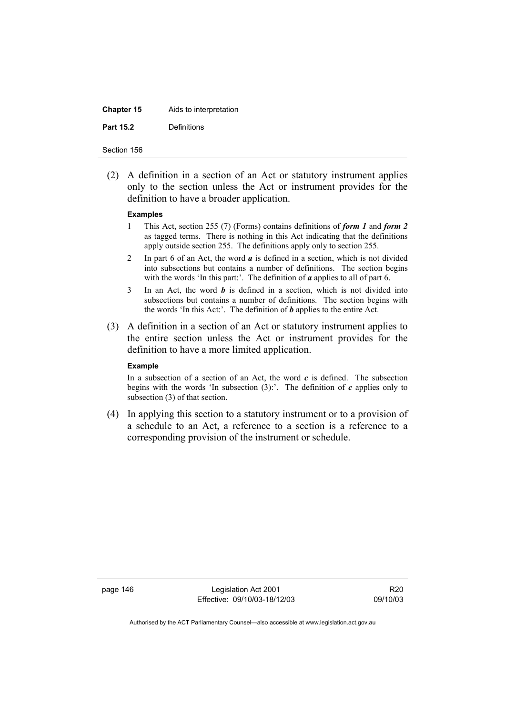| <b>Chapter 15</b> | Aids to interpretation |
|-------------------|------------------------|
| <b>Part 15.2</b>  | Definitions            |

 (2) A definition in a section of an Act or statutory instrument applies only to the section unless the Act or instrument provides for the definition to have a broader application.

#### **Examples**

- 1 This Act, section 255 (7) (Forms) contains definitions of *form 1* and *form 2* as tagged terms. There is nothing in this Act indicating that the definitions apply outside section 255. The definitions apply only to section 255.
- 2 In part 6 of an Act, the word *a* is defined in a section, which is not divided into subsections but contains a number of definitions. The section begins with the words 'In this part:'. The definition of *a* applies to all of part 6.
- 3 In an Act, the word *b* is defined in a section, which is not divided into subsections but contains a number of definitions. The section begins with the words 'In this Act:'. The definition of *b* applies to the entire Act.
- (3) A definition in a section of an Act or statutory instrument applies to the entire section unless the Act or instrument provides for the definition to have a more limited application.

#### **Example**

In a subsection of a section of an Act, the word  $c$  is defined. The subsection begins with the words 'In subsection  $(3)$ :'. The definition of  $c$  applies only to subsection (3) of that section.

 (4) In applying this section to a statutory instrument or to a provision of a schedule to an Act, a reference to a section is a reference to a corresponding provision of the instrument or schedule.

page 146 Legislation Act 2001 Effective: 09/10/03-18/12/03

R20 09/10/03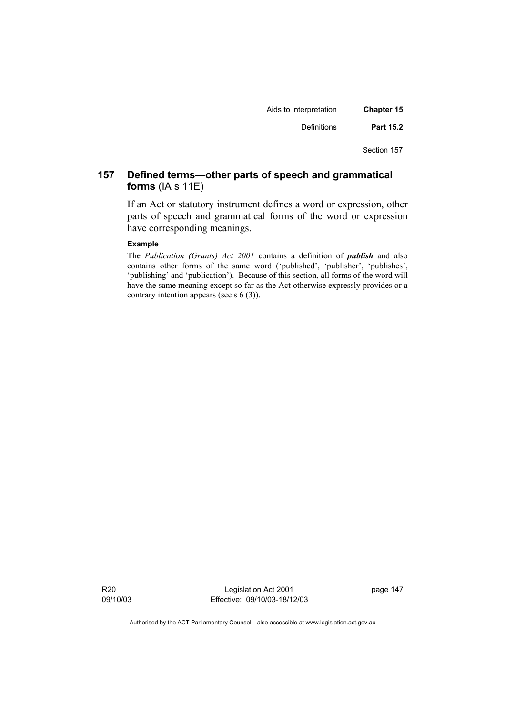| <b>Chapter 15</b> | Aids to interpretation |
|-------------------|------------------------|
| Part 15.2         | Definitions            |
| Section 157       |                        |

## **157 Defined terms—other parts of speech and grammatical forms** (IA s 11E)

If an Act or statutory instrument defines a word or expression, other parts of speech and grammatical forms of the word or expression have corresponding meanings.

#### **Example**

The *Publication (Grants) Act 2001* contains a definition of *publish* and also contains other forms of the same word ('published', 'publisher', 'publishes', 'publishing' and 'publication'). Because of this section, all forms of the word will have the same meaning except so far as the Act otherwise expressly provides or a contrary intention appears (see s 6 (3)).

R20 09/10/03

Legislation Act 2001 Effective: 09/10/03-18/12/03 page 147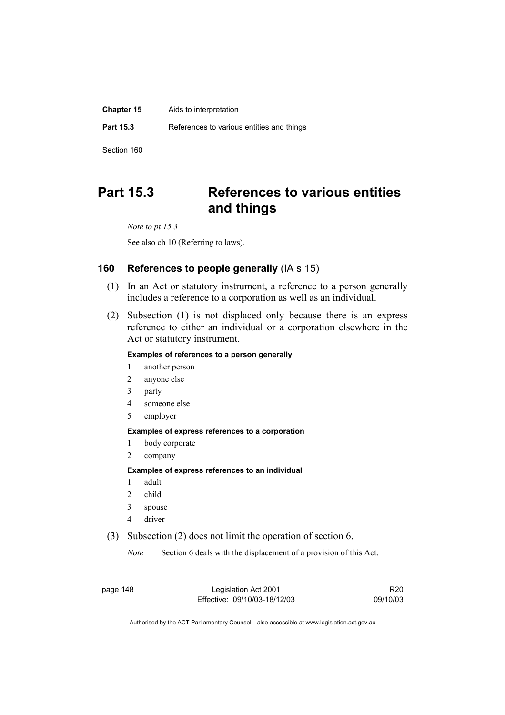| <b>Chapter 15</b> | Aids to interpretation                    |
|-------------------|-------------------------------------------|
| <b>Part 15.3</b>  | References to various entities and things |
| Section 160       |                                           |

# **Part 15.3 References to various entities and things**

*Note to pt 15.3* 

See also ch 10 (Referring to laws).

## **160 References to people generally** (IA s 15)

- (1) In an Act or statutory instrument, a reference to a person generally includes a reference to a corporation as well as an individual.
- (2) Subsection (1) is not displaced only because there is an express reference to either an individual or a corporation elsewhere in the Act or statutory instrument.

#### **Examples of references to a person generally**

- 1 another person
- 2 anyone else
- 3 party
- 4 someone else
- 5 employer

#### **Examples of express references to a corporation**

- 1 body corporate
- 2 company

#### **Examples of express references to an individual**

- 1 adult
- 2 child
- 3 spouse
- 4 driver
- (3) Subsection (2) does not limit the operation of section 6.

*Note* Section 6 deals with the displacement of a provision of this Act.

page 148 Legislation Act 2001 Effective: 09/10/03-18/12/03

R20 09/10/03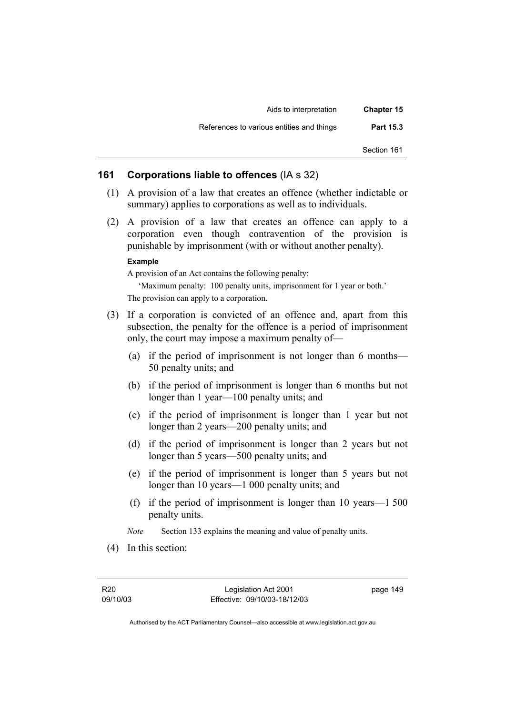| <b>Chapter 15</b> | Aids to interpretation                    |
|-------------------|-------------------------------------------|
| <b>Part 15.3</b>  | References to various entities and things |
| Section 161       |                                           |

### **161 Corporations liable to offences** (IA s 32)

- (1) A provision of a law that creates an offence (whether indictable or summary) applies to corporations as well as to individuals.
- (2) A provision of a law that creates an offence can apply to a corporation even though contravention of the provision is punishable by imprisonment (with or without another penalty).

#### **Example**

A provision of an Act contains the following penalty:

'Maximum penalty: 100 penalty units, imprisonment for 1 year or both.' The provision can apply to a corporation.

- (3) If a corporation is convicted of an offence and, apart from this subsection, the penalty for the offence is a period of imprisonment only, the court may impose a maximum penalty of—
	- (a) if the period of imprisonment is not longer than 6 months— 50 penalty units; and
	- (b) if the period of imprisonment is longer than 6 months but not longer than 1 year—100 penalty units; and
	- (c) if the period of imprisonment is longer than 1 year but not longer than 2 years—200 penalty units; and
	- (d) if the period of imprisonment is longer than 2 years but not longer than 5 years—500 penalty units; and
	- (e) if the period of imprisonment is longer than 5 years but not longer than 10 years—1 000 penalty units; and
	- (f) if the period of imprisonment is longer than 10 years—1 500 penalty units.

*Note* Section 133 explains the meaning and value of penalty units.

(4) In this section:

page 149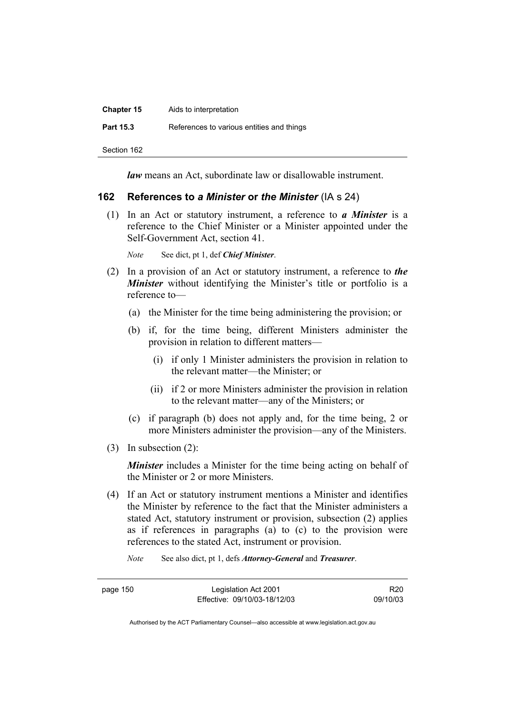| <b>Chapter 15</b> | Aids to interpretation                    |
|-------------------|-------------------------------------------|
| <b>Part 15.3</b>  | References to various entities and things |
| Section 162       |                                           |

*law* means an Act, subordinate law or disallowable instrument.

### **162 References to** *a Minister* **or** *the Minister* (IA s 24)

 (1) In an Act or statutory instrument, a reference to *a Minister* is a reference to the Chief Minister or a Minister appointed under the Self-Government Act, section 41.

*Note* See dict, pt 1, def *Chief Minister*.

- (2) In a provision of an Act or statutory instrument, a reference to *the Minister* without identifying the Minister's title or portfolio is a reference to—
	- (a) the Minister for the time being administering the provision; or
	- (b) if, for the time being, different Ministers administer the provision in relation to different matters—
		- (i) if only 1 Minister administers the provision in relation to the relevant matter—the Minister; or
		- (ii) if 2 or more Ministers administer the provision in relation to the relevant matter—any of the Ministers; or
	- (c) if paragraph (b) does not apply and, for the time being, 2 or more Ministers administer the provision—any of the Ministers.
- (3) In subsection (2):

*Minister* includes a Minister for the time being acting on behalf of the Minister or 2 or more Ministers.

- (4) If an Act or statutory instrument mentions a Minister and identifies the Minister by reference to the fact that the Minister administers a stated Act, statutory instrument or provision, subsection (2) applies as if references in paragraphs (a) to (c) to the provision were references to the stated Act, instrument or provision.
	- *Note* See also dict, pt 1, defs *Attorney-General* and *Treasurer*.

page 150 Legislation Act 2001 Effective: 09/10/03-18/12/03

R20 09/10/03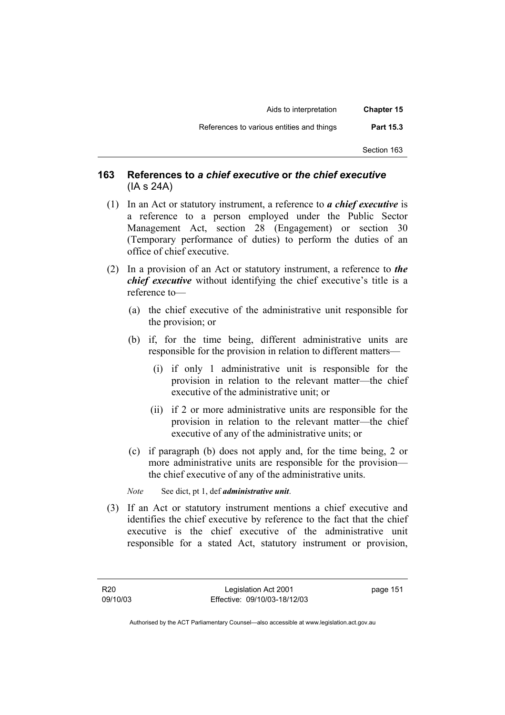| <b>Chapter 15</b> | Aids to interpretation                    |
|-------------------|-------------------------------------------|
| Part 15.3         | References to various entities and things |
| Section 163       |                                           |

## **163 References to** *a chief executive* **or** *the chief executive* (IA s 24A)

- (1) In an Act or statutory instrument, a reference to *a chief executive* is a reference to a person employed under the Public Sector Management Act, section 28 (Engagement) or section 30 (Temporary performance of duties) to perform the duties of an office of chief executive.
- (2) In a provision of an Act or statutory instrument, a reference to *the chief executive* without identifying the chief executive's title is a reference to—
	- (a) the chief executive of the administrative unit responsible for the provision; or
	- (b) if, for the time being, different administrative units are responsible for the provision in relation to different matters—
		- (i) if only 1 administrative unit is responsible for the provision in relation to the relevant matter—the chief executive of the administrative unit; or
		- (ii) if 2 or more administrative units are responsible for the provision in relation to the relevant matter—the chief executive of any of the administrative units; or
	- (c) if paragraph (b) does not apply and, for the time being, 2 or more administrative units are responsible for the provision the chief executive of any of the administrative units.
	- *Note* See dict, pt 1, def *administrative unit*.
- (3) If an Act or statutory instrument mentions a chief executive and identifies the chief executive by reference to the fact that the chief executive is the chief executive of the administrative unit responsible for a stated Act, statutory instrument or provision,

page 151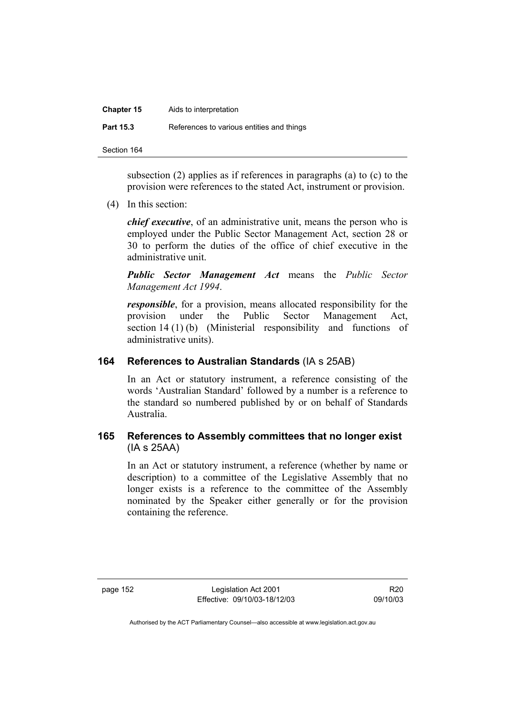| <b>Chapter 15</b> | Aids to interpretation                    |
|-------------------|-------------------------------------------|
| <b>Part 15.3</b>  | References to various entities and things |

subsection (2) applies as if references in paragraphs (a) to (c) to the provision were references to the stated Act, instrument or provision.

(4) In this section:

*chief executive*, of an administrative unit, means the person who is employed under the Public Sector Management Act, section 28 or 30 to perform the duties of the office of chief executive in the administrative unit.

*Public Sector Management Act* means the *Public Sector Management Act 1994*.

*responsible*, for a provision, means allocated responsibility for the provision under the Public Sector Management Act, section 14 (1) (b) (Ministerial responsibility and functions of administrative units).

## **164 References to Australian Standards** (IA s 25AB)

In an Act or statutory instrument, a reference consisting of the words 'Australian Standard' followed by a number is a reference to the standard so numbered published by or on behalf of Standards Australia.

## **165 References to Assembly committees that no longer exist**  (IA s 25AA)

In an Act or statutory instrument, a reference (whether by name or description) to a committee of the Legislative Assembly that no longer exists is a reference to the committee of the Assembly nominated by the Speaker either generally or for the provision containing the reference.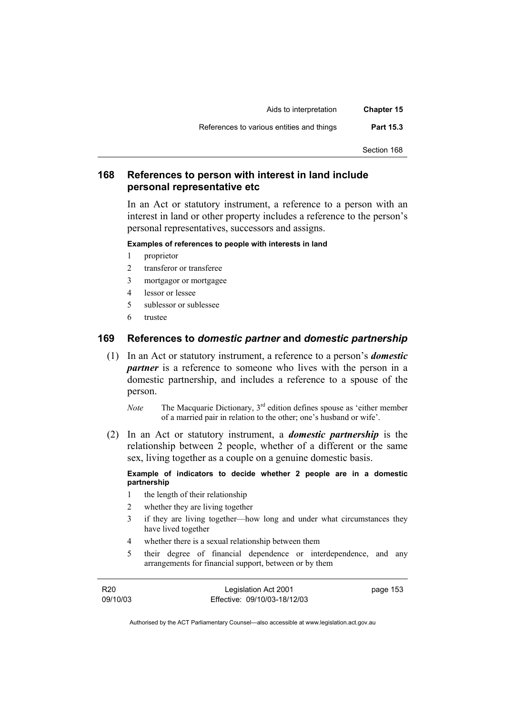| <b>Chapter 15</b> | Aids to interpretation                    |
|-------------------|-------------------------------------------|
| <b>Part 15.3</b>  | References to various entities and things |
| Section 168       |                                           |

## **168 References to person with interest in land include personal representative etc**

In an Act or statutory instrument, a reference to a person with an interest in land or other property includes a reference to the person's personal representatives, successors and assigns.

#### **Examples of references to people with interests in land**

- 1 proprietor
- 2 transferor or transferee
- 3 mortgagor or mortgagee
- 4 lessor or lessee
- 5 sublessor or sublessee
- 6 trustee

### **169 References to** *domestic partner* **and** *domestic partnership*

- (1) In an Act or statutory instrument, a reference to a person's *domestic partner* is a reference to someone who lives with the person in a domestic partnership, and includes a reference to a spouse of the person.
	- *Note* The Macquarie Dictionary, 3<sup>rd</sup> edition defines spouse as 'either member of a married pair in relation to the other; one's husband or wife'.
- (2) In an Act or statutory instrument, a *domestic partnership* is the relationship between 2 people, whether of a different or the same sex, living together as a couple on a genuine domestic basis.

#### **Example of indicators to decide whether 2 people are in a domestic partnership**

- 1 the length of their relationship
- 2 whether they are living together
- 3 if they are living together—how long and under what circumstances they have lived together
- 4 whether there is a sexual relationship between them
- 5 their degree of financial dependence or interdependence, and any arrangements for financial support, between or by them

R20 09/10/03

Legislation Act 2001 Effective: 09/10/03-18/12/03 page 153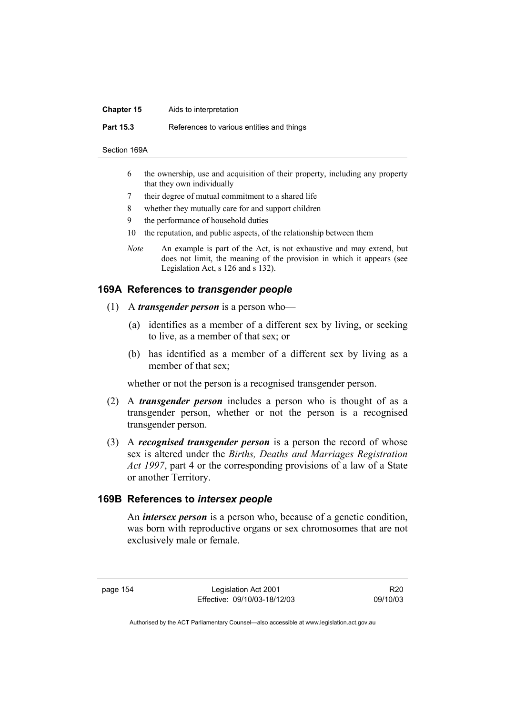#### **Chapter 15** Aids to interpretation

**Part 15.3** References to various entities and things

- Section 169A
	- 6 the ownership, use and acquisition of their property, including any property that they own individually
	- 7 their degree of mutual commitment to a shared life
	- 8 whether they mutually care for and support children
	- 9 the performance of household duties
	- 10 the reputation, and public aspects, of the relationship between them
	- *Note* An example is part of the Act, is not exhaustive and may extend, but does not limit, the meaning of the provision in which it appears (see Legislation Act, s 126 and s 132).

### **169A References to** *transgender people*

- (1) A *transgender person* is a person who—
	- (a) identifies as a member of a different sex by living, or seeking to live, as a member of that sex; or
	- (b) has identified as a member of a different sex by living as a member of that sex;

whether or not the person is a recognised transgender person.

- (2) A *transgender person* includes a person who is thought of as a transgender person, whether or not the person is a recognised transgender person.
- (3) A *recognised transgender person* is a person the record of whose sex is altered under the *Births, Deaths and Marriages Registration Act 1997*, part 4 or the corresponding provisions of a law of a State or another Territory.

### **169B References to** *intersex people*

 An *intersex person* is a person who, because of a genetic condition, was born with reproductive organs or sex chromosomes that are not exclusively male or female.

page 154 Legislation Act 2001 Effective: 09/10/03-18/12/03

R20 09/10/03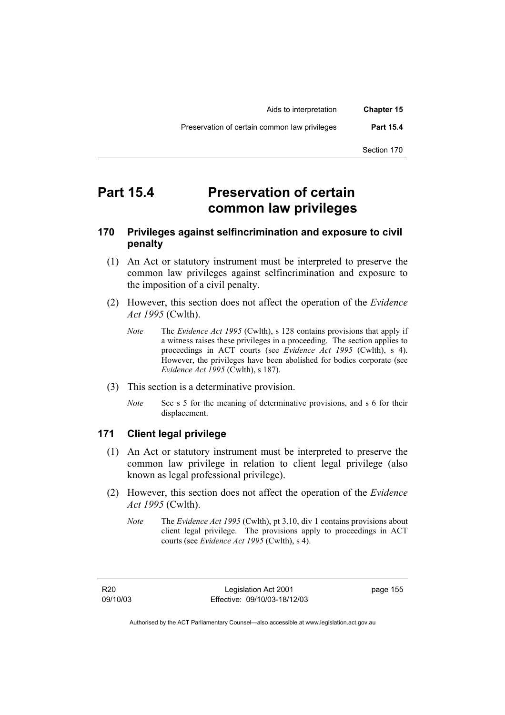| <b>Chapter 15</b> | Aids to interpretation                        |  |
|-------------------|-----------------------------------------------|--|
| <b>Part 15.4</b>  | Preservation of certain common law privileges |  |
| Section 170       |                                               |  |

# **Part 15.4 Preservation of certain common law privileges**

## **170 Privileges against selfincrimination and exposure to civil penalty**

- (1) An Act or statutory instrument must be interpreted to preserve the common law privileges against selfincrimination and exposure to the imposition of a civil penalty.
- (2) However, this section does not affect the operation of the *Evidence Act 1995* (Cwlth).
	- *Note* The *Evidence Act 1995* (Cwlth), s 128 contains provisions that apply if a witness raises these privileges in a proceeding. The section applies to proceedings in ACT courts (see *Evidence Act 1995* (Cwlth), s 4). However, the privileges have been abolished for bodies corporate (see *Evidence Act 1995* (Cwlth), s 187).
- (3) This section is a determinative provision.
	- *Note* See s 5 for the meaning of determinative provisions, and s 6 for their displacement.

### **171 Client legal privilege**

- (1) An Act or statutory instrument must be interpreted to preserve the common law privilege in relation to client legal privilege (also known as legal professional privilege).
- (2) However, this section does not affect the operation of the *Evidence Act 1995* (Cwlth).
	- *Note* The *Evidence Act 1995* (Cwlth), pt 3.10, div 1 contains provisions about client legal privilege. The provisions apply to proceedings in ACT courts (see *Evidence Act 1995* (Cwlth), s 4).

R20 09/10/03 page 155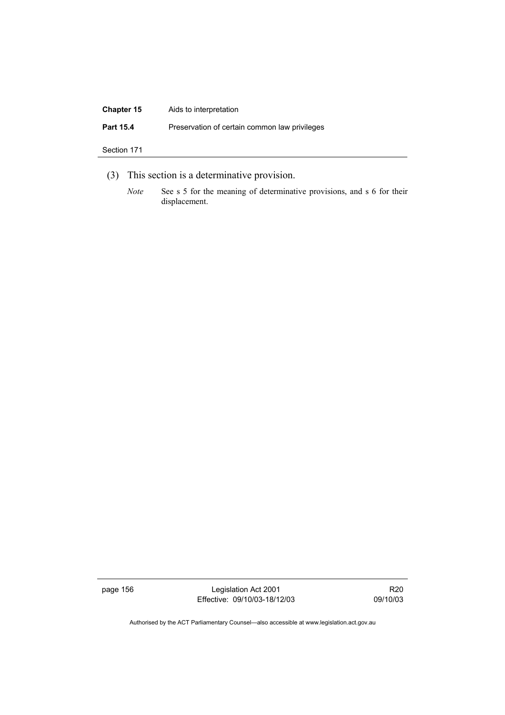| <b>Chapter 15</b> | Aids to interpretation                        |
|-------------------|-----------------------------------------------|
| Part 15.4         | Preservation of certain common law privileges |
| Section 171       |                                               |
|                   |                                               |

- (3) This section is a determinative provision.
	- *Note* See s 5 for the meaning of determinative provisions, and s 6 for their displacement.

page 156 Legislation Act 2001 Effective: 09/10/03-18/12/03

R20 09/10/03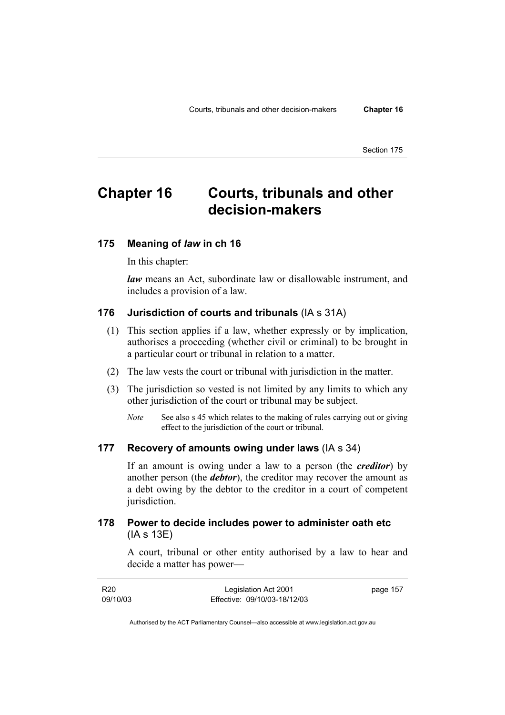# **Chapter 16 Courts, tribunals and other decision-makers**

#### **175 Meaning of** *law* **in ch 16**

In this chapter:

*law* means an Act, subordinate law or disallowable instrument, and includes a provision of a law.

### **176 Jurisdiction of courts and tribunals** (IA s 31A)

- (1) This section applies if a law, whether expressly or by implication, authorises a proceeding (whether civil or criminal) to be brought in a particular court or tribunal in relation to a matter.
- (2) The law vests the court or tribunal with jurisdiction in the matter.
- (3) The jurisdiction so vested is not limited by any limits to which any other jurisdiction of the court or tribunal may be subject.
	- *Note* See also s 45 which relates to the making of rules carrying out or giving effect to the jurisdiction of the court or tribunal.

#### **177 Recovery of amounts owing under laws** (IA s 34)

If an amount is owing under a law to a person (the *creditor*) by another person (the *debtor*), the creditor may recover the amount as a debt owing by the debtor to the creditor in a court of competent jurisdiction.

### **178 Power to decide includes power to administer oath etc**  (IA s 13E)

A court, tribunal or other entity authorised by a law to hear and decide a matter has power—

| R20      | Legislation Act 2001         | page 157 |
|----------|------------------------------|----------|
| 09/10/03 | Effective: 09/10/03-18/12/03 |          |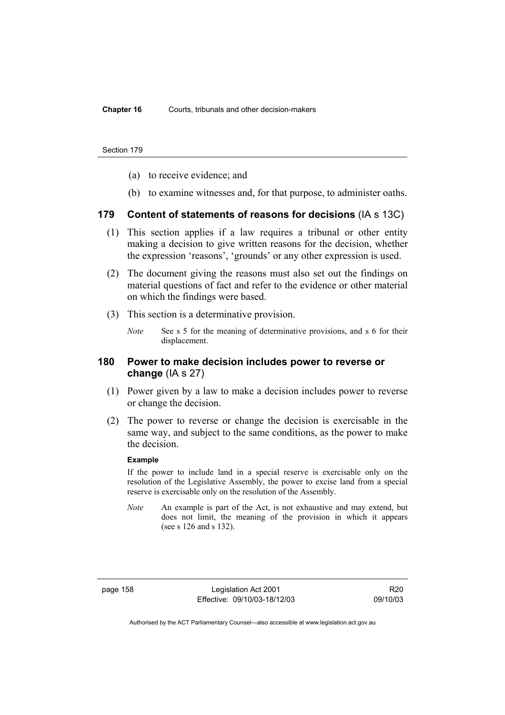- (a) to receive evidence; and
- (b) to examine witnesses and, for that purpose, to administer oaths.

### **179 Content of statements of reasons for decisions** (IA s 13C)

- (1) This section applies if a law requires a tribunal or other entity making a decision to give written reasons for the decision, whether the expression 'reasons', 'grounds' or any other expression is used.
- (2) The document giving the reasons must also set out the findings on material questions of fact and refer to the evidence or other material on which the findings were based.
- (3) This section is a determinative provision.
	- *Note* See s 5 for the meaning of determinative provisions, and s 6 for their displacement.

### **180 Power to make decision includes power to reverse or change** (IA s 27)

- (1) Power given by a law to make a decision includes power to reverse or change the decision.
- (2) The power to reverse or change the decision is exercisable in the same way, and subject to the same conditions, as the power to make the decision.

#### **Example**

If the power to include land in a special reserve is exercisable only on the resolution of the Legislative Assembly, the power to excise land from a special reserve is exercisable only on the resolution of the Assembly.

*Note* An example is part of the Act, is not exhaustive and may extend, but does not limit, the meaning of the provision in which it appears (see s 126 and s 132).

page 158 Legislation Act 2001 Effective: 09/10/03-18/12/03

R20 09/10/03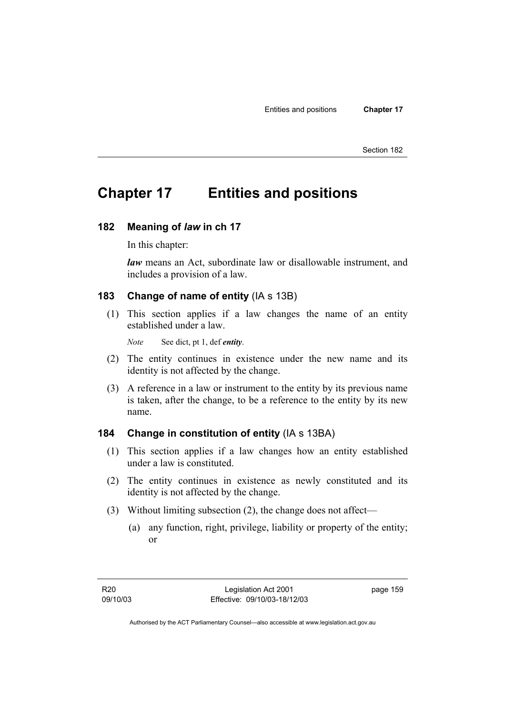# **Chapter 17 Entities and positions**

#### **182 Meaning of** *law* **in ch 17**

In this chapter:

*law* means an Act, subordinate law or disallowable instrument, and includes a provision of a law.

### **183 Change of name of entity** (IA s 13B)

 (1) This section applies if a law changes the name of an entity established under a law.

*Note* See dict, pt 1, def *entity*.

- (2) The entity continues in existence under the new name and its identity is not affected by the change.
- (3) A reference in a law or instrument to the entity by its previous name is taken, after the change, to be a reference to the entity by its new name.

### **184 Change in constitution of entity** (IA s 13BA)

- (1) This section applies if a law changes how an entity established under a law is constituted.
- (2) The entity continues in existence as newly constituted and its identity is not affected by the change.
- (3) Without limiting subsection (2), the change does not affect—
	- (a) any function, right, privilege, liability or property of the entity; or

page 159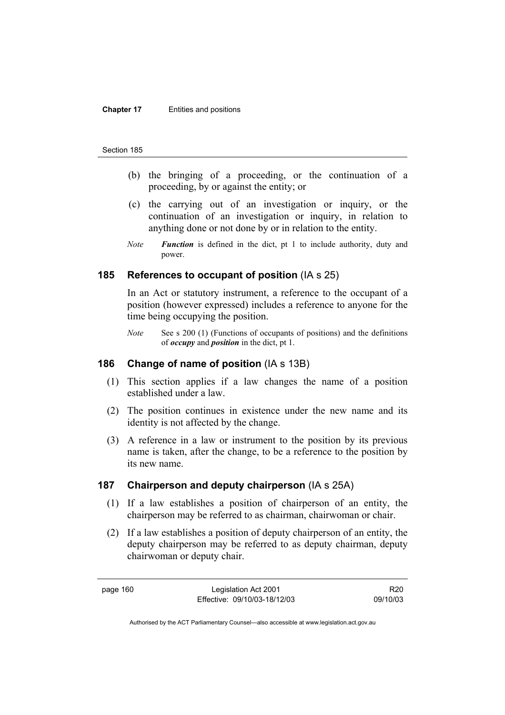#### **Chapter 17** Entities and positions

#### Section 185

- (b) the bringing of a proceeding, or the continuation of a proceeding, by or against the entity; or
- (c) the carrying out of an investigation or inquiry, or the continuation of an investigation or inquiry, in relation to anything done or not done by or in relation to the entity.
- *Note Function* is defined in the dict, pt 1 to include authority, duty and power.

### **185 References to occupant of position** (IA s 25)

In an Act or statutory instrument, a reference to the occupant of a position (however expressed) includes a reference to anyone for the time being occupying the position.

*Note* See s 200 (1) (Functions of occupants of positions) and the definitions of *occupy* and *position* in the dict, pt 1.

### **186 Change of name of position** (IA s 13B)

- (1) This section applies if a law changes the name of a position established under a law.
- (2) The position continues in existence under the new name and its identity is not affected by the change.
- (3) A reference in a law or instrument to the position by its previous name is taken, after the change, to be a reference to the position by its new name.

#### **187 Chairperson and deputy chairperson** (IA s 25A)

- (1) If a law establishes a position of chairperson of an entity, the chairperson may be referred to as chairman, chairwoman or chair.
- (2) If a law establishes a position of deputy chairperson of an entity, the deputy chairperson may be referred to as deputy chairman, deputy chairwoman or deputy chair.

page 160 Legislation Act 2001 Effective: 09/10/03-18/12/03

R20 09/10/03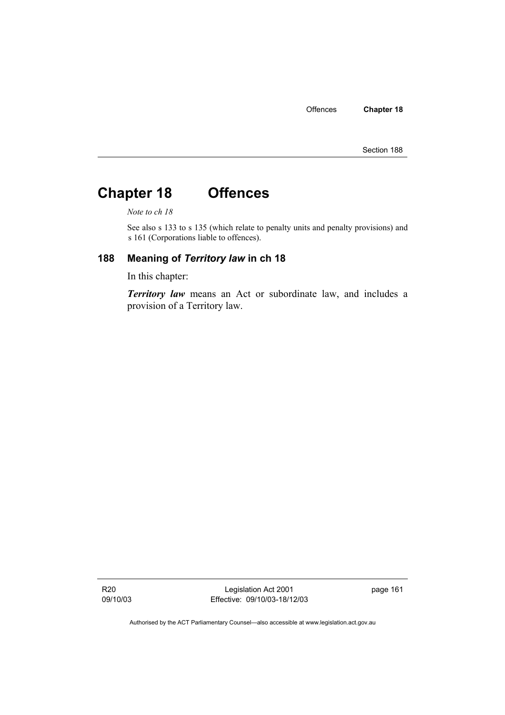# **Chapter 18 Offences**

*Note to ch 18* 

See also s 133 to s 135 (which relate to penalty units and penalty provisions) and s 161 (Corporations liable to offences).

### **188 Meaning of** *Territory law* **in ch 18**

In this chapter:

*Territory law* means an Act or subordinate law, and includes a provision of a Territory law.

R20 09/10/03

Legislation Act 2001 Effective: 09/10/03-18/12/03 page 161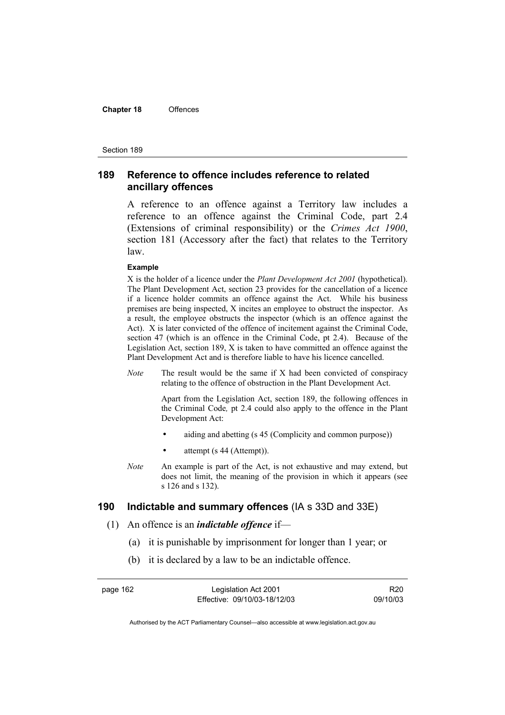#### **Chapter 18** Offences

#### Section 189

## **189 Reference to offence includes reference to related ancillary offences**

A reference to an offence against a Territory law includes a reference to an offence against the Criminal Code, part 2.4 (Extensions of criminal responsibility) or the *Crimes Act 1900*, section 181 (Accessory after the fact) that relates to the Territory law.

#### **Example**

X is the holder of a licence under the *Plant Development Act 2001* (hypothetical). The Plant Development Act, section 23 provides for the cancellation of a licence if a licence holder commits an offence against the Act. While his business premises are being inspected, X incites an employee to obstruct the inspector. As a result, the employee obstructs the inspector (which is an offence against the Act). X is later convicted of the offence of incitement against the Criminal Code, section 47 (which is an offence in the Criminal Code, pt 2.4). Because of the Legislation Act, section 189, X is taken to have committed an offence against the Plant Development Act and is therefore liable to have his licence cancelled.

*Note* The result would be the same if X had been convicted of conspiracy relating to the offence of obstruction in the Plant Development Act.

> Apart from the Legislation Act, section 189, the following offences in the Criminal Code*,* pt 2.4 could also apply to the offence in the Plant Development Act:

- aiding and abetting (s 45 (Complicity and common purpose))
- attempt (s 44 (Attempt)).
- *Note* An example is part of the Act, is not exhaustive and may extend, but does not limit, the meaning of the provision in which it appears (see s 126 and s 132).

### **190 Indictable and summary offences** (IA s 33D and 33E)

- (1) An offence is an *indictable offence* if—
	- (a) it is punishable by imprisonment for longer than 1 year; or
	- (b) it is declared by a law to be an indictable offence.

page 162 Legislation Act 2001 Effective: 09/10/03-18/12/03

R20 09/10/03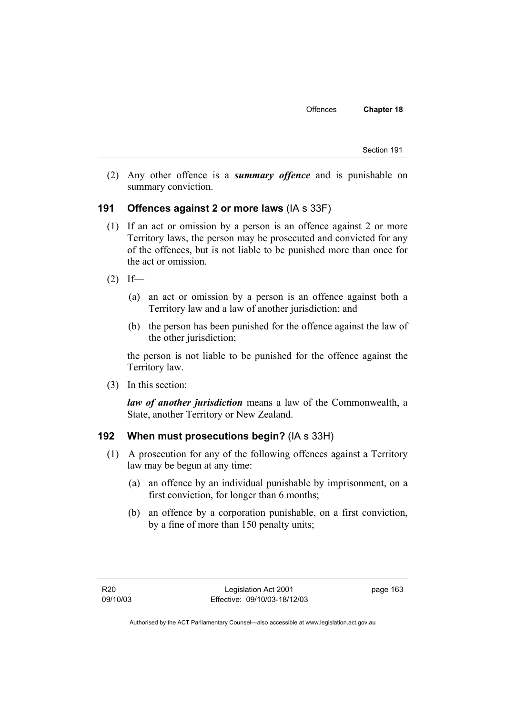Section 191

 (2) Any other offence is a *summary offence* and is punishable on summary conviction.

### **191 Offences against 2 or more laws** (IA s 33F)

- (1) If an act or omission by a person is an offence against 2 or more Territory laws, the person may be prosecuted and convicted for any of the offences, but is not liable to be punished more than once for the act or omission.
- $(2)$  If—
	- (a) an act or omission by a person is an offence against both a Territory law and a law of another jurisdiction; and
	- (b) the person has been punished for the offence against the law of the other jurisdiction;

the person is not liable to be punished for the offence against the Territory law.

(3) In this section:

*law of another jurisdiction* means a law of the Commonwealth, a State, another Territory or New Zealand.

### **192 When must prosecutions begin?** (IA s 33H)

- (1) A prosecution for any of the following offences against a Territory law may be begun at any time:
	- (a) an offence by an individual punishable by imprisonment, on a first conviction, for longer than 6 months;
	- (b) an offence by a corporation punishable, on a first conviction, by a fine of more than 150 penalty units;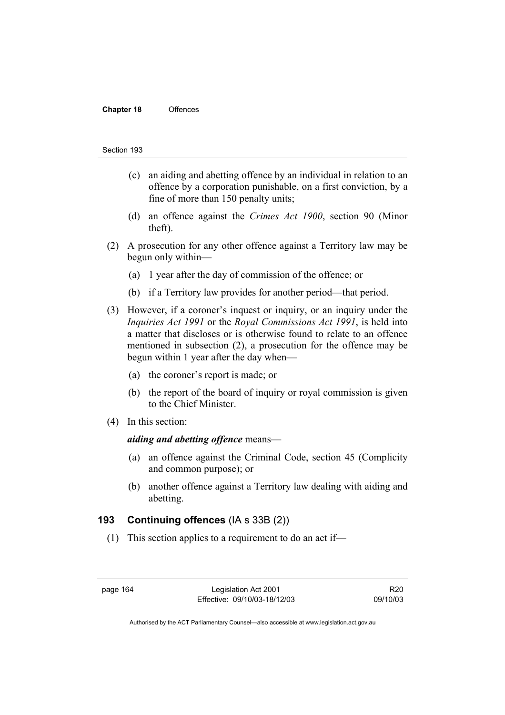#### **Chapter 18** Offences

#### Section 193

- (c) an aiding and abetting offence by an individual in relation to an offence by a corporation punishable, on a first conviction, by a fine of more than 150 penalty units;
- (d) an offence against the *Crimes Act 1900*, section 90 (Minor theft).
- (2) A prosecution for any other offence against a Territory law may be begun only within—
	- (a) 1 year after the day of commission of the offence; or
	- (b) if a Territory law provides for another period—that period.
- (3) However, if a coroner's inquest or inquiry, or an inquiry under the *Inquiries Act 1991* or the *Royal Commissions Act 1991*, is held into a matter that discloses or is otherwise found to relate to an offence mentioned in subsection (2), a prosecution for the offence may be begun within 1 year after the day when—
	- (a) the coroner's report is made; or
	- (b) the report of the board of inquiry or royal commission is given to the Chief Minister.
- (4) In this section:

### *aiding and abetting offence* means—

- (a) an offence against the Criminal Code, section 45 (Complicity and common purpose); or
- (b) another offence against a Territory law dealing with aiding and abetting.

### **193 Continuing offences** (IA s 33B (2))

(1) This section applies to a requirement to do an act if—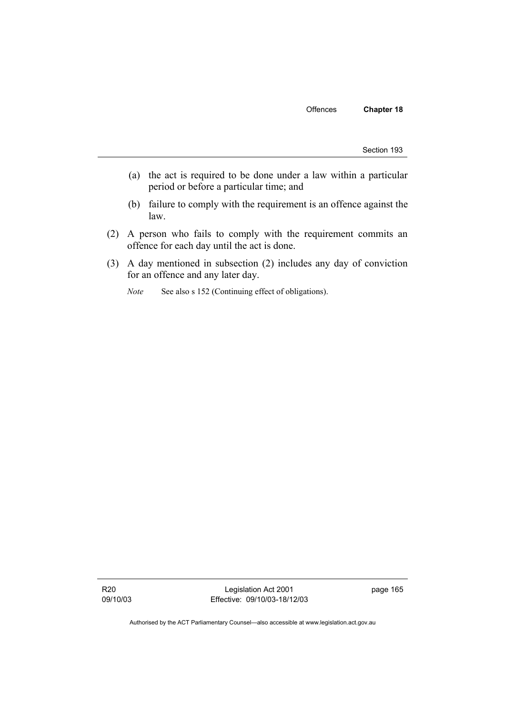Section 193

- (a) the act is required to be done under a law within a particular period or before a particular time; and
- (b) failure to comply with the requirement is an offence against the law.
- (2) A person who fails to comply with the requirement commits an offence for each day until the act is done.
- (3) A day mentioned in subsection (2) includes any day of conviction for an offence and any later day.
	- *Note* See also s 152 (Continuing effect of obligations).

R20 09/10/03

Legislation Act 2001 Effective: 09/10/03-18/12/03 page 165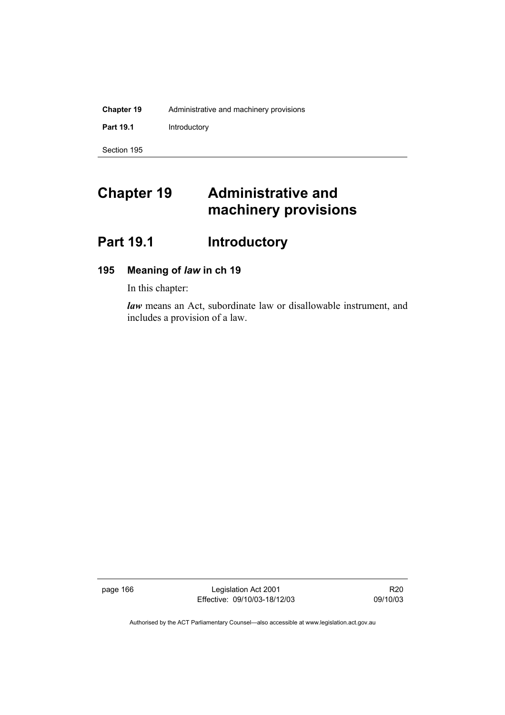| <b>Chapter 19</b> | Administrative and machinery provisions |
|-------------------|-----------------------------------------|
| <b>Part 19.1</b>  | Introductory                            |
| Section 195       |                                         |

# **Chapter 19 Administrative and machinery provisions**

# Part 19.1 **Introductory**

# **195 Meaning of** *law* **in ch 19**

In this chapter:

*law* means an Act, subordinate law or disallowable instrument, and includes a provision of a law.

page 166 Legislation Act 2001 Effective: 09/10/03-18/12/03

R20 09/10/03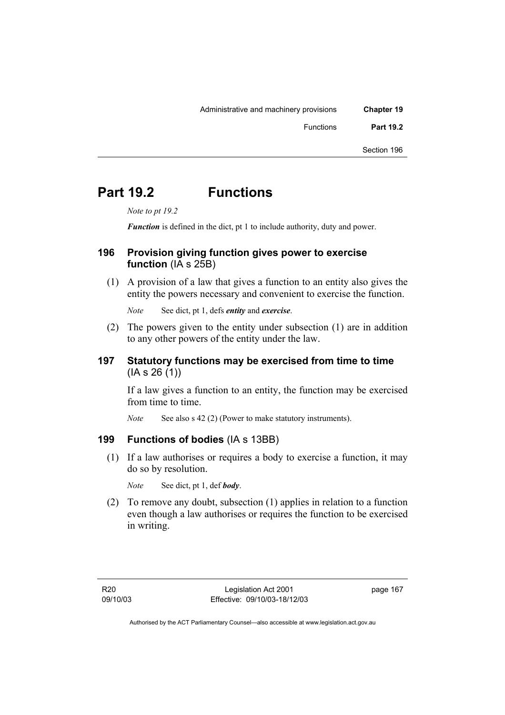| <b>Chapter 19</b> | Administrative and machinery provisions |
|-------------------|-----------------------------------------|
| <b>Part 19.2</b>  | Functions                               |
| Section 196       |                                         |

# **Part 19.2 Functions**

*Note to pt 19.2* 

*Function* is defined in the dict, pt 1 to include authority, duty and power.

# **196 Provision giving function gives power to exercise function** (IA s 25B)

 (1) A provision of a law that gives a function to an entity also gives the entity the powers necessary and convenient to exercise the function.

*Note* See dict, pt 1, defs *entity* and *exercise*.

 (2) The powers given to the entity under subsection (1) are in addition to any other powers of the entity under the law.

# **197 Statutory functions may be exercised from time to time**  (IA s 26 (1))

If a law gives a function to an entity, the function may be exercised from time to time.

*Note* See also s 42 (2) (Power to make statutory instruments).

# **199 Functions of bodies** (IA s 13BB)

 (1) If a law authorises or requires a body to exercise a function, it may do so by resolution.

*Note* See dict, pt 1, def *body*.

 (2) To remove any doubt, subsection (1) applies in relation to a function even though a law authorises or requires the function to be exercised in writing.

page 167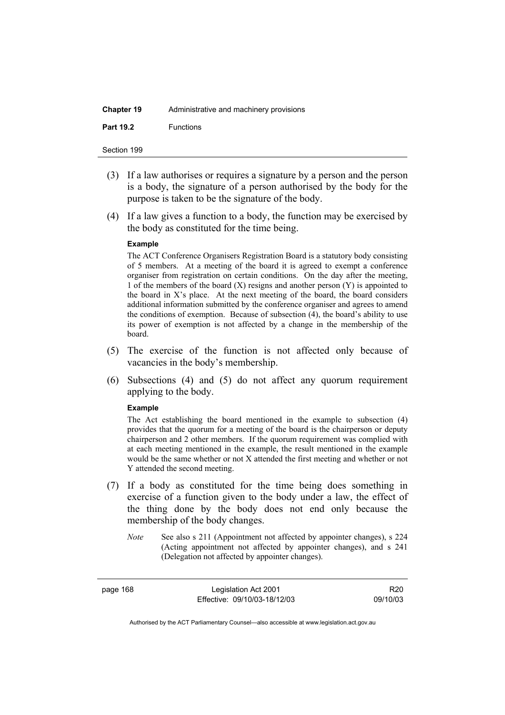| <b>Chapter 19</b> | Administrative and machinery provisions |
|-------------------|-----------------------------------------|
| <b>Part 19.2</b>  | <b>Functions</b>                        |

| Section 199 |  |
|-------------|--|
|             |  |

- (3) If a law authorises or requires a signature by a person and the person is a body, the signature of a person authorised by the body for the purpose is taken to be the signature of the body.
- (4) If a law gives a function to a body, the function may be exercised by the body as constituted for the time being.

#### **Example**

The ACT Conference Organisers Registration Board is a statutory body consisting of 5 members. At a meeting of the board it is agreed to exempt a conference organiser from registration on certain conditions. On the day after the meeting, 1 of the members of the board (X) resigns and another person (Y) is appointed to the board in X's place. At the next meeting of the board, the board considers additional information submitted by the conference organiser and agrees to amend the conditions of exemption. Because of subsection (4), the board's ability to use its power of exemption is not affected by a change in the membership of the board.

- (5) The exercise of the function is not affected only because of vacancies in the body's membership.
- (6) Subsections (4) and (5) do not affect any quorum requirement applying to the body.

#### **Example**

The Act establishing the board mentioned in the example to subsection (4) provides that the quorum for a meeting of the board is the chairperson or deputy chairperson and 2 other members. If the quorum requirement was complied with at each meeting mentioned in the example, the result mentioned in the example would be the same whether or not X attended the first meeting and whether or not Y attended the second meeting.

- (7) If a body as constituted for the time being does something in exercise of a function given to the body under a law, the effect of the thing done by the body does not end only because the membership of the body changes.
	- *Note* See also s 211 (Appointment not affected by appointer changes), s 224 (Acting appointment not affected by appointer changes), and s 241 (Delegation not affected by appointer changes).

page 168 Legislation Act 2001 Effective: 09/10/03-18/12/03

R20 09/10/03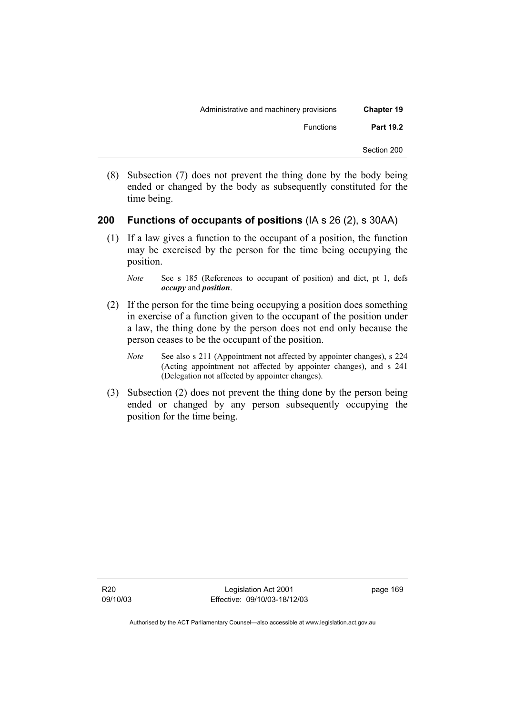| <b>Chapter 19</b> | Administrative and machinery provisions |
|-------------------|-----------------------------------------|
| <b>Part 19.2</b>  | Functions                               |
| Section 200       |                                         |

 (8) Subsection (7) does not prevent the thing done by the body being ended or changed by the body as subsequently constituted for the time being.

## **200 Functions of occupants of positions** (IA s 26 (2), s 30AA)

 (1) If a law gives a function to the occupant of a position, the function may be exercised by the person for the time being occupying the position.

*Note* See s 185 (References to occupant of position) and dict, pt 1, defs *occupy* and *position*.

- (2) If the person for the time being occupying a position does something in exercise of a function given to the occupant of the position under a law, the thing done by the person does not end only because the person ceases to be the occupant of the position.
	- *Note* See also s 211 (Appointment not affected by appointer changes), s 224 (Acting appointment not affected by appointer changes), and s 241 (Delegation not affected by appointer changes).
- (3) Subsection (2) does not prevent the thing done by the person being ended or changed by any person subsequently occupying the position for the time being.

Legislation Act 2001 Effective: 09/10/03-18/12/03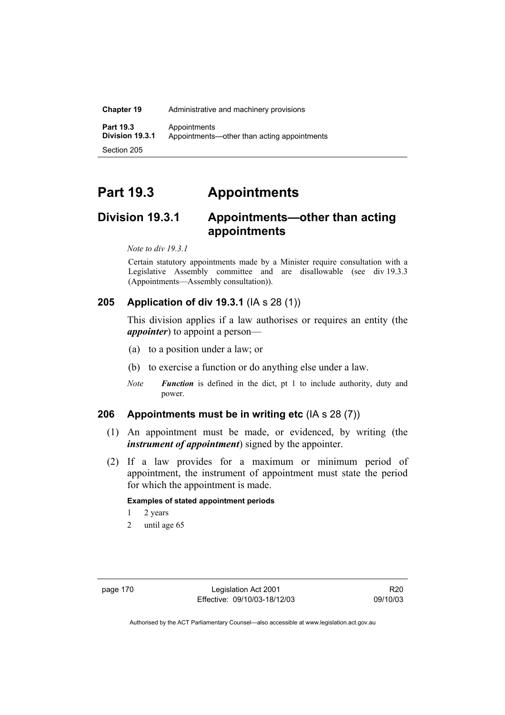| <b>Chapter 19</b>                   | Administrative and machinery provisions                     |
|-------------------------------------|-------------------------------------------------------------|
| <b>Part 19.3</b><br>Division 19.3.1 | Appointments<br>Appointments—other than acting appointments |
| Section 205                         |                                                             |

# **Part 19.3 Appointments**

# **Division 19.3.1 Appointments—other than acting appointments**

*Note to div 19.3.1* 

Certain statutory appointments made by a Minister require consultation with a Legislative Assembly committee and are disallowable (see div 19.3.3 (Appointments—Assembly consultation)).

# **205 Application of div 19.3.1** (IA s 28 (1))

This division applies if a law authorises or requires an entity (the *appointer*) to appoint a person—

- (a) to a position under a law; or
- (b) to exercise a function or do anything else under a law.
- *Note Function* is defined in the dict, pt 1 to include authority, duty and power.

### **206 Appointments must be in writing etc** (IA s 28 (7))

- (1) An appointment must be made, or evidenced, by writing (the *instrument of appointment*) signed by the appointer.
- (2) If a law provides for a maximum or minimum period of appointment, the instrument of appointment must state the period for which the appointment is made.

#### **Examples of stated appointment periods**

- 1 2 years
- 2 until age 65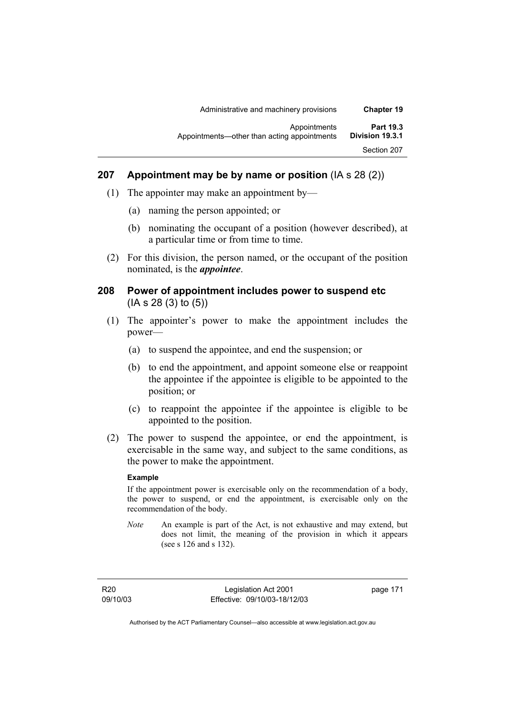| Administrative and machinery provisions                     | <b>Chapter 19</b>                   |
|-------------------------------------------------------------|-------------------------------------|
| Appointments<br>Appointments—other than acting appointments | <b>Part 19.3</b><br>Division 19.3.1 |
|                                                             | Section 207                         |

### **207 Appointment may be by name or position** (IA s 28 (2))

- (1) The appointer may make an appointment by—
	- (a) naming the person appointed; or
	- (b) nominating the occupant of a position (however described), at a particular time or from time to time.
- (2) For this division, the person named, or the occupant of the position nominated, is the *appointee*.

### **208 Power of appointment includes power to suspend etc**  (IA s 28 (3) to (5))

- (1) The appointer's power to make the appointment includes the power—
	- (a) to suspend the appointee, and end the suspension; or
	- (b) to end the appointment, and appoint someone else or reappoint the appointee if the appointee is eligible to be appointed to the position; or
	- (c) to reappoint the appointee if the appointee is eligible to be appointed to the position.
- (2) The power to suspend the appointee, or end the appointment, is exercisable in the same way, and subject to the same conditions, as the power to make the appointment.

### **Example**

If the appointment power is exercisable only on the recommendation of a body, the power to suspend, or end the appointment, is exercisable only on the recommendation of the body.

*Note* An example is part of the Act, is not exhaustive and may extend, but does not limit, the meaning of the provision in which it appears (see s 126 and s 132).

R20 09/10/03

Legislation Act 2001 Effective: 09/10/03-18/12/03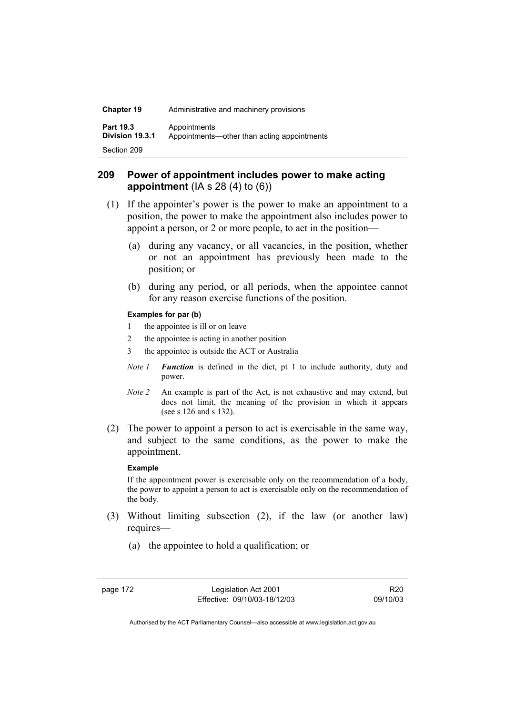| <b>Chapter 19</b>                   | Administrative and machinery provisions                     |  |
|-------------------------------------|-------------------------------------------------------------|--|
| <b>Part 19.3</b><br>Division 19.3.1 | Appointments<br>Appointments—other than acting appointments |  |
| Section 209                         |                                                             |  |

## **209 Power of appointment includes power to make acting appointment** (IA s 28 (4) to (6))

- (1) If the appointer's power is the power to make an appointment to a position, the power to make the appointment also includes power to appoint a person, or 2 or more people, to act in the position—
	- (a) during any vacancy, or all vacancies, in the position, whether or not an appointment has previously been made to the position; or
	- (b) during any period, or all periods, when the appointee cannot for any reason exercise functions of the position.

### **Examples for par (b)**

- 1 the appointee is ill or on leave
- 2 the appointee is acting in another position
- 3 the appointee is outside the ACT or Australia
- *Note 1 Function* is defined in the dict, pt 1 to include authority, duty and power.
- *Note 2* An example is part of the Act, is not exhaustive and may extend, but does not limit, the meaning of the provision in which it appears (see s 126 and s 132).
- (2) The power to appoint a person to act is exercisable in the same way, and subject to the same conditions, as the power to make the appointment.

### **Example**

If the appointment power is exercisable only on the recommendation of a body, the power to appoint a person to act is exercisable only on the recommendation of the body.

- (3) Without limiting subsection (2), if the law (or another law) requires—
	- (a) the appointee to hold a qualification; or

page 172 Legislation Act 2001 Effective: 09/10/03-18/12/03

R20 09/10/03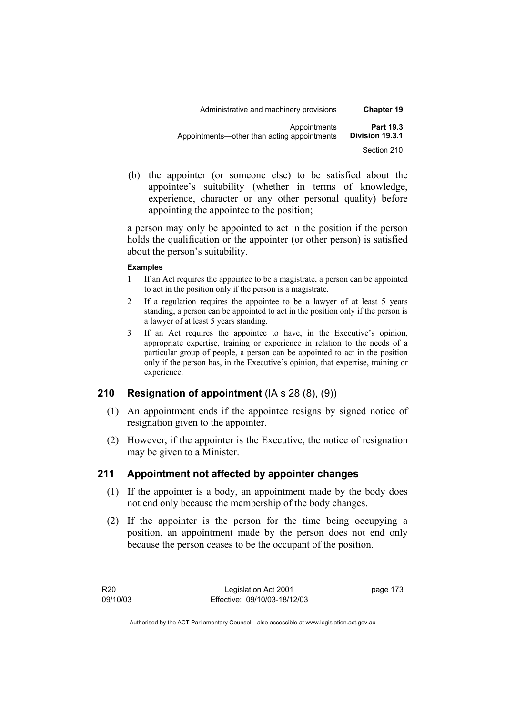| <b>Chapter 19</b>                   | Administrative and machinery provisions                     |  |
|-------------------------------------|-------------------------------------------------------------|--|
| <b>Part 19.3</b><br>Division 19.3.1 | Appointments<br>Appointments—other than acting appointments |  |
| Section 210                         |                                                             |  |

 (b) the appointer (or someone else) to be satisfied about the appointee's suitability (whether in terms of knowledge, experience, character or any other personal quality) before appointing the appointee to the position;

a person may only be appointed to act in the position if the person holds the qualification or the appointer (or other person) is satisfied about the person's suitability.

### **Examples**

- 1 If an Act requires the appointee to be a magistrate, a person can be appointed to act in the position only if the person is a magistrate.
- 2 If a regulation requires the appointee to be a lawyer of at least 5 years standing, a person can be appointed to act in the position only if the person is a lawyer of at least 5 years standing.
- 3 If an Act requires the appointee to have, in the Executive's opinion, appropriate expertise, training or experience in relation to the needs of a particular group of people, a person can be appointed to act in the position only if the person has, in the Executive's opinion, that expertise, training or experience.

### **210 Resignation of appointment** (IA s 28 (8), (9))

- (1) An appointment ends if the appointee resigns by signed notice of resignation given to the appointer.
- (2) However, if the appointer is the Executive, the notice of resignation may be given to a Minister.

### **211 Appointment not affected by appointer changes**

- (1) If the appointer is a body, an appointment made by the body does not end only because the membership of the body changes.
- (2) If the appointer is the person for the time being occupying a position, an appointment made by the person does not end only because the person ceases to be the occupant of the position.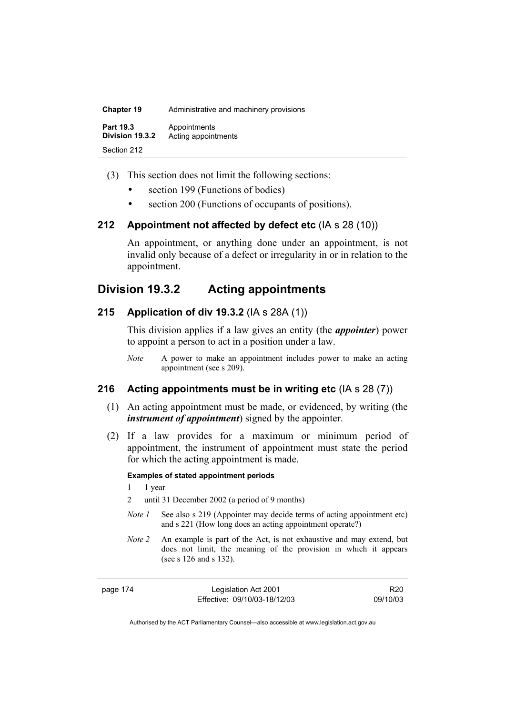| <b>Chapter 19</b>                   | Administrative and machinery provisions |
|-------------------------------------|-----------------------------------------|
| <b>Part 19.3</b><br>Division 19.3.2 | Appointments<br>Acting appointments     |
| Section 212                         |                                         |

- (3) This section does not limit the following sections:
	- section 199 (Functions of bodies)
	- section 200 (Functions of occupants of positions).

### **212 Appointment not affected by defect etc** (IA s 28 (10))

An appointment, or anything done under an appointment, is not invalid only because of a defect or irregularity in or in relation to the appointment.

# **Division 19.3.2 Acting appointments**

### **215 Application of div 19.3.2** (IA s 28A (1))

This division applies if a law gives an entity (the *appointer*) power to appoint a person to act in a position under a law.

*Note* A power to make an appointment includes power to make an acting appointment (see s 209).

### **216 Acting appointments must be in writing etc** (IA s 28 (7))

- (1) An acting appointment must be made, or evidenced, by writing (the *instrument of appointment*) signed by the appointer.
- (2) If a law provides for a maximum or minimum period of appointment, the instrument of appointment must state the period for which the acting appointment is made.

### **Examples of stated appointment periods**

- 1 1 year
- 2 until 31 December 2002 (a period of 9 months)
- *Note 1* See also s 219 (Appointer may decide terms of acting appointment etc) and s 221 (How long does an acting appointment operate?)
- *Note 2* An example is part of the Act, is not exhaustive and may extend, but does not limit, the meaning of the provision in which it appears (see s 126 and s 132).

| page |  |
|------|--|
|------|--|

Legislation Act 2001 Effective: 09/10/03-18/12/03

R20 09/10/03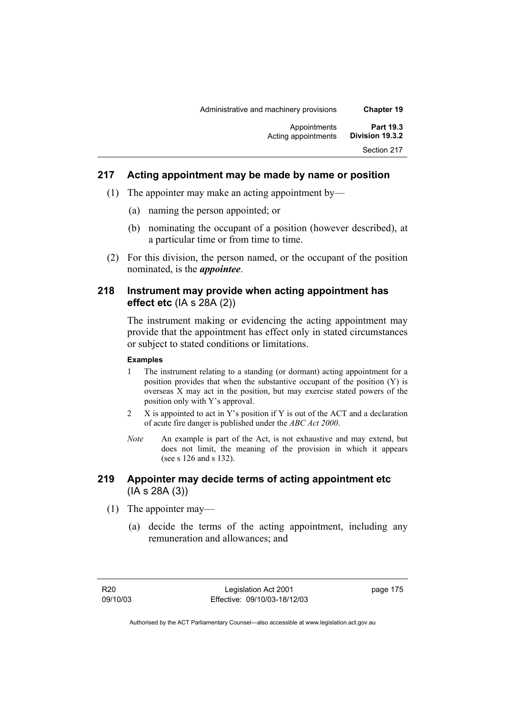| <b>Chapter 19</b>                   | Administrative and machinery provisions |
|-------------------------------------|-----------------------------------------|
| <b>Part 19.3</b><br>Division 19.3.2 | Appointments<br>Acting appointments     |
| Section 217                         |                                         |
|                                     |                                         |

## **217 Acting appointment may be made by name or position**

- (1) The appointer may make an acting appointment by—
	- (a) naming the person appointed; or
	- (b) nominating the occupant of a position (however described), at a particular time or from time to time.
- (2) For this division, the person named, or the occupant of the position nominated, is the *appointee*.

### **218 Instrument may provide when acting appointment has effect etc** (IA s 28A (2))

The instrument making or evidencing the acting appointment may provide that the appointment has effect only in stated circumstances or subject to stated conditions or limitations.

### **Examples**

- 1 The instrument relating to a standing (or dormant) acting appointment for a position provides that when the substantive occupant of the position (Y) is overseas X may act in the position, but may exercise stated powers of the position only with Y's approval.
- 2 X is appointed to act in Y's position if Y is out of the ACT and a declaration of acute fire danger is published under the *ABC Act 2000*.
- *Note* An example is part of the Act, is not exhaustive and may extend, but does not limit, the meaning of the provision in which it appears (see s 126 and s 132).

## **219 Appointer may decide terms of acting appointment etc**  (IA s 28A (3))

- (1) The appointer may—
	- (a) decide the terms of the acting appointment, including any remuneration and allowances; and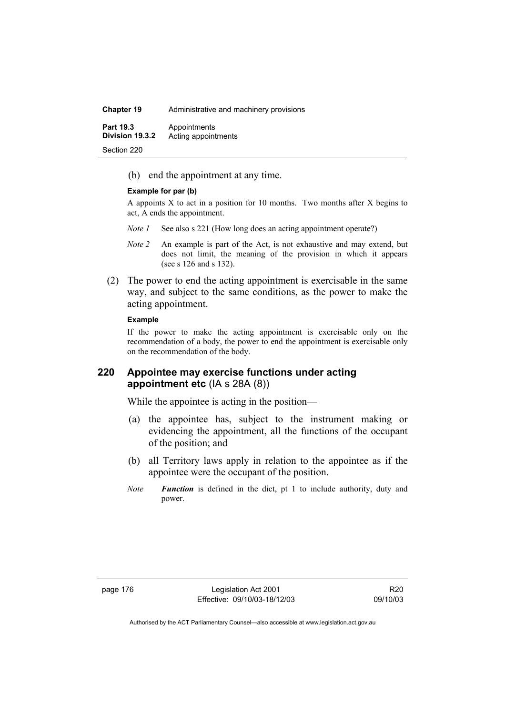| <b>Chapter 19</b>                   | Administrative and machinery provisions |
|-------------------------------------|-----------------------------------------|
| <b>Part 19.3</b><br>Division 19.3.2 | Appointments<br>Acting appointments     |
| Section 220                         |                                         |

(b) end the appointment at any time.

### **Example for par (b)**

A appoints X to act in a position for 10 months. Two months after X begins to act, A ends the appointment.

- *Note 1* See also s 221 (How long does an acting appointment operate?)
- *Note 2* An example is part of the Act, is not exhaustive and may extend, but does not limit, the meaning of the provision in which it appears (see s 126 and s 132).
- (2) The power to end the acting appointment is exercisable in the same way, and subject to the same conditions, as the power to make the acting appointment.

### **Example**

If the power to make the acting appointment is exercisable only on the recommendation of a body, the power to end the appointment is exercisable only on the recommendation of the body.

### **220 Appointee may exercise functions under acting appointment etc** (IA s 28A (8))

While the appointee is acting in the position—

- (a) the appointee has, subject to the instrument making or evidencing the appointment, all the functions of the occupant of the position; and
- (b) all Territory laws apply in relation to the appointee as if the appointee were the occupant of the position.
- *Note Function* is defined in the dict, pt 1 to include authority, duty and power.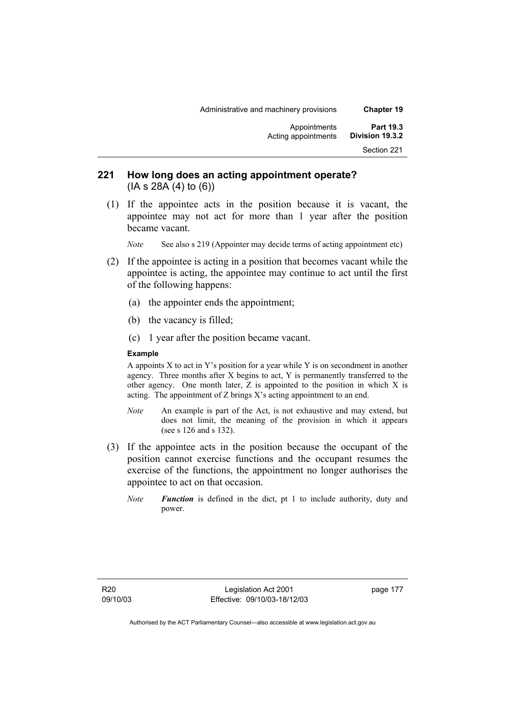| <b>Chapter 19</b>                   | Administrative and machinery provisions |
|-------------------------------------|-----------------------------------------|
| <b>Part 19.3</b><br>Division 19.3.2 | Appointments<br>Acting appointments     |
| Section 221                         |                                         |
|                                     |                                         |

## **221 How long does an acting appointment operate?**  (IA s 28A (4) to (6))

 (1) If the appointee acts in the position because it is vacant, the appointee may not act for more than 1 year after the position became vacant.

*Note* See also s 219 (Appointer may decide terms of acting appointment etc)

- (2) If the appointee is acting in a position that becomes vacant while the appointee is acting, the appointee may continue to act until the first of the following happens:
	- (a) the appointer ends the appointment;
	- (b) the vacancy is filled;
	- (c) 1 year after the position became vacant.

### **Example**

A appoints  $X$  to act in  $Y$ 's position for a year while  $Y$  is on secondment in another agency. Three months after X begins to act, Y is permanently transferred to the other agency. One month later, Z is appointed to the position in which X is acting. The appointment of Z brings X's acting appointment to an end.

- *Note* An example is part of the Act, is not exhaustive and may extend, but does not limit, the meaning of the provision in which it appears (see s 126 and s 132).
- (3) If the appointee acts in the position because the occupant of the position cannot exercise functions and the occupant resumes the exercise of the functions, the appointment no longer authorises the appointee to act on that occasion.
	- *Note Function* is defined in the dict, pt 1 to include authority, duty and power.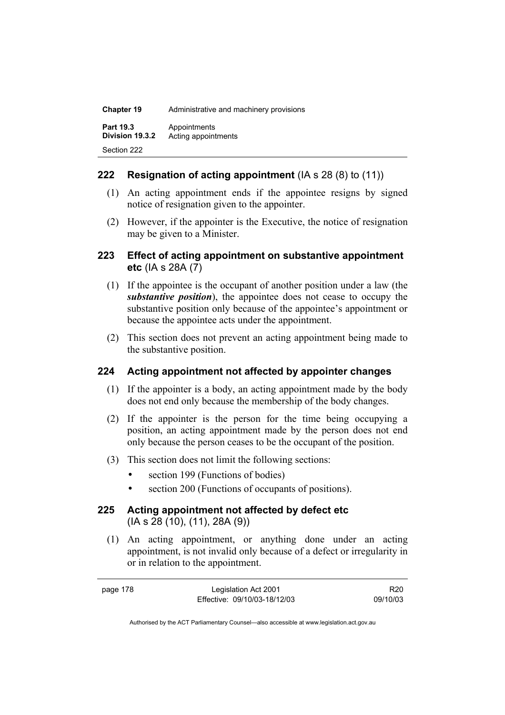| <b>Chapter 19</b>            | Administrative and machinery provisions |
|------------------------------|-----------------------------------------|
| Part 19.3<br>Division 19.3.2 | Appointments<br>Acting appointments     |
| Section 222                  |                                         |

## **222 Resignation of acting appointment** (IA s 28 (8) to (11))

- (1) An acting appointment ends if the appointee resigns by signed notice of resignation given to the appointer.
- (2) However, if the appointer is the Executive, the notice of resignation may be given to a Minister.

### **223 Effect of acting appointment on substantive appointment etc** (IA s 28A (7)

- (1) If the appointee is the occupant of another position under a law (the *substantive position*), the appointee does not cease to occupy the substantive position only because of the appointee's appointment or because the appointee acts under the appointment.
- (2) This section does not prevent an acting appointment being made to the substantive position.

### **224 Acting appointment not affected by appointer changes**

- (1) If the appointer is a body, an acting appointment made by the body does not end only because the membership of the body changes.
- (2) If the appointer is the person for the time being occupying a position, an acting appointment made by the person does not end only because the person ceases to be the occupant of the position.
- (3) This section does not limit the following sections:
	- section 199 (Functions of bodies)
	- section 200 (Functions of occupants of positions).

# **225 Acting appointment not affected by defect etc**  (IA s 28 (10), (11), 28A (9))

 (1) An acting appointment, or anything done under an acting appointment, is not invalid only because of a defect or irregularity in or in relation to the appointment.

page 178 Legislation Act 2001 Effective: 09/10/03-18/12/03

R20 09/10/03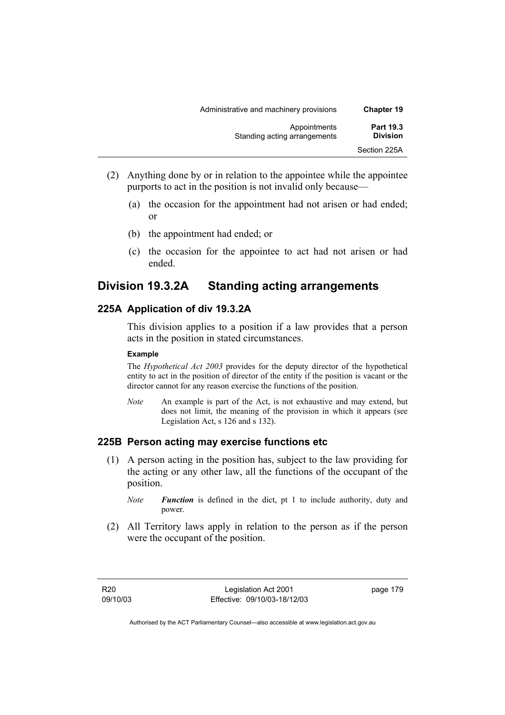| Administrative and machinery provisions      | <b>Chapter 19</b>                   |
|----------------------------------------------|-------------------------------------|
| Appointments<br>Standing acting arrangements | <b>Part 19.3</b><br><b>Division</b> |
|                                              | Section 225A                        |

- (2) Anything done by or in relation to the appointee while the appointee purports to act in the position is not invalid only because—
	- (a) the occasion for the appointment had not arisen or had ended; or
	- (b) the appointment had ended; or
	- (c) the occasion for the appointee to act had not arisen or had ended.

# **Division 19.3.2A Standing acting arrangements**

## **225A Application of div 19.3.2A**

This division applies to a position if a law provides that a person acts in the position in stated circumstances.

### **Example**

The *Hypothetical Act 2003* provides for the deputy director of the hypothetical entity to act in the position of director of the entity if the position is vacant or the director cannot for any reason exercise the functions of the position.

*Note* An example is part of the Act, is not exhaustive and may extend, but does not limit, the meaning of the provision in which it appears (see Legislation Act, s 126 and s 132).

### **225B Person acting may exercise functions etc**

- (1) A person acting in the position has, subject to the law providing for the acting or any other law, all the functions of the occupant of the position.
	- *Note Function* is defined in the dict, pt 1 to include authority, duty and power.
- (2) All Territory laws apply in relation to the person as if the person were the occupant of the position.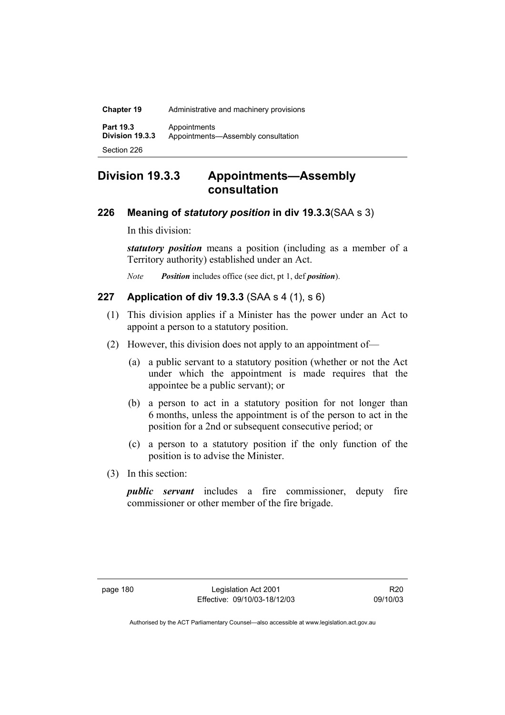| <b>Chapter 19</b>                   | Administrative and machinery provisions            |
|-------------------------------------|----------------------------------------------------|
| <b>Part 19.3</b><br>Division 19.3.3 | Appointments<br>Appointments-Assembly consultation |
| Section 226                         |                                                    |

# **Division 19.3.3 Appointments—Assembly consultation**

### **226 Meaning of** *statutory position* **in div 19.3.3**(SAA s 3)

In this division:

*statutory position* means a position (including as a member of a Territory authority) established under an Act.

*Note Position* includes office (see dict, pt 1, def *position*).

## **227 Application of div 19.3.3** (SAA s 4 (1), s 6)

- (1) This division applies if a Minister has the power under an Act to appoint a person to a statutory position.
- (2) However, this division does not apply to an appointment of—
	- (a) a public servant to a statutory position (whether or not the Act under which the appointment is made requires that the appointee be a public servant); or
	- (b) a person to act in a statutory position for not longer than 6 months, unless the appointment is of the person to act in the position for a 2nd or subsequent consecutive period; or
	- (c) a person to a statutory position if the only function of the position is to advise the Minister.
- (3) In this section:

*public servant* includes a fire commissioner, deputy fire commissioner or other member of the fire brigade.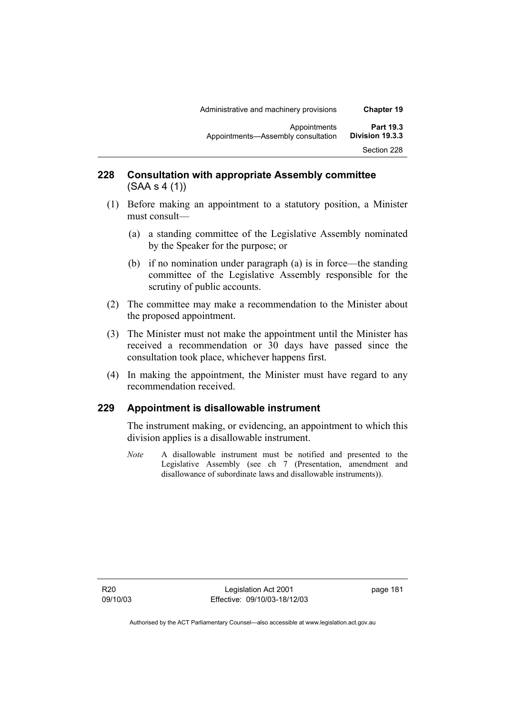| <b>Chapter 19</b>                   | Administrative and machinery provisions            |
|-------------------------------------|----------------------------------------------------|
| <b>Part 19.3</b><br>Division 19.3.3 | Appointments<br>Appointments-Assembly consultation |
| Section 228                         |                                                    |

# **228 Consultation with appropriate Assembly committee**  (SAA s 4 (1))

- (1) Before making an appointment to a statutory position, a Minister must consult—
	- (a) a standing committee of the Legislative Assembly nominated by the Speaker for the purpose; or
	- (b) if no nomination under paragraph (a) is in force—the standing committee of the Legislative Assembly responsible for the scrutiny of public accounts.
- (2) The committee may make a recommendation to the Minister about the proposed appointment.
- (3) The Minister must not make the appointment until the Minister has received a recommendation or 30 days have passed since the consultation took place, whichever happens first.
- (4) In making the appointment, the Minister must have regard to any recommendation received.

### **229 Appointment is disallowable instrument**

The instrument making, or evidencing, an appointment to which this division applies is a disallowable instrument.

*Note* A disallowable instrument must be notified and presented to the Legislative Assembly (see ch 7 (Presentation, amendment and disallowance of subordinate laws and disallowable instruments)).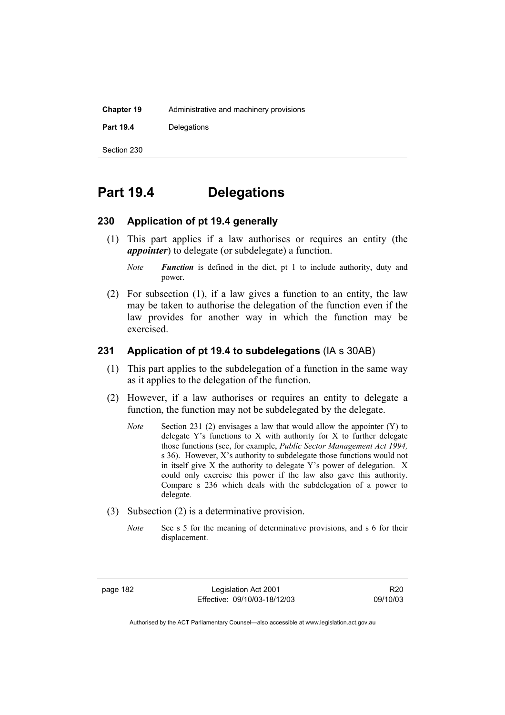| <b>Chapter 19</b> | Administrative and machinery provisions |
|-------------------|-----------------------------------------|
| <b>Part 19.4</b>  | Delegations                             |
| Section 230       |                                         |

# **Part 19.4 Delegations**

### **230 Application of pt 19.4 generally**

- (1) This part applies if a law authorises or requires an entity (the *appointer*) to delegate (or subdelegate) a function.
	- *Note Function* is defined in the dict, pt 1 to include authority, duty and power.
- (2) For subsection (1), if a law gives a function to an entity, the law may be taken to authorise the delegation of the function even if the law provides for another way in which the function may be exercised.

### **231 Application of pt 19.4 to subdelegations** (IA s 30AB)

- (1) This part applies to the subdelegation of a function in the same way as it applies to the delegation of the function.
- (2) However, if a law authorises or requires an entity to delegate a function, the function may not be subdelegated by the delegate.
	- *Note* Section 231 (2) envisages a law that would allow the appointer (Y) to delegate Y's functions to X with authority for X to further delegate those functions (see, for example, *Public Sector Management Act 1994,*  s 36). However, X's authority to subdelegate those functions would not in itself give X the authority to delegate Y's power of delegation. X could only exercise this power if the law also gave this authority. Compare s 236 which deals with the subdelegation of a power to delegate*.*
- (3) Subsection (2) is a determinative provision.
	- *Note* See s 5 for the meaning of determinative provisions, and s 6 for their displacement.

page 182 Legislation Act 2001 Effective: 09/10/03-18/12/03

R20 09/10/03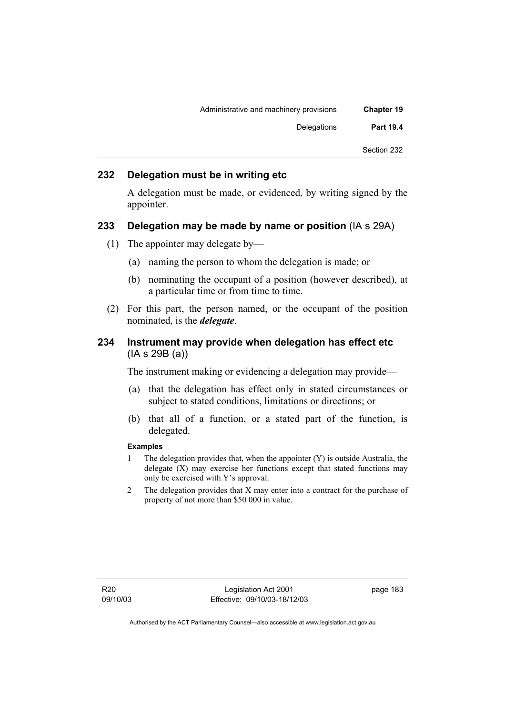| Administrative and machinery provisions |
|-----------------------------------------|
| Delegations                             |
|                                         |
|                                         |

### **232 Delegation must be in writing etc**

A delegation must be made, or evidenced, by writing signed by the appointer.

### **233 Delegation may be made by name or position** (IA s 29A)

- (1) The appointer may delegate by—
	- (a) naming the person to whom the delegation is made; or
	- (b) nominating the occupant of a position (however described), at a particular time or from time to time.
- (2) For this part, the person named, or the occupant of the position nominated, is the *delegate*.

### **234 Instrument may provide when delegation has effect etc**  (IA s 29B (a))

The instrument making or evidencing a delegation may provide—

- (a) that the delegation has effect only in stated circumstances or subject to stated conditions, limitations or directions; or
- (b) that all of a function, or a stated part of the function, is delegated.

### **Examples**

- 1 The delegation provides that, when the appointer (Y) is outside Australia, the delegate (X) may exercise her functions except that stated functions may only be exercised with Y's approval.
- 2 The delegation provides that X may enter into a contract for the purchase of property of not more than \$50 000 in value.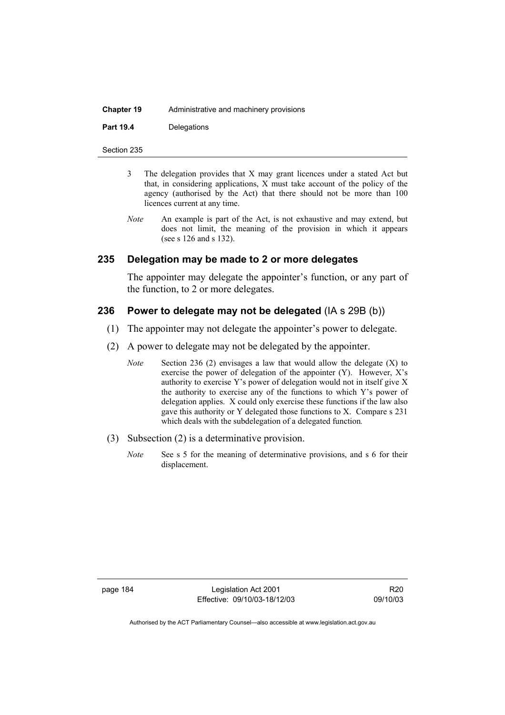| <b>Chapter 19</b> | Administrative and machinery provisions |
|-------------------|-----------------------------------------|
| <b>Part 19.4</b>  | Delegations                             |

Section 235

- 3 The delegation provides that X may grant licences under a stated Act but that, in considering applications, X must take account of the policy of the agency (authorised by the Act) that there should not be more than 100 licences current at any time.
- *Note* An example is part of the Act, is not exhaustive and may extend, but does not limit, the meaning of the provision in which it appears (see s 126 and s 132).

### **235 Delegation may be made to 2 or more delegates**

The appointer may delegate the appointer's function, or any part of the function, to 2 or more delegates.

### **236 Power to delegate may not be delegated** (IA s 29B (b))

- (1) The appointer may not delegate the appointer's power to delegate.
- (2) A power to delegate may not be delegated by the appointer.
	- *Note* Section 236 (2) envisages a law that would allow the delegate (X) to exercise the power of delegation of the appointer (Y). However, X's authority to exercise Y's power of delegation would not in itself give X the authority to exercise any of the functions to which Y's power of delegation applies. X could only exercise these functions if the law also gave this authority or Y delegated those functions to X. Compare s 231 which deals with the subdelegation of a delegated function*.*
- (3) Subsection (2) is a determinative provision.
	- *Note* See s 5 for the meaning of determinative provisions, and s 6 for their displacement.

page 184 Legislation Act 2001 Effective: 09/10/03-18/12/03

R20 09/10/03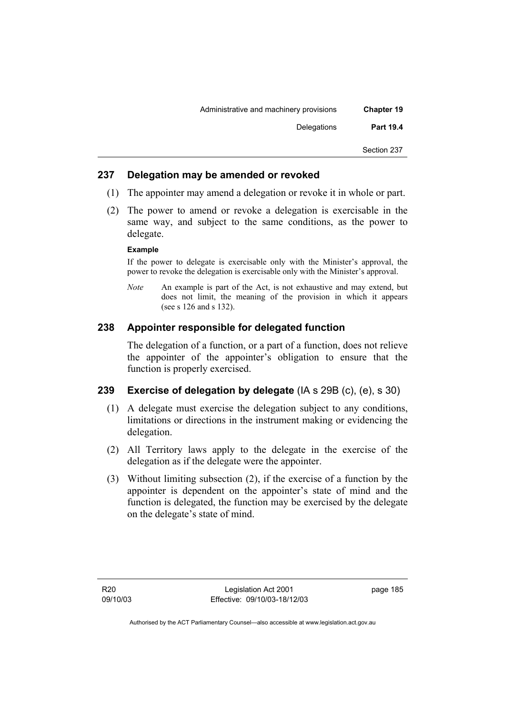| <b>Chapter 19</b> | Administrative and machinery provisions |
|-------------------|-----------------------------------------|
| <b>Part 19.4</b>  | Delegations                             |
| Section 237       |                                         |
|                   |                                         |

## **237 Delegation may be amended or revoked**

- (1) The appointer may amend a delegation or revoke it in whole or part.
- (2) The power to amend or revoke a delegation is exercisable in the same way, and subject to the same conditions, as the power to delegate.

### **Example**

If the power to delegate is exercisable only with the Minister's approval, the power to revoke the delegation is exercisable only with the Minister's approval.

*Note* An example is part of the Act, is not exhaustive and may extend, but does not limit, the meaning of the provision in which it appears (see s 126 and s 132).

# **238 Appointer responsible for delegated function**

The delegation of a function, or a part of a function, does not relieve the appointer of the appointer's obligation to ensure that the function is properly exercised.

# **239 Exercise of delegation by delegate** (IA s 29B (c), (e), s 30)

- (1) A delegate must exercise the delegation subject to any conditions, limitations or directions in the instrument making or evidencing the delegation.
- (2) All Territory laws apply to the delegate in the exercise of the delegation as if the delegate were the appointer.
- (3) Without limiting subsection (2), if the exercise of a function by the appointer is dependent on the appointer's state of mind and the function is delegated, the function may be exercised by the delegate on the delegate's state of mind.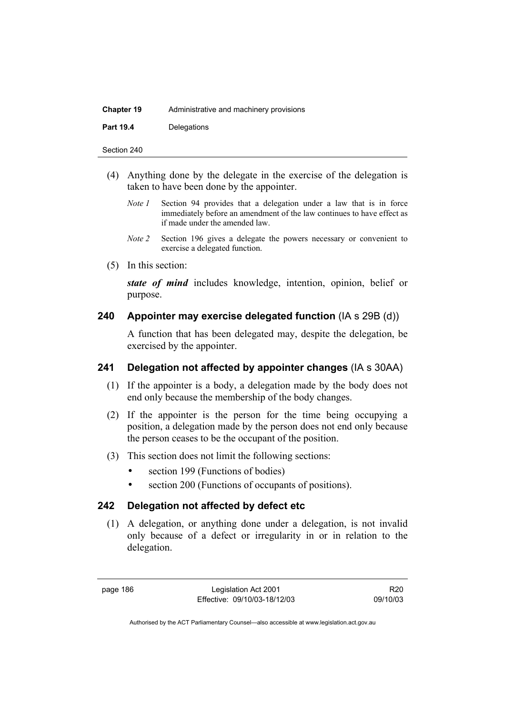| <b>Chapter 19</b> | Administrative and machinery provisions |
|-------------------|-----------------------------------------|
| <b>Part 19.4</b>  | Delegations                             |

Section 240

- (4) Anything done by the delegate in the exercise of the delegation is taken to have been done by the appointer.
	- *Note 1* Section 94 provides that a delegation under a law that is in force immediately before an amendment of the law continues to have effect as if made under the amended law.
	- *Note 2* Section 196 gives a delegate the powers necessary or convenient to exercise a delegated function.
- (5) In this section:

*state of mind* includes knowledge, intention, opinion, belief or purpose.

### **240 Appointer may exercise delegated function** (IA s 29B (d))

A function that has been delegated may, despite the delegation, be exercised by the appointer.

# **241 Delegation not affected by appointer changes** (IA s 30AA)

- (1) If the appointer is a body, a delegation made by the body does not end only because the membership of the body changes.
- (2) If the appointer is the person for the time being occupying a position, a delegation made by the person does not end only because the person ceases to be the occupant of the position.
- (3) This section does not limit the following sections:
	- section 199 (Functions of bodies)
	- section 200 (Functions of occupants of positions).

### **242 Delegation not affected by defect etc**

 (1) A delegation, or anything done under a delegation, is not invalid only because of a defect or irregularity in or in relation to the delegation.

page 186 Legislation Act 2001 Effective: 09/10/03-18/12/03

R20 09/10/03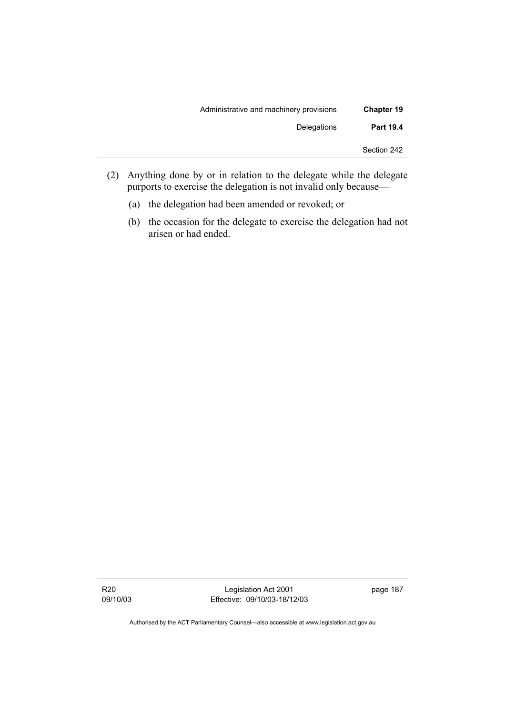| <b>Chapter 19</b> | Administrative and machinery provisions |
|-------------------|-----------------------------------------|
| <b>Part 19.4</b>  | Delegations                             |
| Section 242       |                                         |

- (2) Anything done by or in relation to the delegate while the delegate purports to exercise the delegation is not invalid only because—
	- (a) the delegation had been amended or revoked; or
	- (b) the occasion for the delegate to exercise the delegation had not arisen or had ended.

Legislation Act 2001 Effective: 09/10/03-18/12/03 page 187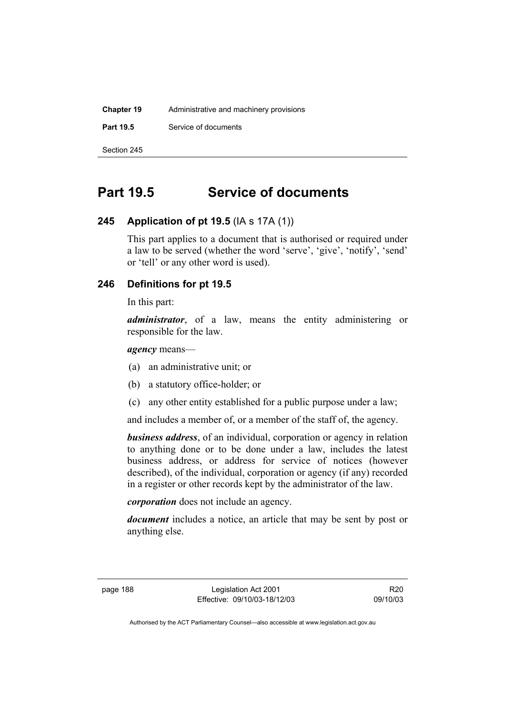| <b>Chapter 19</b> | Administrative and machinery provisions |  |
|-------------------|-----------------------------------------|--|
| <b>Part 19.5</b>  | Service of documents                    |  |
| Section 245       |                                         |  |

# **Part 19.5 Service of documents**

## **245 Application of pt 19.5** (IA s 17A (1))

This part applies to a document that is authorised or required under a law to be served (whether the word 'serve', 'give', 'notify', 'send' or 'tell' or any other word is used).

## **246 Definitions for pt 19.5**

In this part:

*administrator*, of a law, means the entity administering or responsible for the law.

*agency* means—

- (a) an administrative unit; or
- (b) a statutory office-holder; or
- (c) any other entity established for a public purpose under a law;

and includes a member of, or a member of the staff of, the agency.

*business address*, of an individual, corporation or agency in relation to anything done or to be done under a law, includes the latest business address, or address for service of notices (however described), of the individual, corporation or agency (if any) recorded in a register or other records kept by the administrator of the law.

*corporation* does not include an agency.

*document* includes a notice, an article that may be sent by post or anything else.

page 188 Legislation Act 2001 Effective: 09/10/03-18/12/03

R20 09/10/03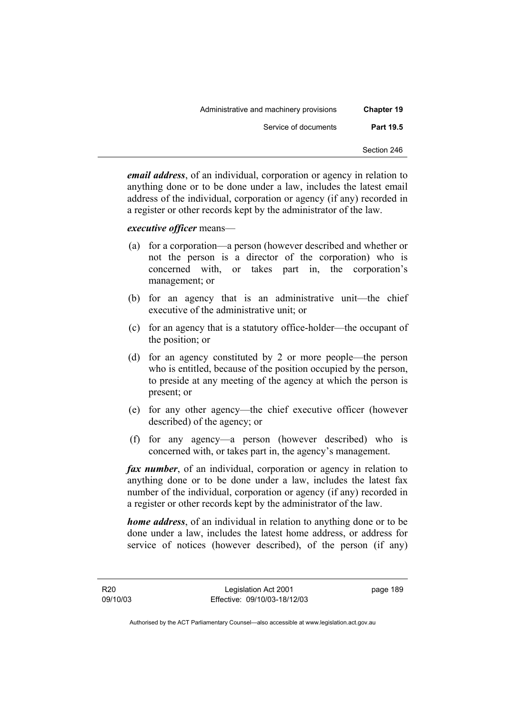| <b>Chapter 19</b> | Administrative and machinery provisions |
|-------------------|-----------------------------------------|
| <b>Part 19.5</b>  | Service of documents                    |
| Section 246       |                                         |

*email address*, of an individual, corporation or agency in relation to anything done or to be done under a law, includes the latest email address of the individual, corporation or agency (if any) recorded in a register or other records kept by the administrator of the law.

### *executive officer* means—

- (a) for a corporation—a person (however described and whether or not the person is a director of the corporation) who is concerned with, or takes part in, the corporation's management; or
- (b) for an agency that is an administrative unit—the chief executive of the administrative unit; or
- (c) for an agency that is a statutory office-holder—the occupant of the position; or
- (d) for an agency constituted by 2 or more people—the person who is entitled, because of the position occupied by the person, to preside at any meeting of the agency at which the person is present; or
- (e) for any other agency—the chief executive officer (however described) of the agency; or
- (f) for any agency—a person (however described) who is concerned with, or takes part in, the agency's management.

*fax number*, of an individual, corporation or agency in relation to anything done or to be done under a law, includes the latest fax number of the individual, corporation or agency (if any) recorded in a register or other records kept by the administrator of the law.

*home address*, of an individual in relation to anything done or to be done under a law, includes the latest home address, or address for service of notices (however described), of the person (if any)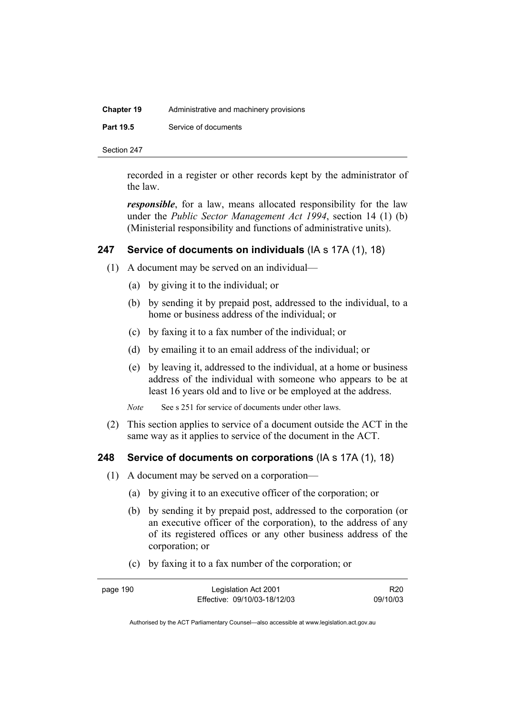| <b>Chapter 19</b> | Administrative and machinery provisions |
|-------------------|-----------------------------------------|
| <b>Part 19.5</b>  | Service of documents                    |
|                   |                                         |

Section 247

recorded in a register or other records kept by the administrator of the law.

*responsible*, for a law, means allocated responsibility for the law under the *Public Sector Management Act 1994*, section 14 (1) (b) (Ministerial responsibility and functions of administrative units).

## **247 Service of documents on individuals** (IA s 17A (1), 18)

- (1) A document may be served on an individual—
	- (a) by giving it to the individual; or
	- (b) by sending it by prepaid post, addressed to the individual, to a home or business address of the individual; or
	- (c) by faxing it to a fax number of the individual; or
	- (d) by emailing it to an email address of the individual; or
	- (e) by leaving it, addressed to the individual, at a home or business address of the individual with someone who appears to be at least 16 years old and to live or be employed at the address.

*Note* See s 251 for service of documents under other laws.

 (2) This section applies to service of a document outside the ACT in the same way as it applies to service of the document in the ACT.

### **248 Service of documents on corporations** (IA s 17A (1), 18)

- (1) A document may be served on a corporation—
	- (a) by giving it to an executive officer of the corporation; or
	- (b) by sending it by prepaid post, addressed to the corporation (or an executive officer of the corporation), to the address of any of its registered offices or any other business address of the corporation; or
	- (c) by faxing it to a fax number of the corporation; or

| page 190 | Legislation Act 2001         | R <sub>20</sub> |
|----------|------------------------------|-----------------|
|          | Effective: 09/10/03-18/12/03 | 09/10/03        |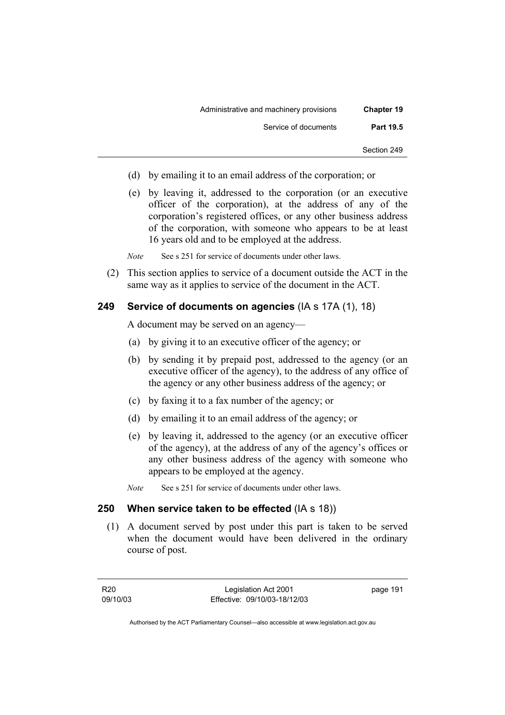| <b>Chapter 19</b> | Administrative and machinery provisions |
|-------------------|-----------------------------------------|
| <b>Part 19.5</b>  | Service of documents                    |
| Section 249       |                                         |

- (d) by emailing it to an email address of the corporation; or
- (e) by leaving it, addressed to the corporation (or an executive officer of the corporation), at the address of any of the corporation's registered offices, or any other business address of the corporation, with someone who appears to be at least 16 years old and to be employed at the address.

*Note* See s 251 for service of documents under other laws.

 (2) This section applies to service of a document outside the ACT in the same way as it applies to service of the document in the ACT.

### **249 Service of documents on agencies** (IA s 17A (1), 18)

A document may be served on an agency—

- (a) by giving it to an executive officer of the agency; or
- (b) by sending it by prepaid post, addressed to the agency (or an executive officer of the agency), to the address of any office of the agency or any other business address of the agency; or
- (c) by faxing it to a fax number of the agency; or
- (d) by emailing it to an email address of the agency; or
- (e) by leaving it, addressed to the agency (or an executive officer of the agency), at the address of any of the agency's offices or any other business address of the agency with someone who appears to be employed at the agency.
- *Note* See s 251 for service of documents under other laws.

### **250 When service taken to be effected** (IA s 18))

 (1) A document served by post under this part is taken to be served when the document would have been delivered in the ordinary course of post.

R20 09/10/03

Legislation Act 2001 Effective: 09/10/03-18/12/03 page 191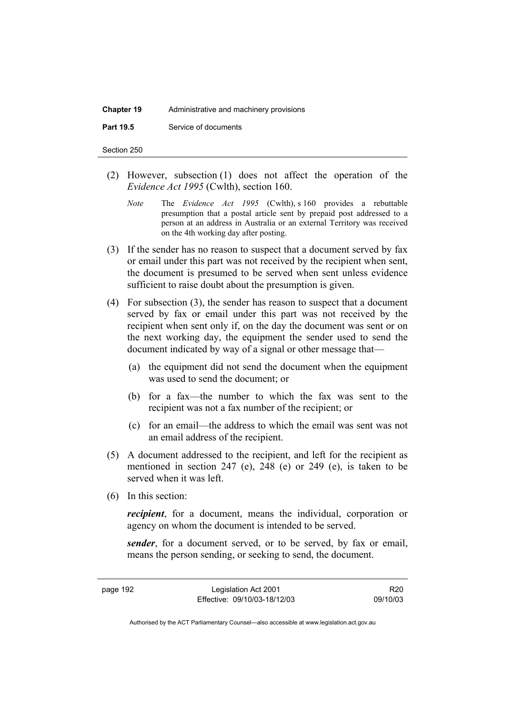# **Chapter 19** Administrative and machinery provisions

**Part 19.5** Service of documents

Section 250

- (2) However, subsection (1) does not affect the operation of the *Evidence Act 1995* (Cwlth), section 160.
	- *Note* The *Evidence Act 1995* (Cwlth), s 160 provides a rebuttable presumption that a postal article sent by prepaid post addressed to a person at an address in Australia or an external Territory was received on the 4th working day after posting.
- (3) If the sender has no reason to suspect that a document served by fax or email under this part was not received by the recipient when sent, the document is presumed to be served when sent unless evidence sufficient to raise doubt about the presumption is given.
- (4) For subsection (3), the sender has reason to suspect that a document served by fax or email under this part was not received by the recipient when sent only if, on the day the document was sent or on the next working day, the equipment the sender used to send the document indicated by way of a signal or other message that—
	- (a) the equipment did not send the document when the equipment was used to send the document; or
	- (b) for a fax—the number to which the fax was sent to the recipient was not a fax number of the recipient; or
	- (c) for an email—the address to which the email was sent was not an email address of the recipient.
- (5) A document addressed to the recipient, and left for the recipient as mentioned in section 247 (e), 248 (e) or 249 (e), is taken to be served when it was left.
- (6) In this section:

*recipient*, for a document, means the individual, corporation or agency on whom the document is intended to be served.

*sender*, for a document served, or to be served, by fax or email, means the person sending, or seeking to send, the document.

page 192 Legislation Act 2001 Effective: 09/10/03-18/12/03

R20 09/10/03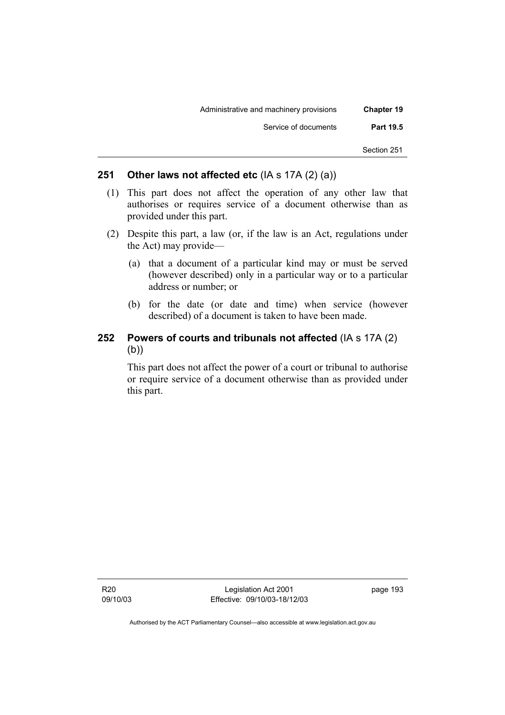| <b>Chapter 19</b> | Administrative and machinery provisions |
|-------------------|-----------------------------------------|
| <b>Part 19.5</b>  | Service of documents                    |
| Section 251       |                                         |

## **251 Other laws not affected etc** (IA s 17A (2) (a))

- (1) This part does not affect the operation of any other law that authorises or requires service of a document otherwise than as provided under this part.
- (2) Despite this part, a law (or, if the law is an Act, regulations under the Act) may provide—
	- (a) that a document of a particular kind may or must be served (however described) only in a particular way or to a particular address or number; or
	- (b) for the date (or date and time) when service (however described) of a document is taken to have been made.

## **252 Powers of courts and tribunals not affected** (IA s 17A (2)  $(b)$

This part does not affect the power of a court or tribunal to authorise or require service of a document otherwise than as provided under this part.

R20 09/10/03

Legislation Act 2001 Effective: 09/10/03-18/12/03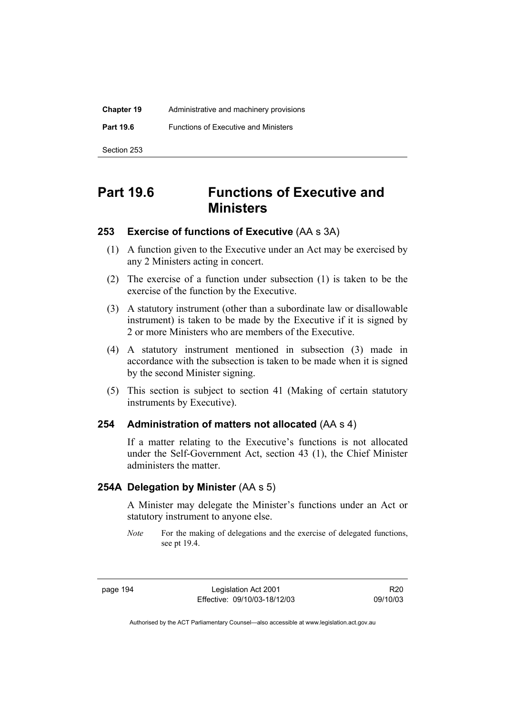| <b>Chapter 19</b> | Administrative and machinery provisions     |  |
|-------------------|---------------------------------------------|--|
| <b>Part 19.6</b>  | <b>Functions of Executive and Ministers</b> |  |
| Section 253       |                                             |  |

# **Part 19.6 Functions of Executive and Ministers**

### **253 Exercise of functions of Executive** (AA s 3A)

- (1) A function given to the Executive under an Act may be exercised by any 2 Ministers acting in concert.
- (2) The exercise of a function under subsection (1) is taken to be the exercise of the function by the Executive.
- (3) A statutory instrument (other than a subordinate law or disallowable instrument) is taken to be made by the Executive if it is signed by 2 or more Ministers who are members of the Executive.
- (4) A statutory instrument mentioned in subsection (3) made in accordance with the subsection is taken to be made when it is signed by the second Minister signing.
- (5) This section is subject to section 41 (Making of certain statutory instruments by Executive).

### **254 Administration of matters not allocated** (AA s 4)

If a matter relating to the Executive's functions is not allocated under the Self-Government Act, section 43 (1), the Chief Minister administers the matter.

## **254A Delegation by Minister** (AA s 5)

A Minister may delegate the Minister's functions under an Act or statutory instrument to anyone else.

page 194 Legislation Act 2001 Effective: 09/10/03-18/12/03

R20 09/10/03

*Note* For the making of delegations and the exercise of delegated functions, see pt 19.4.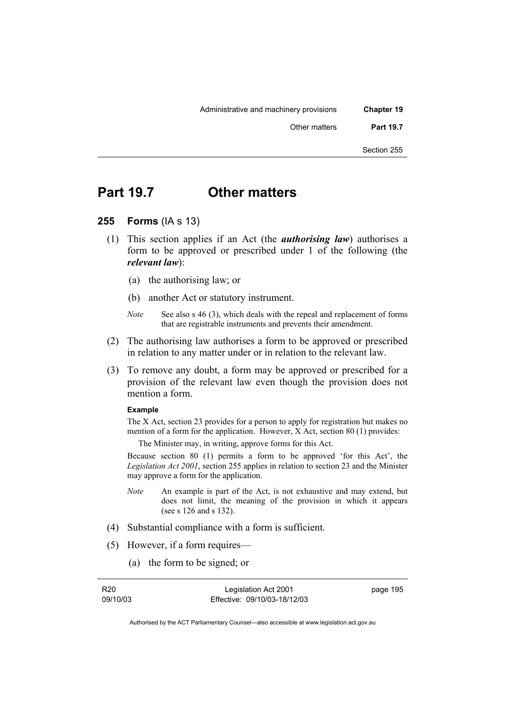| <b>Chapter 19</b> | Administrative and machinery provisions |
|-------------------|-----------------------------------------|
| <b>Part 19.7</b>  | Other matters                           |
| Section 255       |                                         |

# **Part 19.7 Other matters**

- **255 Forms** (IA s 13)
	- (1) This section applies if an Act (the *authorising law*) authorises a form to be approved or prescribed under 1 of the following (the *relevant law*):
		- (a) the authorising law; or
		- (b) another Act or statutory instrument.
		- *Note* See also s 46 (3), which deals with the repeal and replacement of forms that are registrable instruments and prevents their amendment.
	- (2) The authorising law authorises a form to be approved or prescribed in relation to any matter under or in relation to the relevant law.
	- (3) To remove any doubt, a form may be approved or prescribed for a provision of the relevant law even though the provision does not mention a form.

#### **Example**

The X Act, section 23 provides for a person to apply for registration but makes no mention of a form for the application. However, X Act, section 80 (1) provides:

The Minister may, in writing, approve forms for this Act.

Because section 80 (1) permits a form to be approved 'for this Act', the *Legislation Act 2001*, section 255 applies in relation to section 23 and the Minister may approve a form for the application.

- *Note* An example is part of the Act, is not exhaustive and may extend, but does not limit, the meaning of the provision in which it appears (see s 126 and s 132).
- (4) Substantial compliance with a form is sufficient.
- (5) However, if a form requires—
	- (a) the form to be signed; or

| R20      |  |
|----------|--|
| 09/10/03 |  |

Legislation Act 2001 Effective: 09/10/03-18/12/03 page 195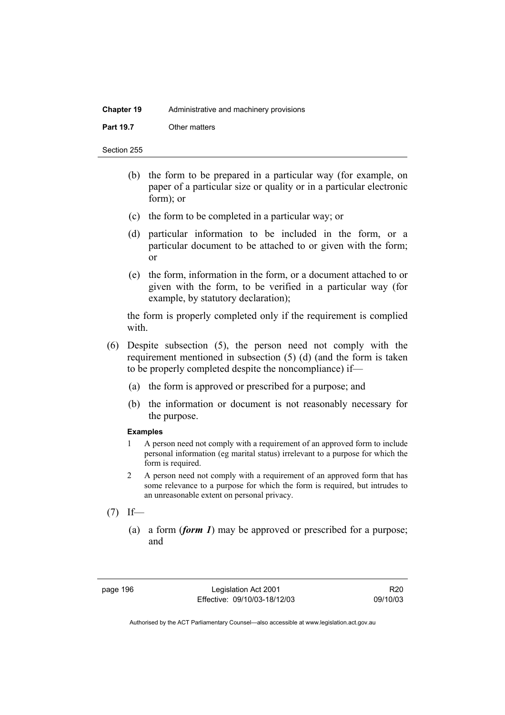| <b>Chapter 19</b> | Administrative and machinery provisions |  |
|-------------------|-----------------------------------------|--|
| <b>Part 19.7</b>  | Other matters                           |  |

Section 255

- (b) the form to be prepared in a particular way (for example, on paper of a particular size or quality or in a particular electronic form); or
- (c) the form to be completed in a particular way; or
- (d) particular information to be included in the form, or a particular document to be attached to or given with the form; or
- (e) the form, information in the form, or a document attached to or given with the form, to be verified in a particular way (for example, by statutory declaration);

the form is properly completed only if the requirement is complied with.

- (6) Despite subsection (5), the person need not comply with the requirement mentioned in subsection (5) (d) (and the form is taken to be properly completed despite the noncompliance) if—
	- (a) the form is approved or prescribed for a purpose; and
	- (b) the information or document is not reasonably necessary for the purpose.

### **Examples**

- 1 A person need not comply with a requirement of an approved form to include personal information (eg marital status) irrelevant to a purpose for which the form is required.
- 2 A person need not comply with a requirement of an approved form that has some relevance to a purpose for which the form is required, but intrudes to an unreasonable extent on personal privacy.
- $(7)$  If—
	- (a) a form (*form 1*) may be approved or prescribed for a purpose; and

page 196 Legislation Act 2001 Effective: 09/10/03-18/12/03

R20 09/10/03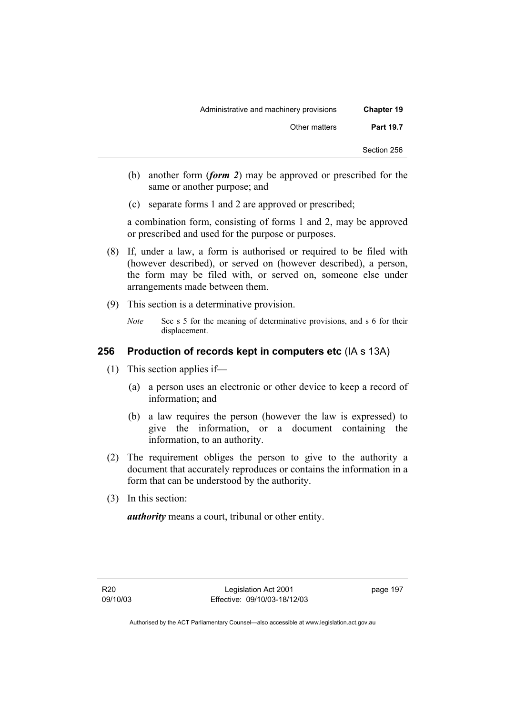| <b>Chapter 19</b> | Administrative and machinery provisions |
|-------------------|-----------------------------------------|
| <b>Part 19.7</b>  | Other matters                           |
| Section 256       |                                         |

- (b) another form (*form 2*) may be approved or prescribed for the same or another purpose; and
- (c) separate forms 1 and 2 are approved or prescribed;

a combination form, consisting of forms 1 and 2, may be approved or prescribed and used for the purpose or purposes.

- (8) If, under a law, a form is authorised or required to be filed with (however described), or served on (however described), a person, the form may be filed with, or served on, someone else under arrangements made between them.
- (9) This section is a determinative provision.
	- *Note* See s 5 for the meaning of determinative provisions, and s 6 for their displacement.

# **256 Production of records kept in computers etc** (IA s 13A)

- (1) This section applies if—
	- (a) a person uses an electronic or other device to keep a record of information; and
	- (b) a law requires the person (however the law is expressed) to give the information, or a document containing the information, to an authority.
- (2) The requirement obliges the person to give to the authority a document that accurately reproduces or contains the information in a form that can be understood by the authority.
- (3) In this section:

*authority* means a court, tribunal or other entity.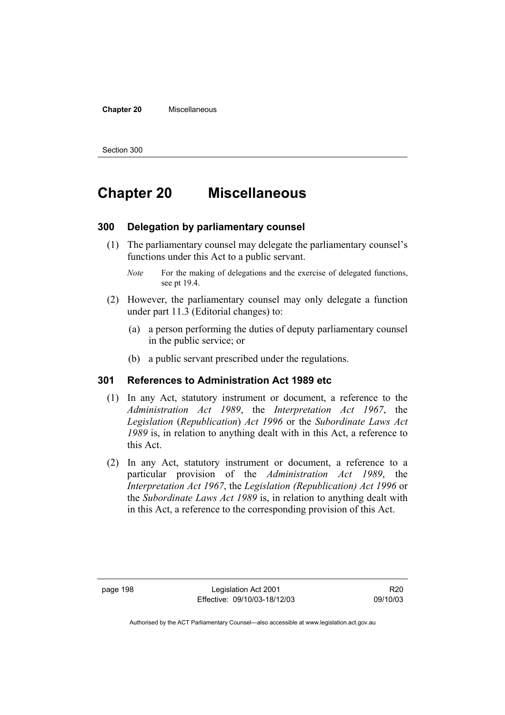### **Chapter 20** Miscellaneous

Section 300

# **Chapter 20 Miscellaneous**

### **300 Delegation by parliamentary counsel**

- (1) The parliamentary counsel may delegate the parliamentary counsel's functions under this Act to a public servant.
	- *Note* For the making of delegations and the exercise of delegated functions, see pt 19.4.
- (2) However, the parliamentary counsel may only delegate a function under part 11.3 (Editorial changes) to:
	- (a) a person performing the duties of deputy parliamentary counsel in the public service; or
	- (b) a public servant prescribed under the regulations.

### **301 References to Administration Act 1989 etc**

- (1) In any Act, statutory instrument or document, a reference to the *Administration Act 1989*, the *Interpretation Act 1967*, the *Legislation* (*Republication*) *Act 1996* or the *Subordinate Laws Act 1989* is, in relation to anything dealt with in this Act, a reference to this Act.
- (2) In any Act, statutory instrument or document, a reference to a particular provision of the *Administration Act 1989*, the *Interpretation Act 1967*, the *Legislation (Republication) Act 1996* or the *Subordinate Laws Act 1989* is, in relation to anything dealt with in this Act, a reference to the corresponding provision of this Act.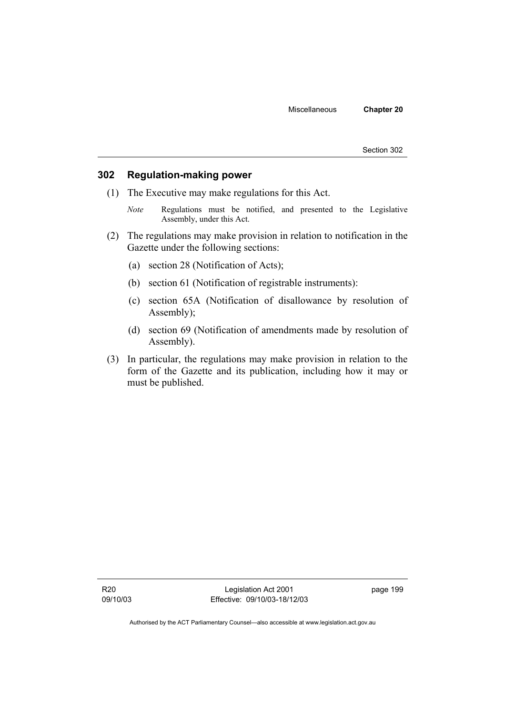Section 302

### **302 Regulation-making power**

- (1) The Executive may make regulations for this Act.
	- *Note* Regulations must be notified, and presented to the Legislative Assembly, under this Act.
- (2) The regulations may make provision in relation to notification in the Gazette under the following sections:
	- (a) section 28 (Notification of Acts);
	- (b) section 61 (Notification of registrable instruments):
	- (c) section 65A (Notification of disallowance by resolution of Assembly);
	- (d) section 69 (Notification of amendments made by resolution of Assembly).
- (3) In particular, the regulations may make provision in relation to the form of the Gazette and its publication, including how it may or must be published.

Legislation Act 2001 Effective: 09/10/03-18/12/03 page 199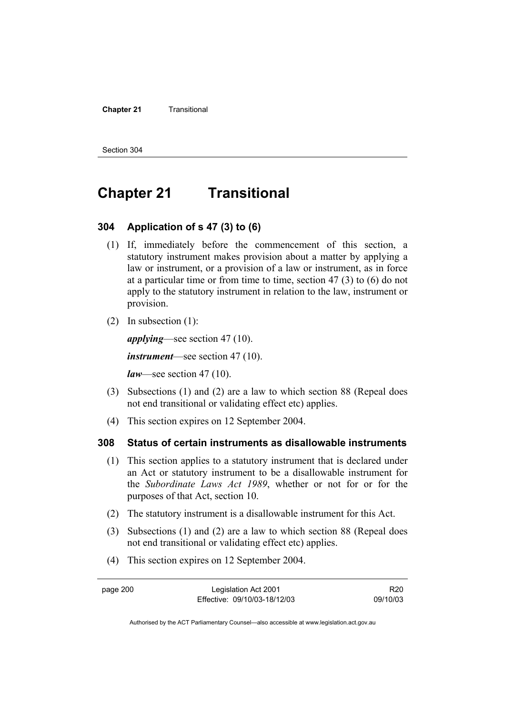#### **Chapter 21 Transitional**

Section 304

# **Chapter 21 Transitional**

## **304 Application of s 47 (3) to (6)**

- (1) If, immediately before the commencement of this section, a statutory instrument makes provision about a matter by applying a law or instrument, or a provision of a law or instrument, as in force at a particular time or from time to time, section 47 (3) to (6) do not apply to the statutory instrument in relation to the law, instrument or provision.
- (2) In subsection (1):

*applying*—see section 47 (10).

*instrument*—see section 47 (10).

*law*—see section 47 (10).

- (3) Subsections (1) and (2) are a law to which section 88 (Repeal does not end transitional or validating effect etc) applies.
- (4) This section expires on 12 September 2004.

### **308 Status of certain instruments as disallowable instruments**

- (1) This section applies to a statutory instrument that is declared under an Act or statutory instrument to be a disallowable instrument for the *Subordinate Laws Act 1989*, whether or not for or for the purposes of that Act, section 10.
- (2) The statutory instrument is a disallowable instrument for this Act.
- (3) Subsections (1) and (2) are a law to which section 88 (Repeal does not end transitional or validating effect etc) applies.
- (4) This section expires on 12 September 2004.

| page 200 | Legislation Act 2001         | R <sub>20</sub> |
|----------|------------------------------|-----------------|
|          | Effective: 09/10/03-18/12/03 | 09/10/03        |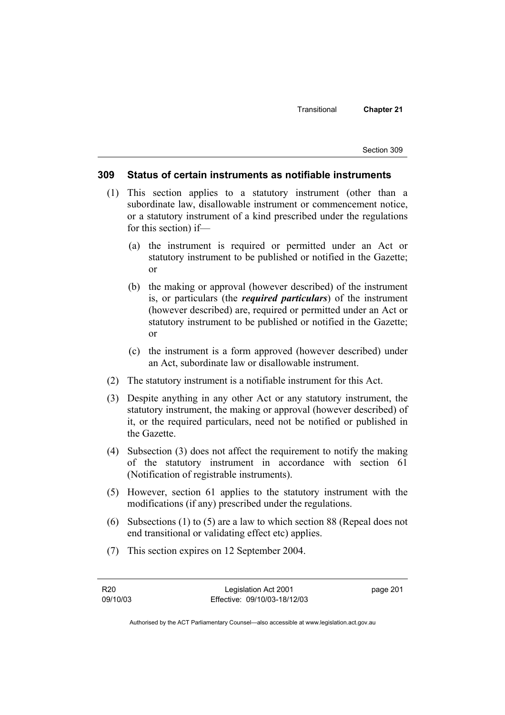Section 309

### **309 Status of certain instruments as notifiable instruments**

- (1) This section applies to a statutory instrument (other than a subordinate law, disallowable instrument or commencement notice, or a statutory instrument of a kind prescribed under the regulations for this section) if—
	- (a) the instrument is required or permitted under an Act or statutory instrument to be published or notified in the Gazette; or
	- (b) the making or approval (however described) of the instrument is, or particulars (the *required particulars*) of the instrument (however described) are, required or permitted under an Act or statutory instrument to be published or notified in the Gazette; or
	- (c) the instrument is a form approved (however described) under an Act, subordinate law or disallowable instrument.
- (2) The statutory instrument is a notifiable instrument for this Act.
- (3) Despite anything in any other Act or any statutory instrument, the statutory instrument, the making or approval (however described) of it, or the required particulars, need not be notified or published in the Gazette.
- (4) Subsection (3) does not affect the requirement to notify the making of the statutory instrument in accordance with section 61 (Notification of registrable instruments).
- (5) However, section 61 applies to the statutory instrument with the modifications (if any) prescribed under the regulations.
- (6) Subsections (1) to (5) are a law to which section 88 (Repeal does not end transitional or validating effect etc) applies.
- (7) This section expires on 12 September 2004.

page 201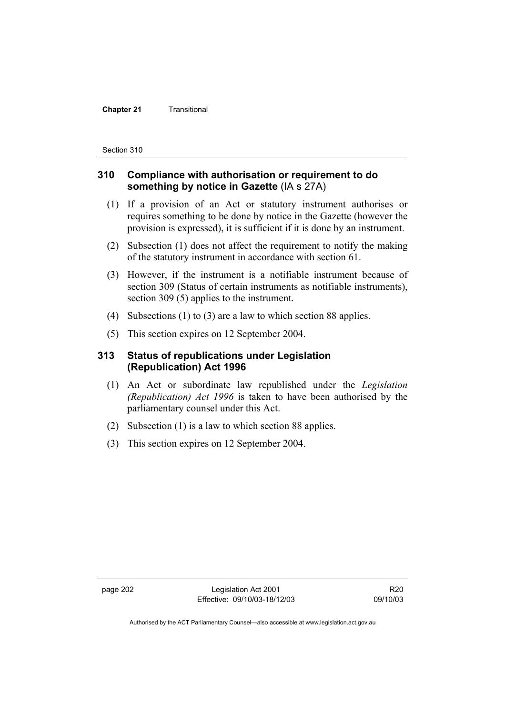#### **Chapter 21 Transitional**

Section 310

## **310 Compliance with authorisation or requirement to do something by notice in Gazette** (IA s 27A)

- (1) If a provision of an Act or statutory instrument authorises or requires something to be done by notice in the Gazette (however the provision is expressed), it is sufficient if it is done by an instrument.
- (2) Subsection (1) does not affect the requirement to notify the making of the statutory instrument in accordance with section 61.
- (3) However, if the instrument is a notifiable instrument because of section 309 (Status of certain instruments as notifiable instruments), section 309 (5) applies to the instrument.
- (4) Subsections (1) to (3) are a law to which section 88 applies.
- (5) This section expires on 12 September 2004.

## **313 Status of republications under Legislation (Republication) Act 1996**

- (1) An Act or subordinate law republished under the *Legislation (Republication) Act 1996* is taken to have been authorised by the parliamentary counsel under this Act.
- (2) Subsection (1) is a law to which section 88 applies.
- (3) This section expires on 12 September 2004.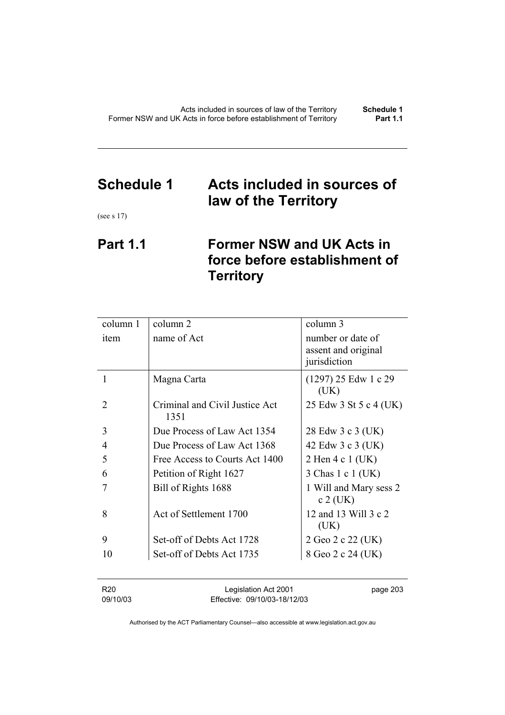# **Schedule 1 Acts included in sources of law of the Territory**

(see s 17)

## **Part 1.1 Former NSW and UK Acts in force before establishment of Territory**

| column 1       | column 2                               | column 3                                 |
|----------------|----------------------------------------|------------------------------------------|
| item           | name of Act                            | number or date of<br>assent and original |
|                |                                        | jurisdiction                             |
| 1              | Magna Carta                            | $(1297)$ 25 Edw 1 c 29<br>(UK)           |
| $\mathfrak{D}$ | Criminal and Civil Justice Act<br>1351 | 25 Edw 3 St 5 c 4 (UK)                   |
| 3              | Due Process of Law Act 1354            | 28 Edw 3 c 3 (UK)                        |
| 4              | Due Process of Law Act 1368            | 42 Edw 3 c 3 (UK)                        |
| 5              | Free Access to Courts Act 1400         | 2 Hen 4 c 1 (UK)                         |
| 6              | Petition of Right 1627                 | 3 Chas 1 c 1 (UK)                        |
| 7              | Bill of Rights 1688                    | 1 Will and Mary sess 2<br>$c 2$ (UK)     |
| 8              | Act of Settlement 1700                 | 12 and 13 Will 3 c 2<br>(UK)             |
| 9              | Set-off of Debts Act 1728              | 2 Geo 2 c 22 (UK)                        |
| 10             | Set-off of Debts Act 1735              | 8 Geo 2 c 24 (UK)                        |
|                |                                        |                                          |

| R20      | Legislation Act 2001         | page 203 |
|----------|------------------------------|----------|
| 09/10/03 | Effective: 09/10/03-18/12/03 |          |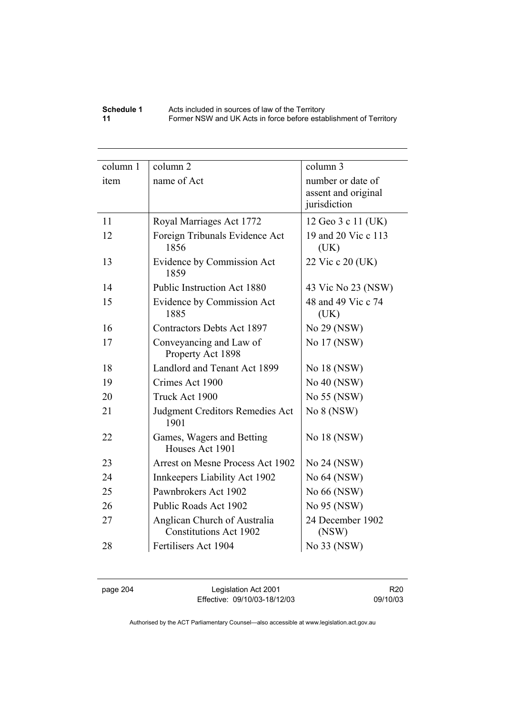### **Schedule 1** Acts included in sources of law of the Territory **11** Former NSW and UK Acts in force before establishment of Territory

| column 1 | column <sub>2</sub>                                           | column 3                                 |
|----------|---------------------------------------------------------------|------------------------------------------|
| item     | name of Act                                                   | number or date of<br>assent and original |
|          |                                                               | jurisdiction                             |
| 11       | Royal Marriages Act 1772                                      | 12 Geo 3 c 11 (UK)                       |
| 12       | Foreign Tribunals Evidence Act<br>1856                        | 19 and 20 Vic c 113<br>(UK)              |
| 13       | Evidence by Commission Act<br>1859                            | 22 Vic c 20 (UK)                         |
| 14       | Public Instruction Act 1880                                   | 43 Vic No 23 (NSW)                       |
| 15       | Evidence by Commission Act                                    | 48 and 49 Vic c 74                       |
|          | 1885                                                          | (UK)                                     |
| 16       | <b>Contractors Debts Act 1897</b>                             | No 29 (NSW)                              |
| 17       | Conveyancing and Law of<br>Property Act 1898                  | No 17 (NSW)                              |
| 18       | Landlord and Tenant Act 1899                                  | No 18 (NSW)                              |
| 19       | Crimes Act 1900                                               | No 40 (NSW)                              |
| 20       | Truck Act 1900                                                | No 55 (NSW)                              |
| 21       | <b>Judgment Creditors Remedies Act</b><br>1901                | No 8 (NSW)                               |
| 22       | Games, Wagers and Betting<br>Houses Act 1901                  | No 18 (NSW)                              |
| 23       | Arrest on Mesne Process Act 1902                              | No 24 (NSW)                              |
| 24       | Innkeepers Liability Act 1902                                 | No 64 (NSW)                              |
| 25       | Pawnbrokers Act 1902                                          | No 66 (NSW)                              |
| 26       | Public Roads Act 1902                                         | No 95 (NSW)                              |
| 27       | Anglican Church of Australia<br><b>Constitutions Act 1902</b> | 24 December 1902<br>(NSW)                |
| 28       | Fertilisers Act 1904                                          | No 33 (NSW)                              |

page 204 Legislation Act 2001 Effective: 09/10/03-18/12/03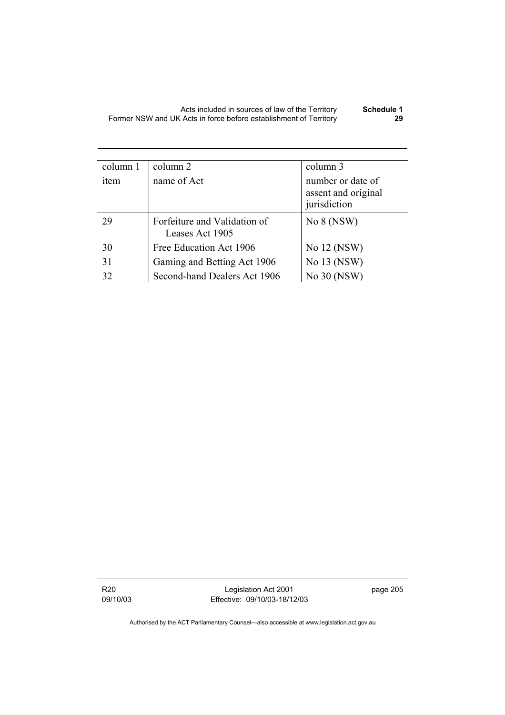| column 1 | column 2                                        | column 3                                                 |
|----------|-------------------------------------------------|----------------------------------------------------------|
| item     | name of Act                                     | number or date of<br>assent and original<br>jurisdiction |
| 29       | Forfeiture and Validation of<br>Leases Act 1905 | No 8 (NSW)                                               |
| 30       | Free Education Act 1906                         | No 12 (NSW)                                              |
| 31       | Gaming and Betting Act 1906                     | No 13 (NSW)                                              |
| 32       | Second-hand Dealers Act 1906                    | No 30 (NSW)                                              |

R20 09/10/03

Legislation Act 2001 Effective: 09/10/03-18/12/03 page 205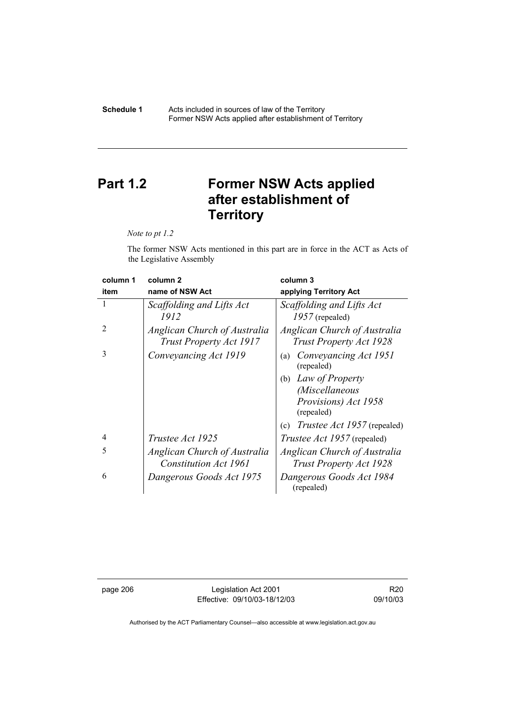#### **Schedule 1** Acts included in sources of law of the Territory Former NSW Acts applied after establishment of Territory

# **Part 1.2 Former NSW Acts applied after establishment of Territory**

*Note to pt 1.2* 

The former NSW Acts mentioned in this part are in force in the ACT as Acts of the Legislative Assembly

| column 1       | column <sub>2</sub>                                     | column 3                                                       |
|----------------|---------------------------------------------------------|----------------------------------------------------------------|
| item           | name of NSW Act                                         | applying Territory Act                                         |
|                | Scaffolding and Lifts Act<br>1912                       | Scaffolding and Lifts Act<br>$1957$ (repealed)                 |
| $\overline{2}$ | Anglican Church of Australia<br>Trust Property Act 1917 | Anglican Church of Australia<br><b>Trust Property Act 1928</b> |
| $\mathcal{R}$  | Conveyancing Act 1919                                   | Conveyancing Act 1951<br>(a)<br>(repealed)                     |
|                |                                                         | Law of Property<br>(b)                                         |
|                |                                                         | (Miscellaneous                                                 |
|                |                                                         | Provisions) Act 1958<br>(repealed)                             |
|                |                                                         | <i>Trustee Act 1957</i> (repealed)<br>(c)                      |
| $\overline{4}$ | <i>Trustee Act 1925</i>                                 | <i>Trustee Act 1957</i> (repealed)                             |
| 5              | Anglican Church of Australia                            | Anglican Church of Australia                                   |
|                | <b>Constitution Act 1961</b>                            | <b>Trust Property Act 1928</b>                                 |
| 6              | Dangerous Goods Act 1975                                | Dangerous Goods Act 1984<br>(repealed)                         |

page 206 Legislation Act 2001 Effective: 09/10/03-18/12/03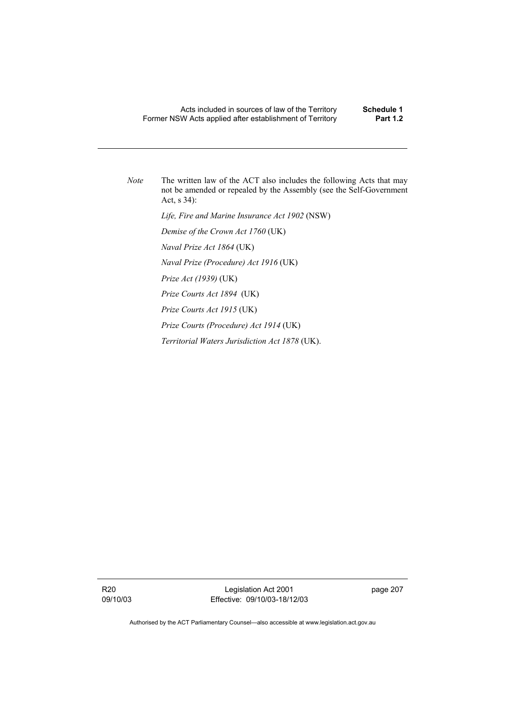*Note* The written law of the ACT also includes the following Acts that may not be amended or repealed by the Assembly (see the Self-Government Act, s 34):

 *Life, Fire and Marine Insurance Act 1902* (NSW)

 *Demise of the Crown Act 1760* (UK)

 *Naval Prize Act 1864* (UK)

 *Naval Prize (Procedure) Act 1916* (UK)

 *Prize Act (1939)* (UK)

 *Prize Courts Act 1894* (UK)

 *Prize Courts Act 1915* (UK)

 *Prize Courts (Procedure) Act 1914* (UK)

 *Territorial Waters Jurisdiction Act 1878* (UK).

R20 09/10/03

Legislation Act 2001 Effective: 09/10/03-18/12/03 page 207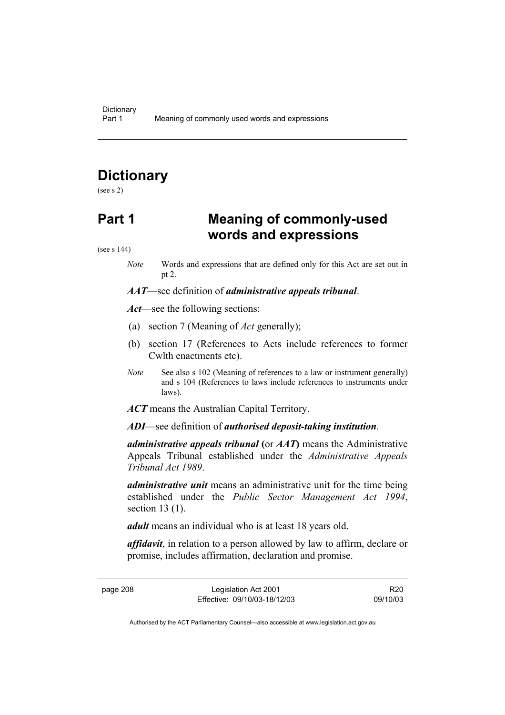# **Dictionary**

(see s 2)

## **Part 1 Meaning of commonly-used words and expressions**

(see s 144)

*Note* Words and expressions that are defined only for this Act are set out in pt 2.

*AAT*—see definition of *administrative appeals tribunal*.

*Act*—see the following sections:

- (a) section 7 (Meaning of *Act* generally);
- (b) section 17 (References to Acts include references to former Cwlth enactments etc).
- *Note* See also s 102 (Meaning of references to a law or instrument generally) and s 104 (References to laws include references to instruments under laws).
- *ACT* means the Australian Capital Territory.

*ADI*—see definition of *authorised deposit-taking institution*.

*administrative appeals tribunal* **(**or *AAT***)** means the Administrative Appeals Tribunal established under the *Administrative Appeals Tribunal Act 1989*.

*administrative unit* means an administrative unit for the time being established under the *Public Sector Management Act 1994*, section 13 (1).

*adult* means an individual who is at least 18 years old.

*affidavit*, in relation to a person allowed by law to affirm, declare or promise, includes affirmation, declaration and promise.

page 208 Legislation Act 2001 Effective: 09/10/03-18/12/03

R20 09/10/03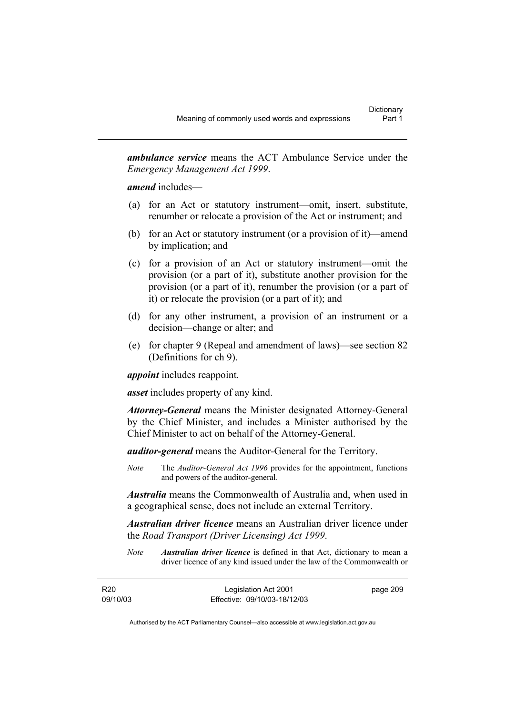*ambulance service* means the ACT Ambulance Service under the *Emergency Management Act 1999*.

*amend* includes—

- (a) for an Act or statutory instrument—omit, insert, substitute, renumber or relocate a provision of the Act or instrument; and
- (b) for an Act or statutory instrument (or a provision of it)—amend by implication; and
- (c) for a provision of an Act or statutory instrument—omit the provision (or a part of it), substitute another provision for the provision (or a part of it), renumber the provision (or a part of it) or relocate the provision (or a part of it); and
- (d) for any other instrument, a provision of an instrument or a decision—change or alter; and
- (e) for chapter 9 (Repeal and amendment of laws)—see section 82 (Definitions for ch 9).

*appoint* includes reappoint.

*asset* includes property of any kind.

*Attorney-General* means the Minister designated Attorney-General by the Chief Minister, and includes a Minister authorised by the Chief Minister to act on behalf of the Attorney-General.

*auditor-general* means the Auditor-General for the Territory.

*Note* The *Auditor-General Act 1996* provides for the appointment, functions and powers of the auditor-general.

*Australia* means the Commonwealth of Australia and, when used in a geographical sense, does not include an external Territory.

*Australian driver licence* means an Australian driver licence under the *Road Transport (Driver Licensing) Act 1999*.

*Note Australian driver licence* is defined in that Act, dictionary to mean a driver licence of any kind issued under the law of the Commonwealth or

| R <sub>20</sub> | Legislation Act 2001         | page 209 |
|-----------------|------------------------------|----------|
| 09/10/03        | Effective: 09/10/03-18/12/03 |          |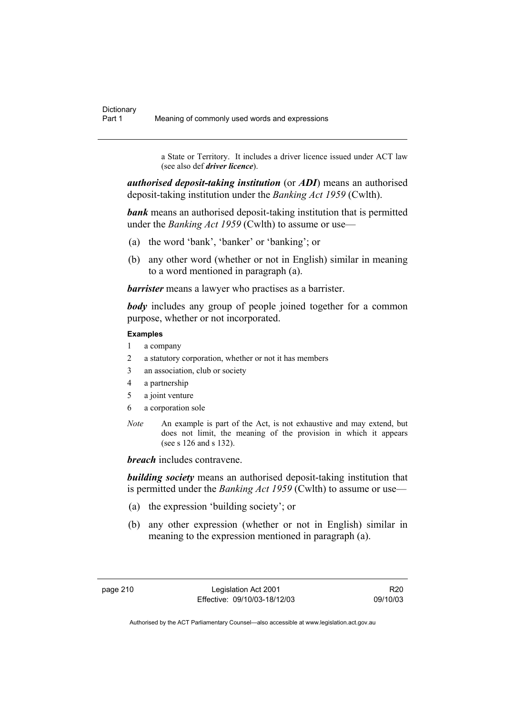a State or Territory. It includes a driver licence issued under ACT law (see also def *driver licence*).

*authorised deposit-taking institution* (or *ADI*) means an authorised deposit-taking institution under the *Banking Act 1959* (Cwlth).

*bank* means an authorised deposit-taking institution that is permitted under the *Banking Act 1959* (Cwlth) to assume or use—

- (a) the word 'bank', 'banker' or 'banking'; or
- (b) any other word (whether or not in English) similar in meaning to a word mentioned in paragraph (a).

*barrister* means a lawyer who practises as a barrister.

*body* includes any group of people joined together for a common purpose, whether or not incorporated.

### **Examples**

- 1 a company
- 2 a statutory corporation, whether or not it has members
- 3 an association, club or society
- 4 a partnership
- 5 a joint venture
- 6 a corporation sole
- *Note* An example is part of the Act, is not exhaustive and may extend, but does not limit, the meaning of the provision in which it appears (see s 126 and s 132).

*breach* includes contravene.

*building society* means an authorised deposit-taking institution that is permitted under the *Banking Act 1959* (Cwlth) to assume or use—

- (a) the expression 'building society'; or
- (b) any other expression (whether or not in English) similar in meaning to the expression mentioned in paragraph (a).

R20 09/10/03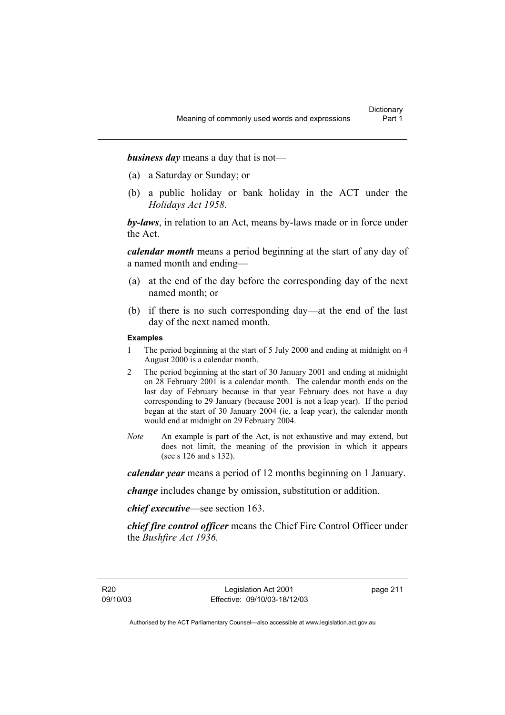*business day* means a day that is not—

- (a) a Saturday or Sunday; or
- (b) a public holiday or bank holiday in the ACT under the *Holidays Act 1958*.

*by-laws*, in relation to an Act, means by-laws made or in force under the Act.

*calendar month* means a period beginning at the start of any day of a named month and ending—

- (a) at the end of the day before the corresponding day of the next named month; or
- (b) if there is no such corresponding day—at the end of the last day of the next named month.

#### **Examples**

- 1 The period beginning at the start of 5 July 2000 and ending at midnight on 4 August 2000 is a calendar month.
- 2 The period beginning at the start of 30 January 2001 and ending at midnight on 28 February 2001 is a calendar month. The calendar month ends on the last day of February because in that year February does not have a day corresponding to 29 January (because 2001 is not a leap year). If the period began at the start of 30 January 2004 (ie, a leap year), the calendar month would end at midnight on 29 February 2004.
- *Note* An example is part of the Act, is not exhaustive and may extend, but does not limit, the meaning of the provision in which it appears (see s 126 and s 132).

*calendar year* means a period of 12 months beginning on 1 January.

*change* includes change by omission, substitution or addition.

*chief executive*—see section 163.

*chief fire control officer* means the Chief Fire Control Officer under the *Bushfire Act 1936.* 

page 211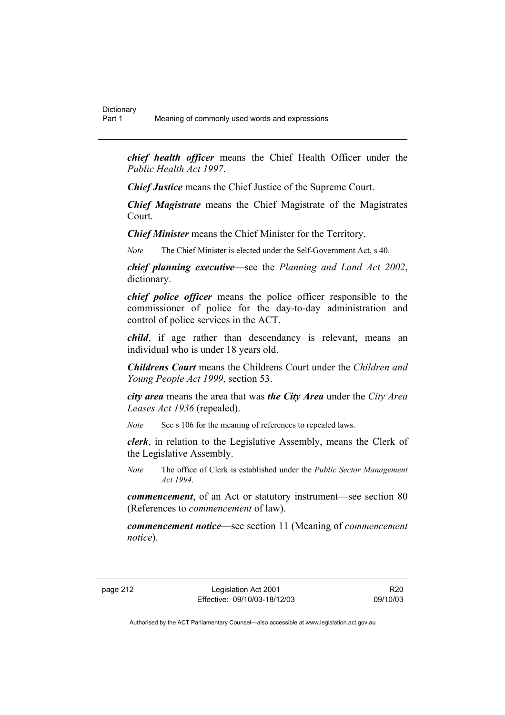*chief health officer* means the Chief Health Officer under the *Public Health Act 1997*.

*Chief Justice* means the Chief Justice of the Supreme Court.

*Chief Magistrate* means the Chief Magistrate of the Magistrates Court.

*Chief Minister* means the Chief Minister for the Territory.

*Note* The Chief Minister is elected under the Self-Government Act, s 40.

*chief planning executive*—see the *Planning and Land Act 2002*, dictionary.

*chief police officer* means the police officer responsible to the commissioner of police for the day-to-day administration and control of police services in the ACT.

*child*, if age rather than descendancy is relevant, means an individual who is under 18 years old.

*Childrens Court* means the Childrens Court under the *Children and Young People Act 1999*, section 53.

*city area* means the area that was *the City Area* under the *City Area Leases Act 1936* (repealed).

*Note* See s 106 for the meaning of references to repealed laws.

*clerk*, in relation to the Legislative Assembly, means the Clerk of the Legislative Assembly.

*Note* The office of Clerk is established under the *Public Sector Management Act 1994*.

*commencement*, of an Act or statutory instrument—see section 80 (References to *commencement* of law).

*commencement notice*—see section 11 (Meaning of *commencement notice*).

page 212 Legislation Act 2001 Effective: 09/10/03-18/12/03

R20 09/10/03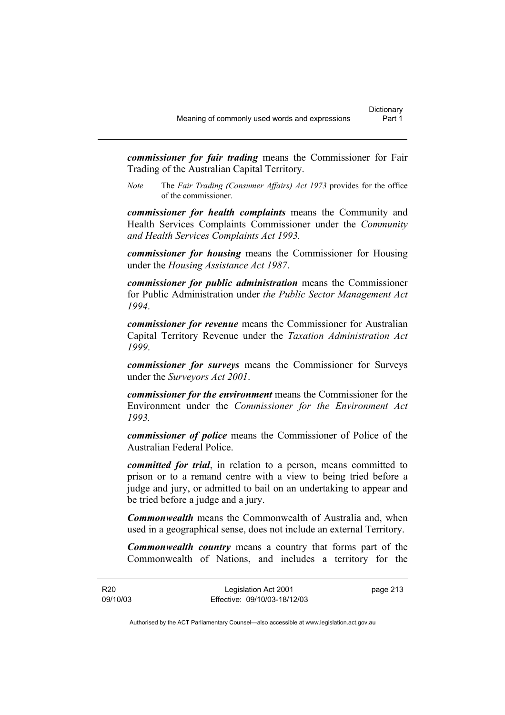*commissioner for fair trading* means the Commissioner for Fair Trading of the Australian Capital Territory.

*Note* The *Fair Trading (Consumer Affairs) Act 1973* provides for the office of the commissioner.

*commissioner for health complaints* means the Community and Health Services Complaints Commissioner under the *Community and Health Services Complaints Act 1993.* 

*commissioner for housing* means the Commissioner for Housing under the *Housing Assistance Act 1987*.

*commissioner for public administration* means the Commissioner for Public Administration under *the Public Sector Management Act 1994*.

*commissioner for revenue* means the Commissioner for Australian Capital Territory Revenue under the *Taxation Administration Act 1999*.

*commissioner for surveys* means the Commissioner for Surveys under the *Surveyors Act 2001*.

*commissioner for the environment* means the Commissioner for the Environment under the *Commissioner for the Environment Act 1993.* 

*commissioner of police* means the Commissioner of Police of the Australian Federal Police.

*committed for trial*, in relation to a person, means committed to prison or to a remand centre with a view to being tried before a judge and jury, or admitted to bail on an undertaking to appear and be tried before a judge and a jury.

*Commonwealth* means the Commonwealth of Australia and, when used in a geographical sense, does not include an external Territory.

*Commonwealth country* means a country that forms part of the Commonwealth of Nations, and includes a territory for the

R20 09/10/03 Legislation Act 2001 Effective: 09/10/03-18/12/03 page 213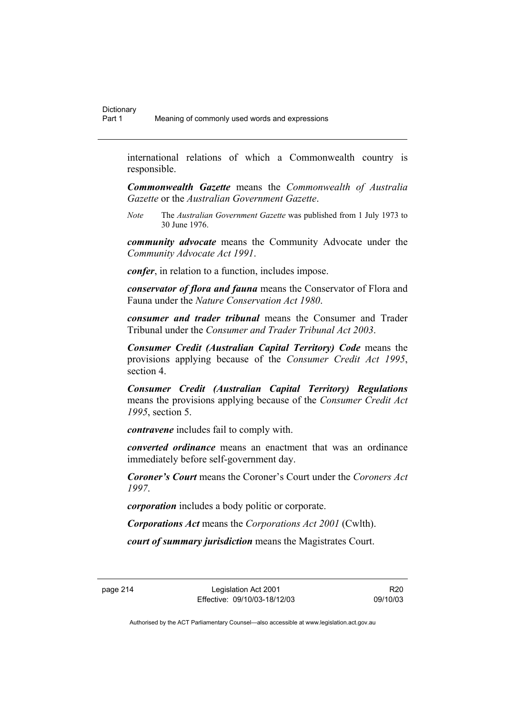international relations of which a Commonwealth country is responsible.

*Commonwealth Gazette* means the *Commonwealth of Australia Gazette* or the *Australian Government Gazette*.

*Note* The *Australian Government Gazette* was published from 1 July 1973 to 30 June 1976.

*community advocate* means the Community Advocate under the *Community Advocate Act 1991*.

*confer*, in relation to a function, includes impose.

*conservator of flora and fauna* means the Conservator of Flora and Fauna under the *Nature Conservation Act 1980*.

*consumer and trader tribunal* means the Consumer and Trader Tribunal under the *Consumer and Trader Tribunal Act 2003*.

*Consumer Credit (Australian Capital Territory) Code* means the provisions applying because of the *Consumer Credit Act 1995*, section 4.

*Consumer Credit (Australian Capital Territory) Regulations* means the provisions applying because of the *Consumer Credit Act 1995*, section 5.

*contravene* includes fail to comply with.

*converted ordinance* means an enactment that was an ordinance immediately before self-government day.

*Coroner's Court* means the Coroner's Court under the *Coroners Act 1997*.

*corporation* includes a body politic or corporate.

*Corporations Act* means the *Corporations Act 2001* (Cwlth).

*court of summary jurisdiction* means the Magistrates Court.

page 214 Legislation Act 2001 Effective: 09/10/03-18/12/03

R20 09/10/03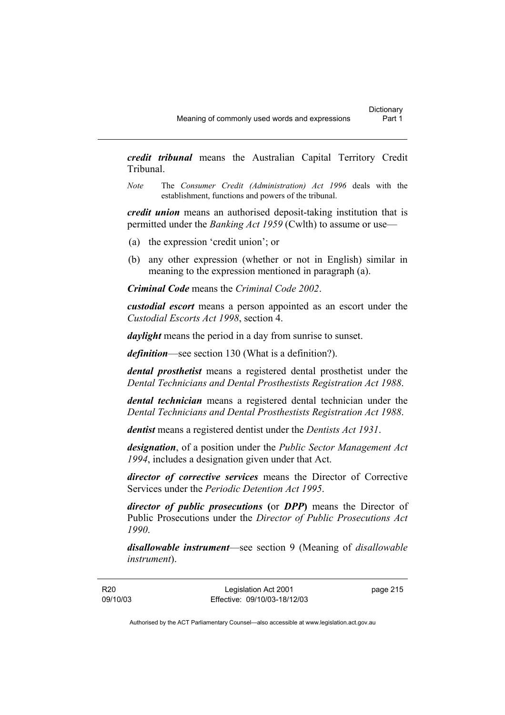*credit tribunal* means the Australian Capital Territory Credit Tribunal.

*Note* The *Consumer Credit (Administration) Act 1996* deals with the establishment, functions and powers of the tribunal.

*credit union* means an authorised deposit-taking institution that is permitted under the *Banking Act 1959* (Cwlth) to assume or use—

- (a) the expression 'credit union'; or
- (b) any other expression (whether or not in English) similar in meaning to the expression mentioned in paragraph (a).

*Criminal Code* means the *Criminal Code 2002*.

*custodial escort* means a person appointed as an escort under the *Custodial Escorts Act 1998*, section 4.

*daylight* means the period in a day from sunrise to sunset.

*definition*—see section 130 (What is a definition?).

*dental prosthetist* means a registered dental prosthetist under the *Dental Technicians and Dental Prosthestists Registration Act 1988*.

*dental technician* means a registered dental technician under the *Dental Technicians and Dental Prosthestists Registration Act 1988*.

*dentist* means a registered dentist under the *Dentists Act 1931*.

*designation*, of a position under the *Public Sector Management Act 1994*, includes a designation given under that Act.

*director of corrective services* means the Director of Corrective Services under the *Periodic Detention Act 1995*.

*director of public prosecutions* **(**or *DPP***)** means the Director of Public Prosecutions under the *Director of Public Prosecutions Act 1990*.

*disallowable instrument*—see section 9 (Meaning of *disallowable instrument*).

page 215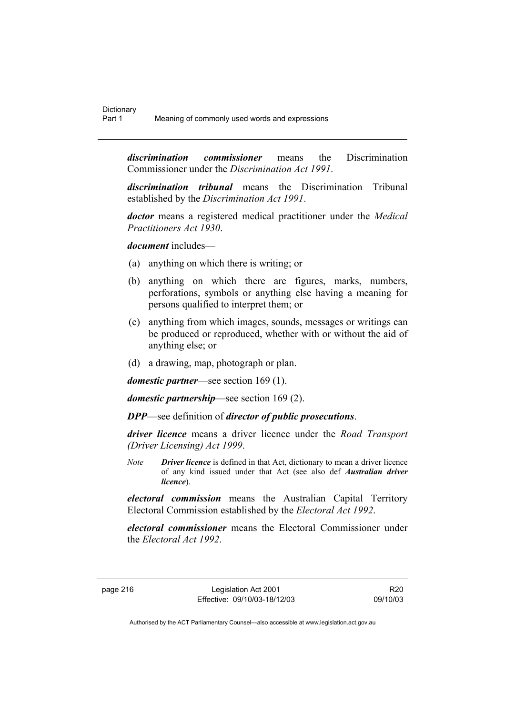*discrimination commissioner* means the Discrimination Commissioner under the *Discrimination Act 1991*.

*discrimination tribunal* means the Discrimination Tribunal established by the *Discrimination Act 1991*.

*doctor* means a registered medical practitioner under the *Medical Practitioners Act 1930*.

*document* includes—

- (a) anything on which there is writing; or
- (b) anything on which there are figures, marks, numbers, perforations, symbols or anything else having a meaning for persons qualified to interpret them; or
- (c) anything from which images, sounds, messages or writings can be produced or reproduced, whether with or without the aid of anything else; or
- (d) a drawing, map, photograph or plan.

*domestic partner*—see section 169 (1).

*domestic partnership*—see section 169 (2).

*DPP*—see definition of *director of public prosecutions*.

*driver licence* means a driver licence under the *Road Transport (Driver Licensing) Act 1999*.

*Note Driver licence* is defined in that Act, dictionary to mean a driver licence of any kind issued under that Act (see also def *Australian driver licence*).

*electoral commission* means the Australian Capital Territory Electoral Commission established by the *Electoral Act 1992*.

*electoral commissioner* means the Electoral Commissioner under the *Electoral Act 1992*.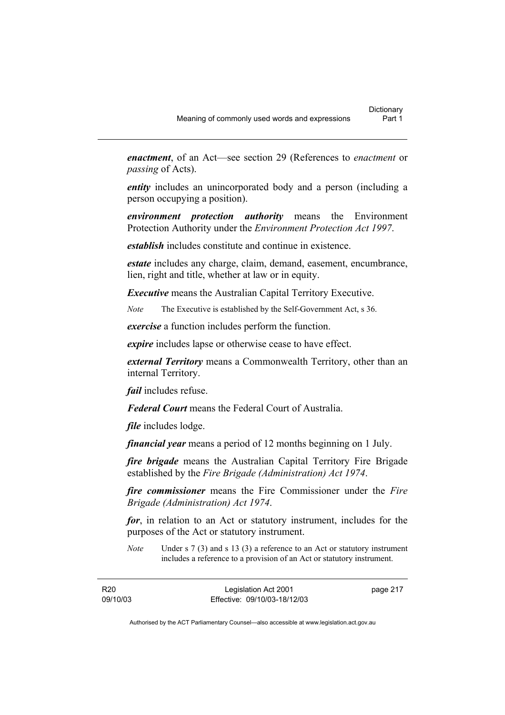*enactment*, of an Act—see section 29 (References to *enactment* or *passing* of Acts).

*entity* includes an unincorporated body and a person (including a person occupying a position).

*environment protection authority* means the Environment Protection Authority under the *Environment Protection Act 1997*.

*establish* includes constitute and continue in existence.

*estate* includes any charge, claim, demand, easement, encumbrance, lien, right and title, whether at law or in equity.

*Executive* means the Australian Capital Territory Executive.

*Note* The Executive is established by the Self-Government Act, s 36.

*exercise* a function includes perform the function.

*expire* includes lapse or otherwise cease to have effect.

*external Territory* means a Commonwealth Territory, other than an internal Territory.

*fail* includes refuse.

*Federal Court* means the Federal Court of Australia.

*file* includes lodge.

*financial year* means a period of 12 months beginning on 1 July.

*fire brigade* means the Australian Capital Territory Fire Brigade established by the *Fire Brigade (Administration) Act 1974*.

*fire commissioner* means the Fire Commissioner under the *Fire Brigade (Administration) Act 1974*.

*for*, in relation to an Act or statutory instrument, includes for the purposes of the Act or statutory instrument.

*Note* Under s 7 (3) and s 13 (3) a reference to an Act or statutory instrument includes a reference to a provision of an Act or statutory instrument.

R20 09/10/03 page 217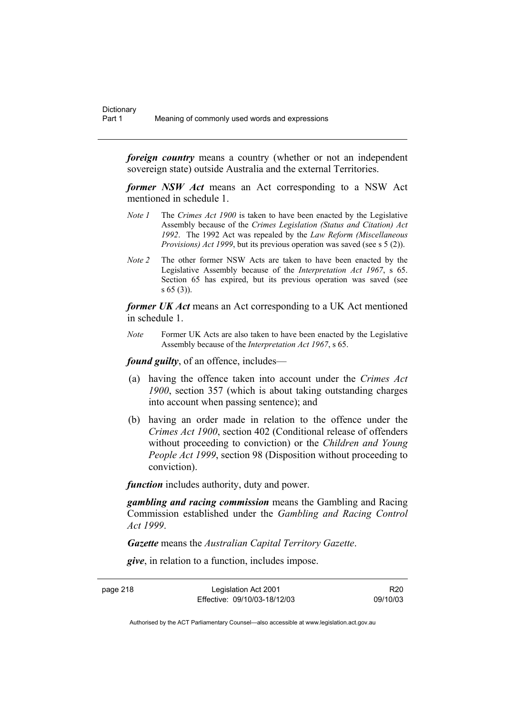*foreign country* means a country (whether or not an independent sovereign state) outside Australia and the external Territories.

*former NSW Act* means an Act corresponding to a NSW Act mentioned in schedule 1.

- *Note 1* The *Crimes Act 1900* is taken to have been enacted by the Legislative Assembly because of the *Crimes Legislation (Status and Citation) Act 1992*. The 1992 Act was repealed by the *Law Reform (Miscellaneous Provisions) Act 1999*, but its previous operation was saved (see s 5 (2)).
- *Note 2* The other former NSW Acts are taken to have been enacted by the Legislative Assembly because of the *Interpretation Act 1967*, s 65. Section 65 has expired, but its previous operation was saved (see s 65 (3)).

*former UK Act* means an Act corresponding to a UK Act mentioned in schedule 1.

*Note* Former UK Acts are also taken to have been enacted by the Legislative Assembly because of the *Interpretation Act 1967*, s 65.

*found guilty*, of an offence, includes—

- (a) having the offence taken into account under the *Crimes Act 1900*, section 357 (which is about taking outstanding charges into account when passing sentence); and
- (b) having an order made in relation to the offence under the *Crimes Act 1900*, section 402 (Conditional release of offenders without proceeding to conviction) or the *Children and Young People Act 1999*, section 98 (Disposition without proceeding to conviction).

*function* includes authority, duty and power.

*gambling and racing commission* means the Gambling and Racing Commission established under the *Gambling and Racing Control Act 1999*.

*Gazette* means the *Australian Capital Territory Gazette*.

*give*, in relation to a function, includes impose.

page 218 Legislation Act 2001 Effective: 09/10/03-18/12/03

R20 09/10/03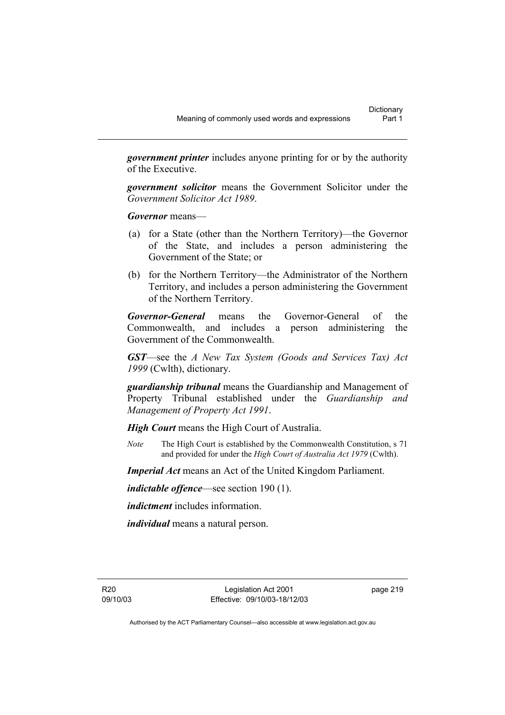*government printer* includes anyone printing for or by the authority of the Executive.

*government solicitor* means the Government Solicitor under the *Government Solicitor Act 1989*.

*Governor* means—

- (a) for a State (other than the Northern Territory)—the Governor of the State, and includes a person administering the Government of the State; or
- (b) for the Northern Territory—the Administrator of the Northern Territory, and includes a person administering the Government of the Northern Territory.

*Governor-General* means the Governor-General of the Commonwealth, and includes a person administering the Government of the Commonwealth.

*GST*—see the *A New Tax System (Goods and Services Tax) Act 1999* (Cwlth), dictionary.

*guardianship tribunal* means the Guardianship and Management of Property Tribunal established under the *Guardianship and Management of Property Act 1991*.

*High Court* means the High Court of Australia.

*Note* The High Court is established by the Commonwealth Constitution, s 71 and provided for under the *High Court of Australia Act 1979* (Cwlth).

*Imperial Act* means an Act of the United Kingdom Parliament.

*indictable offence*—see section 190 (1).

*indictment* includes information.

*individual* means a natural person.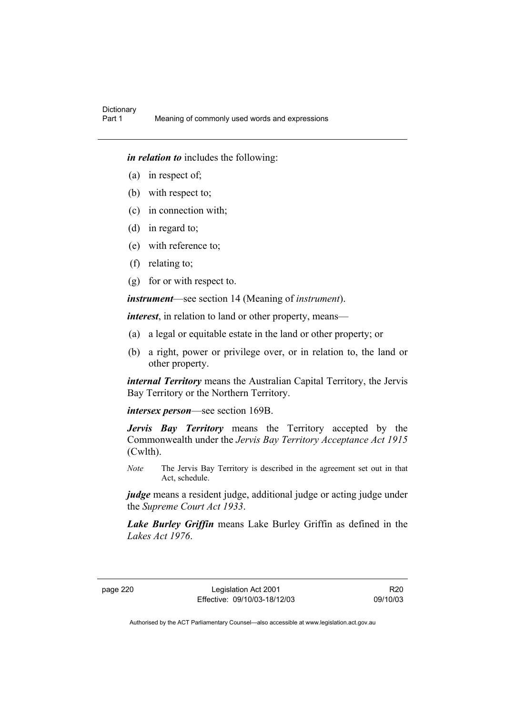*in relation to* includes the following:

- (a) in respect of;
- (b) with respect to;
- (c) in connection with;
- (d) in regard to;
- (e) with reference to;
- (f) relating to;
- (g) for or with respect to.

*instrument*—see section 14 (Meaning of *instrument*).

*interest*, in relation to land or other property, means—

- (a) a legal or equitable estate in the land or other property; or
- (b) a right, power or privilege over, or in relation to, the land or other property.

*internal Territory* means the Australian Capital Territory, the Jervis Bay Territory or the Northern Territory.

*intersex person*—see section 169B.

*Jervis Bay Territory* means the Territory accepted by the Commonwealth under the *Jervis Bay Territory Acceptance Act 1915* (Cwlth).

*Note* The Jervis Bay Territory is described in the agreement set out in that Act, schedule.

*judge* means a resident judge, additional judge or acting judge under the *Supreme Court Act 1933*.

*Lake Burley Griffin* means Lake Burley Griffin as defined in the *Lakes Act 1976*.

page 220 Legislation Act 2001 Effective: 09/10/03-18/12/03

R20 09/10/03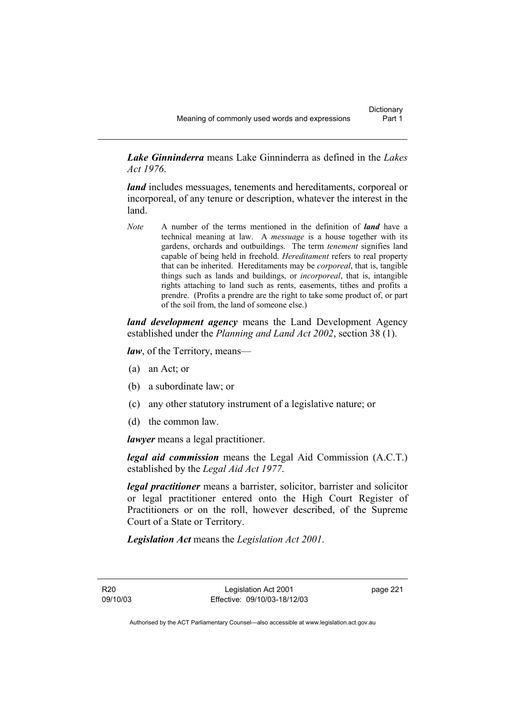*Lake Ginninderra* means Lake Ginninderra as defined in the *Lakes Act 1976*.

*land* includes messuages, tenements and hereditaments, corporeal or incorporeal, of any tenure or description, whatever the interest in the land.

*Note* A number of the terms mentioned in the definition of *land* have a technical meaning at law. A *messuage* is a house together with its gardens, orchards and outbuildings. The term *tenement* signifies land capable of being held in freehold. *Hereditament* refers to real property that can be inherited. Hereditaments may be *corporeal*, that is, tangible things such as lands and buildings, or *incorporeal*, that is, intangible rights attaching to land such as rents, easements, tithes and profits a prendre. (Profits a prendre are the right to take some product of, or part of the soil from, the land of someone else.)

*land development agency* means the Land Development Agency established under the *Planning and Land Act 2002*, section 38 (1).

*law*, of the Territory, means—

- (a) an Act; or
- (b) a subordinate law; or
- (c) any other statutory instrument of a legislative nature; or
- (d) the common law.

*lawyer* means a legal practitioner.

*legal aid commission* means the Legal Aid Commission (A.C.T.) established by the *Legal Aid Act 1977*.

*legal practitioner* means a barrister, solicitor, barrister and solicitor or legal practitioner entered onto the High Court Register of Practitioners or on the roll, however described, of the Supreme Court of a State or Territory.

*Legislation Act* means the *Legislation Act 2001*.

R20 09/10/03 page 221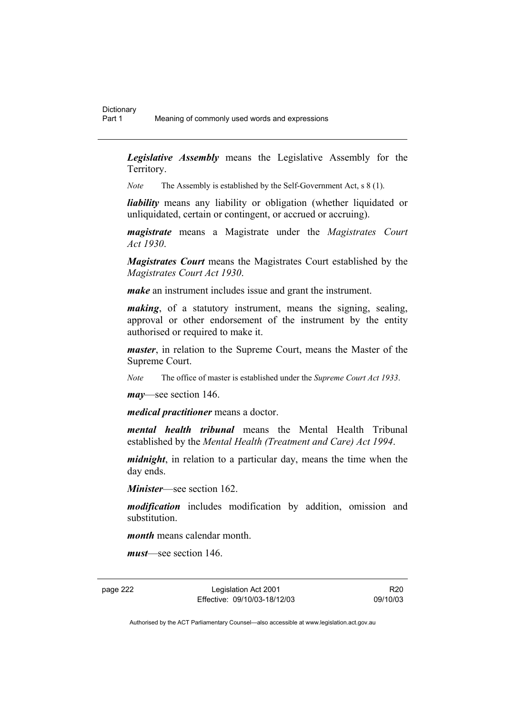*Legislative Assembly* means the Legislative Assembly for the Territory.

*Note* The Assembly is established by the Self-Government Act, s 8 (1).

*liability* means any liability or obligation (whether liquidated or unliquidated, certain or contingent, or accrued or accruing).

*magistrate* means a Magistrate under the *Magistrates Court Act 1930*.

*Magistrates Court* means the Magistrates Court established by the *Magistrates Court Act 1930*.

*make* an instrument includes issue and grant the instrument.

*making*, of a statutory instrument, means the signing, sealing, approval or other endorsement of the instrument by the entity authorised or required to make it.

*master*, in relation to the Supreme Court, means the Master of the Supreme Court.

*Note* The office of master is established under the *Supreme Court Act 1933*.

*may*—see section 146.

*medical practitioner* means a doctor.

*mental health tribunal* means the Mental Health Tribunal established by the *Mental Health (Treatment and Care) Act 1994*.

*midnight*, in relation to a particular day, means the time when the day ends.

*Minister*—see section 162.

*modification* includes modification by addition, omission and substitution.

*month* means calendar month.

*must*—see section 146.

page 222 Legislation Act 2001 Effective: 09/10/03-18/12/03

R20 09/10/03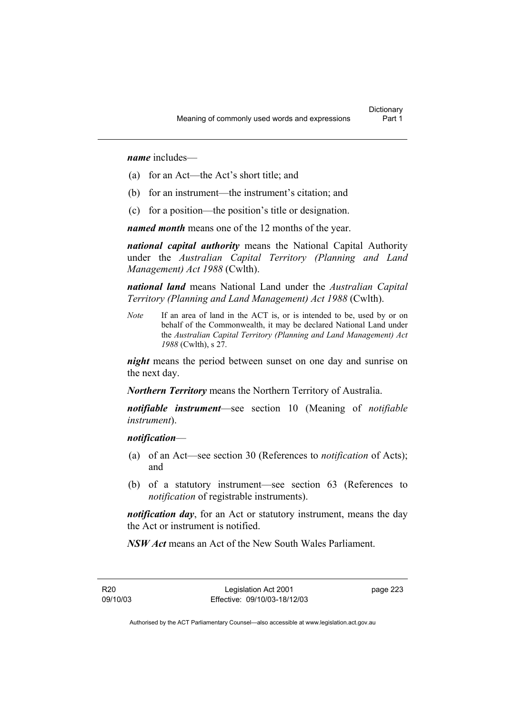*name* includes—

- (a) for an Act—the Act's short title; and
- (b) for an instrument—the instrument's citation; and
- (c) for a position—the position's title or designation.

*named month* means one of the 12 months of the year.

*national capital authority* means the National Capital Authority under the *Australian Capital Territory (Planning and Land Management) Act 1988* (Cwlth).

*national land* means National Land under the *Australian Capital Territory (Planning and Land Management) Act 1988* (Cwlth).

*Note* If an area of land in the ACT is, or is intended to be, used by or on behalf of the Commonwealth, it may be declared National Land under the *Australian Capital Territory (Planning and Land Management) Act 1988* (Cwlth), s 27.

*night* means the period between sunset on one day and sunrise on the next day.

*Northern Territory* means the Northern Territory of Australia.

*notifiable instrument*—see section 10 (Meaning of *notifiable instrument*).

### *notification*—

- (a) of an Act—see section 30 (References to *notification* of Acts); and
- (b) of a statutory instrument—see section 63 (References to *notification* of registrable instruments).

*notification day*, for an Act or statutory instrument, means the day the Act or instrument is notified.

*NSW Act* means an Act of the New South Wales Parliament.

R20 09/10/03 page 223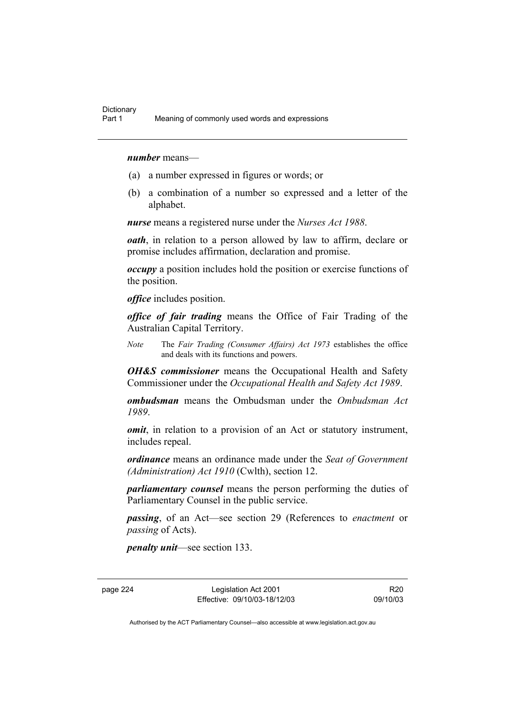### *number* means—

- (a) a number expressed in figures or words; or
- (b) a combination of a number so expressed and a letter of the alphabet.

*nurse* means a registered nurse under the *Nurses Act 1988*.

*oath*, in relation to a person allowed by law to affirm, declare or promise includes affirmation, declaration and promise.

*occupy* a position includes hold the position or exercise functions of the position.

*office* includes position.

*office of fair trading* means the Office of Fair Trading of the Australian Capital Territory.

*Note* The *Fair Trading (Consumer Affairs) Act 1973* establishes the office and deals with its functions and powers.

*OH&S commissioner* means the Occupational Health and Safety Commissioner under the *Occupational Health and Safety Act 1989*.

*ombudsman* means the Ombudsman under the *Ombudsman Act 1989*.

*omit*, in relation to a provision of an Act or statutory instrument, includes repeal.

*ordinance* means an ordinance made under the *Seat of Government (Administration) Act 1910* (Cwlth), section 12.

*parliamentary counsel* means the person performing the duties of Parliamentary Counsel in the public service.

*passing*, of an Act—see section 29 (References to *enactment* or *passing* of Acts).

*penalty unit*—see section 133.

page 224 Legislation Act 2001 Effective: 09/10/03-18/12/03

R20 09/10/03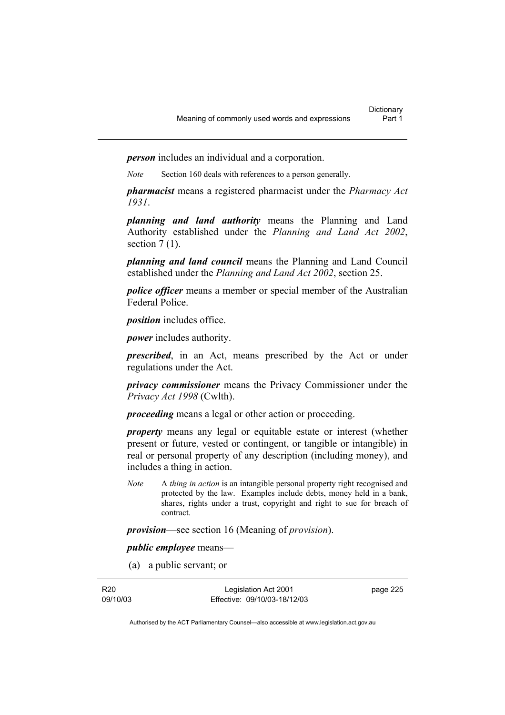*person* includes an individual and a corporation.

*Note* Section 160 deals with references to a person generally.

*pharmacist* means a registered pharmacist under the *Pharmacy Act 1931*.

*planning and land authority* means the Planning and Land Authority established under the *Planning and Land Act 2002*, section  $7(1)$ .

*planning and land council* means the Planning and Land Council established under the *Planning and Land Act 2002*, section 25.

*police officer* means a member or special member of the Australian Federal Police.

*position* includes office.

*power* includes authority.

*prescribed*, in an Act, means prescribed by the Act or under regulations under the Act.

*privacy commissioner* means the Privacy Commissioner under the *Privacy Act 1998* (Cwlth).

*proceeding* means a legal or other action or proceeding.

*property* means any legal or equitable estate or interest (whether present or future, vested or contingent, or tangible or intangible) in real or personal property of any description (including money), and includes a thing in action.

*Note* A *thing in action* is an intangible personal property right recognised and protected by the law. Examples include debts, money held in a bank, shares, rights under a trust, copyright and right to sue for breach of contract.

*provision*—see section 16 (Meaning of *provision*).

*public employee* means—

(a) a public servant; or

R20 09/10/03

Legislation Act 2001 Effective: 09/10/03-18/12/03 page 225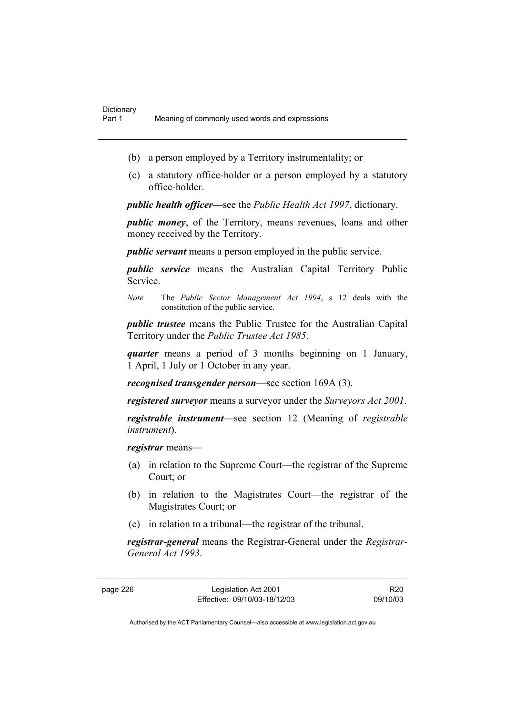- (b) a person employed by a Territory instrumentality; or
- (c) a statutory office-holder or a person employed by a statutory office-holder.

*public health officer—*see the *Public Health Act 1997*, dictionary.

*public money*, of the Territory, means revenues, loans and other money received by the Territory.

*public servant* means a person employed in the public service.

*public service* means the Australian Capital Territory Public Service.

*Note* The *Public Sector Management Act 1994*, s 12 deals with the constitution of the public service.

*public trustee* means the Public Trustee for the Australian Capital Territory under the *Public Trustee Act 1985*.

*quarter* means a period of 3 months beginning on 1 January, 1 April, 1 July or 1 October in any year.

*recognised transgender person*—see section 169A (3).

*registered surveyor* means a surveyor under the *Surveyors Act 2001*.

*registrable instrument*—see section 12 (Meaning of *registrable instrument*).

*registrar* means—

- (a) in relation to the Supreme Court—the registrar of the Supreme Court; or
- (b) in relation to the Magistrates Court—the registrar of the Magistrates Court; or
- (c) in relation to a tribunal—the registrar of the tribunal.

*registrar-general* means the Registrar-General under the *Registrar-General Act 1993*.

page 226 Legislation Act 2001 Effective: 09/10/03-18/12/03

R20 09/10/03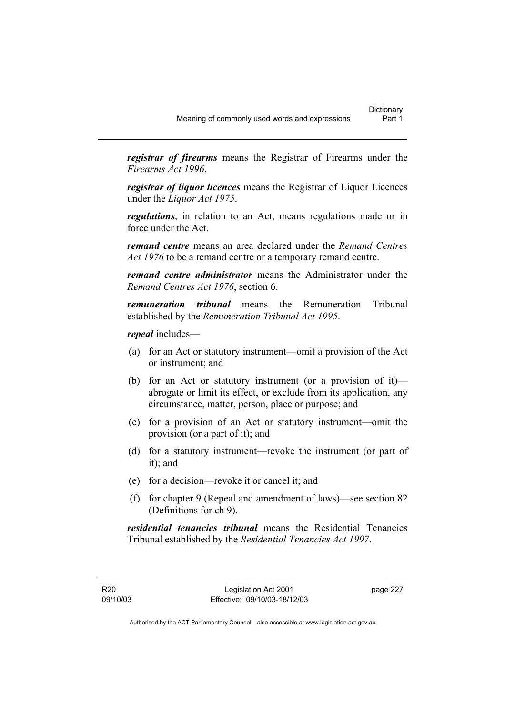*registrar of firearms* means the Registrar of Firearms under the *Firearms Act 1996*.

*registrar of liquor licences* means the Registrar of Liquor Licences under the *Liquor Act 1975*.

*regulations*, in relation to an Act, means regulations made or in force under the Act.

*remand centre* means an area declared under the *Remand Centres Act 1976* to be a remand centre or a temporary remand centre.

*remand centre administrator* means the Administrator under the *Remand Centres Act 1976*, section 6.

*remuneration tribunal* means the Remuneration Tribunal established by the *Remuneration Tribunal Act 1995*.

*repeal* includes—

- (a) for an Act or statutory instrument—omit a provision of the Act or instrument; and
- (b) for an Act or statutory instrument (or a provision of it) abrogate or limit its effect, or exclude from its application, any circumstance, matter, person, place or purpose; and
- (c) for a provision of an Act or statutory instrument—omit the provision (or a part of it); and
- (d) for a statutory instrument—revoke the instrument (or part of it); and
- (e) for a decision—revoke it or cancel it; and
- (f) for chapter 9 (Repeal and amendment of laws)—see section 82 (Definitions for ch 9).

*residential tenancies tribunal* means the Residential Tenancies Tribunal established by the *Residential Tenancies Act 1997*.

page 227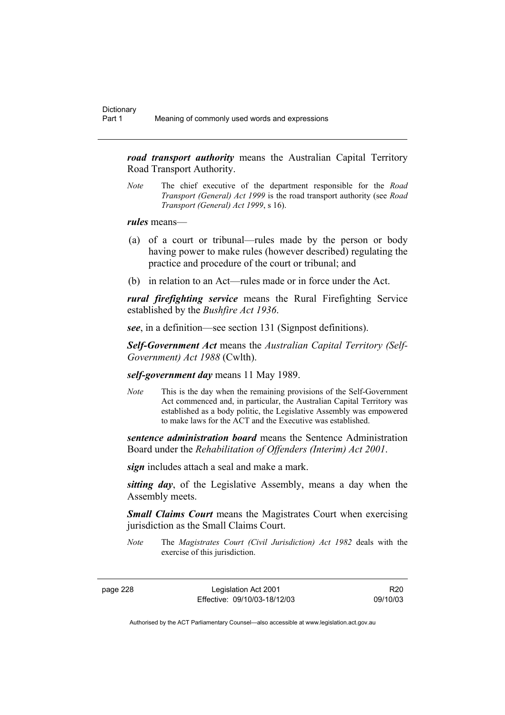*road transport authority* means the Australian Capital Territory Road Transport Authority.

*Note* The chief executive of the department responsible for the *Road Transport (General) Act 1999* is the road transport authority (see *Road Transport (General) Act 1999*, s 16).

### *rules* means—

- (a) of a court or tribunal—rules made by the person or body having power to make rules (however described) regulating the practice and procedure of the court or tribunal; and
- (b) in relation to an Act—rules made or in force under the Act.

*rural firefighting service* means the Rural Firefighting Service established by the *Bushfire Act 1936*.

*see*, in a definition—see section 131 (Signpost definitions).

*Self-Government Act* means the *Australian Capital Territory (Self-Government) Act 1988* (Cwlth).

*self-government day* means 11 May 1989.

*Note* This is the day when the remaining provisions of the Self-Government Act commenced and, in particular, the Australian Capital Territory was established as a body politic, the Legislative Assembly was empowered to make laws for the ACT and the Executive was established.

*sentence administration board* means the Sentence Administration Board under the *Rehabilitation of Offenders (Interim) Act 2001*.

*sign* includes attach a seal and make a mark.

*sitting day*, of the Legislative Assembly, means a day when the Assembly meets.

*Small Claims Court* means the Magistrates Court when exercising jurisdiction as the Small Claims Court.

*Note* The *Magistrates Court (Civil Jurisdiction) Act 1982* deals with the exercise of this jurisdiction.

page 228 Legislation Act 2001 Effective: 09/10/03-18/12/03

R20 09/10/03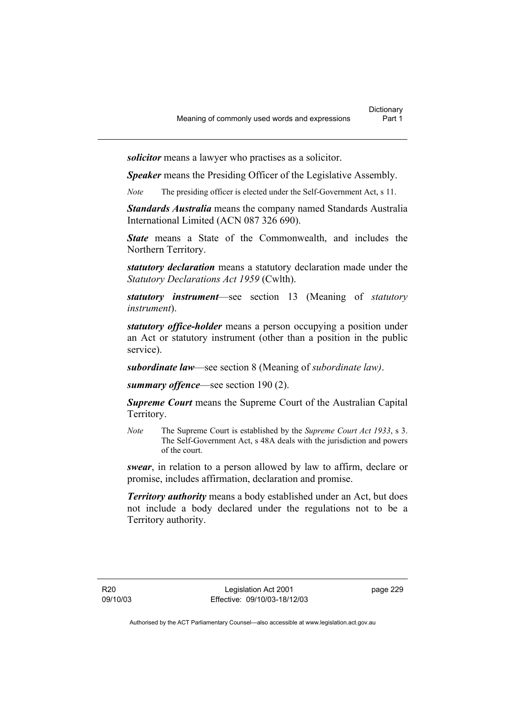*solicitor* means a lawyer who practises as a solicitor.

*Speaker* means the Presiding Officer of the Legislative Assembly.

*Note* The presiding officer is elected under the Self-Government Act, s 11.

*Standards Australia* means the company named Standards Australia International Limited (ACN 087 326 690).

*State* means a State of the Commonwealth, and includes the Northern Territory.

*statutory declaration* means a statutory declaration made under the *Statutory Declarations Act 1959* (Cwlth).

*statutory instrument*—see section 13 (Meaning of *statutory instrument*).

*statutory office-holder* means a person occupying a position under an Act or statutory instrument (other than a position in the public service).

*subordinate law*—see section 8 (Meaning of *subordinate law)*.

*summary offence*—see section 190 (2).

*Supreme Court* means the Supreme Court of the Australian Capital Territory.

*Note* The Supreme Court is established by the *Supreme Court Act 1933*, s 3. The Self-Government Act, s 48A deals with the jurisdiction and powers of the court.

*swear*, in relation to a person allowed by law to affirm, declare or promise, includes affirmation, declaration and promise.

*Territory authority* means a body established under an Act, but does not include a body declared under the regulations not to be a Territory authority.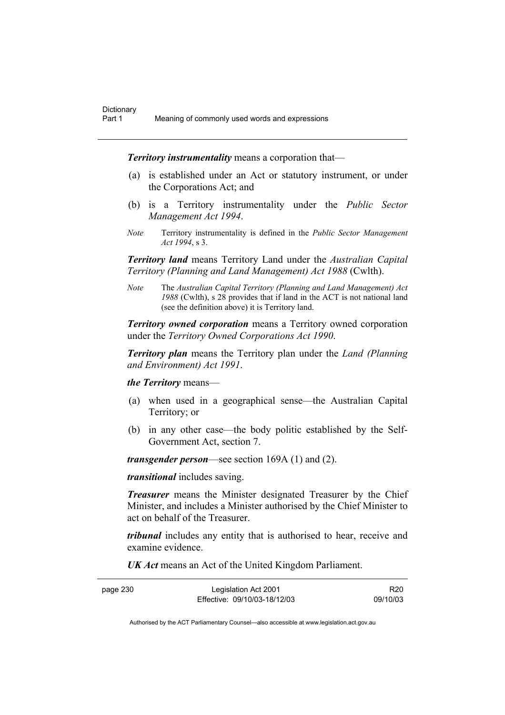*Territory instrumentality* means a corporation that—

- (a) is established under an Act or statutory instrument, or under the Corporations Act; and
- (b) is a Territory instrumentality under the *Public Sector Management Act 1994*.
- *Note* Territory instrumentality is defined in the *Public Sector Management Act 1994*, s 3.

*Territory land* means Territory Land under the *Australian Capital Territory (Planning and Land Management) Act 1988* (Cwlth).

*Note* The *Australian Capital Territory (Planning and Land Management) Act 1988* (Cwlth), s 28 provides that if land in the ACT is not national land (see the definition above) it is Territory land.

*Territory owned corporation* means a Territory owned corporation under the *Territory Owned Corporations Act 1990*.

*Territory plan* means the Territory plan under the *Land (Planning and Environment) Act 1991*.

*the Territory* means—

- (a) when used in a geographical sense—the Australian Capital Territory; or
- (b) in any other case—the body politic established by the Self-Government Act, section 7.

*transgender person*—see section 169A (1) and (2).

*transitional* includes saving.

*Treasurer* means the Minister designated Treasurer by the Chief Minister, and includes a Minister authorised by the Chief Minister to act on behalf of the Treasurer.

*tribunal* includes any entity that is authorised to hear, receive and examine evidence.

*UK Act* means an Act of the United Kingdom Parliament.

| page 230 | Legislation Act 2001         | R <sub>20</sub> |
|----------|------------------------------|-----------------|
|          | Effective: 09/10/03-18/12/03 | 09/10/03        |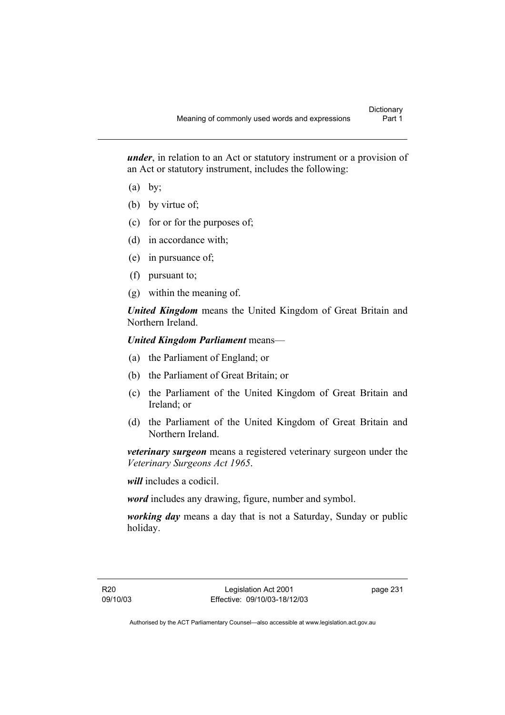*under*, in relation to an Act or statutory instrument or a provision of an Act or statutory instrument, includes the following:

- $(a)$  by;
- (b) by virtue of;
- (c) for or for the purposes of;
- (d) in accordance with;
- (e) in pursuance of;
- (f) pursuant to;
- (g) within the meaning of.

*United Kingdom* means the United Kingdom of Great Britain and Northern Ireland.

## *United Kingdom Parliament* means—

- (a) the Parliament of England; or
- (b) the Parliament of Great Britain; or
- (c) the Parliament of the United Kingdom of Great Britain and Ireland; or
- (d) the Parliament of the United Kingdom of Great Britain and Northern Ireland.

*veterinary surgeon* means a registered veterinary surgeon under the *Veterinary Surgeons Act 1965*.

*will* includes a codicil.

*word* includes any drawing, figure, number and symbol.

*working day* means a day that is not a Saturday, Sunday or public holiday.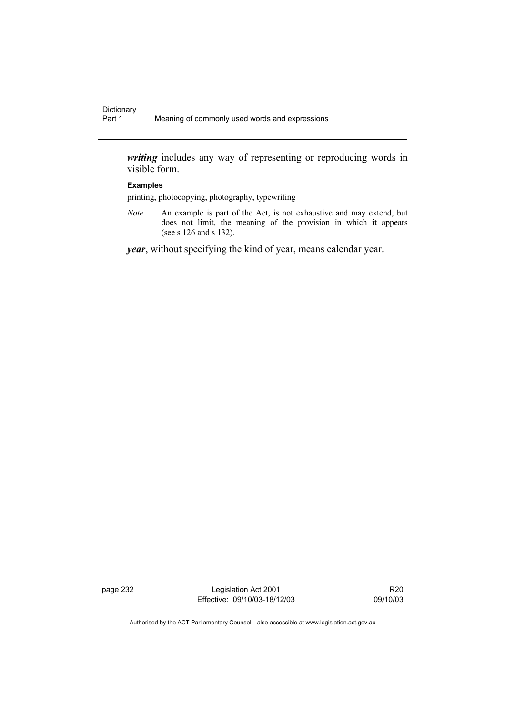*writing* includes any way of representing or reproducing words in visible form.

### **Examples**

printing, photocopying, photography, typewriting

*Note* An example is part of the Act, is not exhaustive and may extend, but does not limit, the meaning of the provision in which it appears (see s 126 and s 132).

*year*, without specifying the kind of year, means calendar year.

page 232 Legislation Act 2001 Effective: 09/10/03-18/12/03

R20 09/10/03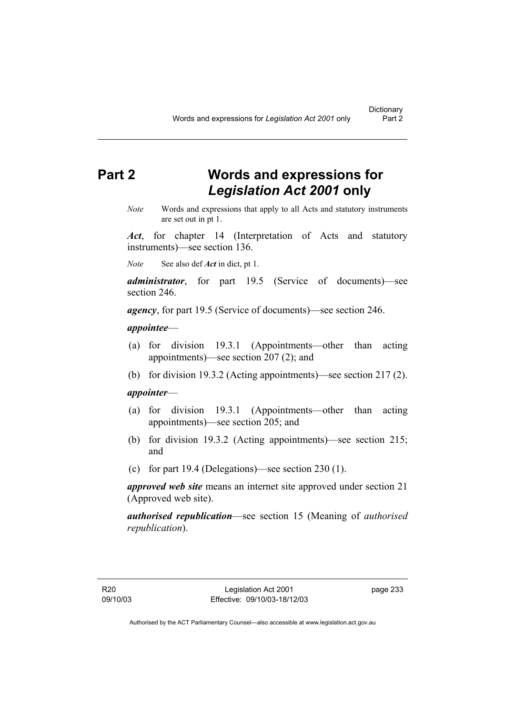# **Part 2 Words and expressions for**  *Legislation Act 2001* **only**

*Note* Words and expressions that apply to all Acts and statutory instruments are set out in pt 1.

*Act*, for chapter 14 (Interpretation of Acts and statutory instruments)—see section 136.

*Note* See also def *Act* in dict, pt 1.

*administrator*, for part 19.5 (Service of documents)—see section 246.

*agency*, for part 19.5 (Service of documents)—see section 246.

#### *appointee*—

- (a) for division 19.3.1 (Appointments—other than acting appointments)—see section 207 (2); and
- (b) for division 19.3.2 (Acting appointments)—see section 217 (2).

### *appointer*—

- (a) for division 19.3.1 (Appointments—other than acting appointments)—see section 205; and
- (b) for division 19.3.2 (Acting appointments)—see section 215; and
- (c) for part 19.4 (Delegations)—see section 230 (1).

*approved web site* means an internet site approved under section 21 (Approved web site).

*authorised republication*—see section 15 (Meaning of *authorised republication*).

page 233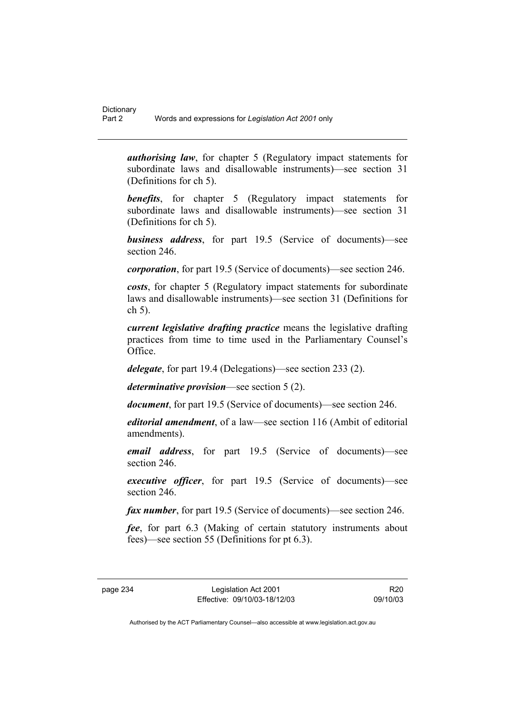*authorising law*, for chapter 5 (Regulatory impact statements for subordinate laws and disallowable instruments)—see section 31 (Definitions for ch 5).

**benefits**, for chapter 5 (Regulatory impact statements for subordinate laws and disallowable instruments)—see section 31 (Definitions for ch 5).

*business address*, for part 19.5 (Service of documents)—see section 246.

*corporation*, for part 19.5 (Service of documents)—see section 246.

*costs*, for chapter 5 (Regulatory impact statements for subordinate laws and disallowable instruments)—see section 31 (Definitions for ch 5).

*current legislative drafting practice* means the legislative drafting practices from time to time used in the Parliamentary Counsel's Office.

*delegate*, for part 19.4 (Delegations)—see section 233 (2).

*determinative provision*—see section 5 (2).

*document*, for part 19.5 (Service of documents)—see section 246.

*editorial amendment*, of a law—see section 116 (Ambit of editorial amendments).

*email address*, for part 19.5 (Service of documents)—see section 246

*executive officer*, for part 19.5 (Service of documents)—see section 246.

*fax number*, for part 19.5 (Service of documents)—see section 246.

*fee*, for part 6.3 (Making of certain statutory instruments about fees)—see section 55 (Definitions for pt 6.3).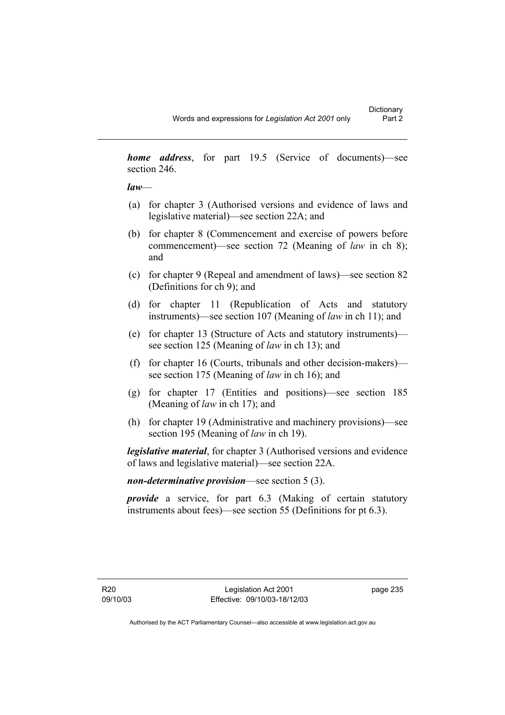*home address*, for part 19.5 (Service of documents)—see section 246.

*law*—

- (a) for chapter 3 (Authorised versions and evidence of laws and legislative material)—see section 22A; and
- (b) for chapter 8 (Commencement and exercise of powers before commencement)—see section 72 (Meaning of *law* in ch 8); and
- (c) for chapter 9 (Repeal and amendment of laws)—see section 82 (Definitions for ch 9); and
- (d) for chapter 11 (Republication of Acts and statutory instruments)—see section 107 (Meaning of *law* in ch 11); and
- (e) for chapter 13 (Structure of Acts and statutory instruments) see section 125 (Meaning of *law* in ch 13); and
- (f) for chapter 16 (Courts, tribunals and other decision-makers) see section 175 (Meaning of *law* in ch 16); and
- (g) for chapter 17 (Entities and positions)—see section 185 (Meaning of *law* in ch 17); and
- (h) for chapter 19 (Administrative and machinery provisions)—see section 195 (Meaning of *law* in ch 19).

*legislative material*, for chapter 3 (Authorised versions and evidence of laws and legislative material)—see section 22A.

*non-determinative provision*—see section 5 (3).

*provide* a service, for part 6.3 (Making of certain statutory instruments about fees)—see section 55 (Definitions for pt 6.3).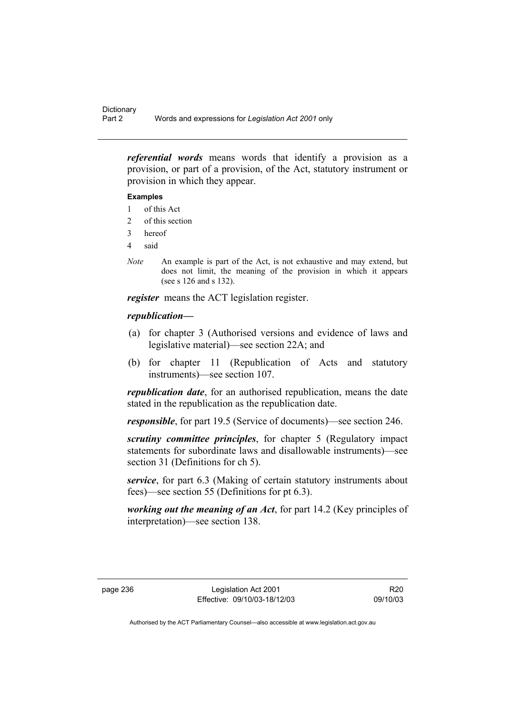*referential words* means words that identify a provision as a provision, or part of a provision, of the Act, statutory instrument or provision in which they appear.

### **Examples**

- 1 of this Act
- 2 of this section
- 3 hereof
- 4 said
- *Note* An example is part of the Act, is not exhaustive and may extend, but does not limit, the meaning of the provision in which it appears (see s 126 and s 132).

*register* means the ACT legislation register.

## *republication—*

- (a) for chapter 3 (Authorised versions and evidence of laws and legislative material)—see section 22A; and
- (b) for chapter 11 (Republication of Acts and statutory instruments)—see section 107.

*republication date*, for an authorised republication, means the date stated in the republication as the republication date.

*responsible*, for part 19.5 (Service of documents)—see section 246.

*scrutiny committee principles*, for chapter 5 (Regulatory impact statements for subordinate laws and disallowable instruments)—see section 31 (Definitions for ch 5).

*service*, for part 6.3 (Making of certain statutory instruments about fees)—see section 55 (Definitions for pt 6.3).

*working out the meaning of an Act*, for part 14.2 (Key principles of interpretation)—see section 138.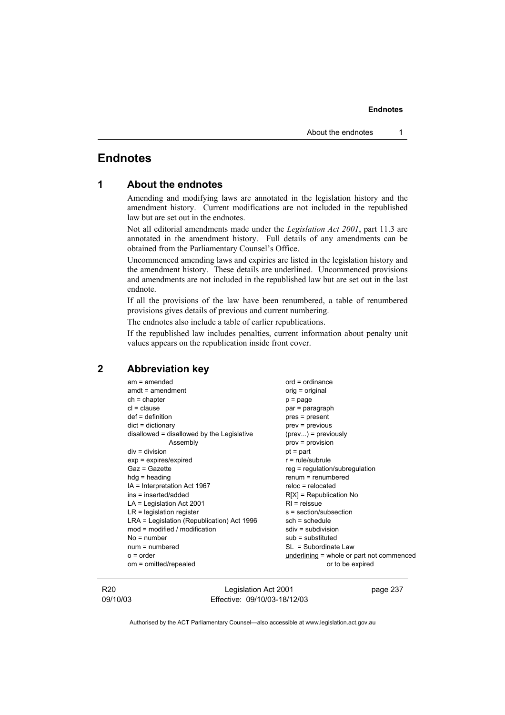# **Endnotes**

| 1 |  |  | <b>About the endnotes</b> |
|---|--|--|---------------------------|
|---|--|--|---------------------------|

Amending and modifying laws are annotated in the legislation history and the amendment history. Current modifications are not included in the republished law but are set out in the endnotes.

Not all editorial amendments made under the *Legislation Act 2001*, part 11.3 are annotated in the amendment history. Full details of any amendments can be obtained from the Parliamentary Counsel's Office.

Uncommenced amending laws and expiries are listed in the legislation history and the amendment history. These details are underlined. Uncommenced provisions and amendments are not included in the republished law but are set out in the last endnote.

If all the provisions of the law have been renumbered, a table of renumbered provisions gives details of previous and current numbering.

The endnotes also include a table of earlier republications.

If the republished law includes penalties, current information about penalty unit values appears on the republication inside front cover.

# **2 Abbreviation key**

| $am = amended$                               | $ord = ordinance$                         |
|----------------------------------------------|-------------------------------------------|
| $amdt = amendment$                           | $orig = original$                         |
| $ch = chapter$                               | $p = page$                                |
| $cl = clause$                                | par = paragraph                           |
| $def = definition$                           | pres = present                            |
| $dict = dictionary$                          | $prev = previous$                         |
| $disallowed = disallowed by the Legislative$ | $(\text{prev})$ = previously              |
| Assembly                                     | $prov = provision$                        |
| $div = division$                             | $pt = part$                               |
| $exp = expires/expired$                      | $r = rule/subrule$                        |
| Gaz = Gazette                                | $reg = regulation/subregulation$          |
| $hdg =$ heading                              | $remum = remumbered$                      |
| IA = Interpretation Act 1967                 | $reloc = relocated$                       |
| ins = inserted/added                         | $R[X]$ = Republication No                 |
| $LA =$ Legislation Act 2001                  | $RI =$ reissue                            |
| $LR =$ legislation register                  | s = section/subsection                    |
| LRA = Legislation (Republication) Act 1996   | $sch = schedule$                          |
| $mod = modified / modified$                  | $sdiv = subdivision$                      |
| $No = number$                                | $sub =$ substituted                       |
| $num = numbered$                             | $SL = Subordinate Law$                    |
| $o = order$                                  | underlining = whole or part not commenced |
| om = omitted/repealed                        | or to be expired                          |
|                                              |                                           |

R20 09/10/03

Legislation Act 2001 Effective: 09/10/03-18/12/03 page 237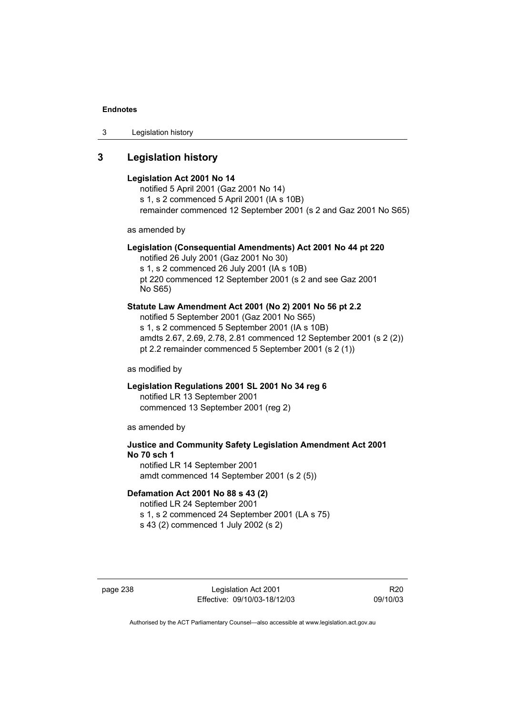3 Legislation history

# **3 Legislation history**

### **Legislation Act 2001 No 14**

notified 5 April 2001 (Gaz 2001 No 14) s 1, s 2 commenced 5 April 2001 (IA s 10B) remainder commenced 12 September 2001 (s 2 and Gaz 2001 No S65)

as amended by

### **Legislation (Consequential Amendments) Act 2001 No 44 pt 220**

notified 26 July 2001 (Gaz 2001 No 30) s 1, s 2 commenced 26 July 2001 (IA s 10B) pt 220 commenced 12 September 2001 (s 2 and see Gaz 2001 No S65)

### **Statute Law Amendment Act 2001 (No 2) 2001 No 56 pt 2.2**

notified 5 September 2001 (Gaz 2001 No S65) s 1, s 2 commenced 5 September 2001 (IA s 10B) amdts 2.67, 2.69, 2.78, 2.81 commenced 12 September 2001 (s 2 (2)) pt 2.2 remainder commenced 5 September 2001 (s 2 (1))

as modified by

### **Legislation Regulations 2001 SL 2001 No 34 reg 6**  notified LR 13 September 2001 commenced 13 September 2001 (reg 2)

as amended by

## **Justice and Community Safety Legislation Amendment Act 2001 No 70 sch 1**  notified LR 14 September 2001

amdt commenced 14 September 2001 (s 2 (5))

## **Defamation Act 2001 No 88 s 43 (2)**

notified LR 24 September 2001 s 1, s 2 commenced 24 September 2001 (LA s 75) s 43 (2) commenced 1 July 2002 (s 2)

page 238 Legislation Act 2001 Effective: 09/10/03-18/12/03

R20 09/10/03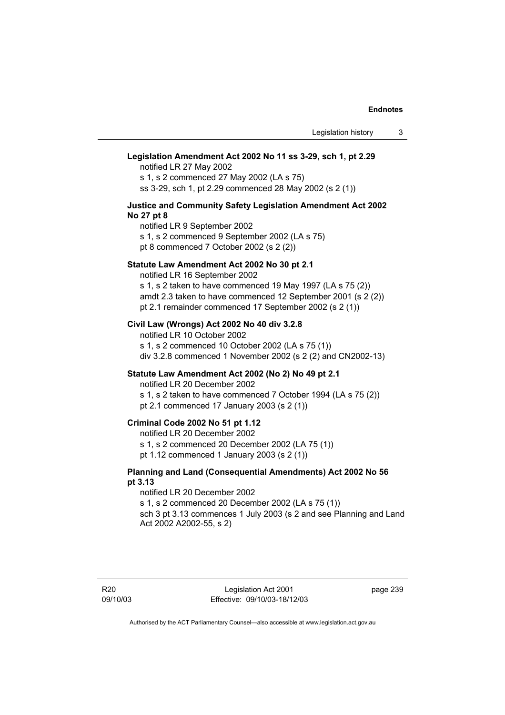## **Legislation Amendment Act 2002 No 11 ss 3-29, sch 1, pt 2.29**

notified LR 27 May 2002

s 1, s 2 commenced 27 May 2002 (LA s 75) ss 3-29, sch 1, pt 2.29 commenced 28 May 2002 (s 2 (1))

### **Justice and Community Safety Legislation Amendment Act 2002 No 27 pt 8**

notified LR 9 September 2002 s 1, s 2 commenced 9 September 2002 (LA s 75) pt 8 commenced 7 October 2002 (s 2 (2))

### **Statute Law Amendment Act 2002 No 30 pt 2.1**

notified LR 16 September 2002 s 1, s 2 taken to have commenced 19 May 1997 (LA s 75 (2)) amdt 2.3 taken to have commenced 12 September 2001 (s 2 (2)) pt 2.1 remainder commenced 17 September 2002 (s 2 (1))

### **Civil Law (Wrongs) Act 2002 No 40 div 3.2.8**

notified LR 10 October 2002 s 1, s 2 commenced 10 October 2002 (LA s 75 (1)) div 3.2.8 commenced 1 November 2002 (s 2 (2) and CN2002-13)

### **Statute Law Amendment Act 2002 (No 2) No 49 pt 2.1**

notified LR 20 December 2002

s 1, s 2 taken to have commenced 7 October 1994 (LA s 75 (2)) pt 2.1 commenced 17 January 2003 (s 2 (1))

### **Criminal Code 2002 No 51 pt 1.12**

notified LR 20 December 2002

s 1, s 2 commenced 20 December 2002 (LA 75 (1))

pt 1.12 commenced 1 January 2003 (s 2 (1))

### **Planning and Land (Consequential Amendments) Act 2002 No 56 pt 3.13**

notified LR 20 December 2002 s 1, s 2 commenced 20 December 2002 (LA s 75 (1)) sch 3 pt 3.13 commences 1 July 2003 (s 2 and see Planning and Land Act 2002 A2002-55, s 2)

page 239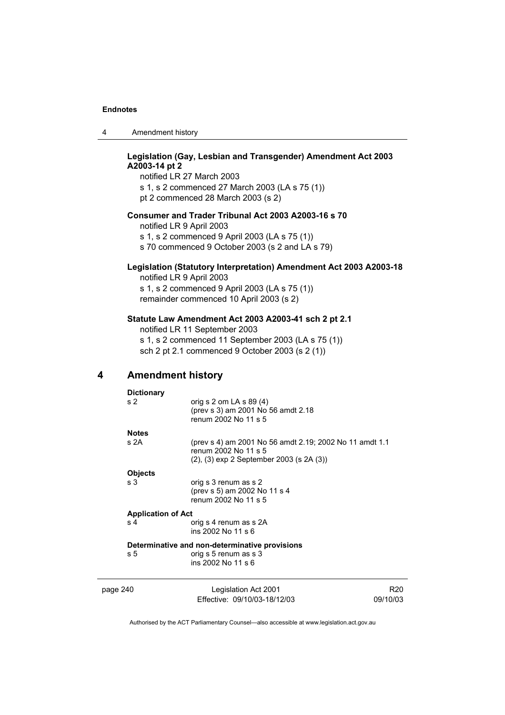4 Amendment history

## **Legislation (Gay, Lesbian and Transgender) Amendment Act 2003 A2003-14 pt 2**

notified LR 27 March 2003 s 1, s 2 commenced 27 March 2003 (LA s 75 (1)) pt 2 commenced 28 March 2003 (s 2)

### **Consumer and Trader Tribunal Act 2003 A2003-16 s 70**

notified LR 9 April 2003

s 1, s 2 commenced 9 April 2003 (LA s 75 (1))

s 70 commenced 9 October 2003 (s 2 and LA s 79)

## **Legislation (Statutory Interpretation) Amendment Act 2003 A2003-18**

notified LR 9 April 2003 s 1, s 2 commenced 9 April 2003 (LA s 75 (1)) remainder commenced 10 April 2003 (s 2)

### **Statute Law Amendment Act 2003 A2003-41 sch 2 pt 2.1**

notified LR 11 September 2003 s 1, s 2 commenced 11 September 2003 (LA s 75 (1)) sch 2 pt 2.1 commenced 9 October 2003 (s 2 (1))

## **4 Amendment history**

| <b>Dictionary</b>         |                                                                                                                                     |     |
|---------------------------|-------------------------------------------------------------------------------------------------------------------------------------|-----|
| s <sub>2</sub>            | orig s 2 om LA s $89(4)$<br>(prev s 3) am 2001 No 56 amdt 2.18<br>renum 2002 No 11 s 5                                              |     |
| <b>Notes</b>              |                                                                                                                                     |     |
| s 2A                      | (prev s 4) am 2001 No 56 amdt 2.19; 2002 No 11 amdt 1.1<br>renum 2002 No 11 s 5<br>$(2)$ , $(3)$ exp 2 September 2003 (s 2A $(3)$ ) |     |
| <b>Objects</b>            |                                                                                                                                     |     |
| s <sub>3</sub>            | orig s 3 renum as s 2<br>(prev s 5) am 2002 No 11 s 4<br>renum 2002 No 11 s 5                                                       |     |
| <b>Application of Act</b> |                                                                                                                                     |     |
| s <sub>4</sub>            | orig s 4 renum as s 2A<br>ins 2002 No 11 s 6                                                                                        |     |
|                           | Determinative and non-determinative provisions                                                                                      |     |
| s 5                       | orig s 5 renum as s 3<br>ins 2002 No 11 s 6                                                                                         |     |
| page 240                  | Legislation Act 2001                                                                                                                | R20 |

Authorised by the ACT Parliamentary Counsel—also accessible at www.legislation.act.gov.au

09/10/03

Effective: 09/10/03-18/12/03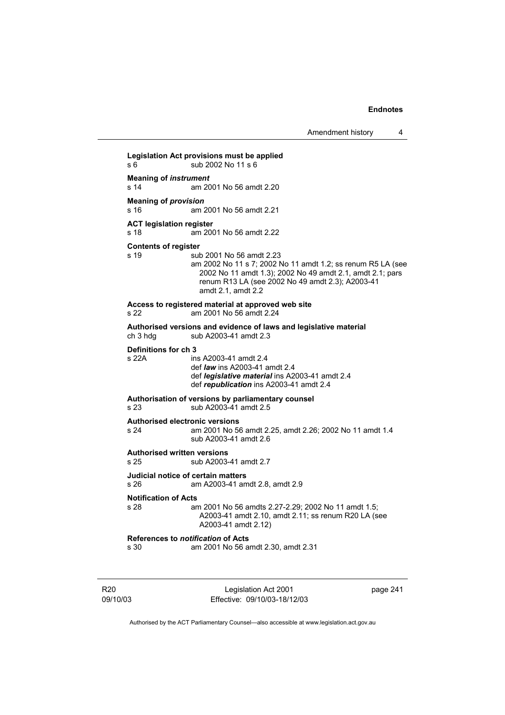Amendment history 4

**Legislation Act provisions must be applied**  s 6 sub 2002 No 11 s 6 **Meaning of** *instrument*  s 14 am 2001 No 56 amdt 2.20 **Meaning of** *provision*  s 16 am 2001 No 56 amdt 2.21 **ACT legislation register**  s 18 am 2001 No 56 amdt 2.22 **Contents of register**  s 19 sub 2001 No 56 amdt 2.23 am 2002 No 11 s 7; 2002 No 11 amdt 1.2; ss renum R5 LA (see 2002 No 11 amdt 1.3); 2002 No 49 amdt 2.1, amdt 2.1; pars renum R13 LA (see 2002 No 49 amdt 2.3); A2003-41 amdt 2.1, amdt 2.2 **Access to registered material at approved web site**  am 2001 No 56 amdt 2.24 **Authorised versions and evidence of laws and legislative material**  ch 3 hdg sub A2003-41 amdt 2.3 **Definitions for ch 3**  ins A2003-41 amdt 2.4 def *law* ins A2003-41 amdt 2.4 def *legislative material* ins A2003-41 amdt 2.4 def *republication* ins A2003-41 amdt 2.4 **Authorisation of versions by parliamentary counsel**  s 23 sub A2003-41 amdt 2.5 **Authorised electronic versions**  s 24 am 2001 No 56 amdt 2.25, amdt 2.26; 2002 No 11 amdt 1.4 sub A2003-41 amdt 2.6 **Authorised written versions**  s 25 sub A2003-41 amdt 2.7 **Judicial notice of certain matters**  s 26 am A2003-41 amdt 2.8, amdt 2.9 **Notification of Acts**  s 28 am 2001 No 56 amdts 2.27-2.29; 2002 No 11 amdt 1.5; A2003-41 amdt 2.10, amdt 2.11; ss renum R20 LA (see A2003-41 amdt 2.12) **References to** *notification* **of Acts**  s 30 am 2001 No 56 amdt 2.30, amdt 2.31

R20 09/10/03

Legislation Act 2001 Effective: 09/10/03-18/12/03 page 241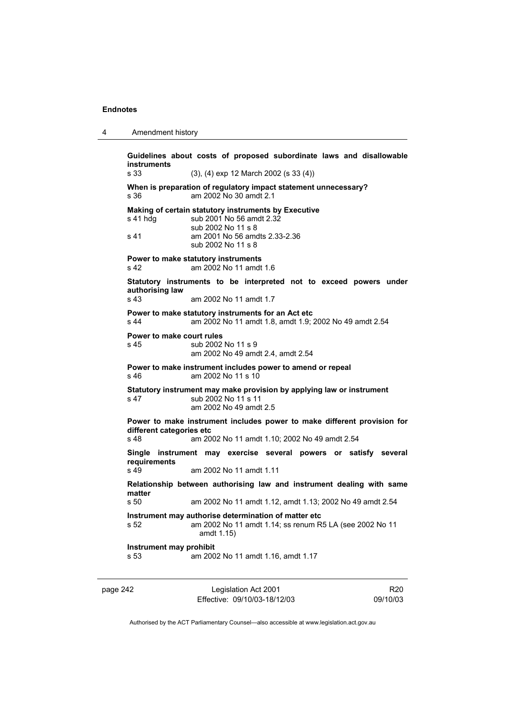```
4 Amendment history
```
**Guidelines about costs of proposed subordinate laws and disallowable instruments**  s 33 (3), (4) exp 12 March 2002 (s 33 (4)) **When is preparation of regulatory impact statement unnecessary?**  s 36 am 2002 No 30 amdt 2.1 **Making of certain statutory instruments by Executive**  s 41 hdg sub 2001 No 56 amdt 2.32 sub 2002 No 11 s 8 s 41 am 2001 No 56 amdts 2.33-2.36 sub 2002 No 11 s 8 **Power to make statutory instruments**  s 42 am 2002 No 11 amdt 1.6 **Statutory instruments to be interpreted not to exceed powers under authorising law**  s 43 am 2002 No 11 amdt 1.7 **Power to make statutory instruments for an Act etc**  s 44 am 2002 No 11 amdt 1.8, amdt 1.9; 2002 No 49 amdt 2.54 **Power to make court rules**  s 45 sub 2002 No 11 s 9 am 2002 No 49 amdt 2.4, amdt 2.54 **Power to make instrument includes power to amend or repeal**  s 46 am 2002 No 11 s 10 **Statutory instrument may make provision by applying law or instrument**  s 47 sub 2002 No 11 s 11 am 2002 No 49 amdt 2.5 **Power to make instrument includes power to make different provision for different categories etc**  s 48 am 2002 No 11 amdt 1.10; 2002 No 49 amdt 2.54 **Single instrument may exercise several powers or satisfy several requirements**  am 2002 No 11 amdt 1.11 **Relationship between authorising law and instrument dealing with same matter**  s 50 am 2002 No 11 amdt 1.12, amdt 1.13; 2002 No 49 amdt 2.54 **Instrument may authorise determination of matter etc**  s 52 am 2002 No 11 amdt 1.14; ss renum R5 LA (see 2002 No 11 amdt 1.15) **Instrument may prohibit**  s 53 am 2002 No 11 amdt 1.16, amdt 1.17

page 242 Legislation Act 2001 Effective: 09/10/03-18/12/03

R20 09/10/03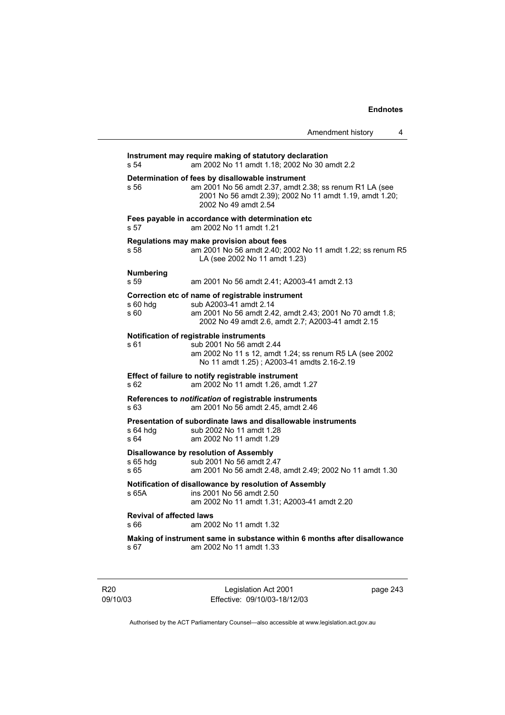|                                         | Amendment history                                                                                                                                                                              | 4 |
|-----------------------------------------|------------------------------------------------------------------------------------------------------------------------------------------------------------------------------------------------|---|
| s 54                                    | Instrument may require making of statutory declaration<br>am 2002 No 11 amdt 1.18; 2002 No 30 amdt 2.2                                                                                         |   |
| s 56                                    | Determination of fees by disallowable instrument<br>am 2001 No 56 amdt 2.37, amdt 2.38; ss renum R1 LA (see<br>2001 No 56 amdt 2.39); 2002 No 11 amdt 1.19, amdt 1.20;<br>2002 No 49 amdt 2.54 |   |
| s 57                                    | Fees payable in accordance with determination etc<br>am 2002 No 11 amdt 1.21                                                                                                                   |   |
| s 58                                    | Regulations may make provision about fees<br>am 2001 No 56 amdt 2.40; 2002 No 11 amdt 1.22; ss renum R5<br>LA (see 2002 No 11 amdt 1.23)                                                       |   |
| Numbering<br>s 59                       | am 2001 No 56 amdt 2.41; A2003-41 amdt 2.13                                                                                                                                                    |   |
| s 60 hdg<br>s 60                        | Correction etc of name of registrable instrument<br>sub A2003-41 amdt 2.14<br>am 2001 No 56 amdt 2.42, amdt 2.43; 2001 No 70 amdt 1.8;<br>2002 No 49 amdt 2.6, amdt 2.7; A2003-41 amdt 2.15    |   |
| s 61                                    | Notification of registrable instruments<br>sub 2001 No 56 amdt 2.44<br>am 2002 No 11 s 12, amdt 1.24; ss renum R5 LA (see 2002<br>No 11 amdt 1.25); A2003-41 amdts 2.16-2.19                   |   |
| s 62                                    | Effect of failure to notify registrable instrument<br>am 2002 No 11 amdt 1.26, amdt 1.27                                                                                                       |   |
| s 63                                    | References to notification of registrable instruments<br>am 2001 No 56 amdt 2.45, amdt 2.46                                                                                                    |   |
| s 64 hdg<br>s 64                        | Presentation of subordinate laws and disallowable instruments<br>sub 2002 No 11 amdt 1.28<br>am 2002 No 11 amdt 1.29                                                                           |   |
| s 65 hdg<br>s 65                        | Disallowance by resolution of Assembly<br>sub 2001 No 56 amdt 2.47<br>am 2001 No 56 amdt 2.48, amdt 2.49; 2002 No 11 amdt 1.30                                                                 |   |
| s 65A                                   | Notification of disallowance by resolution of Assembly<br>ins 2001 No 56 amdt 2.50<br>am 2002 No 11 amdt 1.31; A2003-41 amdt 2.20                                                              |   |
| <b>Revival of affected laws</b><br>s 66 | am 2002 No 11 amdt 1.32                                                                                                                                                                        |   |
| s 67                                    | Making of instrument same in substance within 6 months after disallowance<br>am 2002 No 11 amdt 1.33                                                                                           |   |
|                                         |                                                                                                                                                                                                |   |

R20 09/10/03

Legislation Act 2001 Effective: 09/10/03-18/12/03 page 243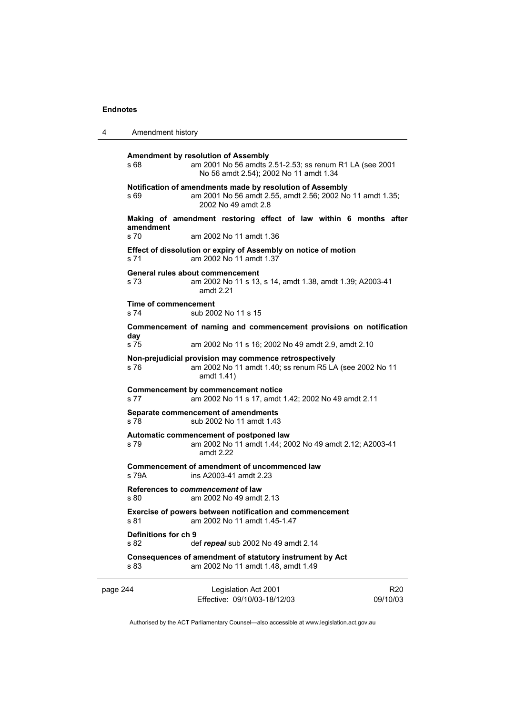```
4 Amendment history 
page 244 Legislation Act 2001 
                                                                    R20 
      Amendment by resolution of Assembly 
      s 68 am 2001 No 56 amdts 2.51-2.53; ss renum R1 LA (see 2001 
                       No 56 amdt 2.54); 2002 No 11 amdt 1.34 
      Notification of amendments made by resolution of Assembly 
     s 69 am 2001 No 56 amdt 2.55, amdt 2.56; 2002 No 11 amdt 1.35; 
                       2002 No 49 amdt 2.8 
      Making of amendment restoring effect of law within 6 months after 
     amendment 
                     am 2002 No 11 amdt 1.36
     Effect of dissolution or expiry of Assembly on notice of motion 
     s 71 am 2002 No 11 amdt 1.37 
      General rules about commencement 
     s 73 am 2002 No 11 s 13, s 14, amdt 1.38, amdt 1.39; A2003-41 
                       amdt 2.21 
     Time of commencement 
     s 74 sub 2002 No 11 s 15 
      Commencement of naming and commencement provisions on notification 
      day 
      s 75 am 2002 No 11 s 16; 2002 No 49 amdt 2.9, amdt 2.10 
      Non-prejudicial provision may commence retrospectively 
      s 76 am 2002 No 11 amdt 1.40; ss renum R5 LA (see 2002 No 11 
                       amdt 1.41) 
      Commencement by commencement notice 
     s 77 am 2002 No 11 s 17, amdt 1.42; 2002 No 49 amdt 2.11 
      Separate commencement of amendments 
     s 78 sub 2002 No 11 amdt 1.43 
      Automatic commencement of postponed law 
      s 79 am 2002 No 11 amdt 1.44; 2002 No 49 amdt 2.12; A2003-41 
                       amdt 2.22 
      Commencement of amendment of uncommenced law 
     s 79A ins A2003-41 amdt 2.23 
      References to commencement of law 
     s 80 am 2002 No 49 amdt 2.13 
      Exercise of powers between notification and commencement 
     s 81 am 2002 No 11 amdt 1.45-1.47 
      Definitions for ch 9 
      s 82 def repeal sub 2002 No 49 amdt 2.14 
      Consequences of amendment of statutory instrument by Act 
     s 83 am 2002 No 11 amdt 1.48, amdt 1.49
```
Authorised by the ACT Parliamentary Counsel—also accessible at www.legislation.act.gov.au

09/10/03

Effective: 09/10/03-18/12/03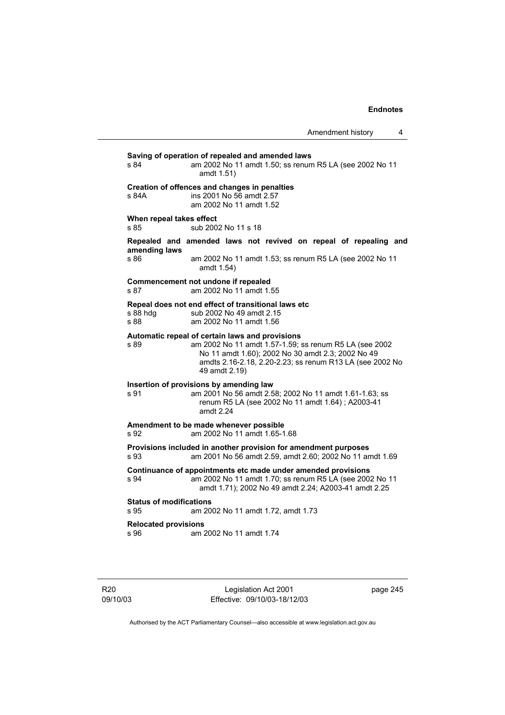| s 84                                   | Saving of operation of repealed and amended laws<br>am 2002 No 11 amdt 1.50; ss renum R5 LA (see 2002 No 11<br>amdt 1.51)                                                                                                                   |
|----------------------------------------|---------------------------------------------------------------------------------------------------------------------------------------------------------------------------------------------------------------------------------------------|
| s 84A                                  | Creation of offences and changes in penalties<br>ins 2001 No 56 amdt 2.57<br>am 2002 No 11 amdt 1.52                                                                                                                                        |
| When repeal takes effect<br>s 85       | sub 2002 No 11 s 18                                                                                                                                                                                                                         |
| amending laws                          | Repealed and amended laws not revived on repeal of repealing and                                                                                                                                                                            |
| s 86                                   | am 2002 No 11 amdt 1.53; ss renum R5 LA (see 2002 No 11<br>amdt 1.54)                                                                                                                                                                       |
| s 87                                   | Commencement not undone if repealed<br>am 2002 No 11 amdt 1.55                                                                                                                                                                              |
| s 88 hdg<br>s 88                       | Repeal does not end effect of transitional laws etc<br>sub 2002 No 49 amdt 2.15<br>am 2002 No 11 amdt 1.56                                                                                                                                  |
| s 89                                   | Automatic repeal of certain laws and provisions<br>am 2002 No 11 amdt 1.57-1.59; ss renum R5 LA (see 2002<br>No 11 amdt 1.60); 2002 No 30 amdt 2.3; 2002 No 49<br>amdts 2.16-2.18, 2.20-2.23; ss renum R13 LA (see 2002 No<br>49 amdt 2.19) |
| s 91                                   | Insertion of provisions by amending law<br>am 2001 No 56 amdt 2.58; 2002 No 11 amdt 1.61-1.63; ss<br>renum R5 LA (see 2002 No 11 amdt 1.64); A2003-41<br>amdt $2.24$                                                                        |
| s 92                                   | Amendment to be made whenever possible<br>am 2002 No 11 amdt 1.65-1.68                                                                                                                                                                      |
| s.93                                   | Provisions included in another provision for amendment purposes<br>am 2001 No 56 amdt 2.59, amdt 2.60; 2002 No 11 amdt 1.69                                                                                                                 |
| s 94                                   | Continuance of appointments etc made under amended provisions<br>am 2002 No 11 amdt 1.70; ss renum R5 LA (see 2002 No 11<br>amdt 1.71); 2002 No 49 amdt 2.24; A2003-41 amdt 2.25                                                            |
| <b>Status of modifications</b><br>s 95 | am 2002 No 11 amdt 1.72, amdt 1.73                                                                                                                                                                                                          |
| <b>Relocated provisions</b><br>s 96    | am 2002 No 11 amdt 1.74                                                                                                                                                                                                                     |
|                                        |                                                                                                                                                                                                                                             |

Legislation Act 2001 Effective: 09/10/03-18/12/03 page 245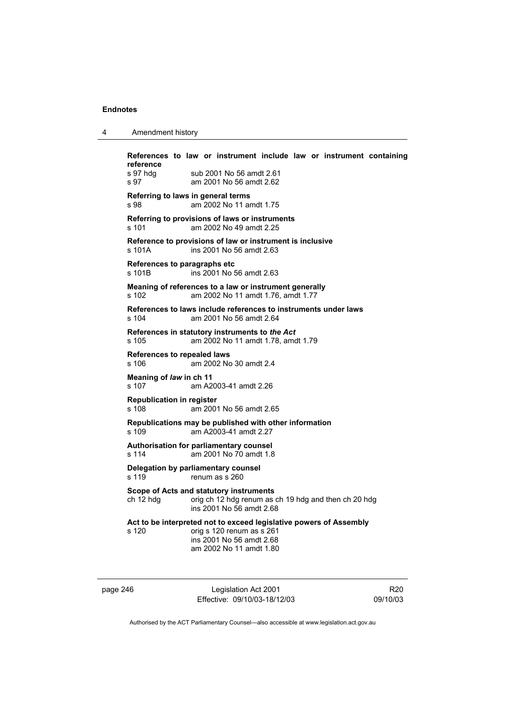| $\boldsymbol{4}$ | Amendment history |
|------------------|-------------------|
|------------------|-------------------|

**References to law or instrument include law or instrument containing reference**  s 97 hdg sub 2001 No 56 amdt 2.61 s 97 am 2001 No 56 amdt 2.62 **Referring to laws in general terms**  s 98 am 2002 No 11 amdt 1.75 **Referring to provisions of laws or instruments**  s 101 am 2002 No 49 amdt 2.25 **Reference to provisions of law or instrument is inclusive**  s 101A ins 2001 No 56 amdt 2.63 **References to paragraphs etc**<br>s 101B ins 2001 No 5 ins 2001 No 56 amdt 2.63 **Meaning of references to a law or instrument generally**  s 102 am 2002 No 11 amdt 1.76, amdt 1.77 **References to laws include references to instruments under laws**  s 104 am 2001 No 56 amdt 2.64 **References in statutory instruments to** *the Act* s 105 am 2002 No 11 amdt 1.78, amdt 1.79 **References to repealed laws**  s 106 am 2002 No 30 amdt 2.4 **Meaning of** *law* **in ch 11**  s 107 am A2003-41 amdt 2.26 **Republication in register**  s 108 am 2001 No 56 amdt 2.65 **Republications may be published with other information**  s 109 am A2003-41 amdt 2.27 **Authorisation for parliamentary counsel**  s 114 am 2001 No 70 amdt 1.8 **Delegation by parliamentary counsel**  s 119 renum as s 260 **Scope of Acts and statutory instruments**  ch 12 hdg orig ch 12 hdg renum as ch 19 hdg and then ch 20 hdg ins 2001 No 56 amdt 2.68 **Act to be interpreted not to exceed legislative powers of Assembly**  s 120 orig s 120 renum as s 261 ins 2001 No 56 amdt 2.68 am 2002 No 11 amdt 1.80

page 246 Legislation Act 2001 Effective: 09/10/03-18/12/03

R20 09/10/03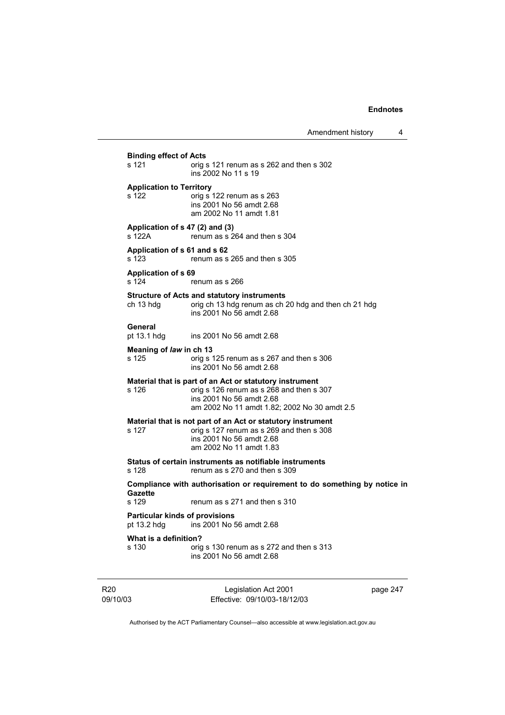**Binding effect of Acts**  s 121 orig s 121 renum as s 262 and then s 302 ins 2002 No 11 s 19 **Application to Territory**  s 122 orig s 122 renum as s 263 ins 2001 No 56 amdt 2.68 am 2002 No 11 amdt 1.81 **Application of s 47 (2) and (3)**  s 122A renum as s 264 and then s 304 **Application of s 61 and s 62**  s 123 renum as s 265 and then s 305 **Application of s 69**  s 124 renum as s 266 **Structure of Acts and statutory instruments**  ch 13 hdg orig ch 13 hdg renum as ch 20 hdg and then ch 21 hdg ins 2001 No 56 amdt 2.68 **General**  pt 13.1 hdg ins 2001 No 56 amdt 2.68 **Meaning of** *law* **in ch 13<br>s 125 <b>parts** orig s orig s 125 renum as s 267 and then s 306 ins 2001 No 56 amdt 2.68 **Material that is part of an Act or statutory instrument**  s 126 orig s 126 renum as s 268 and then s 307 ins 2001 No 56 amdt 2.68 am 2002 No 11 amdt 1.82; 2002 No 30 amdt 2.5 **Material that is not part of an Act or statutory instrument**  s 127 orig s 127 renum as s 269 and then s 308 ins 2001 No 56 amdt 2.68 am 2002 No 11 amdt 1.83 **Status of certain instruments as notifiable instruments**  renum as  $s$  270 and then  $s$  309 **Compliance with authorisation or requirement to do something by notice in Gazette**  renum as s 271 and then s 310 **Particular kinds of provisions**<br>
pt 13.2 hdg ins 2001 No 5 ins 2001 No 56 amdt 2.68 **What is a definition?**  s 130 orig s 130 renum as s 272 and then s 313 ins 2001 No 56 amdt 2.68

R20 09/10/03

Legislation Act 2001 Effective: 09/10/03-18/12/03 page 247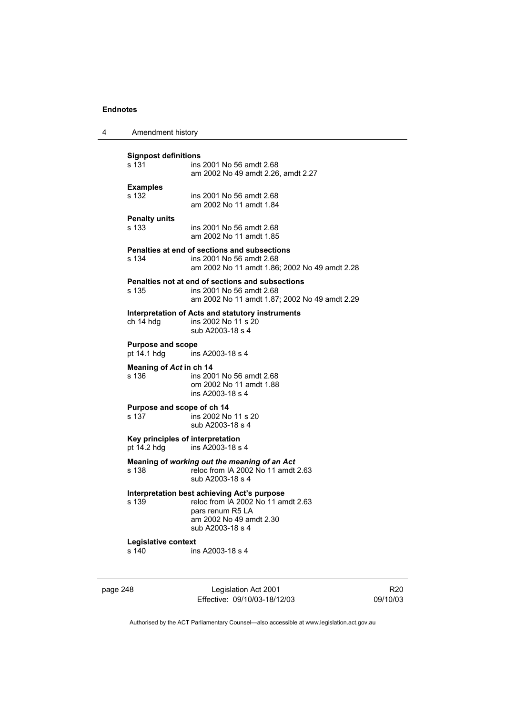| 4 | Amendment history                               |                                                                                                                                                      |
|---|-------------------------------------------------|------------------------------------------------------------------------------------------------------------------------------------------------------|
|   | <b>Signpost definitions</b><br>s 131            | ins 2001 No 56 amdt 2.68<br>am 2002 No 49 amdt 2.26, amdt 2.27                                                                                       |
|   | <b>Examples</b><br>s 132                        | ins 2001 No 56 amdt 2.68<br>am 2002 No 11 amdt 1.84                                                                                                  |
|   | <b>Penalty units</b><br>s 133                   | ins 2001 No 56 amdt 2.68<br>am 2002 No 11 amdt 1.85                                                                                                  |
|   | s 134                                           | Penalties at end of sections and subsections<br>ins 2001 No 56 amdt 2.68<br>am 2002 No 11 amdt 1.86; 2002 No 49 amdt 2.28                            |
|   | s 135                                           | Penalties not at end of sections and subsections<br>ins 2001 No 56 amdt 2.68<br>am 2002 No 11 amdt 1.87; 2002 No 49 amdt 2.29                        |
|   | ch 14 hdg                                       | Interpretation of Acts and statutory instruments<br>ins 2002 No 11 s 20<br>sub A2003-18 s 4                                                          |
|   | <b>Purpose and scope</b><br>pt 14.1 hdg         | ins A2003-18 s 4                                                                                                                                     |
|   | Meaning of Act in ch 14<br>s 136                | ins 2001 No 56 amdt 2.68<br>om 2002 No 11 amdt 1.88<br>ins A2003-18 s 4                                                                              |
|   | Purpose and scope of ch 14<br>s 137             | ins 2002 No 11 s 20<br>sub A2003-18 s 4                                                                                                              |
|   | Key principles of interpretation<br>pt 14.2 hdg | ins A2003-18 s 4                                                                                                                                     |
|   | s 138                                           | Meaning of working out the meaning of an Act<br>reloc from IA 2002 No 11 amdt 2.63<br>sub A2003-18 s 4                                               |
|   | s 139                                           | Interpretation best achieving Act's purpose<br>reloc from IA 2002 No 11 amdt 2.63<br>pars renum R5 LA<br>am 2002 No 49 amdt 2.30<br>sub A2003-18 s 4 |
|   | Legislative context<br>s 140                    | ins A2003-18 s 4                                                                                                                                     |

page 248 Legislation Act 2001 Effective: 09/10/03-18/12/03

R20 09/10/03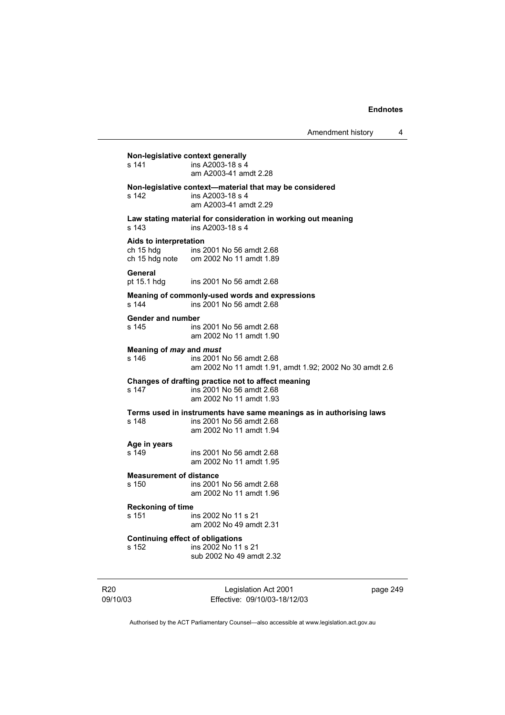**Non-legislative context generally**  s 141 ins A2003-18 s 4 am A2003-41 amdt 2.28 **Non-legislative context—material that may be considered**  s 142 ins A2003-18 s 4 am A2003-41 amdt 2.29 **Law stating material for consideration in working out meaning**  s 143 ins A2003-18 s 4 **Aids to interpretation**  ch 15 hdg ins 2001 No 56 amdt 2.68 ch 15 hdg note om 2002 No 11 amdt 1.89 **General**  pt 15.1 hdg ins 2001 No 56 amdt 2.68 **Meaning of commonly-used words and expressions**  s 144 ins 2001 No 56 amdt 2.68 **Gender and number**  s 145 ins 2001 No 56 amdt 2.68 am 2002 No 11 amdt 1.90 **Meaning of** *may* **and** *must***<br>
<b>s** 146 **ins** 2001 ins 2001 No 56 amdt 2.68 am 2002 No 11 amdt 1.91, amdt 1.92; 2002 No 30 amdt 2.6 **Changes of drafting practice not to affect meaning**  s 147 ins 2001 No 56 amdt 2.68 am 2002 No 11 amdt 1.93 **Terms used in instruments have same meanings as in authorising laws**  s 148 ins 2001 No 56 amdt 2.68 am 2002 No 11 amdt 1.94 **Age in years**  s 149 ins 2001 No 56 amdt 2.68 am 2002 No 11 amdt 1.95 **Measurement of distance**  s 150 ins 2001 No 56 amdt 2.68 am 2002 No 11 amdt 1.96 **Reckoning of time**  ins 2002 No 11 s 21 am 2002 No 49 amdt 2.31 **Continuing effect of obligations**  s 152 ins 2002 No 11 s 21 sub 2002 No 49 amdt 2.32

R20 09/10/03

Legislation Act 2001 Effective: 09/10/03-18/12/03 page 249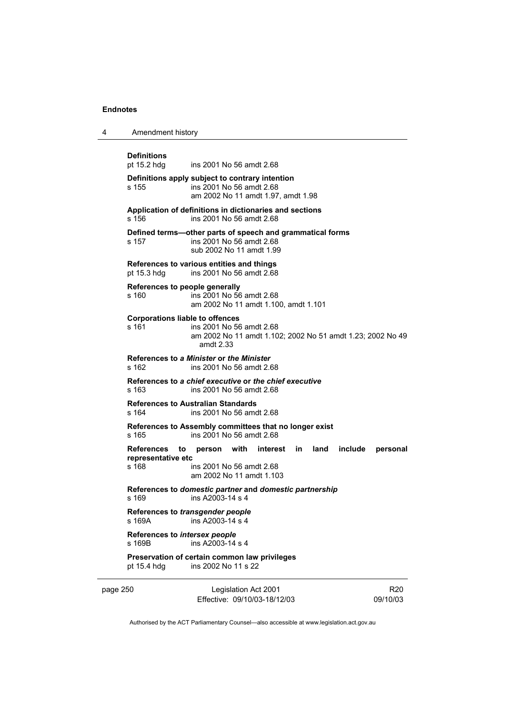| 4 | Amendment history                               |                                                                                                                   |             |      |         |          |
|---|-------------------------------------------------|-------------------------------------------------------------------------------------------------------------------|-------------|------|---------|----------|
|   | <b>Definitions</b><br>pt 15.2 hdg               | ins 2001 No 56 amdt 2.68                                                                                          |             |      |         |          |
|   | s 155                                           | Definitions apply subject to contrary intention<br>ins 2001 No 56 amdt 2.68<br>am 2002 No 11 amdt 1.97, amdt 1.98 |             |      |         |          |
|   | s 156                                           | Application of definitions in dictionaries and sections<br>ins 2001 No 56 amdt 2.68                               |             |      |         |          |
|   | s 157                                           | Defined terms—other parts of speech and grammatical forms<br>ins 2001 No 56 amdt 2.68<br>sub 2002 No 11 amdt 1.99 |             |      |         |          |
|   | pt 15.3 hdg                                     | References to various entities and things<br>ins 2001 No 56 amdt 2.68                                             |             |      |         |          |
|   | References to people generally<br>s 160         | ins 2001 No 56 amdt 2.68<br>am 2002 No 11 amdt 1.100, amdt 1.101                                                  |             |      |         |          |
|   | <b>Corporations liable to offences</b><br>s 161 | ins 2001 No 56 amdt 2.68<br>am 2002 No 11 amdt 1.102; 2002 No 51 amdt 1.23; 2002 No 49<br>amdt 2.33               |             |      |         |          |
|   | s 162                                           | References to a Minister or the Minister<br>ins 2001 No 56 amdt 2.68                                              |             |      |         |          |
|   | s 163                                           | References to a chief executive or the chief executive<br>ins 2001 No 56 amdt 2.68                                |             |      |         |          |
|   | s 164                                           | <b>References to Australian Standards</b><br>ins 2001 No 56 amdt 2.68                                             |             |      |         |          |
|   | s 165                                           | References to Assembly committees that no longer exist<br>ins 2001 No 56 amdt 2.68                                |             |      |         |          |
|   | References<br>to<br>representative etc<br>s 168 | person with<br>ins 2001 No 56 amdt 2.68<br>am 2002 No 11 amdt 1.103                                               | interest in | land | include | personal |
|   | s 169                                           | References to domestic partner and domestic partnership<br>ins A2003-14 s 4                                       |             |      |         |          |
|   | s 169A                                          | References to transgender people<br>ins A2003-14 s 4                                                              |             |      |         |          |
|   | References to intersex people<br>s 169B         | ins A2003-14 s 4                                                                                                  |             |      |         |          |
|   | pt 15.4 hdg                                     | Preservation of certain common law privileges<br>ins 2002 No 11 s 22                                              |             |      |         |          |

page 250 Legislation Act 2001 Effective: 09/10/03-18/12/03

R20 09/10/03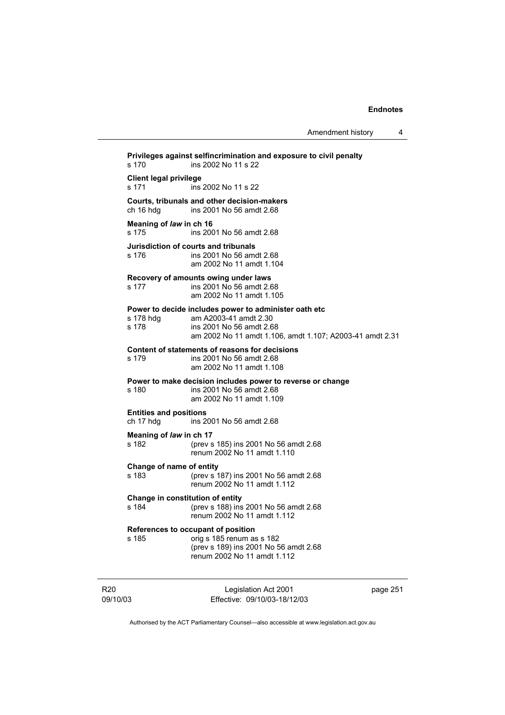**Privileges against selfincrimination and exposure to civil penalty**  s 170 ins 2002 No 11 s 22 **Client legal privilege**  ins 2002 No 11 s 22 **Courts, tribunals and other decision-makers**  ch 16 hdg ins 2001 No 56 amdt 2.68 **Meaning of** *law* **in ch 16**  s 175 ins 2001 No 56 amdt 2.68 **Jurisdiction of courts and tribunals**  s 176 ins 2001 No 56 amdt 2.68 am 2002 No 11 amdt 1.104 **Recovery of amounts owing under laws**  s 177 ins 2001 No 56 amdt 2.68 am 2002 No 11 amdt 1.105 **Power to decide includes power to administer oath etc** s 178 hdq am A2003-41 amdt 2.30 s 178 hdg am A2003-41 amdt 2.30<br>s 178 ins 2001 No 56 amdt 2.6 ins 2001 No 56 amdt 2.68 am 2002 No 11 amdt 1.106, amdt 1.107; A2003-41 amdt 2.31 **Content of statements of reasons for decisions**  ins 2001 No 56 amdt 2.68 am 2002 No 11 amdt 1.108 **Power to make decision includes power to reverse or change**  s 180 ins 2001 No 56 amdt 2.68 am 2002 No 11 amdt 1.109 **Entities and positions**  ch 17 hdg ins 2001 No 56 amdt 2.68 **Meaning of** *law* **in ch 17** s 182 (prev s s 182 (prev s 185) ins 2001 No 56 amdt 2.68 renum 2002 No 11 amdt 1.110 **Change of name of entity**  s 183 (prev s 187) ins 2001 No 56 amdt 2.68 renum 2002 No 11 amdt 1.112 **Change in constitution of entity**  s 184 (prev s 188) ins 2001 No 56 amdt 2.68 renum 2002 No 11 amdt 1.112 **References to occupant of position**  s 185 orig s 185 renum as s 182 (prev s 189) ins 2001 No 56 amdt 2.68 renum 2002 No 11 amdt 1.112

R20 09/10/03

Legislation Act 2001 Effective: 09/10/03-18/12/03 page 251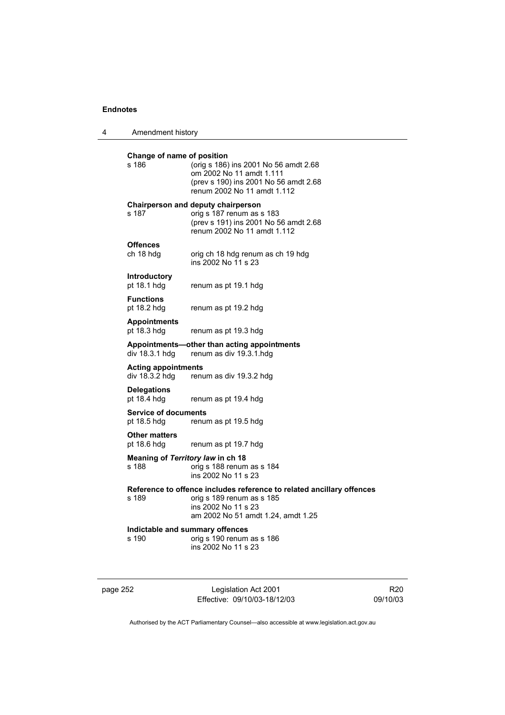| 4 | Amendment history                            |                                                                                                                                                                 |
|---|----------------------------------------------|-----------------------------------------------------------------------------------------------------------------------------------------------------------------|
|   | Change of name of position<br>s 186          | (orig s 186) ins 2001 No 56 amdt 2.68<br>om 2002 No 11 amdt 1.111<br>(prev s 190) ins 2001 No 56 amdt 2.68<br>renum 2002 No 11 amdt 1.112                       |
|   | s 187                                        | <b>Chairperson and deputy chairperson</b><br>orig s 187 renum as s 183<br>(prev s 191) ins 2001 No 56 amdt 2.68<br>renum 2002 No 11 amdt 1.112                  |
|   | <b>Offences</b><br>ch 18 hdg                 | orig ch 18 hdg renum as ch 19 hdg<br>ins 2002 No 11 s 23                                                                                                        |
|   | <b>Introductory</b><br>pt 18.1 hdg           | renum as pt 19.1 hdg                                                                                                                                            |
|   | <b>Functions</b><br>pt 18.2 hdg              | renum as pt 19.2 hdg                                                                                                                                            |
|   | <b>Appointments</b><br>pt 18.3 hdg           | renum as pt 19.3 hdg                                                                                                                                            |
|   | div 18.3.1 hdg                               | Appointments-other than acting appointments<br>renum as div 19.3.1.hdg                                                                                          |
|   | <b>Acting appointments</b><br>div 18.3.2 hdg | renum as div 19.3.2 hdg                                                                                                                                         |
|   | <b>Delegations</b><br>pt 18.4 hdg            | renum as pt 19.4 hdg                                                                                                                                            |
|   | <b>Service of documents</b><br>pt 18.5 hdg   | renum as pt 19.5 hdg                                                                                                                                            |
|   | <b>Other matters</b><br>pt 18.6 hdg          | renum as pt 19.7 hdg                                                                                                                                            |
|   | s 188                                        | Meaning of Territory law in ch 18<br>orig s 188 renum as s 184<br>ins 2002 No 11 s 23                                                                           |
|   | s 189                                        | Reference to offence includes reference to related ancillary offences<br>orig s 189 renum as s 185<br>ins 2002 No 11 s 23<br>am 2002 No 51 amdt 1.24, amdt 1.25 |
|   | s 190                                        | Indictable and summary offences<br>orig s 190 renum as s 186<br>ins 2002 No 11 s 23                                                                             |
|   |                                              |                                                                                                                                                                 |

page 252 Legislation Act 2001 Effective: 09/10/03-18/12/03

R20 09/10/03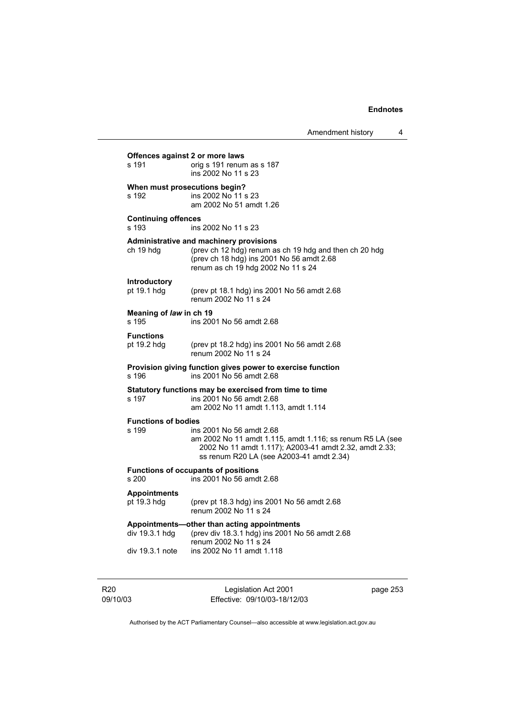| Amendment history |  |
|-------------------|--|
|                   |  |

|                                          |                                                                                                                                                                                             | Amenament history                                      | 4 |
|------------------------------------------|---------------------------------------------------------------------------------------------------------------------------------------------------------------------------------------------|--------------------------------------------------------|---|
| Offences against 2 or more laws<br>s 191 | orig s 191 renum as s 187<br>ins 2002 No 11 s 23                                                                                                                                            |                                                        |   |
| When must prosecutions begin?<br>s 192   | ins 2002 No 11 s 23<br>am 2002 No 51 amdt 1.26                                                                                                                                              |                                                        |   |
| <b>Continuing offences</b><br>s 193      | ins 2002 No 11 s 23                                                                                                                                                                         |                                                        |   |
| ch 19 hdg                                | <b>Administrative and machinery provisions</b><br>(prev ch 12 hdg) renum as ch 19 hdg and then ch 20 hdg<br>(prev ch 18 hdg) ins 2001 No 56 amdt 2.68<br>renum as ch 19 hdg 2002 No 11 s 24 |                                                        |   |
| <b>Introductory</b><br>pt 19.1 hdg       | (prev pt 18.1 hdg) ins 2001 No 56 amdt 2.68<br>renum 2002 No 11 s 24                                                                                                                        |                                                        |   |
| Meaning of law in ch 19<br>s 195         | ins 2001 No 56 amdt 2.68                                                                                                                                                                    |                                                        |   |
| <b>Functions</b><br>pt 19.2 hdg          | (prev pt 18.2 hdg) ins 2001 No 56 amdt 2.68<br>renum 2002 No 11 s 24                                                                                                                        |                                                        |   |
| s 196                                    | Provision giving function gives power to exercise function<br>ins 2001 No 56 amdt 2.68                                                                                                      |                                                        |   |
| s 197                                    | Statutory functions may be exercised from time to time<br>ins 2001 No 56 amdt 2.68<br>am 2002 No 11 amdt 1.113, amdt 1.114                                                                  |                                                        |   |
| <b>Functions of bodies</b><br>s 199      | ins 2001 No 56 amdt 2.68<br>am 2002 No 11 amdt 1.115, amdt 1.116; ss renum R5 LA (see<br>ss renum R20 LA (see A2003-41 amdt 2.34)                                                           | 2002 No 11 amdt 1.117); A2003-41 amdt 2.32, amdt 2.33; |   |
| s 200                                    | <b>Functions of occupants of positions</b><br>ins 2001 No 56 amdt 2.68                                                                                                                      |                                                        |   |
| <b>Appointments</b><br>pt 19.3 hdg       | (prev pt 18.3 hdg) ins 2001 No 56 amdt 2.68<br>renum 2002 No 11 s 24                                                                                                                        |                                                        |   |
| div 19.3.1 hdg                           | Appointments—other than acting appointments<br>(prev div 18.3.1 hdg) ins 2001 No 56 amdt 2.68<br>renum 2002 No 11 s 24                                                                      |                                                        |   |
| div 19.3.1 note                          | ins 2002 No 11 amdt 1.118                                                                                                                                                                   |                                                        |   |
|                                          |                                                                                                                                                                                             |                                                        |   |

R20 09/10/03

Legislation Act 2001 Effective: 09/10/03-18/12/03 page 253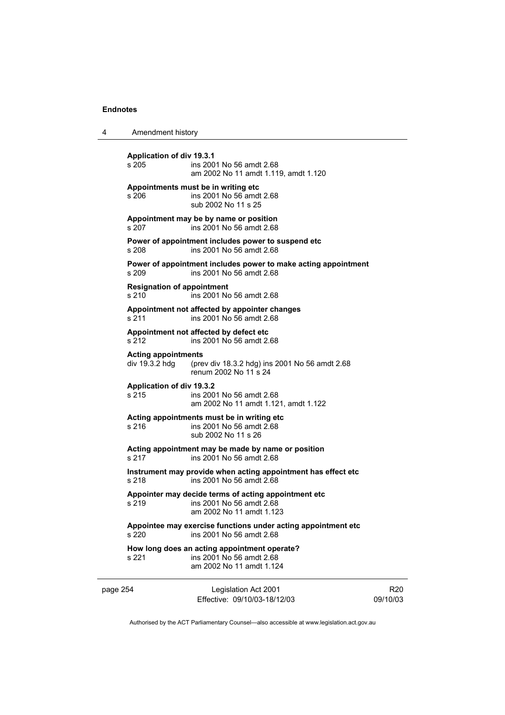4 Amendment history

| s 205                                        | <b>Application of div 19.3.1</b><br>ins 2001 No 56 amdt 2.68<br>am 2002 No 11 amdt 1.119, amdt 1.120         |
|----------------------------------------------|--------------------------------------------------------------------------------------------------------------|
| s 206                                        | Appointments must be in writing etc<br>ins 2001 No 56 amdt 2.68<br>sub 2002 No 11 s 25                       |
| s 207                                        | Appointment may be by name or position<br>ins 2001 No 56 amdt 2.68                                           |
| s 208                                        | Power of appointment includes power to suspend etc<br>ins 2001 No 56 amdt 2.68                               |
| s 209                                        | Power of appointment includes power to make acting appointment<br>ins 2001 No 56 amdt 2.68                   |
| s 210                                        | <b>Resignation of appointment</b><br>ins 2001 No 56 amdt 2.68                                                |
| s 211                                        | Appointment not affected by appointer changes<br>ins 2001 No 56 amdt 2.68                                    |
| s 212                                        | Appointment not affected by defect etc<br>ins 2001 No 56 amdt 2.68                                           |
| <b>Acting appointments</b><br>div 19.3.2 hdg | (prev div 18.3.2 hdg) ins 2001 No 56 amdt 2.68<br>renum 2002 No 11 s 24                                      |
| s 215                                        | Application of div 19.3.2<br>ins 2001 No 56 amdt 2.68<br>am 2002 No 11 amdt 1.121, amdt 1.122                |
| s 216                                        | Acting appointments must be in writing etc<br>ins 2001 No 56 amdt 2.68<br>sub 2002 No 11 s 26                |
| s 217                                        | Acting appointment may be made by name or position<br>ins 2001 No 56 amdt 2.68                               |
| s 218                                        | Instrument may provide when acting appointment has effect etc<br>ins 2001 No 56 amdt 2.68                    |
| s 219                                        | Appointer may decide terms of acting appointment etc<br>ins 2001 No 56 amdt 2.68<br>am 2002 No 11 amdt 1.123 |
| s 220                                        | Appointee may exercise functions under acting appointment etc<br>ins 2001 No 56 amdt 2.68                    |
| s 221                                        | How long does an acting appointment operate?<br>ins 2001 No 56 amdt 2.68<br>am 2002 No 11 amdt 1.124         |
| page 254                                     | Legislation Act 2001<br>Effective: 09/10/03-18/12/03                                                         |

R20 09/10/03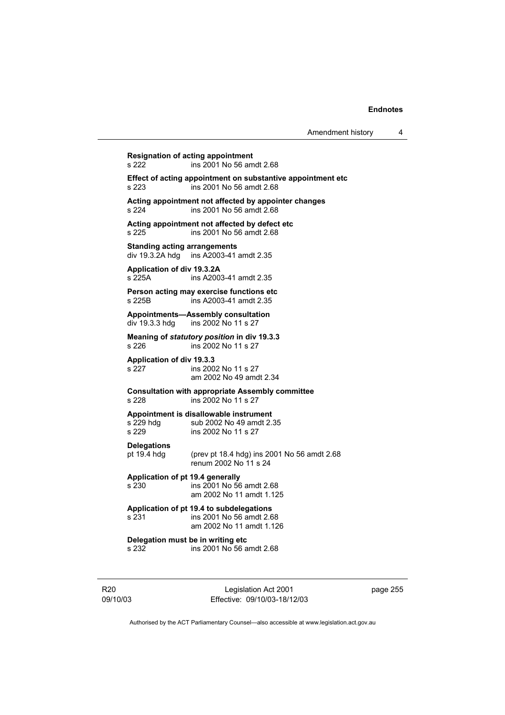**Resignation of acting appointment**<br>
s 222 ins 2001 No 56 am s 222 ins 2001 No 56 amdt 2.68 **Effect of acting appointment on substantive appointment etc** s 223 ins 2001 No 56 amdt 2.68  $\overline{\phantom{a}}$  ins 2001 No 56 amdt 2.68 **Acting appointment not affected by appointer changes**  s 224 ins 2001 No 56 amdt 2.68 **Acting appointment not affected by defect etc**  s 225 ins 2001 No 56 amdt 2.68 **Standing acting arrangements**  div 19.3.2A hdg ins A2003-41 amdt 2.35 **Application of div 19.3.2A**  s 225A ins A2003-41 amdt 2.35 **Person acting may exercise functions etc**  s 225B ins A2003-41 amdt 2.35 **Appointments—Assembly consultation**  div 19.3.3 hdg ins 2002 No 11 s 27 **Meaning of** *statutory position* **in div 19.3.3**  s 226 **ins 2002 No 11 s 27 Application of div 19.3.3**  s 227 ins 2002 No 11 s 27 am 2002 No 49 amdt 2.34 **Consultation with appropriate Assembly committee**  s 228 ins 2002 No 11 s 27 **Appointment is disallowable instrument**  s 229 hdg sub 2002 No 49 amdt 2.35<br>s 229 s ins 2002 No 11 s 27 ins 2002 No 11 s 27 **Delegations**  pt 19.4 hdg (prev pt 18.4 hdg) ins 2001 No 56 amdt 2.68 renum 2002 No 11 s 24 **Application of pt 19.4 generally**  s 230 ins 2001 No 56 amdt 2.68 am 2002 No 11 amdt 1.125 **Application of pt 19.4 to subdelegations**  s 231 ins 2001 No 56 amdt 2.68 am 2002 No 11 amdt 1.126 **Delegation must be in writing etc**<br>s 232 ins 2001 No 56 a s 232 ins 2001 No 56 amdt 2.68

R20 09/10/03

Legislation Act 2001 Effective: 09/10/03-18/12/03 page 255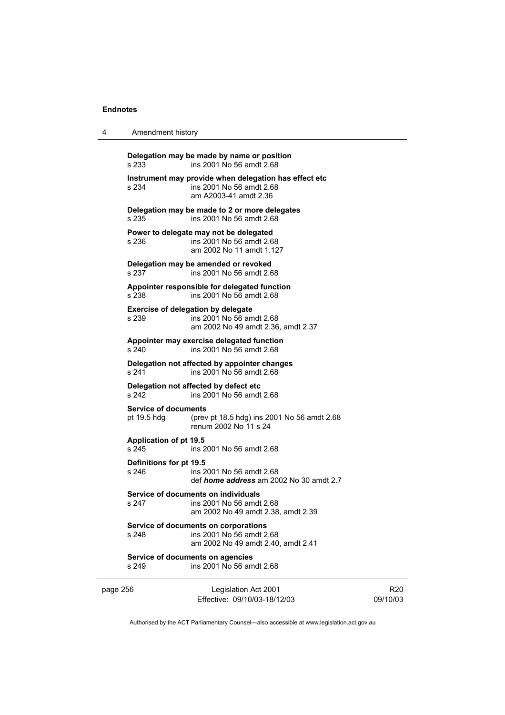| 4                                                                                                                                                                   | Amendment history                                                                                              |                                                                                                             |  |  |  |
|---------------------------------------------------------------------------------------------------------------------------------------------------------------------|----------------------------------------------------------------------------------------------------------------|-------------------------------------------------------------------------------------------------------------|--|--|--|
|                                                                                                                                                                     | s 233                                                                                                          | Delegation may be made by name or position<br>ins 2001 No 56 amdt 2.68                                      |  |  |  |
|                                                                                                                                                                     | s 234                                                                                                          | Instrument may provide when delegation has effect etc<br>ins 2001 No 56 amdt 2.68<br>am A2003-41 amdt 2.36  |  |  |  |
|                                                                                                                                                                     | s.235                                                                                                          | Delegation may be made to 2 or more delegates<br>ins 2001 No 56 amdt 2.68                                   |  |  |  |
|                                                                                                                                                                     | s 236                                                                                                          | Power to delegate may not be delegated<br>ins 2001 No 56 amdt 2.68<br>am 2002 No 11 amdt 1.127              |  |  |  |
|                                                                                                                                                                     | s 237                                                                                                          | Delegation may be amended or revoked<br>ins 2001 No 56 amdt 2.68                                            |  |  |  |
|                                                                                                                                                                     | s 238                                                                                                          | Appointer responsible for delegated function<br>ins 2001 No 56 amdt 2.68                                    |  |  |  |
|                                                                                                                                                                     | s 239                                                                                                          | <b>Exercise of delegation by delegate</b><br>ins 2001 No 56 amdt 2.68<br>am 2002 No 49 amdt 2.36, amdt 2.37 |  |  |  |
| Appointer may exercise delegated function<br>ins 2001 No 56 amdt 2.68<br>s 240<br>Delegation not affected by appointer changes<br>ins 2001 No 56 amdt 2.68<br>s 241 |                                                                                                                |                                                                                                             |  |  |  |
|                                                                                                                                                                     |                                                                                                                |                                                                                                             |  |  |  |
|                                                                                                                                                                     | s 242                                                                                                          | Delegation not affected by defect etc<br>ins 2001 No 56 amdt 2.68                                           |  |  |  |
|                                                                                                                                                                     | <b>Service of documents</b><br>pt 19.5 hdg                                                                     | (prev pt 18.5 hdg) ins 2001 No 56 amdt 2.68<br>renum 2002 No 11 s 24                                        |  |  |  |
|                                                                                                                                                                     | <b>Application of pt 19.5</b><br>s 245                                                                         | ins 2001 No 56 amdt 2.68                                                                                    |  |  |  |
|                                                                                                                                                                     | Definitions for pt 19.5<br>s 246                                                                               | ins 2001 No 56 amdt 2.68<br>def <i>home address</i> am 2002 No 30 amdt 2.7                                  |  |  |  |
|                                                                                                                                                                     | Service of documents on individuals<br>s 247<br>ins 2001 No 56 amdt 2.68<br>am 2002 No 49 amdt 2.38, amdt 2.39 |                                                                                                             |  |  |  |
|                                                                                                                                                                     | s 248                                                                                                          | Service of documents on corporations<br>ins 2001 No 56 amdt 2.68<br>am 2002 No 49 amdt 2.40, amdt 2.41      |  |  |  |
|                                                                                                                                                                     | s 249                                                                                                          | Service of documents on agencies<br>ins 2001 No 56 amdt 2.68                                                |  |  |  |
| page 256                                                                                                                                                            |                                                                                                                | Legislation Act 2001<br>Effective: 09/10/03-18/12/03                                                        |  |  |  |

R20 09/10/03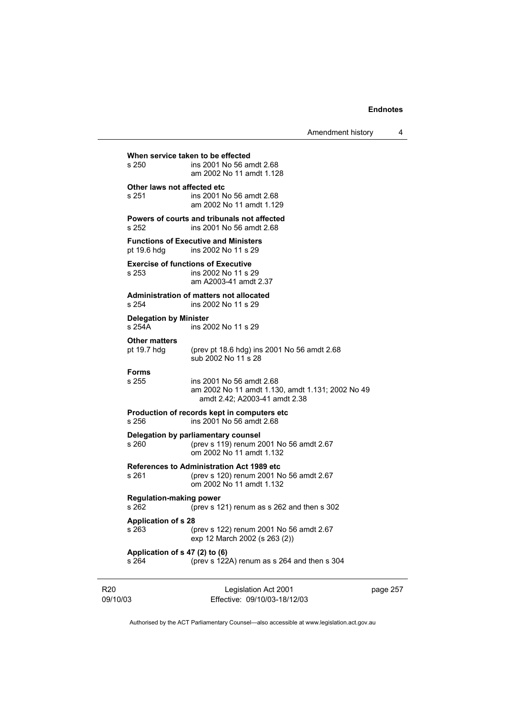|                                         | Amendment history                                                                                                | 4        |
|-----------------------------------------|------------------------------------------------------------------------------------------------------------------|----------|
| s 250                                   | When service taken to be effected<br>ins 2001 No 56 amdt 2.68<br>am 2002 No 11 amdt 1.128                        |          |
| Other laws not affected etc<br>s 251    | ins 2001 No 56 amdt 2.68<br>am 2002 No 11 amdt 1.129                                                             |          |
| s 252                                   | Powers of courts and tribunals not affected<br>ins 2001 No 56 amdt 2.68                                          |          |
| pt 19.6 hdg                             | <b>Functions of Executive and Ministers</b><br>ins 2002 No 11 s 29                                               |          |
| s 253                                   | <b>Exercise of functions of Executive</b><br>ins 2002 No 11 s 29<br>am A2003-41 amdt 2.37                        |          |
| s 254                                   | Administration of matters not allocated<br>ins 2002 No 11 s 29                                                   |          |
| <b>Delegation by Minister</b><br>s 254A | ins 2002 No 11 s 29                                                                                              |          |
| <b>Other matters</b><br>pt 19.7 hdg     | (prev pt 18.6 hdg) ins 2001 No 56 amdt 2.68<br>sub 2002 No 11 s 28                                               |          |
| <b>Forms</b><br>s 255                   | ins 2001 No 56 amdt 2.68<br>am 2002 No 11 amdt 1.130, amdt 1.131; 2002 No 49<br>amdt 2.42; A2003-41 amdt 2.38    |          |
| s 256                                   | Production of records kept in computers etc.<br>ins 2001 No 56 amdt 2.68                                         |          |
| s 260                                   | Delegation by parliamentary counsel<br>(prev s 119) renum 2001 No 56 amdt 2.67<br>om 2002 No 11 amdt 1.132       |          |
| s 261                                   | References to Administration Act 1989 etc<br>(prev s 120) renum 2001 No 56 amdt 2.67<br>om 2002 No 11 amdt 1.132 |          |
| <b>Regulation-making power</b><br>s 262 | (prev s 121) renum as s 262 and then s 302                                                                       |          |
| <b>Application of s 28</b><br>s 263     | (prev s 122) renum 2001 No 56 amdt 2.67<br>exp 12 March 2002 (s 263 (2))                                         |          |
| Application of s 47 (2) to (6)<br>s 264 | (prev s 122A) renum as s 264 and then s 304                                                                      |          |
| )3                                      | Legislation Act 2001<br>Effective: 09/10/03-18/12/03                                                             | page 257 |

Authorised by the ACT Parliamentary Counsel—also accessible at www.legislation.act.gov.au

R20 09/10/03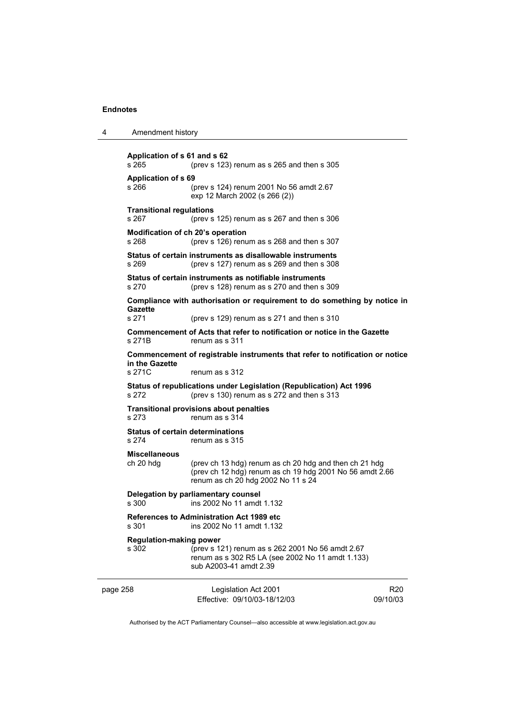| 4        | Amendment history                                                         |                                                                                                                                                          |                             |  |
|----------|---------------------------------------------------------------------------|----------------------------------------------------------------------------------------------------------------------------------------------------------|-----------------------------|--|
|          | Application of s 61 and s 62<br>s 265                                     | (prev s $123$ ) renum as s $265$ and then s $305$                                                                                                        |                             |  |
|          | <b>Application of s 69</b><br>s 266                                       | (prev s 124) renum 2001 No 56 amdt 2.67<br>exp 12 March 2002 (s 266 (2))                                                                                 |                             |  |
|          | <b>Transitional regulations</b><br>s 267                                  | (prev s 125) renum as s 267 and then s 306                                                                                                               |                             |  |
|          | Modification of ch 20's operation<br>s 268                                | (prev s 126) renum as s 268 and then s 307                                                                                                               |                             |  |
|          | s 269                                                                     | Status of certain instruments as disallowable instruments<br>(prev s 127) renum as s 269 and then s 308                                                  |                             |  |
|          | s 270                                                                     | Status of certain instruments as notifiable instruments<br>(prev s 128) renum as s 270 and then s 309                                                    |                             |  |
|          |                                                                           | Compliance with authorisation or requirement to do something by notice in                                                                                |                             |  |
|          | <b>Gazette</b><br>s 271                                                   | (prev s $129$ ) renum as s 271 and then s 310                                                                                                            |                             |  |
|          | s 271B                                                                    | Commencement of Acts that refer to notification or notice in the Gazette<br>renum as s 311                                                               |                             |  |
|          | in the Gazette<br>s 271C                                                  | Commencement of registrable instruments that refer to notification or notice<br>renum as s 312                                                           |                             |  |
|          | s 272                                                                     | Status of republications under Legislation (Republication) Act 1996<br>(prev s 130) renum as s 272 and then s 313                                        |                             |  |
|          | <b>Transitional provisions about penalties</b><br>s 273<br>renum as s 314 |                                                                                                                                                          |                             |  |
|          | <b>Status of certain determinations</b><br>s 274                          | renum as s 315                                                                                                                                           |                             |  |
|          | <b>Miscellaneous</b><br>ch 20 hdg                                         | (prev ch 13 hdg) renum as ch 20 hdg and then ch 21 hdg<br>(prev ch 12 hdg) renum as ch 19 hdg 2001 No 56 amdt 2.66<br>renum as ch 20 hdg 2002 No 11 s 24 |                             |  |
|          | Delegation by parliamentary counsel<br>s 300<br>ins 2002 No 11 amdt 1.132 |                                                                                                                                                          |                             |  |
|          | s 301                                                                     | <b>References to Administration Act 1989 etc</b><br>ins 2002 No 11 amdt 1.132                                                                            |                             |  |
|          | <b>Regulation-making power</b><br>s 302                                   | (prev s 121) renum as s 262 2001 No 56 amdt 2.67<br>renum as s 302 R5 LA (see 2002 No 11 amdt 1.133)<br>sub A2003-41 amdt 2.39                           |                             |  |
| page 258 |                                                                           | Legislation Act 2001<br>Effective: 09/10/03-18/12/03                                                                                                     | R <sub>20</sub><br>09/10/03 |  |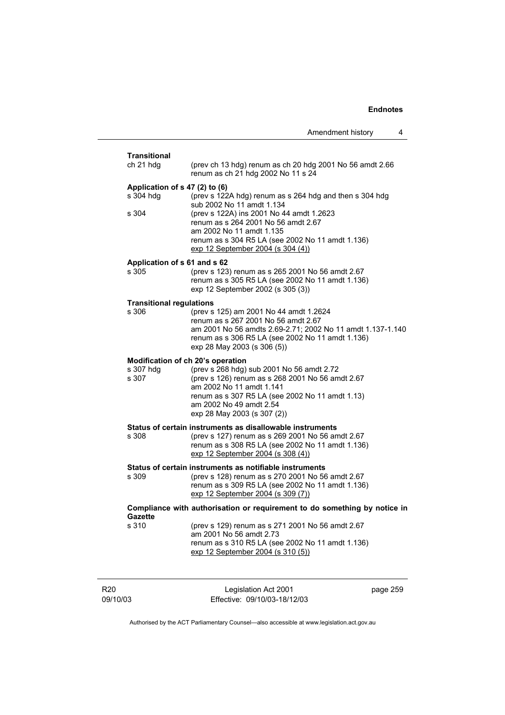| <b>Transitional</b>                      |                                                                                                                                                                                                                                                                             |          |
|------------------------------------------|-----------------------------------------------------------------------------------------------------------------------------------------------------------------------------------------------------------------------------------------------------------------------------|----------|
| ch 21 hdg                                | (prev ch 13 hdg) renum as ch 20 hdg 2001 No 56 amdt 2.66<br>renum as ch 21 hdg 2002 No 11 s 24                                                                                                                                                                              |          |
| s 304 hdg                                | Application of s 47 (2) to (6)<br>(prev s 122A hdg) renum as s 264 hdg and then s 304 hdg<br>sub 2002 No 11 amdt 1.134                                                                                                                                                      |          |
| s 304                                    | (prev s 122A) ins 2001 No 44 amdt 1.2623<br>renum as s 264 2001 No 56 amdt 2.67<br>am 2002 No 11 amdt 1.135<br>renum as s 304 R5 LA (see 2002 No 11 amdt 1.136)<br>exp 12 September 2004 (s 304 (4))                                                                        |          |
| Application of s 61 and s 62<br>s 305    | (prev s 123) renum as s 265 2001 No 56 amdt 2.67<br>renum as s 305 R5 LA (see 2002 No 11 amdt 1.136)<br>exp 12 September 2002 (s 305 (3))                                                                                                                                   |          |
| <b>Transitional regulations</b><br>s 306 | (prev s 125) am 2001 No 44 amdt 1.2624<br>renum as s 267 2001 No 56 amdt 2.67<br>am 2001 No 56 amdts 2.69-2.71; 2002 No 11 amdt 1.137-1.140<br>renum as s 306 R5 LA (see 2002 No 11 amdt 1.136)<br>exp 28 May 2003 (s 306 (5))                                              |          |
| s 307 hdg<br>s 307                       | Modification of ch 20's operation<br>(prev s 268 hdg) sub 2001 No 56 amdt 2.72<br>(prev s 126) renum as s 268 2001 No 56 amdt 2.67<br>am 2002 No 11 amdt 1.141<br>renum as s 307 R5 LA (see 2002 No 11 amdt 1.13)<br>am 2002 No 49 amdt 2.54<br>exp 28 May 2003 (s 307 (2)) |          |
| s 308                                    | Status of certain instruments as disallowable instruments<br>(prev s 127) renum as s 269 2001 No 56 amdt 2.67<br>renum as s 308 R5 LA (see 2002 No 11 amdt 1.136)<br>exp 12 September 2004 (s 308 (4))                                                                      |          |
| s 309                                    | Status of certain instruments as notifiable instruments<br>(prev s 128) renum as s 270 2001 No 56 amdt 2.67<br>renum as s 309 R5 LA (see 2002 No 11 amdt 1.136)<br>exp 12 September 2004 (s 309 (7))                                                                        |          |
|                                          | Compliance with authorisation or requirement to do something by notice in                                                                                                                                                                                                   |          |
| <b>Gazette</b><br>s 310                  | (prev s 129) renum as s 271 2001 No 56 amdt 2.67<br>am 2001 No 56 amdt 2.73<br>renum as s 310 R5 LA (see 2002 No 11 amdt 1.136)<br>exp 12 September 2004 (s 310 (5))                                                                                                        |          |
| R <sub>20</sub><br>09/10/03              | Legislation Act 2001<br>Effective: 09/10/03-18/12/03                                                                                                                                                                                                                        | page 259 |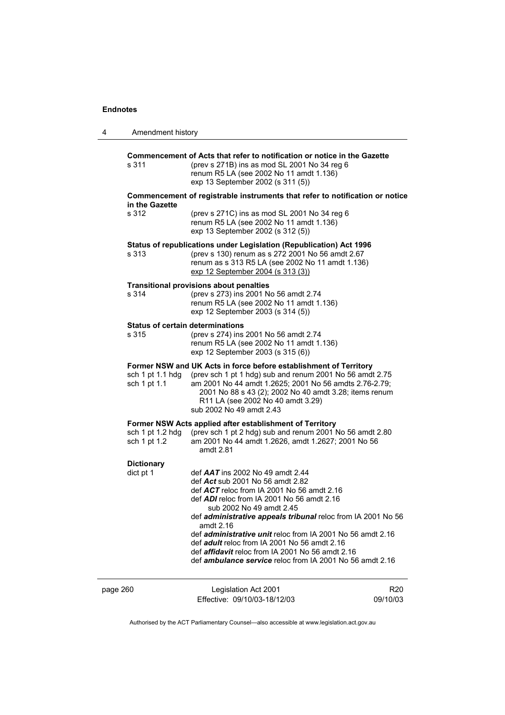| 4        | Amendment history                                |                                                                                                                                                                                                                                                                                                                                                                                                                                                                                                                                       |                 |
|----------|--------------------------------------------------|---------------------------------------------------------------------------------------------------------------------------------------------------------------------------------------------------------------------------------------------------------------------------------------------------------------------------------------------------------------------------------------------------------------------------------------------------------------------------------------------------------------------------------------|-----------------|
|          | s 311                                            | Commencement of Acts that refer to notification or notice in the Gazette<br>(prev s 271B) ins as mod SL 2001 No 34 reg 6<br>renum R5 LA (see 2002 No 11 amdt 1.136)<br>exp 13 September 2002 (s 311 (5))                                                                                                                                                                                                                                                                                                                              |                 |
|          |                                                  | Commencement of registrable instruments that refer to notification or notice                                                                                                                                                                                                                                                                                                                                                                                                                                                          |                 |
|          | in the Gazette<br>s 312                          | (prev s 271C) ins as mod SL 2001 No 34 reg 6<br>renum R5 LA (see 2002 No 11 amdt 1.136)<br>exp 13 September 2002 (s 312 (5))                                                                                                                                                                                                                                                                                                                                                                                                          |                 |
|          | s 313                                            | Status of republications under Legislation (Republication) Act 1996<br>(prev s 130) renum as s 272 2001 No 56 amdt 2.67<br>renum as s 313 R5 LA (see 2002 No 11 amdt 1.136)<br>exp 12 September 2004 (s 313 (3))                                                                                                                                                                                                                                                                                                                      |                 |
|          | s 314                                            | <b>Transitional provisions about penalties</b><br>(prev s 273) ins 2001 No 56 amdt 2.74<br>renum R5 LA (see 2002 No 11 amdt 1.136)<br>exp 12 September 2003 (s 314 (5))                                                                                                                                                                                                                                                                                                                                                               |                 |
|          | <b>Status of certain determinations</b><br>s 315 | (prev s 274) ins 2001 No 56 amdt 2.74<br>renum R5 LA (see 2002 No 11 amdt 1.136)<br>exp 12 September 2003 (s 315 (6))                                                                                                                                                                                                                                                                                                                                                                                                                 |                 |
|          | sch 1 pt 1.1 hdg<br>sch 1 pt 1.1                 | Former NSW and UK Acts in force before establishment of Territory<br>(prev sch 1 pt 1 hdg) sub and renum 2001 No 56 amdt 2.75<br>am 2001 No 44 amdt 1.2625; 2001 No 56 amdts 2.76-2.79;<br>2001 No 88 s 43 (2); 2002 No 40 amdt 3.28; items renum<br>R11 LA (see 2002 No 40 amdt 3.29)<br>sub 2002 No 49 amdt 2.43                                                                                                                                                                                                                    |                 |
|          | sch 1 pt 1.2 hdg<br>sch 1 pt 1.2                 | Former NSW Acts applied after establishment of Territory<br>(prev sch 1 pt 2 hdg) sub and renum 2001 No 56 amdt 2.80<br>am 2001 No 44 amdt 1.2626, amdt 1.2627; 2001 No 56<br>amdt 2.81                                                                                                                                                                                                                                                                                                                                               |                 |
|          | <b>Dictionary</b><br>dict pt 1                   | def AAT ins 2002 No 49 amdt 2.44<br>def Act sub 2001 No 56 amdt 2.82<br>def $ACT$ reloc from IA 2001 No 56 amdt 2.16<br>def ADI reloc from IA 2001 No 56 amdt 2.16<br>sub 2002 No 49 amdt 2.45<br>def administrative appeals tribunal reloc from IA 2001 No 56<br>amdt 2.16<br>def <i>administrative unit</i> reloc from IA 2001 No 56 amdt 2.16<br>def <i>adult</i> reloc from IA 2001 No 56 amdt 2.16<br>def <i>affidavit</i> reloc from IA 2001 No 56 amdt 2.16<br>def <i>ambulance service</i> reloc from IA 2001 No 56 amdt 2.16 |                 |
| page 260 |                                                  | Legislation Act 2001                                                                                                                                                                                                                                                                                                                                                                                                                                                                                                                  | R <sub>20</sub> |

Authorised by the ACT Parliamentary Counsel—also accessible at www.legislation.act.gov.au

09/10/03

Effective: 09/10/03-18/12/03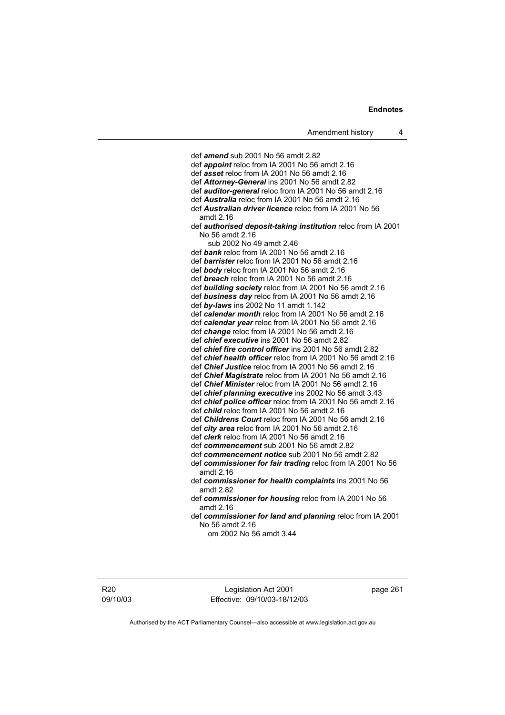def *amend* sub 2001 No 56 amdt 2.82 def *appoint* reloc from IA 2001 No 56 amdt 2.16 def *asset* reloc from IA 2001 No 56 amdt 2.16 def *Attorney-General* ins 2001 No 56 amdt 2.82 def *auditor-general* reloc from IA 2001 No 56 amdt 2.16 def *Australia* reloc from IA 2001 No 56 amdt 2.16 def *Australian driver licence* reloc from IA 2001 No 56 amdt 2.16 def *authorised deposit-taking institution* reloc from IA 2001 No 56 amdt 2.16 sub 2002 No 49 amdt 2.46 def *bank* reloc from IA 2001 No 56 amdt 2.16 def *barrister* reloc from IA 2001 No 56 amdt 2.16 def *body* reloc from IA 2001 No 56 amdt 2.16 def *breach* reloc from IA 2001 No 56 amdt 2.16 def *building society* reloc from IA 2001 No 56 amdt 2.16 def *business day* reloc from IA 2001 No 56 amdt 2.16 def *by-laws* ins 2002 No 11 amdt 1.142 def *calendar month* reloc from IA 2001 No 56 amdt 2.16 def *calendar year* reloc from IA 2001 No 56 amdt 2.16 def *change* reloc from IA 2001 No 56 amdt 2.16 def *chief executive* ins 2001 No 56 amdt 2.82 def *chief fire control officer* ins 2001 No 56 amdt 2.82 def *chief health officer* reloc from IA 2001 No 56 amdt 2.16 def *Chief Justice* reloc from IA 2001 No 56 amdt 2.16 def *Chief Magistrate* reloc from IA 2001 No 56 amdt 2.16 def *Chief Minister* reloc from IA 2001 No 56 amdt 2.16 def *chief planning executive* ins 2002 No 56 amdt 3.43 def *chief police officer* reloc from IA 2001 No 56 amdt 2.16 def *child* reloc from IA 2001 No 56 amdt 2.16 def *Childrens Court* reloc from IA 2001 No 56 amdt 2.16 def *city area* reloc from IA 2001 No 56 amdt 2.16 def *clerk* reloc from IA 2001 No 56 amdt 2.16 def *commencement* sub 2001 No 56 amdt 2.82 def *commencement notice* sub 2001 No 56 amdt 2.82 def *commissioner for fair trading* reloc from IA 2001 No 56 amdt 2.16 def *commissioner for health complaints* ins 2001 No 56 amdt 2.82 def *commissioner for housing* reloc from IA 2001 No 56 amdt 2.16 def *commissioner for land and planning* reloc from IA 2001 No 56 amdt 2.16 om 2002 No 56 amdt 3.44

R20 09/10/03

Legislation Act 2001 Effective: 09/10/03-18/12/03 page 261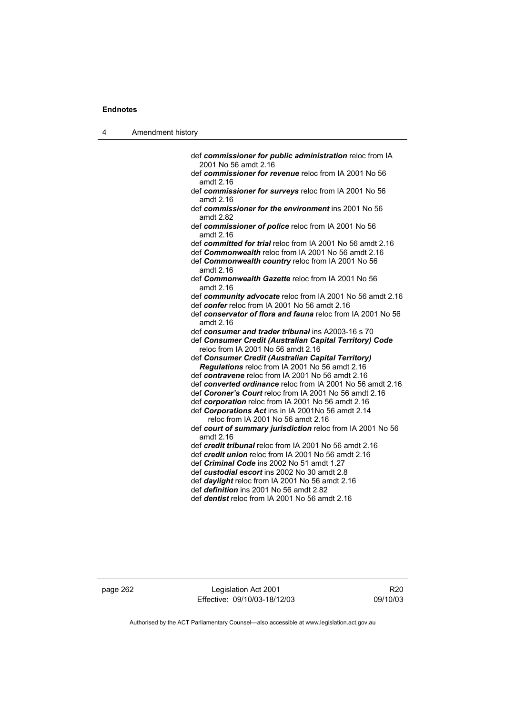| л | Amendment history |
|---|-------------------|
|---|-------------------|

- def *commissioner for public administration* reloc from IA 2001 No 56 amdt 2.16
- def *commissioner for revenue* reloc from IA 2001 No 56 amdt 2.16
- def *commissioner for surveys* reloc from IA 2001 No 56 amdt 2.16
- def *commissioner for the environment* ins 2001 No 56 amdt 2.82
- def *commissioner of police* reloc from IA 2001 No 56 amdt 2.16
- def *committed for trial* reloc from IA 2001 No 56 amdt 2.16
- def *Commonwealth* reloc from IA 2001 No 56 amdt 2.16 def *Commonwealth country* reloc from IA 2001 No 56 amdt 2.16
- def *Commonwealth Gazette* reloc from IA 2001 No 56 amdt 2.16
- def *community advocate* reloc from IA 2001 No 56 amdt 2.16 def *confer* reloc from IA 2001 No 56 amdt 2.16
- def *conservator of flora and fauna* reloc from IA 2001 No 56 amdt 2.16
- def *consumer and trader tribunal* ins A2003-16 s 70
- def *Consumer Credit (Australian Capital Territory) Code* reloc from IA 2001 No 56 amdt 2.16
- def *Consumer Credit (Australian Capital Territory) Regulations* reloc from IA 2001 No 56 amdt 2.16
- def *contravene* reloc from IA 2001 No 56 amdt 2.16
- def *converted ordinance* reloc from IA 2001 No 56 amdt 2.16
- def *Coroner's Court* reloc from IA 2001 No 56 amdt 2.16
- def *corporation* reloc from IA 2001 No 56 amdt 2.16
- def *Corporations Act* ins in IA 2001No 56 amdt 2.14 reloc from IA 2001 No 56 amdt 2.16
- def *court of summary jurisdiction* reloc from IA 2001 No 56 amdt 2.16
- def *credit tribunal* reloc from IA 2001 No 56 amdt 2.16
- def *credit union* reloc from IA 2001 No 56 amdt 2.16
- def *Criminal Code* ins 2002 No 51 amdt 1.27
- def *custodial escort* ins 2002 No 30 amdt 2.8
- def *daylight* reloc from IA 2001 No 56 amdt 2.16
- def *definition* ins 2001 No 56 amdt 2.82
- def *dentist* reloc from IA 2001 No 56 amdt 2.16

page 262 Legislation Act 2001 Effective: 09/10/03-18/12/03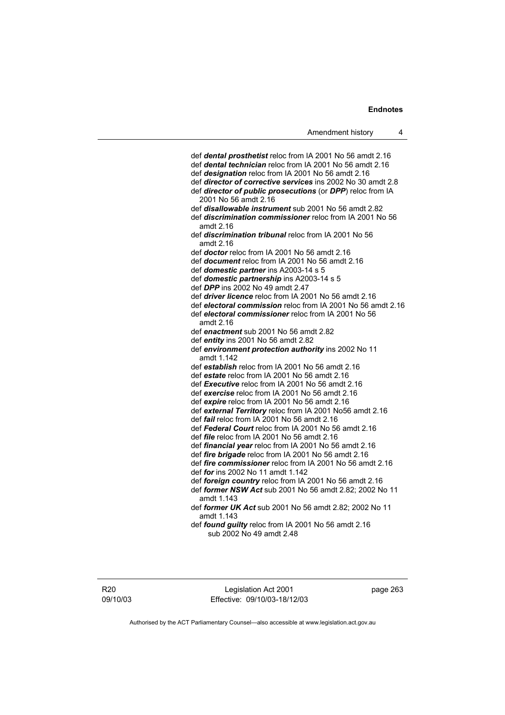def *dental prosthetist* reloc from IA 2001 No 56 amdt 2.16 def *dental technician* reloc from IA 2001 No 56 amdt 2.16 def *designation* reloc from IA 2001 No 56 amdt 2.16 def *director of corrective services* ins 2002 No 30 amdt 2.8 def *director of public prosecutions* (or *DPP*) reloc from IA 2001 No 56 amdt 2.16 def *disallowable instrument* sub 2001 No 56 amdt 2.82 def *discrimination commissioner* reloc from IA 2001 No 56 amdt 2.16 def *discrimination tribunal* reloc from IA 2001 No 56 amdt 2.16 def *doctor* reloc from IA 2001 No 56 amdt 2.16 def *document* reloc from IA 2001 No 56 amdt 2.16 def *domestic partner* ins A2003-14 s 5 def *domestic partnership* ins A2003-14 s 5 def *DPP* ins 2002 No 49 amdt 2.47 def *driver licence* reloc from IA 2001 No 56 amdt 2.16 def *electoral commission* reloc from IA 2001 No 56 amdt 2.16 def *electoral commissioner* reloc from IA 2001 No 56 amdt 2.16 def *enactment* sub 2001 No 56 amdt 2.82 def *entity* ins 2001 No 56 amdt 2.82 def *environment protection authority* ins 2002 No 11 amdt 1.142 def *establish* reloc from IA 2001 No 56 amdt 2.16 def *estate* reloc from IA 2001 No 56 amdt 2.16 def *Executive* reloc from IA 2001 No 56 amdt 2.16 def *exercise* reloc from IA 2001 No 56 amdt 2.16 def *expire* reloc from IA 2001 No 56 amdt 2.16 def *external Territory* reloc from IA 2001 No56 amdt 2.16 def *fail* reloc from IA 2001 No 56 amdt 2.16 def *Federal Court* reloc from IA 2001 No 56 amdt 2.16 def *file* reloc from IA 2001 No 56 amdt 2.16 def *financial year* reloc from IA 2001 No 56 amdt 2.16 def *fire brigade* reloc from IA 2001 No 56 amdt 2.16 def *fire commissioner* reloc from IA 2001 No 56 amdt 2.16 def *for* ins 2002 No 11 amdt 1.142 def *foreign country* reloc from IA 2001 No 56 amdt 2.16 def *former NSW Act* sub 2001 No 56 amdt 2.82; 2002 No 11 amdt 1.143 def *former UK Act* sub 2001 No 56 amdt 2.82; 2002 No 11 amdt 1.143 def *found guilty* reloc from IA 2001 No 56 amdt 2.16 sub 2002 No 49 amdt 2.48

Legislation Act 2001 Effective: 09/10/03-18/12/03 page 263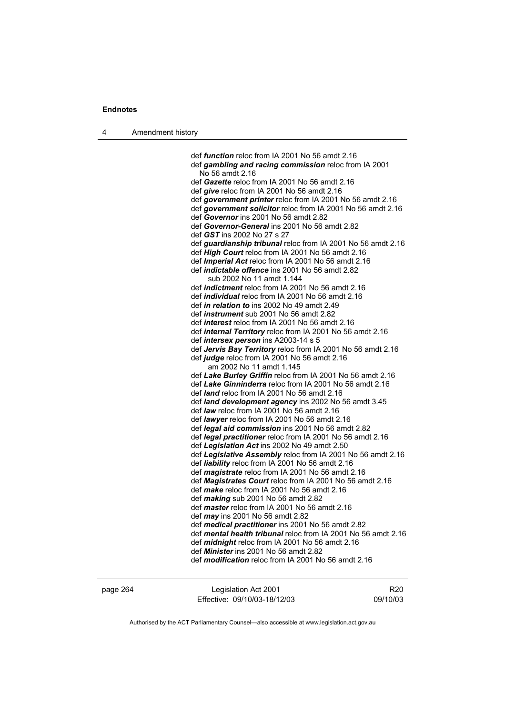| л | Amendment history |
|---|-------------------|
|---|-------------------|

 def *function* reloc from IA 2001 No 56 amdt 2.16 def *gambling and racing commission* reloc from IA 2001 No 56 amdt 2.16 def *Gazette* reloc from IA 2001 No 56 amdt 2.16 def *give* reloc from IA 2001 No 56 amdt 2.16 def *government printer* reloc from IA 2001 No 56 amdt 2.16 def *government solicitor* reloc from IA 2001 No 56 amdt 2.16 def *Governor* ins 2001 No 56 amdt 2.82 def *Governor-General* ins 2001 No 56 amdt 2.82 def *GST* ins 2002 No 27 s 27 def *guardianship tribunal* reloc from IA 2001 No 56 amdt 2.16 def *High Court* reloc from IA 2001 No 56 amdt 2.16 def *Imperial Act* reloc from IA 2001 No 56 amdt 2.16 def *indictable offence* ins 2001 No 56 amdt 2.82 sub 2002 No 11 amdt 1.144 def *indictment* reloc from IA 2001 No 56 amdt 2.16 def *individual* reloc from IA 2001 No 56 amdt 2.16 def *in relation to* ins 2002 No 49 amdt 2.49 def *instrument* sub 2001 No 56 amdt 2.82 def *interest* reloc from IA 2001 No 56 amdt 2.16 def *internal Territory* reloc from IA 2001 No 56 amdt 2.16 def *intersex person* ins A2003-14 s 5 def *Jervis Bay Territory* reloc from IA 2001 No 56 amdt 2.16 def *judge* reloc from IA 2001 No 56 amdt 2.16 am 2002 No 11 amdt 1.145 def *Lake Burley Griffin* reloc from IA 2001 No 56 amdt 2.16 def *Lake Ginninderra* reloc from IA 2001 No 56 amdt 2.16 def *land* reloc from IA 2001 No 56 amdt 2.16 def *land development agency* ins 2002 No 56 amdt 3.45 def *law* reloc from IA 2001 No 56 amdt 2.16 def *lawyer* reloc from IA 2001 No 56 amdt 2.16 def *legal aid commission* ins 2001 No 56 amdt 2.82 def *legal practitioner* reloc from IA 2001 No 56 amdt 2.16 def *Legislation Act* ins 2002 No 49 amdt 2.50 def *Legislative Assembly* reloc from IA 2001 No 56 amdt 2.16 def *liability* reloc from IA 2001 No 56 amdt 2.16 def *magistrate* reloc from IA 2001 No 56 amdt 2.16 def *Magistrates Court* reloc from IA 2001 No 56 amdt 2.16 def *make* reloc from IA 2001 No 56 amdt 2.16 def *making* sub 2001 No 56 amdt 2.82 def *master* reloc from IA 2001 No 56 amdt 2.16 def *may* ins 2001 No 56 amdt 2.82 def *medical practitioner* ins 2001 No 56 amdt 2.82 def *mental health tribunal* reloc from IA 2001 No 56 amdt 2.16 def *midnight* reloc from IA 2001 No 56 amdt 2.16 def *Minister* ins 2001 No 56 amdt 2.82 def *modification* reloc from IA 2001 No 56 amdt 2.16

| page 264 | Legislation Act 2001         | R <sub>20</sub> |
|----------|------------------------------|-----------------|
|          | Effective: 09/10/03-18/12/03 | 09/10/03        |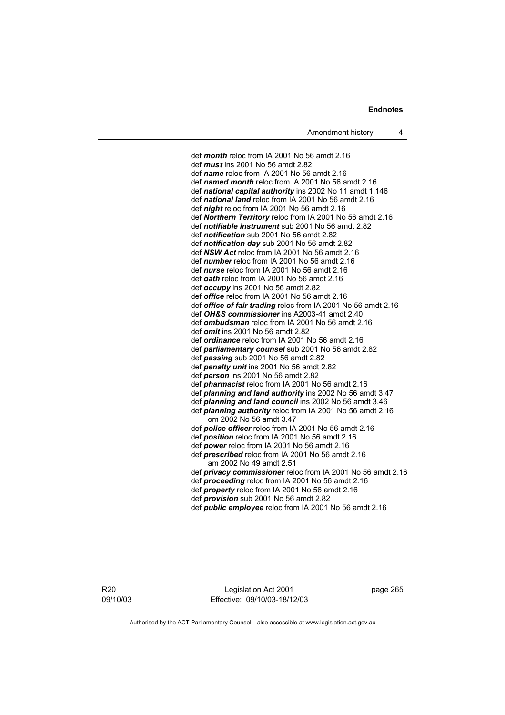def *month* reloc from IA 2001 No 56 amdt 2.16 def *mus t* ins 2001 No 56 amdt 2.82 def *name* reloc from IA 2001 No 56 amdt 2.16 def *named month* reloc from IA 2001 No 56 amdt 2.16 def *national capital authority* ins 2002 No 11 amdt 1.146 def *national land* reloc from IA 2001 No 56 amdt 2.16 def *night* reloc from IA 2001 No 56 amdt 2.16 def *Northern Territory* reloc from IA 2001 No 56 amdt 2.16 def *notifiable instrument* sub 2001 No 56 amdt 2.82 def *notification* sub 2001 No 56 amdt 2.82 def *notification day* sub 2001 No 56 amdt 2.82 def *NSW Act* reloc from IA 2001 No 56 amdt 2.16 def *number* reloc from IA 2001 No 56 amdt 2.16 def *nurse* reloc from IA 2001 No 56 amdt 2.16 def *oath* reloc from IA 2001 No 56 amdt 2.16 def *occupy* ins 2001 No 56 amdt 2.82 def *office* reloc from IA 2001 No 56 amdt 2.16 def *office of fair trading* reloc from IA 2001 No 56 amdt 2.16 def *OH&S commissioner* ins A2003-41 amdt 2.40 def *ombudsman* reloc from IA 2001 No 56 amdt 2.16 def *omit* ins 2001 No 56 amdt 2.82 def *ordinance* reloc from IA 2001 No 56 amdt 2.16 def *parliamentary counsel* sub 2001 No 56 amdt 2.82 def *passing* sub 2001 No 56 amdt 2.82 def *penalty unit* ins 2001 No 56 amdt 2.82 def *person* ins 2001 No 56 amdt 2.82 def *pharmacist* reloc from IA 2001 No 56 amdt 2.16 def *planning and land authority* ins 2002 No 56 amdt 3.47 def *planning and land council* ins 2002 No 56 amdt 3.46 def *planning authority* reloc from IA 2001 No 56 amdt 2.16 om 2002 No 56 amdt 3.47 def *police officer* reloc from IA 2001 No 56 amdt 2.16 def *position* reloc from IA 2001 No 56 amdt 2.16 def *power* reloc from IA 2001 No 56 amdt 2.16 def *prescribed* reloc from IA 2001 No 56 amdt 2.16 am 2002 No 49 amdt 2.51 def *privacy commissioner* reloc from IA 2001 No 56 amdt 2.16 def *proceeding* reloc from IA 2001 No 56 amdt 2.16 def *property* reloc from IA 2001 No 56 amdt 2.16 def *provision* sub 2001 No 56 amdt 2.82 def *public employee* reloc from IA 2001 No 56 amdt 2.16

R20 09/10/03

Legislation Act 2001 Effective: 09/10/03-18/12/03 page 265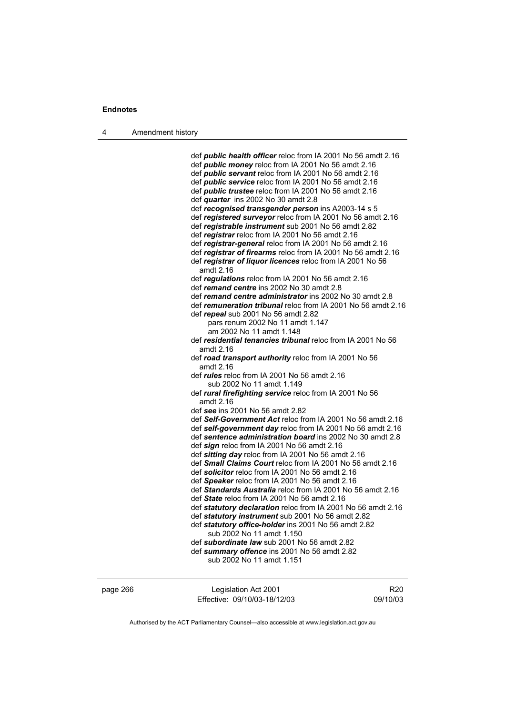4 Amendment history

 def *public health officer* reloc from IA 2001 No 56 amdt 2.16 def *public money* reloc from IA 2001 No 56 amdt 2.16 def *public servant* reloc from IA 2001 No 56 amdt 2.16 def *public service* reloc from IA 2001 No 56 amdt 2.16 def *public trustee* reloc from IA 2001 No 56 amdt 2.16 def *quarter* ins 2002 No 30 amdt 2.8 def *recognised transgender person* ins A2003-14 s 5 def *registered surveyor* reloc from IA 2001 No 56 amdt 2.16 def *registrable instrument* sub 2001 No 56 amdt 2.82 def *registrar* reloc from IA 2001 No 56 amdt 2.16 def *registrar-general* reloc from IA 2001 No 56 amdt 2.16 def *registrar of firearms* reloc from IA 2001 No 56 amdt 2.16 def *registrar of liquor licences* reloc from IA 2001 No 56 amdt 2.16 def *regulations* reloc from IA 2001 No 56 amdt 2.16 def *remand centre* ins 2002 No 30 amdt 2.8 def *remand centre administrator* ins 2002 No 30 amdt 2.8 def *remuneration tribunal* reloc from IA 2001 No 56 amdt 2.16 def *repeal* sub 2001 No 56 amdt 2.82 pars renum 2002 No 11 amdt 1.147 am 2002 No 11 amdt 1.148 def *residential tenancies tribunal* reloc from IA 2001 No 56 amdt 2.16 def *road transport authority* reloc from IA 2001 No 56 amdt 2.16 def *rules* reloc from IA 2001 No 56 amdt 2.16 sub 2002 No 11 amdt 1.149 def *rural firefighting service* reloc from IA 2001 No 56 amdt 2.16 def *see* ins 2001 No 56 amdt 2.82 def *Self-Government Act* reloc from IA 2001 No 56 amdt 2.16 def *self-government day* reloc from IA 2001 No 56 amdt 2.16 def *sentence administration board* ins 2002 No 30 amdt 2.8 def *sign* reloc from IA 2001 No 56 amdt 2.16 def *sitting day* reloc from IA 2001 No 56 amdt 2.16 def *Small Claims Court* reloc from IA 2001 No 56 amdt 2.16 def *solicitor* reloc from IA 2001 No 56 amdt 2.16 def *Speaker* reloc from IA 2001 No 56 amdt 2.16 def *Standards Australia* reloc from IA 2001 No 56 amdt 2.16 def *State* reloc from IA 2001 No 56 amdt 2.16 def *statutory declaration* reloc from IA 2001 No 56 amdt 2.16 def *statutory instrument* sub 2001 No 56 amdt 2.82 def *statutory office-holder* ins 2001 No 56 amdt 2.82 sub 2002 No 11 amdt 1.150 def *subordinate law* sub 2001 No 56 amdt 2.82 def *summary offence* ins 2001 No 56 amdt 2.82 sub 2002 No 11 amdt 1.151

| page 266 | Legislation Act 2001         | R20      |
|----------|------------------------------|----------|
|          | Effective: 09/10/03-18/12/03 | 09/10/03 |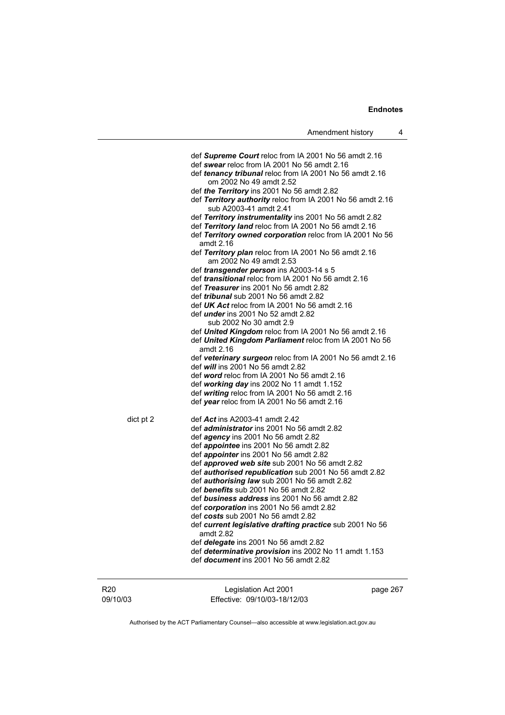def *Supreme Court* reloc from IA 2001 No 56 amdt 2.16 def *swear* reloc from IA 2001 No 56 amdt 2.16 def *tenancy tribunal* reloc from IA 2001 No 56 amdt 2.16 om 2002 No 49 amdt 2.52 def *the Territory* ins 2001 No 56 amdt 2.82 def *Territory authority* reloc from IA 2001 No 56 amdt 2.16 sub A2003-41 amdt 2.41 def *Territory instrumentality* ins 2001 No 56 amdt 2.82 def *Territory land* reloc from IA 2001 No 56 amdt 2.16 def *Territory owned corporation* reloc from IA 2001 No 56 amdt 2.16 def *Territory plan* reloc from IA 2001 No 56 amdt 2.16 am 2002 No 49 amdt 2.53 def *transgender person* ins A2003-14 s 5 def *transitional* reloc from IA 2001 No 56 amdt 2.16 def *Treasurer* ins 2001 No 56 amdt 2.82 def *tribunal* sub 2001 No 56 amdt 2.82 def *UK Act* reloc from IA 2001 No 56 amdt 2.16 def *under* ins 2001 No 52 amdt 2.82 sub 2002 No 30 amdt 2.9 def *United Kingdom* reloc from IA 2001 No 56 amdt 2.16 def *United Kingdom Parliament* reloc from IA 2001 No 56 amdt 2.16 def *veterinary surgeon* reloc from IA 2001 No 56 amdt 2.16 def *will* ins 2001 No 56 amdt 2.82 def *word* reloc from IA 2001 No 56 amdt 2.16 def *working day* ins 2002 No 11 amdt 1.152 def *writing* reloc from IA 2001 No 56 amdt 2.16 def *year* reloc from IA 2001 No 56 amdt 2.16 dict pt 2 def *Act* ins A2003-41 amdt 2.42 def *administrator* ins 2001 No 56 amdt 2.82 def *agency* ins 2001 No 56 amdt 2.82 def *appointee* ins 2001 No 56 amdt 2.82 def *appointer* ins 2001 No 56 amdt 2.82 def *approved web site* sub 2001 No 56 amdt 2.82 def *authorised republication* sub 2001 No 56 amdt 2.82 def *authorising law* sub 2001 No 56 amdt 2.82 def *benefits* sub 2001 No 56 amdt 2.82 def *business address* ins 2001 No 56 amdt 2.82 def *corporation* ins 2001 No 56 amdt 2.82 def *costs* sub 2001 No 56 amdt 2.82 def *current legislative drafting practice* sub 2001 No 56 amdt 2.82 def *delegate* ins 2001 No 56 amdt 2.82 def *determinative provision* ins 2002 No 11 amdt 1.153 def *document* ins 2001 No 56 amdt 2.82

| R20      | Legislation Act 2001         | page 267 |
|----------|------------------------------|----------|
| 09/10/03 | Effective: 09/10/03-18/12/03 |          |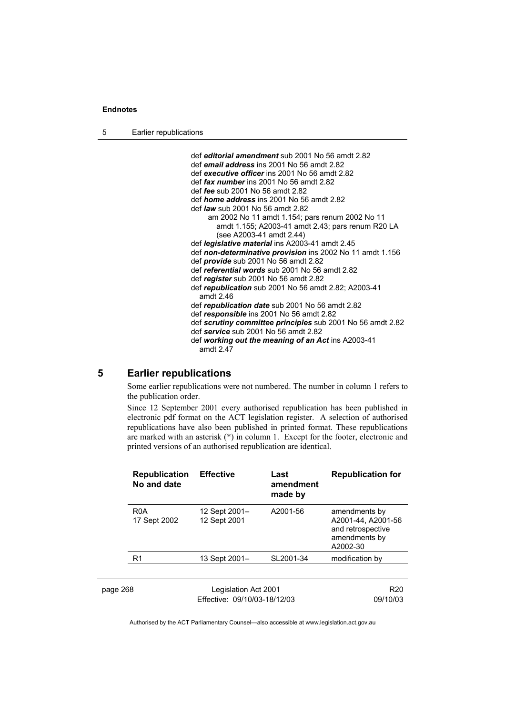5 Earlier republications

 def *editorial amendment* sub 2001 No 56 amdt 2.82 def *email address* ins 2001 No 56 amdt 2.82 def *executive officer* ins 2001 No 56 amdt 2.82 def *fax number* ins 2001 No 56 amdt 2.82 def *fee* sub 2001 No 56 amdt 2.82 def *home address* ins 2001 No 56 amdt 2.82 def *law* sub 2001 No 56 amdt 2.82 am 2002 No 11 amdt 1.154; pars renum 2002 No 11 amdt 1.155; A2003-41 amdt 2.43; pars renum R20 LA (see A2003-41 amdt 2.44) def *legislative material* ins A2003-41 amdt 2.45 def *non-determinative provision* ins 2002 No 11 amdt 1.156 def *provide* sub 2001 No 56 amdt 2.82 def *referential words* sub 2001 No 56 amdt 2.82 def *register* sub 2001 No 56 amdt 2.82 def *republication* sub 2001 No 56 amdt 2.82; A2003-41 amdt 2.46 def *republication date* sub 2001 No 56 amdt 2.82 def *responsible* ins 2001 No 56 amdt 2.82 def *scrutiny committee principles* sub 2001 No 56 amdt 2.82 def *service* sub 2001 No 56 amdt 2.82 def *working out the meaning of an Act* ins A2003-41 amdt 2.47

## **5 Earlier republications**

Some earlier republications were not numbered. The number in column 1 refers to the publication order.

Since 12 September 2001 every authorised republication has been published in electronic pdf format on the ACT legislation register. A selection of authorised republications have also been published in printed format. These republications are marked with an asterisk (\*) in column 1. Except for the footer, electronic and printed versions of an authorised republication are identical.

|          | <b>Republication</b><br>No and date | <b>Effective</b>                                     | Last<br>amendment<br>made by | <b>Republication for</b>                                                              |
|----------|-------------------------------------|------------------------------------------------------|------------------------------|---------------------------------------------------------------------------------------|
|          | R <sub>0</sub> A<br>17 Sept 2002    | 12 Sept 2001-<br>12 Sept 2001                        | A2001-56                     | amendments by<br>A2001-44, A2001-56<br>and retrospective<br>amendments by<br>A2002-30 |
|          | R <sub>1</sub>                      | 13 Sept 2001-                                        | SL2001-34                    | modification by                                                                       |
| page 268 |                                     | Legislation Act 2001<br>Effective: 09/10/03-18/12/03 |                              | R <sub>20</sub><br>09/10/03                                                           |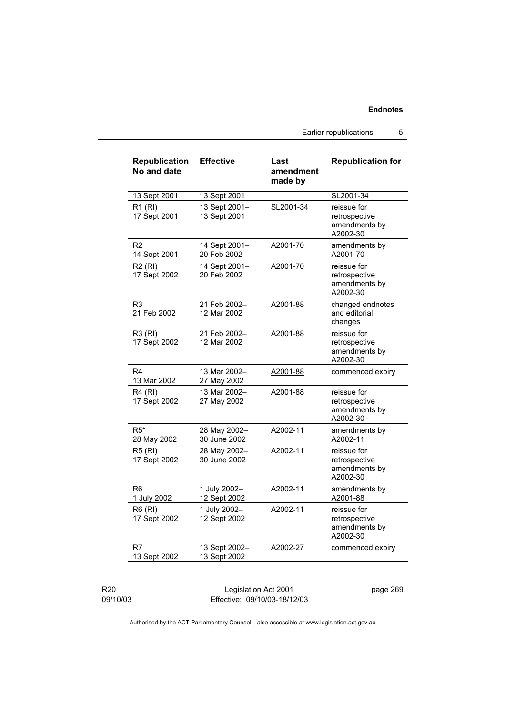Earlier republications 5

| <b>Republication</b><br>No and date | <b>Effective</b>              | Last<br>amendment<br>made by | <b>Republication for</b>                                  |
|-------------------------------------|-------------------------------|------------------------------|-----------------------------------------------------------|
| 13 Sept 2001                        | 13 Sept 2001                  |                              | SL2001-34                                                 |
| R1(RI)<br>17 Sept 2001              | 13 Sept 2001-<br>13 Sept 2001 | SL2001-34                    | reissue for<br>retrospective<br>amendments by<br>A2002-30 |
| R <sub>2</sub><br>14 Sept 2001      | 14 Sept 2001-<br>20 Feb 2002  | A2001-70                     | amendments by<br>A2001-70                                 |
| <b>R2 (RI)</b><br>17 Sept 2002      | 14 Sept 2001-<br>20 Feb 2002  | A2001-70                     | reissue for<br>retrospective<br>amendments by<br>A2002-30 |
| R3<br>21 Feb 2002                   | 21 Feb 2002-<br>12 Mar 2002   | A2001-88                     | changed endnotes<br>and editorial<br>changes              |
| R3 (RI)<br>17 Sept 2002             | 21 Feb 2002-<br>12 Mar 2002   | A2001-88                     | reissue for<br>retrospective<br>amendments by<br>A2002-30 |
| R4<br>13 Mar 2002                   | 13 Mar 2002-<br>27 May 2002   | A2001-88                     | commenced expiry                                          |
| R4 (RI)<br>17 Sept 2002             | 13 Mar 2002-<br>27 May 2002   | A2001-88                     | reissue for<br>retrospective<br>amendments by<br>A2002-30 |
| $R5*$<br>28 May 2002                | 28 May 2002-<br>30 June 2002  | A2002-11                     | amendments by<br>A2002-11                                 |
| R5 (RI)<br>17 Sept 2002             | 28 May 2002-<br>30 June 2002  | A2002-11                     | reissue for<br>retrospective<br>amendments by<br>A2002-30 |
| R <sub>6</sub><br>1 July 2002       | 1 July 2002-<br>12 Sept 2002  | A2002-11                     | amendments by<br>A2001-88                                 |
| <b>R6 (RI)</b><br>17 Sept 2002      | 1 July 2002-<br>12 Sept 2002  | A2002-11                     | reissue for<br>retrospective<br>amendments by<br>A2002-30 |
| R7<br>13 Sept 2002                  | 13 Sept 2002-<br>13 Sept 2002 | A2002-27                     | commenced expiry                                          |

R20 09/10/03

Legislation Act 2001 Effective: 09/10/03-18/12/03 page 269